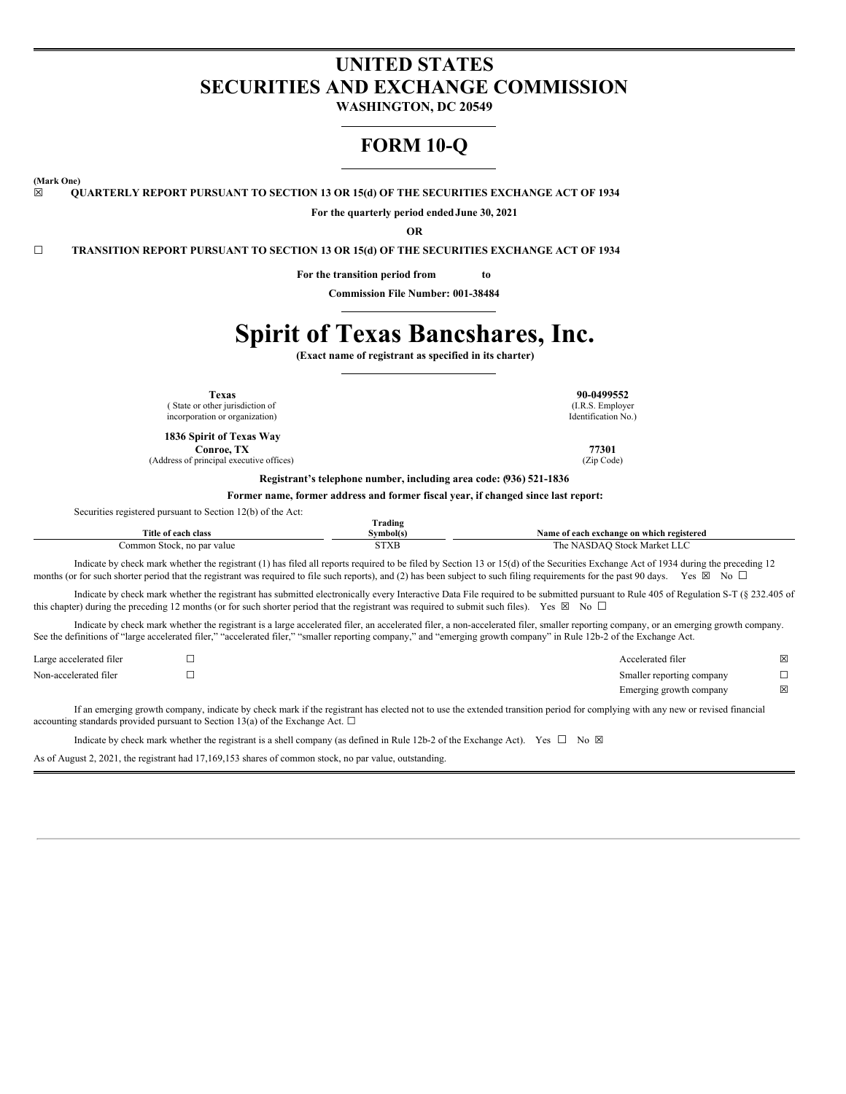# **UNITED STATES SECURITIES AND EXCHANGE COMMISSION**

**WASHINGTON, DC 20549**

# **FORM 10-Q**

**(Mark One)**

**☒ QUARTERLY REPORT PURSUANT TO SECTION 13 OR 15(d) OF THE SECURITIES EXCHANGE ACT OF 1934**

**For the quarterly period endedJune 30, 2021**

**OR**

**☐ TRANSITION REPORT PURSUANT TO SECTION 13 OR 15(d) OF THE SECURITIES EXCHANGE ACT OF 1934**

**For the transition period from to**

**Commission File Number: 001-38484**

# **Spirit of Texas Bancshares, Inc.**

**(Exact name of registrant as specified in its charter)**

(I.R.S. Employer Identification No.)

| `exas                           | 90-0499552         |
|---------------------------------|--------------------|
| (State or other jurisdiction of | (I.R.S. Employer   |
| incorporation or organization)  | Identification No. |

**1836 Spirit of Texas Way Conroe, TX 77301** (Address of principal executive offices) (Zip Code)

**Registrant's telephone number, including area code: (936) 521-1836**

**Former name, former address and former fiscal year, if changed since last report:**

Securities registered pursuant to Section 12(b) of the Act:

|                                      | <b>Trading</b>                            |                                                                                                                                   |
|--------------------------------------|-------------------------------------------|-----------------------------------------------------------------------------------------------------------------------------------|
| Title of each class                  | svmbol(s                                  | Name of each exchange on which registered                                                                                         |
| Common Stock, no par value<br>.<br>. | STXB<br>the company's company's company's | `Stock Market LLC<br>The .<br>$\Delta$ SDA $'$<br>the contract of the contract of the contract of the contract of the contract of |

Indicate by check mark whether the registrant (1) has filed all reports required to be filed by Section 13 or 15(d) of the Securities Exchange Act of 1934 during the preceding 12 months (or for such shorter period that the registrant was required to file such reports), and (2) has been subject to such filing requirements for the past 90 days. Yes  $\boxtimes$  No  $\Box$ 

Indicate by check mark whether the registrant has submitted electronically every Interactive Data File required to be submitted pursuant to Rule 405 of Regulation S-T (§ 232.405 of this chapter) during the preceding 12 months (or for such shorter period that the registrant was required to submit such files). Yes  $\boxtimes$  No  $\Box$ 

Indicate by check mark whether the registrant is a large accelerated filer, an accelerated filer, a non-accelerated filer, smaller reporting company, or an emerging growth company. See the definitions of "large accelerated filer," "accelerated filer," "smaller reporting company," and "emerging growth company" in Rule 12b-2 of the Exchange Act.

| Large accelerated filer | Accelerated filer         | X |
|-------------------------|---------------------------|---|
| Non-accelerated filer   | Smaller reporting company |   |
|                         | Emerging growth company   | X |

If an emerging growth company, indicate by check mark if the registrant has elected not to use the extended transition period for complying with any new or revised financial accounting standards provided pursuant to Section 13(a) of the Exchange Act.  $\Box$ 

Indicate by check mark whether the registrant is a shell company (as defined in Rule 12b-2 of the Exchange Act). Yes  $\Box$  No  $\boxtimes$ 

As of August 2, 2021, the registrant had 17,169,153 shares of common stock, no par value, outstanding.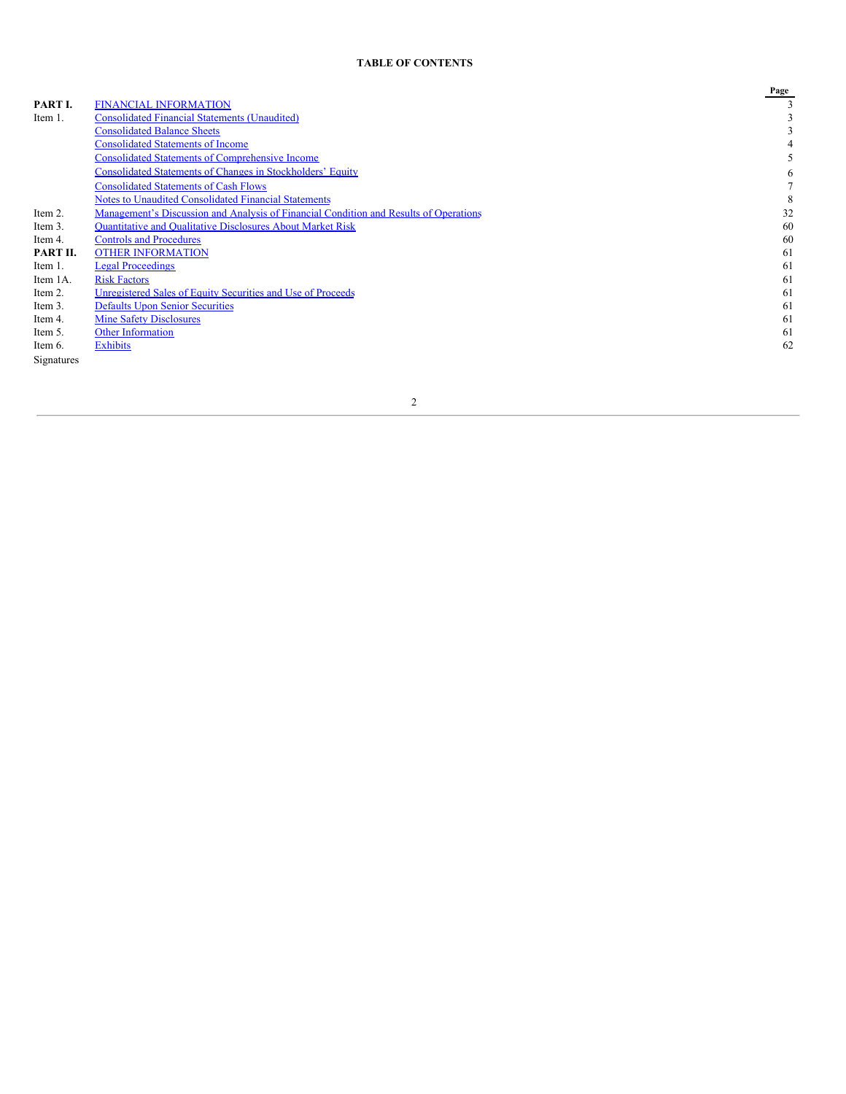# **TABLE OF CONTENTS**

|            |                                                                                       | Page |
|------------|---------------------------------------------------------------------------------------|------|
| PART I.    | <b>FINANCIAL INFORMATION</b>                                                          |      |
| Item 1.    | <b>Consolidated Financial Statements (Unaudited)</b>                                  |      |
|            | <b>Consolidated Balance Sheets</b>                                                    |      |
|            | <b>Consolidated Statements of Income</b>                                              |      |
|            | <b>Consolidated Statements of Comprehensive Income</b>                                |      |
|            | <b>Consolidated Statements of Changes in Stockholders' Equity</b>                     | 6    |
|            | <b>Consolidated Statements of Cash Flows</b>                                          |      |
|            | <b>Notes to Unaudited Consolidated Financial Statements</b>                           | 8    |
| Item 2.    | Management's Discussion and Analysis of Financial Condition and Results of Operations | 32   |
| Item 3.    | Quantitative and Qualitative Disclosures About Market Risk                            | 60   |
| Item 4.    | <b>Controls and Procedures</b>                                                        | 60   |
| PART II.   | <b>OTHER INFORMATION</b>                                                              | 61   |
| Item 1.    | <b>Legal Proceedings</b>                                                              | 61   |
| Item 1A.   | <b>Risk Factors</b>                                                                   | 61   |
| Item 2.    | Unregistered Sales of Equity Securities and Use of Proceeds                           | 61   |
| Item 3.    | <b>Defaults Upon Senior Securities</b>                                                | 61   |
| Item 4.    | <b>Mine Safety Disclosures</b>                                                        | 61   |
| Item 5.    | <b>Other Information</b>                                                              | 61   |
| Item 6.    | <b>Exhibits</b>                                                                       | 62   |
| Signatures |                                                                                       |      |

2

<u> 1980 - Johann Barbara, martxa a</u>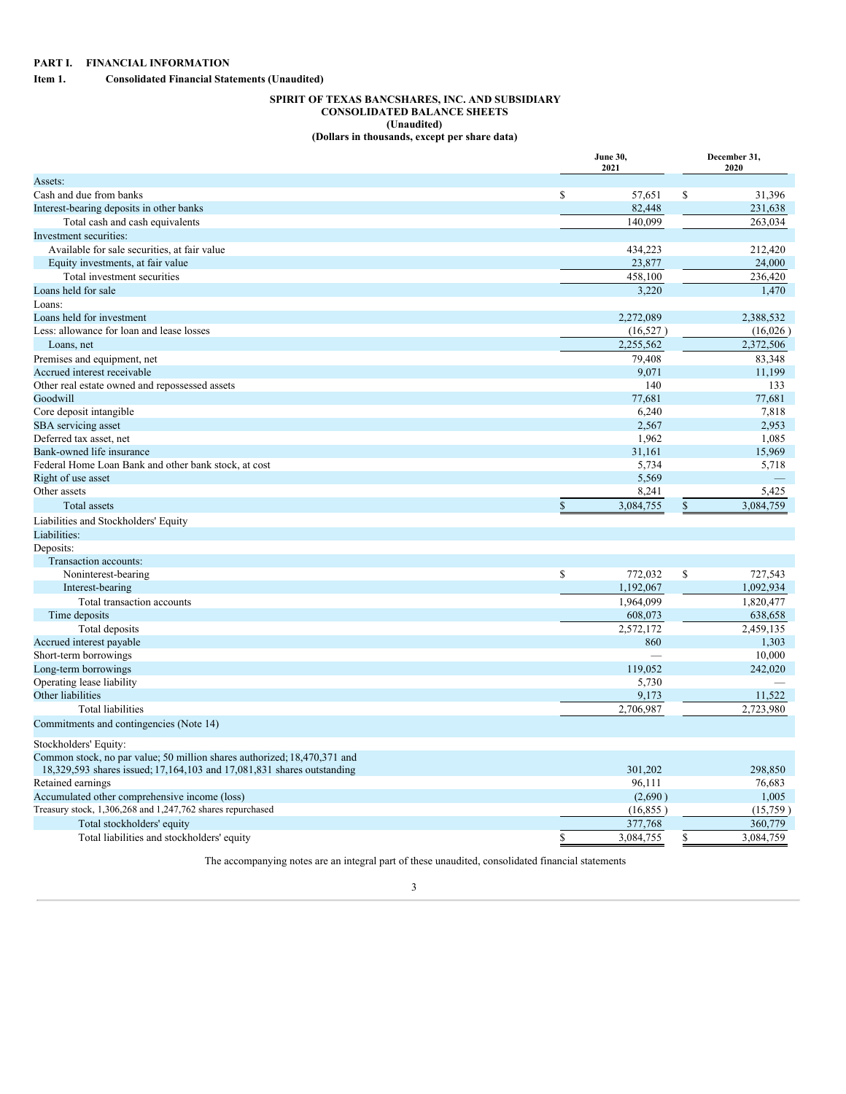<span id="page-2-2"></span><span id="page-2-1"></span><span id="page-2-0"></span>**Item 1. Consolidated Financial Statements (Unaudited)**

# **SPIRIT OF TEXAS BANCSHARES, INC. AND SUBSIDIARY CONSOLIDATED BALANCE SHEETS (Unaudited) (Dollars in thousands, except per share data)**

|                                                                                                                                                    | June 30,<br>2021 |                 |  |  |  |
|----------------------------------------------------------------------------------------------------------------------------------------------------|------------------|-----------------|--|--|--|
| Assets:                                                                                                                                            |                  |                 |  |  |  |
| Cash and due from banks                                                                                                                            | \$<br>57,651     | \$<br>31,396    |  |  |  |
| Interest-bearing deposits in other banks                                                                                                           | 82,448           | 231,638         |  |  |  |
| Total cash and cash equivalents                                                                                                                    | 140.099          | 263,034         |  |  |  |
| Investment securities:                                                                                                                             |                  |                 |  |  |  |
| Available for sale securities, at fair value                                                                                                       | 434,223          | 212,420         |  |  |  |
| Equity investments, at fair value                                                                                                                  | 23,877           | 24,000          |  |  |  |
| Total investment securities                                                                                                                        | 458,100          | 236,420         |  |  |  |
| Loans held for sale                                                                                                                                | 3,220            | 1,470           |  |  |  |
| Loans:                                                                                                                                             |                  |                 |  |  |  |
| Loans held for investment                                                                                                                          | 2,272,089        | 2,388,532       |  |  |  |
| Less: allowance for loan and lease losses                                                                                                          | (16, 527)        | (16,026)        |  |  |  |
| Loans, net                                                                                                                                         | 2,255,562        | 2,372,506       |  |  |  |
| Premises and equipment, net                                                                                                                        | 79,408           | 83,348          |  |  |  |
| Accrued interest receivable                                                                                                                        | 9,071            | 11,199          |  |  |  |
| Other real estate owned and repossessed assets                                                                                                     | 140              | 133             |  |  |  |
| Goodwill                                                                                                                                           | 77,681           | 77,681          |  |  |  |
| Core deposit intangible                                                                                                                            | 6,240            | 7,818           |  |  |  |
| SBA servicing asset                                                                                                                                | 2,567            | 2,953           |  |  |  |
| Deferred tax asset, net                                                                                                                            | 1,962            | 1,085           |  |  |  |
| Bank-owned life insurance                                                                                                                          | 31,161           | 15,969          |  |  |  |
| Federal Home Loan Bank and other bank stock, at cost                                                                                               | 5,734            | 5,718           |  |  |  |
| Right of use asset                                                                                                                                 | 5,569            |                 |  |  |  |
| Other assets                                                                                                                                       | 8,241            | 5,425           |  |  |  |
| <b>Total assets</b>                                                                                                                                | \$<br>3,084,755  | \$<br>3,084,759 |  |  |  |
| Liabilities and Stockholders' Equity                                                                                                               |                  |                 |  |  |  |
| Liabilities:                                                                                                                                       |                  |                 |  |  |  |
| Deposits:                                                                                                                                          |                  |                 |  |  |  |
| Transaction accounts:                                                                                                                              |                  |                 |  |  |  |
| Noninterest-bearing                                                                                                                                | \$<br>772,032    | \$<br>727.543   |  |  |  |
| Interest-bearing                                                                                                                                   | 1,192,067        | 1,092,934       |  |  |  |
| Total transaction accounts                                                                                                                         | 1,964,099        | 1,820,477       |  |  |  |
| Time deposits                                                                                                                                      | 608,073          | 638,658         |  |  |  |
| Total deposits                                                                                                                                     | 2,572,172        | 2,459,135       |  |  |  |
| Accrued interest payable                                                                                                                           | 860              | 1,303           |  |  |  |
| Short-term borrowings                                                                                                                              |                  | 10,000          |  |  |  |
| Long-term borrowings                                                                                                                               | 119,052          | 242,020         |  |  |  |
| Operating lease liability                                                                                                                          | 5,730            |                 |  |  |  |
| Other liabilities                                                                                                                                  | 9,173            | 11,522          |  |  |  |
| <b>Total liabilities</b>                                                                                                                           | 2,706,987        | 2,723,980       |  |  |  |
| Commitments and contingencies (Note 14)                                                                                                            |                  |                 |  |  |  |
| Stockholders' Equity:                                                                                                                              |                  |                 |  |  |  |
|                                                                                                                                                    |                  |                 |  |  |  |
| Common stock, no par value; 50 million shares authorized; 18,470,371 and<br>18,329,593 shares issued; 17,164,103 and 17,081,831 shares outstanding | 301,202          | 298,850         |  |  |  |
| Retained earnings                                                                                                                                  | 96,111           | 76,683          |  |  |  |
| Accumulated other comprehensive income (loss)                                                                                                      | (2,690)          | 1,005           |  |  |  |
| Treasury stock, 1,306,268 and 1,247,762 shares repurchased                                                                                         | (16, 855)        | (15,759)        |  |  |  |
| Total stockholders' equity                                                                                                                         | 377,768          | 360,779         |  |  |  |
| Total liabilities and stockholders' equity                                                                                                         | \$<br>3,084,755  | \$<br>3,084,759 |  |  |  |
|                                                                                                                                                    |                  |                 |  |  |  |

The accompanying notes are an integral part of these unaudited, consolidated financial statements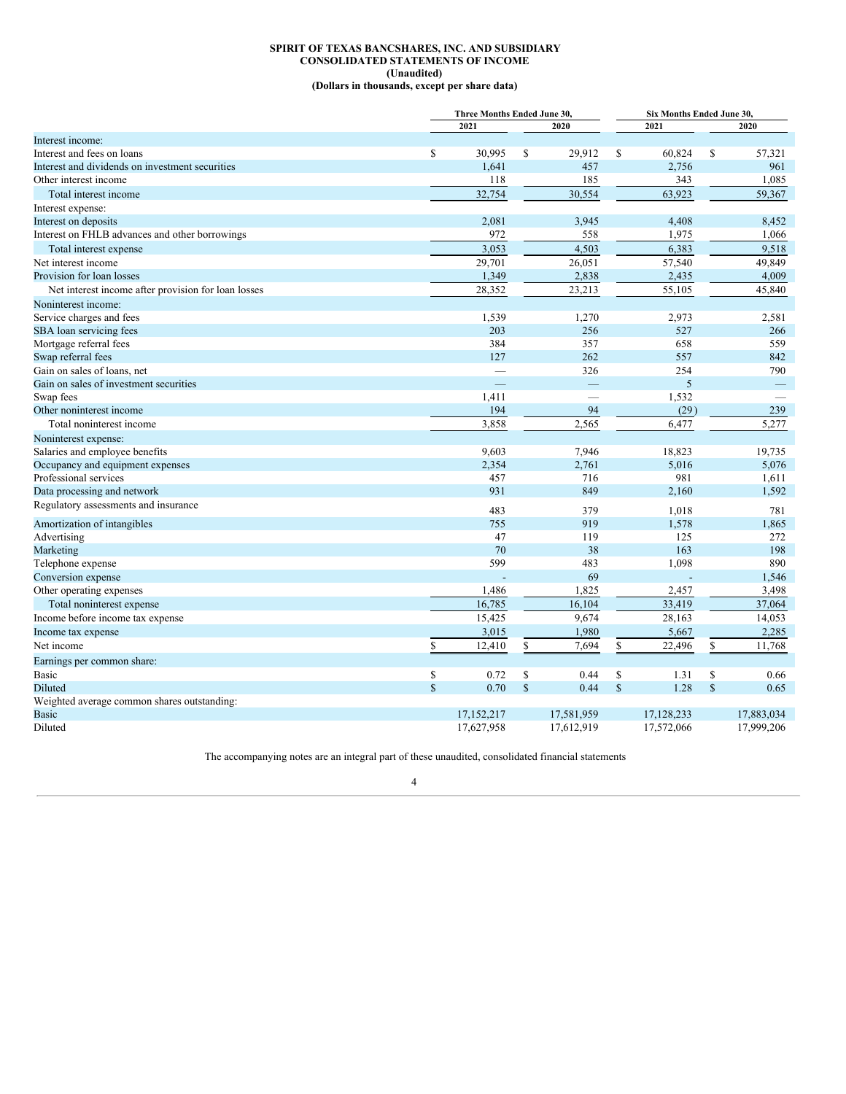# **SPIRIT OF TEXAS BANCSHARES, INC. AND SUBSIDIARY CONSOLIDATED STATEMENTS OF INCOME (Unaudited) (Dollars in thousands, except per share data)**

<span id="page-3-0"></span>

|                                                     |              | Three Months Ended June 30, |             |            | Six Months Ended June 30, |            |             |            |
|-----------------------------------------------------|--------------|-----------------------------|-------------|------------|---------------------------|------------|-------------|------------|
|                                                     |              | 2021                        |             | 2020       |                           | 2021       |             | 2020       |
| Interest income:                                    |              |                             |             |            |                           |            |             |            |
| Interest and fees on loans                          | \$           | 30,995                      | S.          | 29,912     | <sup>\$</sup>             | 60,824     | \$          | 57,321     |
| Interest and dividends on investment securities     |              | 1,641                       |             | 457        |                           | 2,756      |             | 961        |
| Other interest income                               |              | 118                         |             | 185        |                           | 343        |             | 1,085      |
| Total interest income                               |              | 32,754                      |             | 30,554     |                           | 63,923     |             | 59,367     |
| Interest expense:                                   |              |                             |             |            |                           |            |             |            |
| Interest on deposits                                |              | 2,081                       |             | 3,945      |                           | 4,408      |             | 8,452      |
| Interest on FHLB advances and other borrowings      |              | 972                         |             | 558        |                           | 1,975      |             | 1,066      |
| Total interest expense                              |              | 3,053                       |             | 4,503      |                           | 6,383      |             | 9,518      |
| Net interest income                                 |              | 29,701                      |             | 26,051     |                           | 57,540     |             | 49,849     |
| Provision for loan losses                           |              | 1,349                       |             | 2,838      |                           | 2,435      |             | 4,009      |
| Net interest income after provision for loan losses |              | 28,352                      |             | 23,213     |                           | 55,105     |             | 45,840     |
| Noninterest income:                                 |              |                             |             |            |                           |            |             |            |
| Service charges and fees                            |              | 1,539                       |             | 1,270      |                           | 2,973      |             | 2,581      |
| SBA loan servicing fees                             |              | 203                         |             | 256        |                           | 527        |             | 266        |
| Mortgage referral fees                              |              | 384                         |             | 357        |                           | 658        |             | 559        |
| Swap referral fees                                  |              | 127                         |             | 262        |                           | 557        |             | 842        |
| Gain on sales of loans, net                         |              | $\overline{\phantom{a}}$    |             | 326        |                           | 254        |             | 790        |
| Gain on sales of investment securities              |              |                             |             |            |                           | 5          |             |            |
| Swap fees                                           |              | 1,411                       |             |            |                           | 1,532      |             |            |
| Other noninterest income                            |              | 194                         |             | 94         |                           | (29)       |             | 239        |
| Total noninterest income                            |              | 3,858                       |             | 2,565      |                           | 6,477      |             | 5,277      |
| Noninterest expense:                                |              |                             |             |            |                           |            |             |            |
| Salaries and employee benefits                      |              | 9,603                       |             | 7,946      |                           | 18,823     |             | 19,735     |
| Occupancy and equipment expenses                    |              | 2,354                       |             | 2,761      |                           | 5,016      |             | 5,076      |
| Professional services                               |              | 457                         |             | 716        |                           | 981        |             | 1,611      |
| Data processing and network                         |              | 931                         |             | 849        |                           | 2,160      |             | 1,592      |
| Regulatory assessments and insurance                |              | 483                         |             | 379        |                           | 1,018      |             | 781        |
| Amortization of intangibles                         |              | 755                         |             | 919        |                           | 1,578      |             | 1,865      |
| Advertising                                         |              | 47                          |             | 119        |                           | 125        |             | 272        |
| Marketing                                           |              | 70                          |             | 38         |                           | 163        |             | 198        |
| Telephone expense                                   |              | 599                         |             | 483        |                           | 1,098      |             | 890        |
| Conversion expense                                  |              |                             |             | 69         |                           |            |             | 1,546      |
| Other operating expenses                            |              | 1,486                       |             | 1,825      |                           | 2,457      |             | 3,498      |
| Total noninterest expense                           |              | 16,785                      |             | 16,104     |                           | 33,419     |             | 37,064     |
| Income before income tax expense                    |              | 15,425                      |             | 9,674      |                           | 28,163     |             | 14,053     |
| Income tax expense                                  |              | 3,015                       |             | 1,980      |                           | 5,667      |             | 2,285      |
| Net income                                          | \$           | 12,410                      | \$          | 7,694      | \$                        | 22,496     | \$          | 11,768     |
| Earnings per common share:                          |              |                             |             |            |                           |            |             |            |
| Basic                                               | \$           | 0.72                        | \$          | 0.44       | \$                        | 1.31       | \$          | 0.66       |
| Diluted                                             | $\mathbf{s}$ | 0.70                        | $\mathbf S$ | 0.44       | $\mathbf S$               | 1.28       | $\mathbf S$ | 0.65       |
| Weighted average common shares outstanding:         |              |                             |             |            |                           |            |             |            |
| <b>Basic</b>                                        |              | 17,152,217                  |             | 17,581,959 |                           | 17,128,233 |             | 17,883,034 |
| Diluted                                             |              | 17,627,958                  |             | 17,612,919 |                           | 17,572,066 |             | 17,999,206 |
|                                                     |              |                             |             |            |                           |            |             |            |

The accompanying notes are an integral part of these unaudited, consolidated financial statements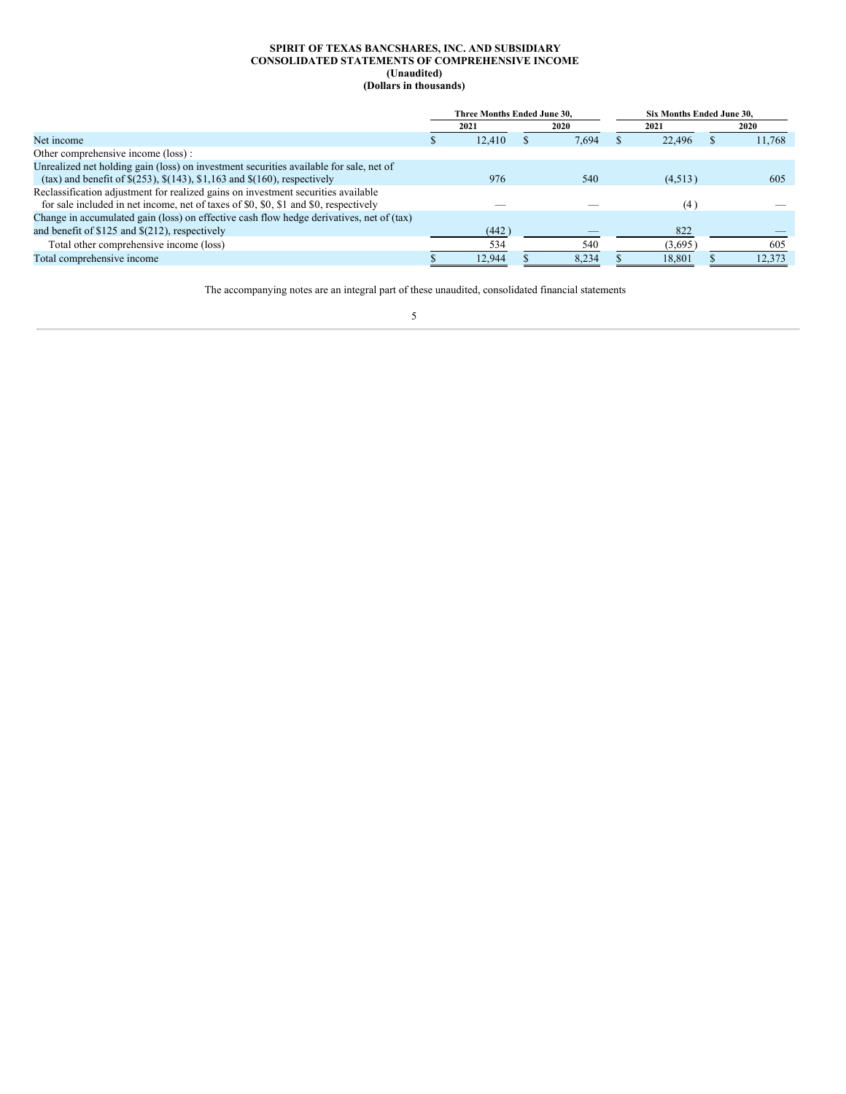# **SPIRIT OF TEXAS BANCSHARES, INC. AND SUBSIDIARY CONSOLIDATED STATEMENTS OF COMPREHENSIVE INCOME (Unaudited) (Dollars in thousands)**

<span id="page-4-0"></span>

|                                                                                          | Three Months Ended June 30. |        |  |       | Six Months Ended June 30. |         |  |        |
|------------------------------------------------------------------------------------------|-----------------------------|--------|--|-------|---------------------------|---------|--|--------|
|                                                                                          |                             | 2021   |  | 2020  |                           | 2021    |  | 2020   |
| Net income                                                                               |                             | 12.410 |  | 7,694 |                           | 22,496  |  | 11.768 |
| Other comprehensive income (loss):                                                       |                             |        |  |       |                           |         |  |        |
| Unrealized net holding gain (loss) on investment securities available for sale, net of   |                             |        |  |       |                           |         |  |        |
| (tax) and benefit of $\S(253)$ , $\S(143)$ , $\S1,163$ and $\S(160)$ , respectively      |                             | 976    |  | 540   |                           | (4,513) |  | 605    |
| Reclassification adjustment for realized gains on investment securities available        |                             |        |  |       |                           |         |  |        |
| for sale included in net income, net of taxes of \$0, \$0, \$1 and \$0, respectively     |                             |        |  |       |                           | (4)     |  |        |
| Change in accumulated gain (loss) on effective cash flow hedge derivatives, net of (tax) |                             |        |  |       |                           |         |  |        |
| and benefit of $$125$ and $$(212)$ , respectively                                        |                             | (442)  |  |       |                           | 822     |  |        |
| Total other comprehensive income (loss)                                                  |                             | 534    |  | 540   |                           | (3,695) |  | 605    |
| Total comprehensive income                                                               |                             | 12.944 |  | 8,234 |                           | 18,801  |  | 12,373 |

The accompanying notes are an integral part of these unaudited, consolidated financial statements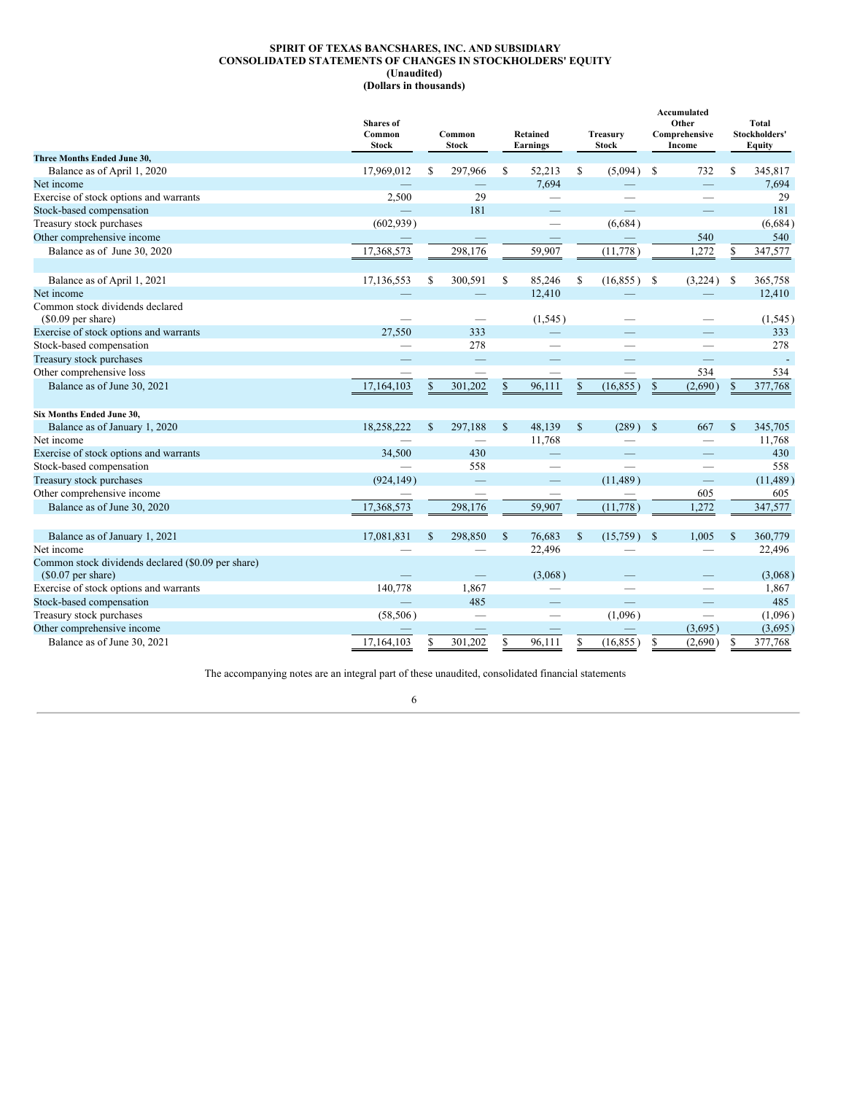# **SPIRIT OF TEXAS BANCSHARES, INC. AND SUBSIDIARY CONSOLIDATED STATEMENTS OF CHANGES IN STOCKHOLDERS' EQUITY (Unaudited) (Dollars in thousands)**

<span id="page-5-0"></span>

|                                                                            | <b>Shares</b> of<br>Common<br>Stock |              | Common<br><b>Stock</b>   |              | Retained<br><b>Earnings</b> |               | <b>Treasury</b><br><b>Stock</b> |               | Accumulated<br>Other<br>Comprehensive<br>Income |               | Total<br>Stockholders'<br>Equity |  |
|----------------------------------------------------------------------------|-------------------------------------|--------------|--------------------------|--------------|-----------------------------|---------------|---------------------------------|---------------|-------------------------------------------------|---------------|----------------------------------|--|
| Three Months Ended June 30,                                                |                                     |              |                          |              |                             |               |                                 |               |                                                 |               |                                  |  |
| Balance as of April 1, 2020                                                | 17,969,012                          | \$           | 297,966                  | \$           | 52,213                      | \$            | (5,094)                         | - \$          | 732                                             | $\mathbb{S}$  | 345,817                          |  |
| Net income                                                                 |                                     |              |                          |              | 7.694                       |               |                                 |               |                                                 |               | 7,694                            |  |
| Exercise of stock options and warrants                                     | 2,500                               |              | 29                       |              | $\overline{\phantom{0}}$    |               |                                 |               |                                                 |               | 29                               |  |
| Stock-based compensation                                                   |                                     |              | 181                      |              |                             |               |                                 |               |                                                 |               | 181                              |  |
| Treasury stock purchases                                                   | (602, 939)                          |              |                          |              |                             |               | (6,684)                         |               |                                                 |               | (6,684)                          |  |
| Other comprehensive income                                                 |                                     |              |                          |              |                             |               |                                 |               | 540                                             |               | 540                              |  |
| Balance as of June 30, 2020                                                | 17,368,573                          |              | 298,176                  |              | 59,907                      |               | (11, 778)                       |               | 1,272                                           | \$            | 347,577                          |  |
| Balance as of April 1, 2021                                                | 17,136,553                          | \$           | 300,591                  | \$           | 85,246                      | \$            | (16, 855)                       | -S            | (3,224)                                         | -S            | 365,758                          |  |
| Net income                                                                 |                                     |              |                          |              | 12,410                      |               |                                 |               |                                                 |               | 12,410                           |  |
| Common stock dividends declared<br>$(\$0.09$ per share)                    |                                     |              |                          |              | (1, 545)                    |               |                                 |               |                                                 |               | (1, 545)                         |  |
| Exercise of stock options and warrants                                     | 27,550                              |              | 333                      |              |                             |               |                                 |               |                                                 |               | 333                              |  |
| Stock-based compensation                                                   |                                     |              | 278                      |              |                             |               |                                 |               |                                                 |               | 278                              |  |
| Treasury stock purchases                                                   |                                     |              |                          |              |                             |               |                                 |               |                                                 |               |                                  |  |
| Other comprehensive loss                                                   |                                     |              |                          |              |                             |               |                                 |               | 534                                             |               | 534                              |  |
| Balance as of June 30, 2021                                                | 17,164,103                          | \$           | 301,202                  | $\$$         | 96,111                      | \$            | (16, 855)                       | \$            | (2,690)                                         | $\$$          | 377,768                          |  |
| <b>Six Months Ended June 30.</b>                                           |                                     |              |                          |              |                             |               |                                 |               |                                                 |               |                                  |  |
| Balance as of January 1, 2020                                              | 18,258,222                          | $\mathbb{S}$ | 297,188                  | \$           | 48,139                      | $\mathsf{\$}$ | (289)                           | $\mathbb{S}$  | 667                                             | \$            | 345,705                          |  |
| Net income                                                                 |                                     |              |                          |              | 11,768                      |               |                                 |               |                                                 |               | 11,768                           |  |
| Exercise of stock options and warrants                                     | 34,500                              |              | 430                      |              |                             |               |                                 |               |                                                 |               | 430                              |  |
| Stock-based compensation                                                   |                                     |              | 558                      |              | -                           |               |                                 |               |                                                 |               | 558                              |  |
| Treasury stock purchases                                                   | (924.149)                           |              | $\overline{\phantom{0}}$ |              | $\qquad \qquad -$           |               | (11, 489)                       |               |                                                 |               | (11, 489)                        |  |
| Other comprehensive income                                                 |                                     |              |                          |              |                             |               |                                 |               | 605                                             |               | 605                              |  |
| Balance as of June 30, 2020                                                | 17,368,573                          |              | 298,176                  |              | 59,907                      |               | (11,778)                        |               | 1.272                                           |               | 347,577                          |  |
| Balance as of January 1, 2021                                              | 17,081,831                          | $\mathbb{S}$ | 298.850                  | $\mathbb{S}$ | 76,683                      | <sup>\$</sup> | (15,759)                        | $\mathcal{S}$ | 1,005                                           | \$            | 360,779                          |  |
| Net income                                                                 |                                     |              |                          |              | 22,496                      |               |                                 |               |                                                 |               | 22,496                           |  |
| Common stock dividends declared (\$0.09 per share)<br>$(\$0.07$ per share) |                                     |              |                          |              | (3,068)                     |               |                                 |               |                                                 |               | (3,068)                          |  |
| Exercise of stock options and warrants                                     | 140,778                             |              | 1,867                    |              | $\overline{\phantom{0}}$    |               |                                 |               |                                                 |               | 1,867                            |  |
| Stock-based compensation                                                   |                                     |              | 485                      |              | $\equiv$                    |               |                                 |               | $\overline{\phantom{0}}$                        |               | 485                              |  |
| Treasury stock purchases                                                   | (58, 506)                           |              |                          |              |                             |               | (1,096)                         |               | $\overbrace{\phantom{12333}}$                   |               | (1,096)                          |  |
| Other comprehensive income                                                 |                                     |              |                          |              |                             |               |                                 |               | (3,695)                                         |               | (3,695)                          |  |
| Balance as of June 30, 2021                                                | 17,164,103                          | \$           | 301,202                  | \$           | 96,111                      | \$            | (16, 855)                       | \$            | (2,690)                                         | <sup>\$</sup> | 377,768                          |  |

The accompanying notes are an integral part of these unaudited, consolidated financial statements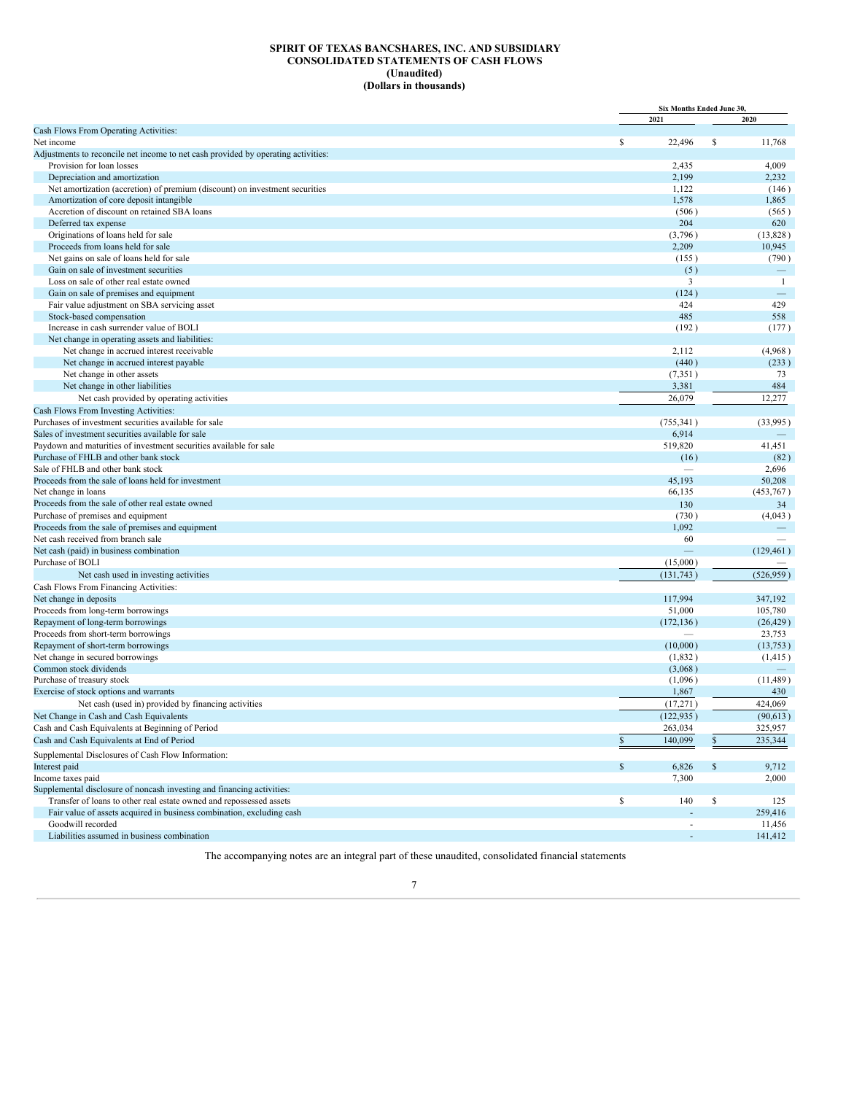# **SPIRIT OF TEXAS BANCSHARES, INC. AND SUBSIDIARY CONSOLIDATED STATEMENTS OF CASH FLOWS (Unaudited) (Dollars in thousands)**

<span id="page-6-0"></span>

|                                                                                                 |                          |              | Six Months Ended June 30. |  |  |  |
|-------------------------------------------------------------------------------------------------|--------------------------|--------------|---------------------------|--|--|--|
|                                                                                                 | 2021                     |              | 2020                      |  |  |  |
| Cash Flows From Operating Activities:                                                           | \$                       |              |                           |  |  |  |
| Net income<br>Adjustments to reconcile net income to net cash provided by operating activities: | 22,496                   | \$           | 11,768                    |  |  |  |
| Provision for loan losses                                                                       | 2,435                    |              | 4,009                     |  |  |  |
| Depreciation and amortization                                                                   | 2,199                    |              | 2,232                     |  |  |  |
| Net amortization (accretion) of premium (discount) on investment securities                     | 1,122                    |              | (146)                     |  |  |  |
| Amortization of core deposit intangible                                                         | 1,578                    |              | 1,865                     |  |  |  |
| Accretion of discount on retained SBA loans                                                     | (506)                    |              | (565)                     |  |  |  |
| Deferred tax expense                                                                            | 204                      |              | 620                       |  |  |  |
| Originations of loans held for sale                                                             | (3,796)                  |              | (13,828)                  |  |  |  |
| Proceeds from loans held for sale                                                               | 2,209                    |              | 10,945                    |  |  |  |
| Net gains on sale of loans held for sale                                                        | (155)                    |              | (790)                     |  |  |  |
| Gain on sale of investment securities                                                           | (5)                      |              |                           |  |  |  |
| Loss on sale of other real estate owned                                                         | 3                        |              | 1                         |  |  |  |
| Gain on sale of premises and equipment                                                          | (124)                    |              |                           |  |  |  |
| Fair value adjustment on SBA servicing asset                                                    | 424                      |              | 429                       |  |  |  |
| Stock-based compensation                                                                        | 485                      |              | 558                       |  |  |  |
| Increase in cash surrender value of BOLI                                                        | (192)                    |              | (177)                     |  |  |  |
| Net change in operating assets and liabilities:                                                 |                          |              |                           |  |  |  |
| Net change in accrued interest receivable                                                       | 2,112                    |              | (4,968)                   |  |  |  |
| Net change in accrued interest payable                                                          | (440)                    |              | (233)                     |  |  |  |
| Net change in other assets                                                                      | (7,351)                  |              | 73                        |  |  |  |
| Net change in other liabilities                                                                 | 3,381                    |              | 484                       |  |  |  |
| Net cash provided by operating activities                                                       | 26,079                   |              | 12,277                    |  |  |  |
| Cash Flows From Investing Activities:                                                           |                          |              |                           |  |  |  |
| Purchases of investment securities available for sale                                           | (755, 341)               |              | (33,995)                  |  |  |  |
| Sales of investment securities available for sale                                               | 6,914                    |              |                           |  |  |  |
| Paydown and maturities of investment securities available for sale                              | 519,820                  |              | 41,451                    |  |  |  |
| Purchase of FHLB and other bank stock                                                           | (16)                     |              | (82)                      |  |  |  |
| Sale of FHLB and other bank stock                                                               |                          |              | 2,696                     |  |  |  |
| Proceeds from the sale of loans held for investment                                             | 45,193                   |              | 50,208                    |  |  |  |
| Net change in loans                                                                             | 66,135                   |              | (453,767)                 |  |  |  |
| Proceeds from the sale of other real estate owned                                               | 130                      |              | 34                        |  |  |  |
| Purchase of premises and equipment                                                              | (730)                    |              | (4,043)                   |  |  |  |
| Proceeds from the sale of premises and equipment                                                | 1,092                    |              |                           |  |  |  |
| Net cash received from branch sale                                                              | 60                       |              |                           |  |  |  |
| Net cash (paid) in business combination                                                         |                          |              | (129, 461)                |  |  |  |
| Purchase of BOLI                                                                                | (15,000)                 |              |                           |  |  |  |
| Net cash used in investing activities                                                           | (131, 743)               |              | (526, 959)                |  |  |  |
| Cash Flows From Financing Activities:                                                           |                          |              |                           |  |  |  |
| Net change in deposits                                                                          | 117,994                  |              | 347,192                   |  |  |  |
| Proceeds from long-term borrowings                                                              | 51,000                   |              | 105,780                   |  |  |  |
| Repayment of long-term borrowings                                                               | (172, 136)               |              | (26, 429)                 |  |  |  |
| Proceeds from short-term borrowings                                                             |                          |              | 23,753                    |  |  |  |
| Repayment of short-term borrowings                                                              | (10,000)                 |              | (13,753)                  |  |  |  |
| Net change in secured borrowings                                                                | (1,832)                  |              | (1, 415)                  |  |  |  |
| Common stock dividends                                                                          | (3,068)                  |              |                           |  |  |  |
| Purchase of treasury stock                                                                      | (1,096)                  |              | (11, 489)<br>430          |  |  |  |
| Exercise of stock options and warrants                                                          | 1,867                    |              |                           |  |  |  |
| Net cash (used in) provided by financing activities                                             | (17,271)                 |              | 424,069                   |  |  |  |
| Net Change in Cash and Cash Equivalents                                                         | (122, 935)               |              | (90, 613)                 |  |  |  |
| Cash and Cash Equivalents at Beginning of Period                                                | 263,034                  |              | 325,957                   |  |  |  |
| Cash and Cash Equivalents at End of Period                                                      | 140,099<br>\$            | $\mathbb{S}$ | 235,344                   |  |  |  |
| Supplemental Disclosures of Cash Flow Information:                                              |                          |              |                           |  |  |  |
| Interest paid                                                                                   | $\mathbb{S}$<br>6,826    | \$           | 9,712                     |  |  |  |
| Income taxes paid                                                                               | 7,300                    |              | 2,000                     |  |  |  |
| Supplemental disclosure of noncash investing and financing activities:                          |                          |              |                           |  |  |  |
| Transfer of loans to other real estate owned and repossessed assets                             | \$<br>140                | \$           | 125                       |  |  |  |
| Fair value of assets acquired in business combination, excluding cash                           |                          |              | 259,416                   |  |  |  |
| Goodwill recorded                                                                               | ÷,                       |              | 11,456                    |  |  |  |
| Liabilities assumed in business combination                                                     | $\overline{\phantom{a}}$ |              | 141,412                   |  |  |  |

The accompanying notes are an integral part of these unaudited, consolidated financial statements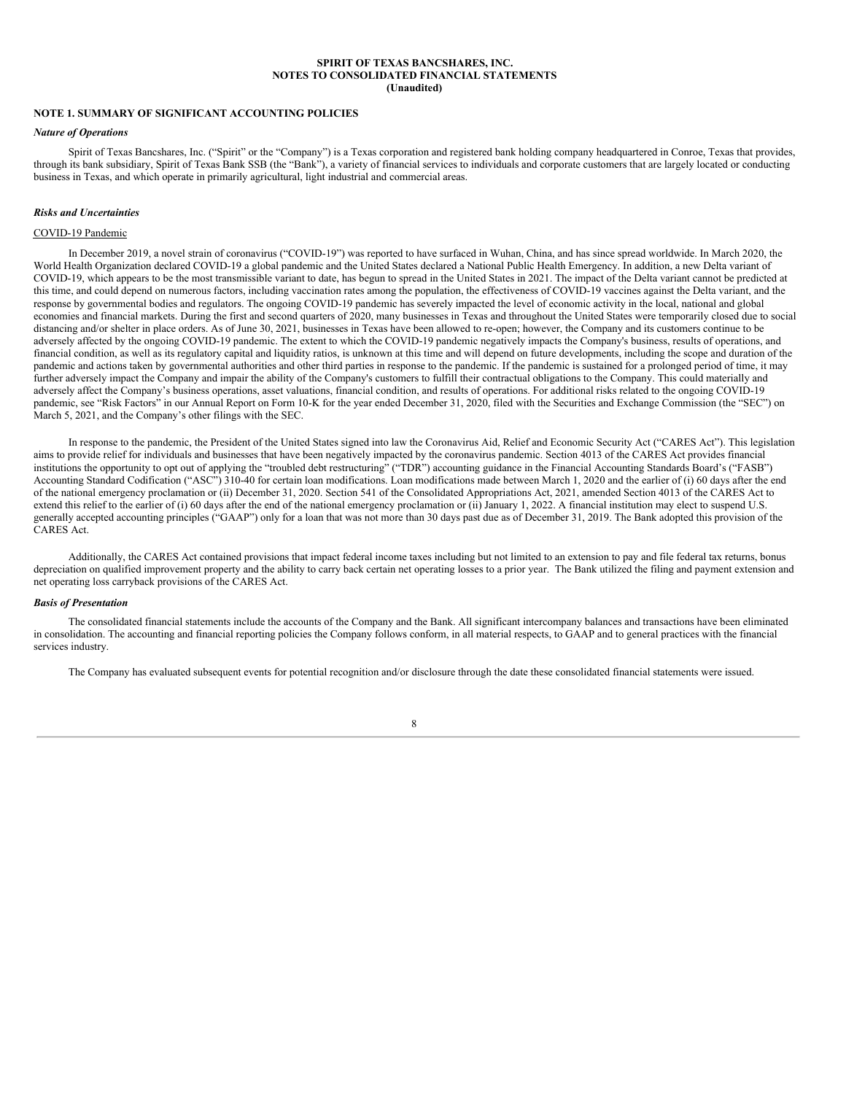# **SPIRIT OF TEXAS BANCSHARES, INC. NOTES TO CONSOLIDATED FINANCIAL STATEMENTS (Unaudited)**

<span id="page-7-0"></span>**NOTE 1. SUMMARY OF SIGNIFICANT ACCOUNTING POLICIES**

## *Nature of Operations*

Spirit of Texas Bancshares, Inc. ("Spirit" or the "Company") is a Texas corporation and registered bank holding company headquartered in Conroe, Texas that provides, through its bank subsidiary, Spirit of Texas Bank SSB (the "Bank"), a variety of financial services to individuals and corporate customers that are largely located or conducting business in Texas, and which operate in primarily agricultural, light industrial and commercial areas.

# *Risks and Uncertainties*

# COVID-19 Pandemic

In December 2019, a novel strain of coronavirus ("COVID-19") was reported to have surfaced in Wuhan, China, and has since spread worldwide. In March 2020, the World Health Organization declared COVID-19 a global pandemic and the United States declared a National Public Health Emergency. In addition, a new Delta variant of COVID-19, which appears to be the most transmissible variant to date, has begun to spread in the United States in 2021. The impact of the Delta variant cannot be predicted at this time, and could depend on numerous factors, including vaccination rates among the population, the effectiveness of COVID-19 vaccines against the Delta variant, and the response by governmental bodies and regulators. The ongoing COVID-19 pandemic has severely impacted the level of economic activity in the local, national and global economies and financial markets. During the first and second quarters of 2020, many businesses in Texas and throughout the United States were temporarily closed due to social economies and financial markets. During the fir distancing and/or shelter in place orders. As of June 30, 2021, businesses in Texas have been allowed to re-open; however, the Company and its customers continue to be adversely affected by the ongoing COVID-19 pandemic. The extent to which the COVID-19 pandemic negatively impacts the Company's business, results of operations, and financial condition, as well as its regulatory capital and liquidity ratios, is unknown at this time and will depend on future developments, including the scope and duration of the pandemic and actions taken by governmental authorities and other third parties in response to the pandemic. If the pandemic is sustained for a prolonged period of time, it may further adversely impact the Company and impair the ability of the Company's customers to fulfill their contractual obligations to the Company. This could materially and adversely affect the Company's business operations, asset valuations, financial condition, and results of operations. For additional risks related to the ongoing COVID-19 pandemic, see "Risk Factors" in our Annual Report on Form 10-K for the year ended December 31, 2020, filed with the Securities and Exchange Commission (the "SEC") on March 5, 2021, and the Company's other filings with the SEC.

In response to the pandemic, the President of the United States signed into law the Coronavirus Aid, Relief and Economic Security Act ("CARES Act"). This legislation aims to provide relief for individuals and businesses that have been negatively impacted by the coronavirus pandemic. Section 4013 of the CARES Act provides financial institutions the opportunity to opt out of applying the "troubled debt restructuring" ("TDR") accounting guidance in the Financial Accounting Standards Board's ("FASB") Accounting Standard Codification ("ASC") 310-40 for certain loan modifications. Loan modifications made between March 1, 2020 and the earlier of (i) 60 days after the end of the national emergency proclamation or (ii) December 31, 2020. Section 541 of the Consolidated Appropriations Act, 2021, amended Section 4013 of the CARES Act to extend this relief to the earlier of (i) 60 days after the end of the national emergency proclamation or (ii) January 1, 2022. A financial institution may elect to suspend U.S. generally accepted accounting principles ("GAAP") only for a loan that was not more than 30 days past due as of December 31, 2019. The Bank adopted this provision of the CARES Act.

Additionally, the CARES Act contained provisions that impact federal income taxes including but not limited to an extension to pay and file federal tax returns, bonus depreciation on qualified improvement property and the ability to carry back certain net operating losses to a prior year. The Bank utilized the filing and payment extension and net operating loss carryback provisions of the CARES Act.

# *Basis of Presentation*

The consolidated financial statements include the accounts of the Company and the Bank. All significant intercompany balances and transactions have been eliminated in consolidation. The accounting and financial reporting policies the Company follows conform, in all material respects, to GAAP and to general practices with the financial services industry.

The Company has evaluated subsequent events for potential recognition and/or disclosure through the date these consolidated financial statements were issued.

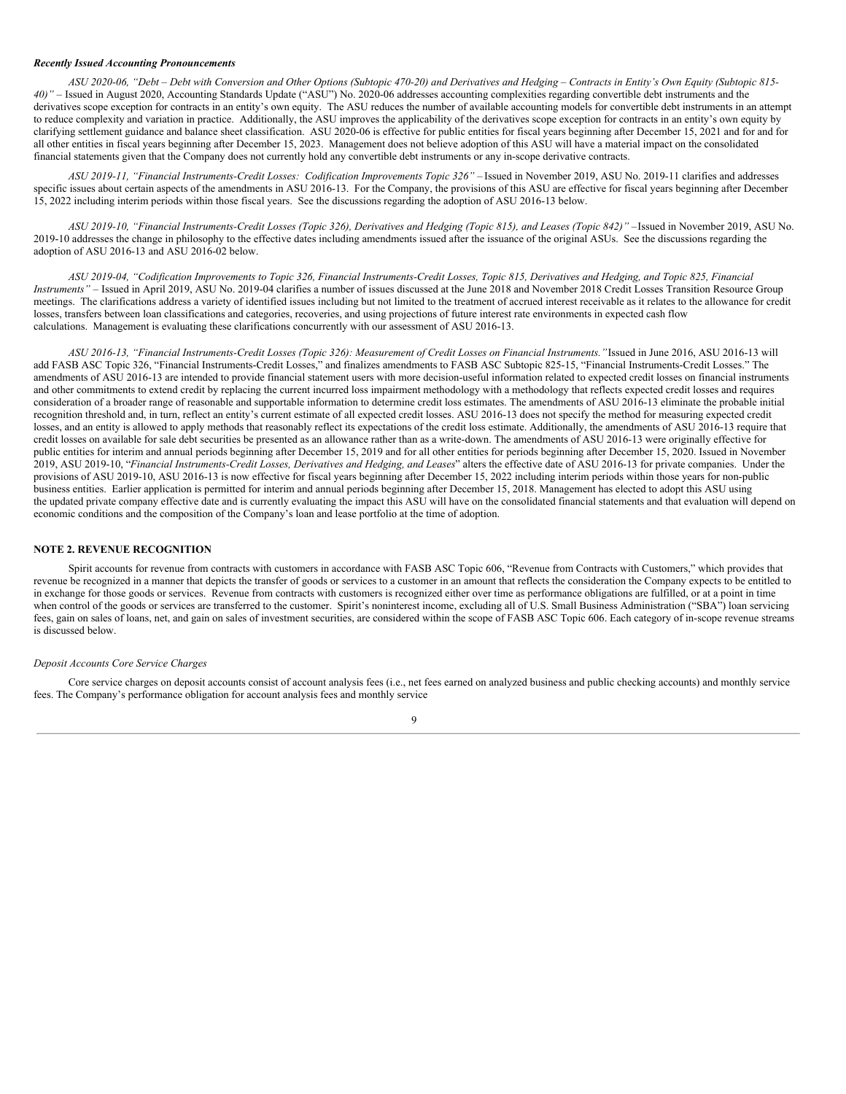#### *Recently Issued Accounting Pronouncements*

ASU 2020-06, "Debt - Debt with Conversion and Other Options (Subtopic 470-20) and Derivatives and Hedging - Contracts in Entity's Own Equity (Subtopic 815-*40)" –* Issued in August 2020, Accounting Standards Update ("ASU") No. 2020-06 addresses accounting complexities regarding convertible debt instruments and the derivatives scope exception for contracts in an entity's own equity. The ASU reduces the number of available accounting models for convertible debt instruments in an attempt to reduce complexity and variation in practice. Additionally, the ASU improves the applicability of the derivatives scope exception for contracts in an entity's own equity by clarifying settlement guidance and balance sheet classification. ASU 2020-06 is effective for public entities for fiscal years beginning after December 15, 2021 and for and for all other entities in fiscal years beginning after December 15, 2023. Management does not believe adoption of this ASU will have a material impact on the consolidated financial statements given that the Company does not currently hold any convertible debt instruments or any in-scope derivative contracts.

*ASU 2019-11, "Financial Instruments-Credit Losses: Codification Improvements Topic 326" –* Issued in November 2019, ASU No. 2019-11 clarifies and addresses specific issues about certain aspects of the amendments in ASU 2016-13. For the Company, the provisions of this ASU are effective for fiscal years beginning after December 15, 2022 including interim periods within those fiscal years. See the discussions regarding the adoption of ASU 2016-13 below.

ASU 2019-10, "Financial Instruments-Credit Losses (Topic 326), Derivatives and Hedging (Topic 815), and Leases (Topic 842)" -Issued in November 2019, ASU No. 2019-10 addresses the change in philosophy to the effective dates including amendments issued after the issuance of the original ASUs. See the discussions regarding the adoption of ASU 2016-13 and ASU 2016-02 below.

ASU 2019-04, "Codification Improvements to Topic 326, Financial Instruments-Credit Losses, Topic 815, Derivatives and Hedging, and Topic 825, Financial *Instruments" –* Issued in April 2019, ASU No. 2019-04 clarifies a number of issues discussed at the June 2018 and November 2018 Credit Losses Transition Resource Group meetings. The clarifications address a variety of identified issues including but not limited to the treatment of accrued interest receivable as it relates to the allowance for credit losses, transfers between loan classifications and categories, recoveries, and using projections of future interest rate environments in expected cash flow calculations. Management is evaluating these clarifications concurrently with our assessment of ASU 2016-13.

ASU 2016-13, "Financial Instruments-Credit Losses (Topic 326): Measurement of Credit Losses on Financial Instruments."Issued in June 2016, ASU 2016-13 will add FASB ASC Topic 326, "Financial Instruments-Credit Losses," and finalizes amendments to FASB ASC Subtopic 825-15, "Financial Instruments-Credit Losses." The amendments of ASU 2016-13 are intended to provide financial statement users with more decision-useful information related to expected credit losses on financial instruments and other commitments to extend credit by replacing the current incurred loss impairment methodology with a methodology that reflects expected credit losses and requires consideration of a broader range of reasonable and supportable information to determine credit loss estimates. The amendments of ASU 2016-13 eliminate the probable initial recognition threshold and, in turn, reflect an entity's current estimate of all expected credit losses. ASU 2016-13 does not specify the method for measuring expected credit losses, and an entity is allowed to apply methods that reasonably reflect its expectations of the credit loss estimate. Additionally, the amendments of ASU 2016-13 require that credit losses on available for sale debt securities be presented as an allowance rather than as a write-down. The amendments of ASU 2016-13 were originally effective for public entities for interim and annual periods beginning after December 15, 2019 and for all other entities for periods beginning after December 15, 2020. Issued in November 2019, ASU 2019-10, "*Financial Instruments-Credit Losses, Derivatives and Hedging, and Leases*" alters the effective date of ASU 2016-13 for private companies. Under the provisions of ASU 2019-10, ASU 2016-13 is now effective for fiscal years beginning after December 15, 2022 including interim periods within those years for non-public business entities. Earlier application is permitted for interim and annual periods beginning after December 15, 2018. Management has elected to adopt this ASU using the updated private company effective date and is currently evaluating the impact this ASU will have on the consolidated financial statements and that evaluation will depend on economic conditions and the composition of the Company's loan and lease portfolio at the time of adoption.

# **NOTE 2. REVENUE RECOGNITION**

Spirit accounts for revenue from contracts with customers in accordance with FASB ASC Topic 606, "Revenue from Contracts with Customers," which provides that revenue be recognized in a manner that depicts the transfer of goods or services to a customer in an amount that reflects the consideration the Company expects to be entitled to in exchange for those goods or services. Revenue from contracts with customers is recognized either over time as performance obligations are fulfilled, or at a point in time when control of the goods or services are transferred to the customer. Spirit's noninterest income, excluding all of U.S. Small Business Administration ("SBA") loan servicing fees, gain on sales of loans, net, and gain on sales of investment securities, are considered within the scope of FASB ASC Topic 606. Each category of in-scope revenue streams is discussed below.

# *Deposit Accounts Core Service Charges*

Core service charges on deposit accounts consist of account analysis fees (i.e., net fees earned on analyzed business and public checking accounts) and monthly service fees. The Company's performance obligation for account analysis fees and monthly service

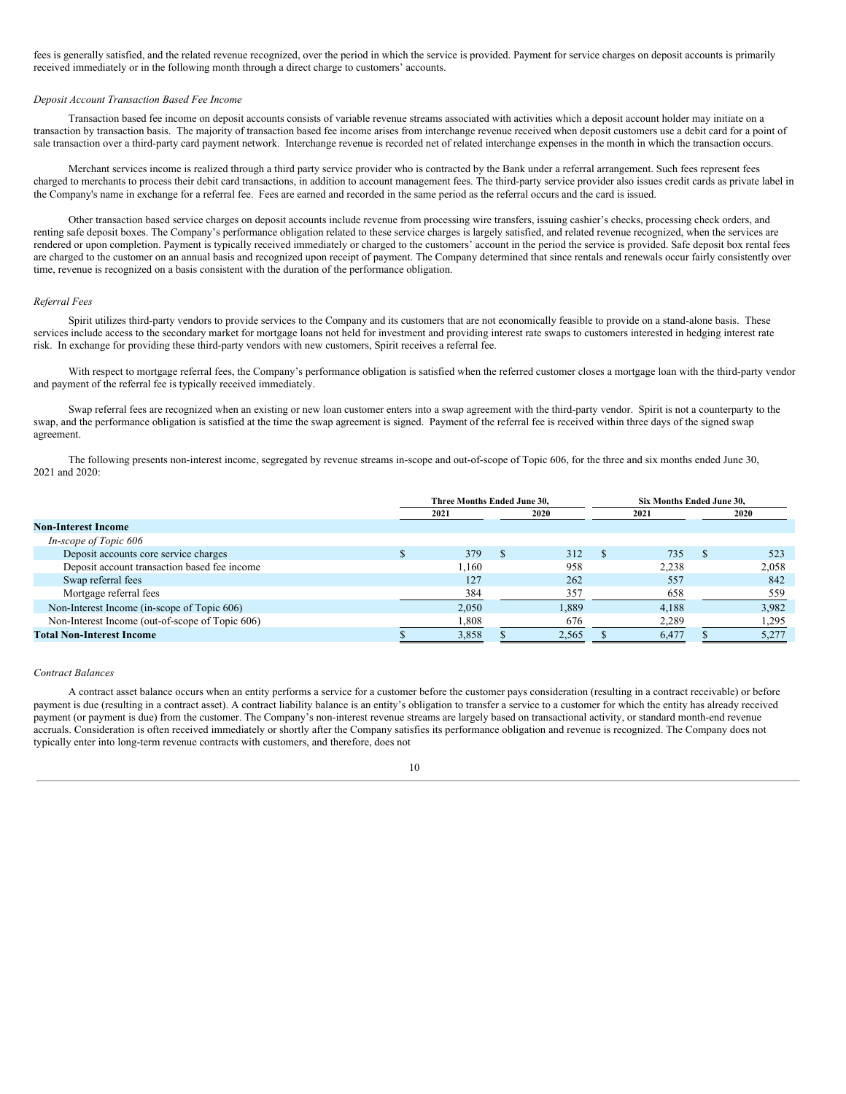fees is generally satisfied, and the related revenue recognized, over the period in which the service is provided. Payment for service charges on deposit accounts is primarily received immediately or in the following month through a direct charge to customers' accounts.

#### *Deposit Account Transaction Based Fee Income*

Transaction based fee income on deposit accounts consists of variable revenue streams associated with activities which a deposit account holder may initiate on a transaction by transaction basis. The majority of transaction based fee income arises from interchange revenue received when deposit customers use a debit card for a point of sale transaction over a third-party card payment network. Interchange revenue is recorded net of related interchange expenses in the month in which the transaction occurs.

Merchant services income is realized through a third party service provider who is contracted by the Bank under a referral arrangement. Such fees represent fees charged to merchants to process their debit card transactions, in addition to account management fees. The third-party service provider also issues credit cards as private label in the Company's name in exchange for a referral fee. Fees are earned and recorded in the same period as the referral occurs and the card is issued.

Other transaction based service charges on deposit accounts include revenue from processing wire transfers, issuing cashier's checks, processing check orders, and renting safe deposit boxes. The Company's performance obligation related to these service charges is largely satisfied, and related revenue recognized, when the services are rendered or upon completion. Payment is typically received immediately or charged to the customers' account in the period the service is provided. Safe deposit box rental fees are charged to the customer on an annual basis and recognized upon receipt of payment. The Company determined that since rentals and renewals occur fairly consistently over time, revenue is recognized on a basis consistent with the duration of the performance obligation.

# *Referral Fees*

Spirit utilizes third-party vendors to provide services to the Company and its customers that are not economically feasible to provide on a stand-alone basis. These services include access to the secondary market for mortgage loans not held for investment and providing interest rate swaps to customers interested in hedging interest rate risk. In exchange for providing these third-party vendors with new customers, Spirit receives a referral fee.

With respect to mortgage referral fees, the Company's performance obligation is satisfied when the referred customer closes a mortgage loan with the third-party vendor and payment of the referral fee is typically received immediately.

Swap referral fees are recognized when an existing or new loan customer enters into a swap agreement with the third-party vendor. Spirit is not a counterparty to the swap, and the performance obligation is satisfied at the time the swap agreement is signed. Payment of the referral fee is received within three days of the signed swap agreement.

The following presents non-interest income, segregated by revenue streams in-scope and out-of-scope of Topic 606, for the three and six months ended June 30, 2021 and 2020:

|                                                 | Three Months Ended June 30, |      |       |      | Six Months Ended June 30, |  |       |  |
|-------------------------------------------------|-----------------------------|------|-------|------|---------------------------|--|-------|--|
|                                                 | 2021                        | 2020 |       | 2021 |                           |  | 2020  |  |
| <b>Non-Interest Income</b>                      |                             |      |       |      |                           |  |       |  |
| In-scope of Topic 606                           |                             |      |       |      |                           |  |       |  |
| Deposit accounts core service charges           | 379                         | S    | 312   |      | 735                       |  | 523   |  |
| Deposit account transaction based fee income    | 1.160                       |      | 958   |      | 2,238                     |  | 2,058 |  |
| Swap referral fees                              | 127                         |      | 262   |      | 557                       |  | 842   |  |
| Mortgage referral fees                          | 384                         |      | 357   |      | 658                       |  | 559   |  |
| Non-Interest Income (in-scope of Topic 606)     | 2.050                       |      | 1.889 |      | 4.188                     |  | 3,982 |  |
| Non-Interest Income (out-of-scope of Topic 606) | 1,808                       |      | 676   |      | 2,289                     |  | 1,295 |  |
| <b>Total Non-Interest Income</b>                | 3.858                       |      | 2.565 |      | 6.477                     |  | 5.277 |  |

# *Contract Balances*

A contract asset balance occurs when an entity performs a service for a customer before the customer pays consideration (resulting in a contract receivable) or before payment is due (resulting in a contract asset). A contract liability balance is an entity's obligation to transfer a service to a customer for which the entity has already received payment (or payment is due) from the customer. The Company's non-interest revenue streams are largely based on transactional activity, or standard month-end revenue accruals. Consideration is often received immediately or shortly after the Company satisfies its performance obligation and revenue is recognized. The Company does not typically enter into long-term revenue contracts with customers, and therefore, does not

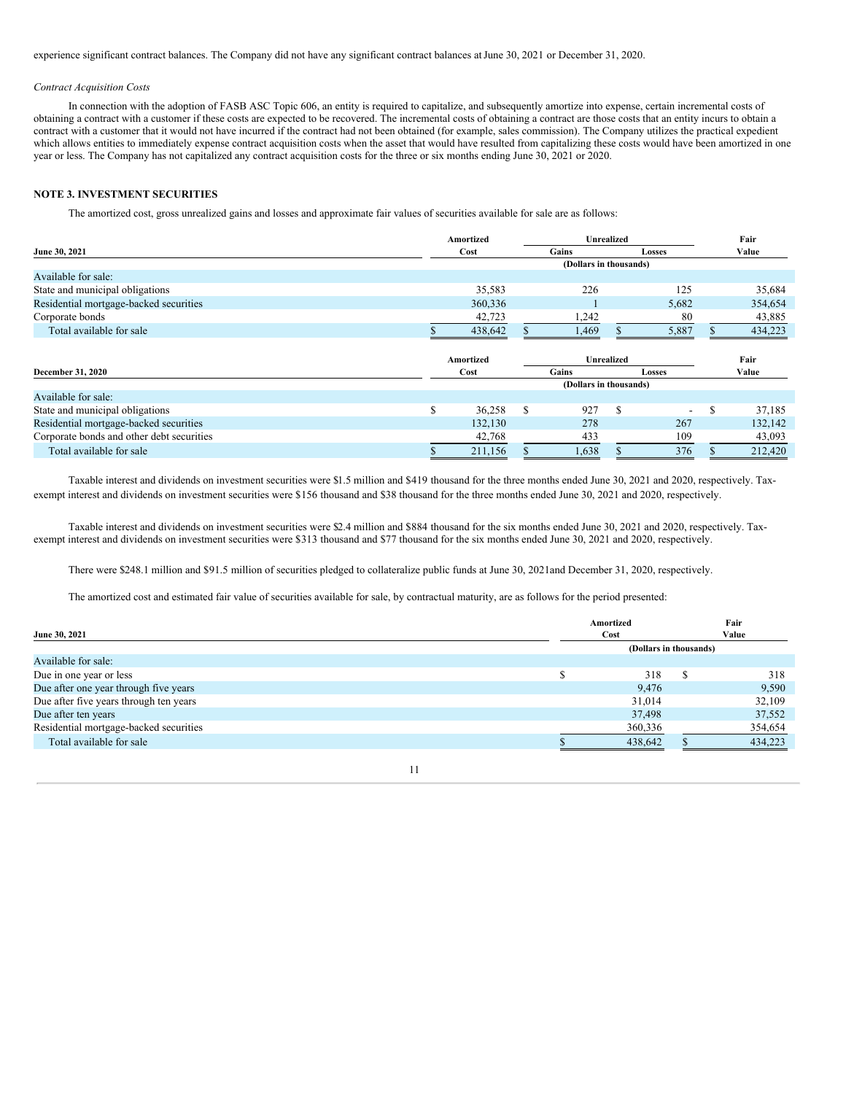experience significant contract balances. The Company did not have any significant contract balances atJune 30, 2021 or December 31, 2020.

# *Contract Acquisition Costs*

In connection with the adoption of FASB ASC Topic 606, an entity is required to capitalize, and subsequently amortize into expense, certain incremental costs of obtaining a contract with a customer if these costs are expected to be recovered. The incremental costs of obtaining a contract are those costs that an entity incurs to obtain a contract with a customer that it would not have incurred if the contract had not been obtained (for example, sales commission). The Company utilizes the practical expedient which allows entities to immediately expense contract acquisition costs when the asset that would have resulted from capitalizing these costs would have been amortized in one year or less. The Company has not capitalized any contract acquisition costs for the three or six months ending June 30, 2021 or 2020.

# **NOTE 3. INVESTMENT SECURITIES**

The amortized cost, gross unrealized gains and losses and approximate fair values of securities available for sale are as follows:

|                        |         |                                                                         |       |     |                                        |                                         | Fair    |
|------------------------|---------|-------------------------------------------------------------------------|-------|-----|----------------------------------------|-----------------------------------------|---------|
|                        |         |                                                                         | Gains |     | Losses                                 |                                         | Value   |
|                        |         |                                                                         |       |     |                                        |                                         |         |
|                        |         |                                                                         |       |     |                                        |                                         |         |
|                        | 35,583  |                                                                         | 226   |     | 125                                    |                                         | 35,684  |
|                        |         |                                                                         |       |     | 5,682                                  |                                         | 354,654 |
|                        | 42,723  |                                                                         | 1,242 |     | 80                                     |                                         | 43,885  |
|                        |         |                                                                         | 1,469 |     | 5,887                                  |                                         | 434,223 |
|                        |         |                                                                         |       |     |                                        |                                         |         |
|                        |         |                                                                         |       |     |                                        |                                         | Fair    |
|                        |         |                                                                         | Gains |     |                                        |                                         | Value   |
| (Dollars in thousands) |         |                                                                         |       |     |                                        |                                         |         |
|                        |         |                                                                         |       |     |                                        |                                         |         |
| S                      | 36,258  | \$                                                                      | 927   | \$. | $\overline{\phantom{a}}$               | S                                       | 37,185  |
|                        | 132,130 |                                                                         | 278   |     | 267                                    |                                         | 132,142 |
|                        | 42,768  |                                                                         | 433   |     | 109                                    |                                         | 43,093  |
|                        |         |                                                                         | 1,638 |     | 376                                    |                                         | 212,420 |
|                        |         | Amortized<br>Cost<br>360,336<br>438,642<br>Amortized<br>Cost<br>211,156 |       |     | <b>Unrealized</b><br><b>Unrealized</b> | (Dollars in thousands)<br><b>Losses</b> |         |

Taxable interest and dividends on investment securities were \$1.5 million and \$419 thousand for the three months ended June 30, 2021 and 2020, respectively. Taxexempt interest and dividends on investment securities were \$156 thousand and \$38 thousand for the three months ended June 30, 2021 and 2020, respectively.

Taxable interest and dividends on investment securities were \$2.4 million and \$884 thousand for the six months ended June 30, 2021 and 2020, respectively. Taxexempt interest and dividends on investment securities were \$313 thousand and \$77 thousand for the six months ended June 30, 2021 and 2020, respectively.

There were \$248.1 million and \$91.5 million of securities pledged to collateralize public funds at June 30, 2021and December 31, 2020, respectively.

The amortized cost and estimated fair value of securities available for sale, by contractual maturity, are as follows for the period presented:

| June 30, 2021                          | Amortized<br>Cost | Fair<br>Value          |         |  |
|----------------------------------------|-------------------|------------------------|---------|--|
|                                        |                   | (Dollars in thousands) |         |  |
| Available for sale:                    |                   |                        |         |  |
| Due in one year or less                | 318               | ۰.                     | 318     |  |
| Due after one year through five years  | 9,476             |                        | 9,590   |  |
| Due after five years through ten years | 31.014            |                        | 32,109  |  |
| Due after ten years                    | 37,498            |                        | 37,552  |  |
| Residential mortgage-backed securities | 360,336           |                        | 354,654 |  |
| Total available for sale               | 438,642           |                        | 434,223 |  |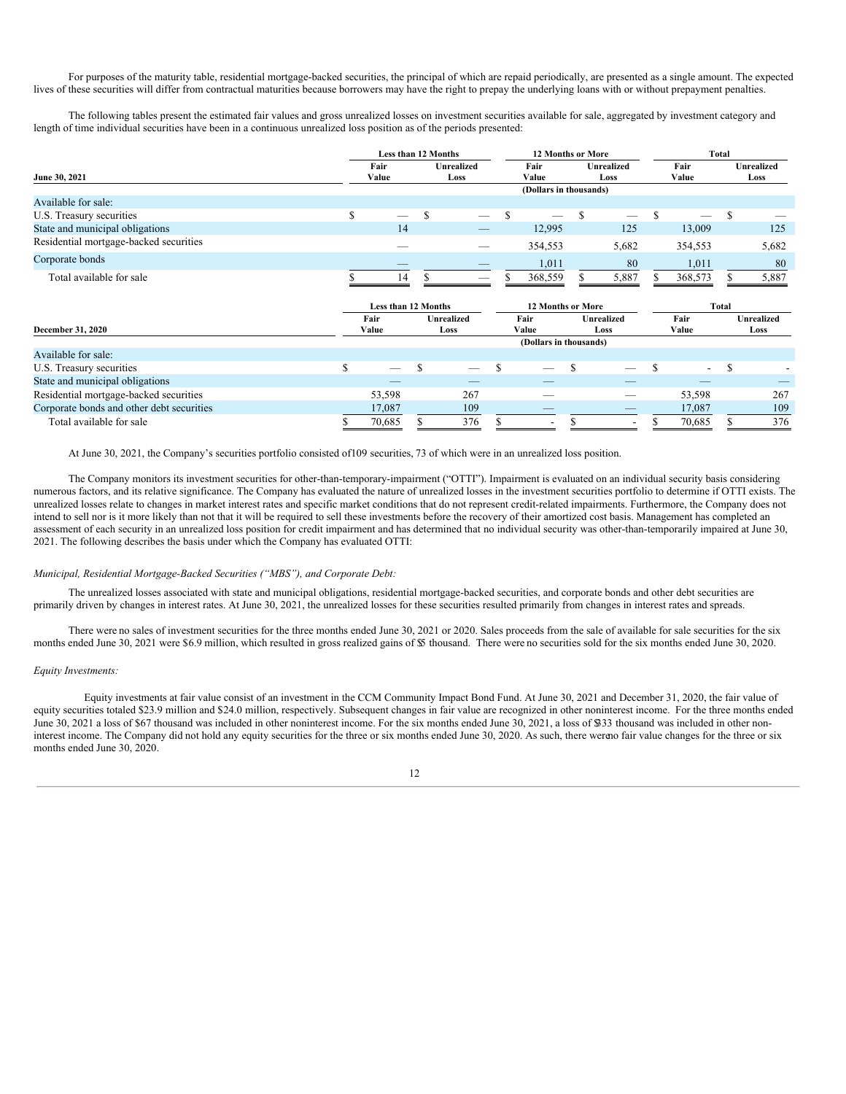For purposes of the maturity table, residential mortgage-backed securities, the principal of which are repaid periodically, are presented as a single amount. The expected lives of these securities will differ from contractual maturities because borrowers may have the right to prepay the underlying loans with or without prepayment penalties.

The following tables present the estimated fair values and gross unrealized losses on investment securities available for sale, aggregated by investment category and length of time individual securities have been in a continuous unrealized loss position as of the periods presented:

|                                        |   | <b>Less than 12 Months</b>      |  |                           |  | <b>12 Months or More</b> |  |                           | Total |               |  |                    |
|----------------------------------------|---|---------------------------------|--|---------------------------|--|--------------------------|--|---------------------------|-------|---------------|--|--------------------|
| June 30, 2021                          |   | Fair<br>Value                   |  | <b>Unrealized</b><br>Loss |  | Fair<br>Value            |  | <b>Unrealized</b><br>Loss |       | Fair<br>Value |  | Unrealized<br>Loss |
|                                        |   | (Dollars in thousands)          |  |                           |  |                          |  |                           |       |               |  |                    |
| Available for sale:                    |   |                                 |  |                           |  |                          |  |                           |       |               |  |                    |
| U.S. Treasury securities               | S | $\hspace{0.1mm}-\hspace{0.1mm}$ |  | $\overline{\phantom{m}}$  |  | $\hspace{0.05cm}$        |  | $\hspace{0.05cm}$         |       |               |  |                    |
| State and municipal obligations        |   | 14                              |  |                           |  | 12.995                   |  | 125                       |       | 13,009        |  | 125                |
| Residential mortgage-backed securities |   | $\overline{\phantom{a}}$        |  | -                         |  | 354,553                  |  | 5,682                     |       | 354,553       |  | 5,682              |
| Corporate bonds                        |   | $\overline{\phantom{a}}$        |  | $\qquad \qquad$           |  | 1,011                    |  | 80                        |       | 1,011         |  | 80                 |
| Total available for sale               |   | 14                              |  | -                         |  | 368,559                  |  | 5,887                     |       | 368,573       |  | 5,887              |

|                                           |  | <b>Less than 12 Months</b> |  |                           | 12 Months or More              |                           | Total |                          |  |                           |  |
|-------------------------------------------|--|----------------------------|--|---------------------------|--------------------------------|---------------------------|-------|--------------------------|--|---------------------------|--|
| <b>December 31, 2020</b>                  |  | Fair<br>Value              |  | <b>Unrealized</b><br>Loss | Fair<br>Value                  | <b>Unrealized</b><br>Loss |       | Fair<br>Value            |  | <b>Unrealized</b><br>Loss |  |
|                                           |  |                            |  |                           |                                |                           |       |                          |  |                           |  |
| Available for sale:                       |  |                            |  |                           |                                |                           |       |                          |  |                           |  |
| U.S. Treasury securities                  |  |                            |  | —                         | _                              | _                         |       | $\overline{\phantom{a}}$ |  |                           |  |
| State and municipal obligations           |  |                            |  |                           |                                |                           |       |                          |  |                           |  |
| Residential mortgage-backed securities    |  | 53.598                     |  | 267                       | __                             | -                         |       | 53.598                   |  | 267                       |  |
| Corporate bonds and other debt securities |  | 17,087                     |  | 109                       | $\overbrace{\hspace{25mm}}^{}$ | $\overline{\phantom{a}}$  |       | 17,087                   |  | 109                       |  |
| Total available for sale                  |  | 70.685                     |  | 376                       | $\overline{\phantom{a}}$       | $\overline{\phantom{a}}$  |       | 70.685                   |  | 376                       |  |

At June 30, 2021, the Company's securities portfolio consisted of109 securities, 73 of which were in an unrealized loss position.

The Company monitors its investment securities for other-than-temporary-impairment ("OTTI"). Impairment is evaluated on an individual security basis considering numerous factors, and its relative significance. The Company has evaluated the nature of unrealized losses in the investment securities portfolio to determine if OTTI exists. The unrealized losses relate to changes in market interest rates and specific market conditions that do not represent credit-related impairments. Furthermore, the Company does not intend to sell nor is it more likely than not that it will be required to sell these investments before the recovery of their amortized cost basis. Management has completed an assessment of each security in an unrealized loss position for credit impairment and has determined that no individual security was other-than-temporarily impaired at June 30, 2021. The following describes the basis under which the Company has evaluated OTTI:

# *Municipal, Residential Mortgage-Backed Securities ("MBS"), and Corporate Debt:*

The unrealized losses associated with state and municipal obligations, residential mortgage-backed securities, and corporate bonds and other debt securities are primarily driven by changes in interest rates. At June 30, 2021, the unrealized losses for these securities resulted primarily from changes in interest rates and spreads.

There were no sales of investment securities for the three months ended June 30, 2021 or 2020. Sales proceeds from the sale of available for sale securities for the six months ended June 30, 2021 were \$6.9 million, which resulted in gross realized gains of \$5 thousand. There were no securities sold for the six months ended June 30, 2020.

#### *Equity Investments:*

Equity investments at fair value consist of an investment in the CCM Community Impact Bond Fund. At June 30, 2021 and December 31, 2020, the fair value of equity securities totaled \$23.9 million and \$24.0 million, respectively. Subsequent changes in fair value are recognized in other noninterest income. For the three months ended June 30, 2021 a loss of \$67 thousand was included in other noninterest income. For the six months ended June 30, 2021, a loss of \$33 thousand was included in other noninterest income. The Company did not hold any equity securities for the three or six months ended June 30, 2020. As such, there wereno fair value changes for the three or six months ended June 30, 2020.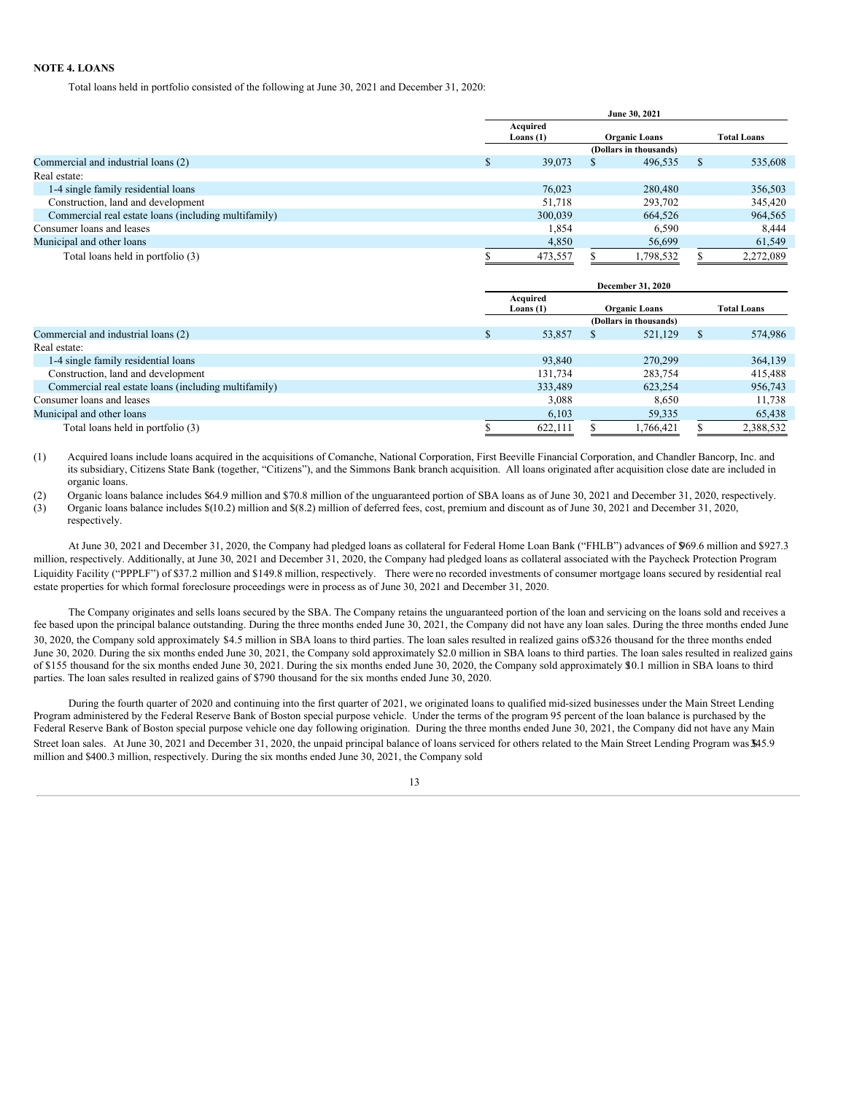# **NOTE 4. LOANS**

Total loans held in portfolio consisted of the following at June 30, 2021 and December 31, 2020:

|                                                      |     |                         | June 30, 2021          |               |                    |
|------------------------------------------------------|-----|-------------------------|------------------------|---------------|--------------------|
|                                                      |     | Acquired<br>Loans $(1)$ | <b>Organic Loans</b>   |               | <b>Total Loans</b> |
|                                                      |     |                         | (Dollars in thousands) |               |                    |
| Commercial and industrial loans (2)                  | \$. | 39,073                  | 496,535                | <sup>\$</sup> | 535,608            |
| Real estate:                                         |     |                         |                        |               |                    |
| 1-4 single family residential loans                  |     | 76,023                  | 280,480                |               | 356,503            |
| Construction, land and development                   |     | 51.718                  | 293,702                |               | 345,420            |
| Commercial real estate loans (including multifamily) |     | 300,039                 | 664,526                |               | 964,565            |
| Consumer loans and leases                            |     | 1,854                   | 6,590                  |               | 8,444              |
| Municipal and other loans                            |     | 4,850                   | 56,699                 |               | 61,549             |
| Total loans held in portfolio (3)                    |     | 473,557                 | 1,798,532              |               | 2,272,089          |

|                                                      |                         |   | <b>December 31, 2020</b> |     |                    |
|------------------------------------------------------|-------------------------|---|--------------------------|-----|--------------------|
|                                                      | Acquired<br>Loans $(1)$ |   | <b>Organic Loans</b>     |     | <b>Total Loans</b> |
|                                                      |                         |   | (Dollars in thousands)   |     |                    |
| Commercial and industrial loans (2)                  | \$<br>53.857            | ъ | 521,129                  | \$. | 574,986            |
| Real estate:                                         |                         |   |                          |     |                    |
| 1-4 single family residential loans                  | 93,840                  |   | 270,299                  |     | 364,139            |
| Construction, land and development                   | 131.734                 |   | 283,754                  |     | 415,488            |
| Commercial real estate loans (including multifamily) | 333,489                 |   | 623,254                  |     | 956,743            |
| Consumer loans and leases                            | 3,088                   |   | 8,650                    |     | 11,738             |
| Municipal and other loans                            | 6,103                   |   | 59,335                   |     | 65,438             |
| Total loans held in portfolio (3)                    | 622,111                 |   | 1,766,421                |     | 2,388,532          |

(1) Acquired loans include loans acquired in the acquisitions of Comanche, National Corporation, First Beeville Financial Corporation, and Chandler Bancorp, Inc. and its subsidiary, Citizens State Bank (together, "Citizens"), and the Simmons Bank branch acquisition. All loans originated after acquisition close date are included in organic loans.

(2) Organic loans balance includes \$64.9 million and \$70.8 million of the unguaranteed portion of SBA loans as of June 30, 2021 and December 31, 2020, respectively. (3) Organic loans balance includes \$(10.2) million and \$(8.2) million of deferred fees, cost, premium and discount as of June 30, 2021 and December 31, 2020,

respectively.

At June 30, 2021 and December 31, 2020, the Company had pledged loans as collateral for Federal Home Loan Bank ("FHLB") advances of \$969.6 million and \$927.3 million, respectively. Additionally, at June 30, 2021 and December 31, 2020, the Company had pledged loans as collateral associated with the Paycheck Protection Program Liquidity Facility ("PPPLF") of \$37.2 million and \$149.8 million, respectively. There were no recorded investments of consumer mortgage loans secured by residential real estate properties for which formal foreclosure proceedings were in process as of June 30, 2021 and December 31, 2020.

The Company originates and sells loans secured by the SBA. The Company retains the unguaranteed portion of the loan and servicing on the loans sold and receives a fee based upon the principal balance outstanding. During the three months ended June 30, 2021, the Company did not have any loan sales. During the three months ended June 30, 2020, the Company sold approximately \$4.5 million in SBA loans to third parties. The loan sales resulted in realized gains of\$326 thousand for the three months ended June 30, 2020. During the six months ended June 30, 2021, the Company sold approximately \$2.0 million in SBA loans to third parties. The loan sales resulted in realized gains of \$155 thousand for the six months ended June 30, 2021. During the six months ended June 30, 2020, the Company sold approximately \$10.1 million in SBA loans to third parties. The loan sales resulted in realized gains of \$790 thousand for the six months ended June 30, 2020.

During the fourth quarter of 2020 and continuing into the first quarter of 2021, we originated loans to qualified mid-sized businesses under the Main Street Lending Program administered by the Federal Reserve Bank of Boston special purpose vehicle. Under the terms of the program 95 percent of the loan balance is purchased by the Federal Reserve Bank of Boston special purpose vehicle one day following origination. During the three months ended June 30, 2021, the Company did not have any Main Street loan sales. At June 30, 2021 and December 31, 2020, the unpaid principal balance of loans serviced for others related to the Main Street Lending Program was3\$45.9 million and \$400.3 million, respectively. During the six months ended June 30, 2021, the Company sold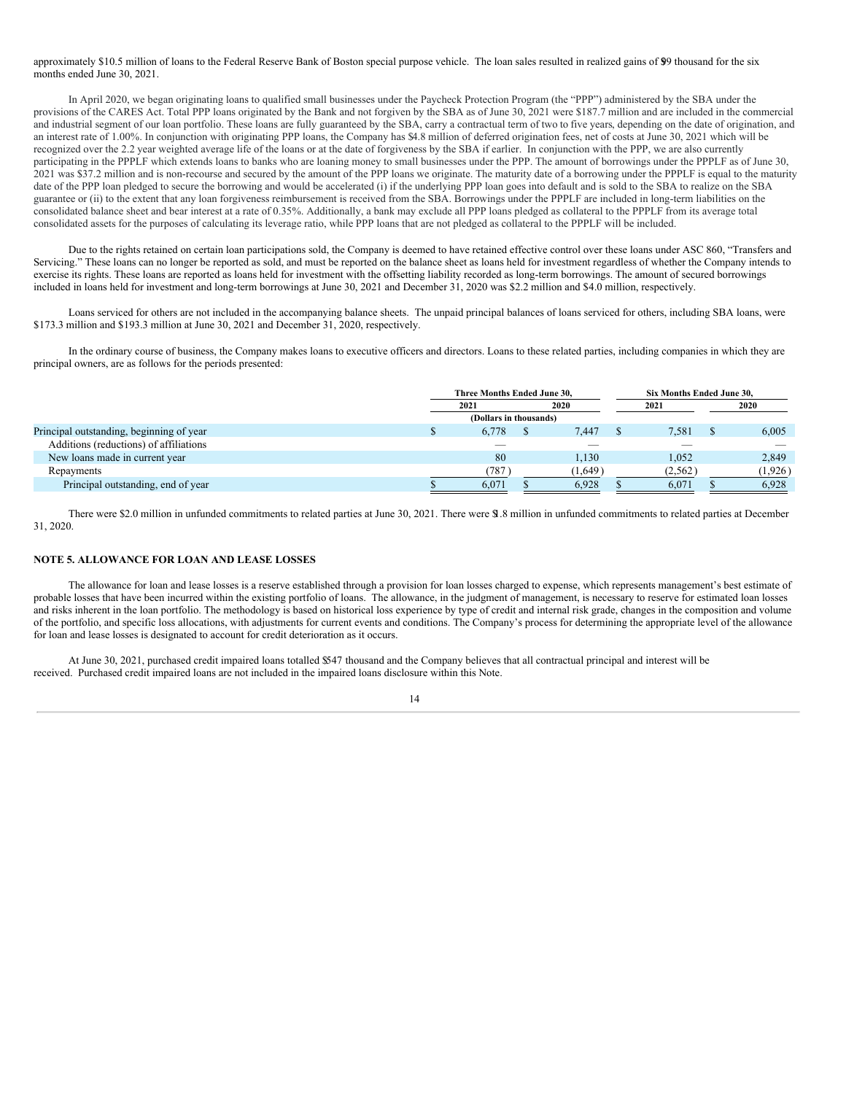# approximately \$10.5 million of loans to the Federal Reserve Bank of Boston special purpose vehicle. The loan sales resulted in realized gains of \$9 thousand for the six months ended June 30, 2021.

In April 2020, we began originating loans to qualified small businesses under the Paycheck Protection Program (the "PPP") administered by the SBA under the provisions of the CARES Act. Total PPP loans originated by the Bank and not forgiven by the SBA as of June 30, 2021 were \$187.7 million and are included in the commercial and industrial segment of our loan portfolio. These loans are fully guaranteed by the SBA, carry a contractual term of two to five years, depending on the date of origination, and an interest rate of 1.00%. In conjunction with originating PPP loans, the Company has \$4.8 million of deferred origination fees, net of costs at June 30, 2021 which will be recognized over the 2.2 year weighted average life of the loans or at the date of forgiveness by the SBA if earlier. In conjunction with the PPP, we are also currently participating in the PPPLF which extends loans to banks who are loaning money to small businesses under the PPP. The amount of borrowings under the PPPLF as of June 30, 2021 was \$37.2 million and is non-recourse and secured by the amount of the PPP loans we originate. The maturity date of a borrowing under the PPPLF is equal to the maturity date of the PPP loan pledged to secure the borrowing and would be accelerated (i) if the underlying PPP loan goes into default and is sold to the SBA to realize on the SBA guarantee or (ii) to the extent that any loan forgiveness reimbursement is received from the SBA. Borrowings under the PPPLF are included in long-term liabilities on the consolidated balance sheet and bear interest at a rate of 0.35%. Additionally, a bank may exclude all PPP loans pledged as collateral to the PPPLF from its average total consolidated assets for the purposes of calculating its leverage ratio, while PPP loans that are not pledged as collateral to the PPPLF will be included.

Due to the rights retained on certain loan participations sold, the Company is deemed to have retained effective control over these loans under ASC 860, "Transfers and Servicing." These loans can no longer be reported as sold, and must be reported on the balance sheet as loans held for investment regardless of whether the Company intends to exercise its rights. These loans are reported as loans held for investment with the offsetting liability recorded as long-term borrowings. The amount of secured borrowings included in loans held for investment and long-term borrowings at June 30, 2021 and December 31, 2020 was \$2.2 million and \$4.0 million, respectively.

Loans serviced for others are not included in the accompanying balance sheets. The unpaid principal balances of loans serviced for others, including SBA loans, were \$173.3 million and \$193.3 million at June 30, 2021 and December 31, 2020, respectively.

In the ordinary course of business, the Company makes loans to executive officers and directors. Loans to these related parties, including companies in which they are principal owners, are as follows for the periods presented:

|                                          | Three Months Ended June 30, |         | Six Months Ended June 30. |  |         |  |
|------------------------------------------|-----------------------------|---------|---------------------------|--|---------|--|
|                                          | 2021                        | 2020    | 2021                      |  | 2020    |  |
|                                          | (Dollars in thousands)      |         |                           |  |         |  |
| Principal outstanding, beginning of year | 6.778                       | 7,447   | 7.581                     |  | 6,005   |  |
| Additions (reductions) of affiliations   | ___                         |         | $\overline{\phantom{a}}$  |  |         |  |
| New loans made in current year           | 80                          | 1,130   | 1.052                     |  | 2,849   |  |
| Repayments                               | (787)                       | (1,649) | (2, 562)                  |  | (1,926) |  |
| Principal outstanding, end of year       | 6.071                       | 6.928   | 6,071                     |  | 6.928   |  |

There were \$2.0 million in unfunded commitments to related parties at June 30, 2021. There were \$1.8 million in unfunded commitments to related parties at December 31, 2020.

# **NOTE 5. ALLOWANCE FOR LOAN AND LEASE LOSSES**

The allowance for loan and lease losses is a reserve established through a provision for loan losses charged to expense, which represents management's best estimate of probable losses that have been incurred within the existing portfolio of loans. The allowance, in the judgment of management, is necessary to reserve for estimated loan losses and risks inherent in the loan portfolio. The methodology is based on historical loss experience by type of credit and internal risk grade, changes in the composition and volume of the portfolio, and specific loss allocations, with adjustments for current events and conditions. The Company's process for determining the appropriate level of the allowance for loan and lease losses is designated to account for credit deterioration as it occurs.

At June 30, 2021, purchased credit impaired loans totalled \$547 thousand and the Company believes that all contractual principal and interest will be received. Purchased credit impaired loans are not included in the impaired loans disclosure within this Note.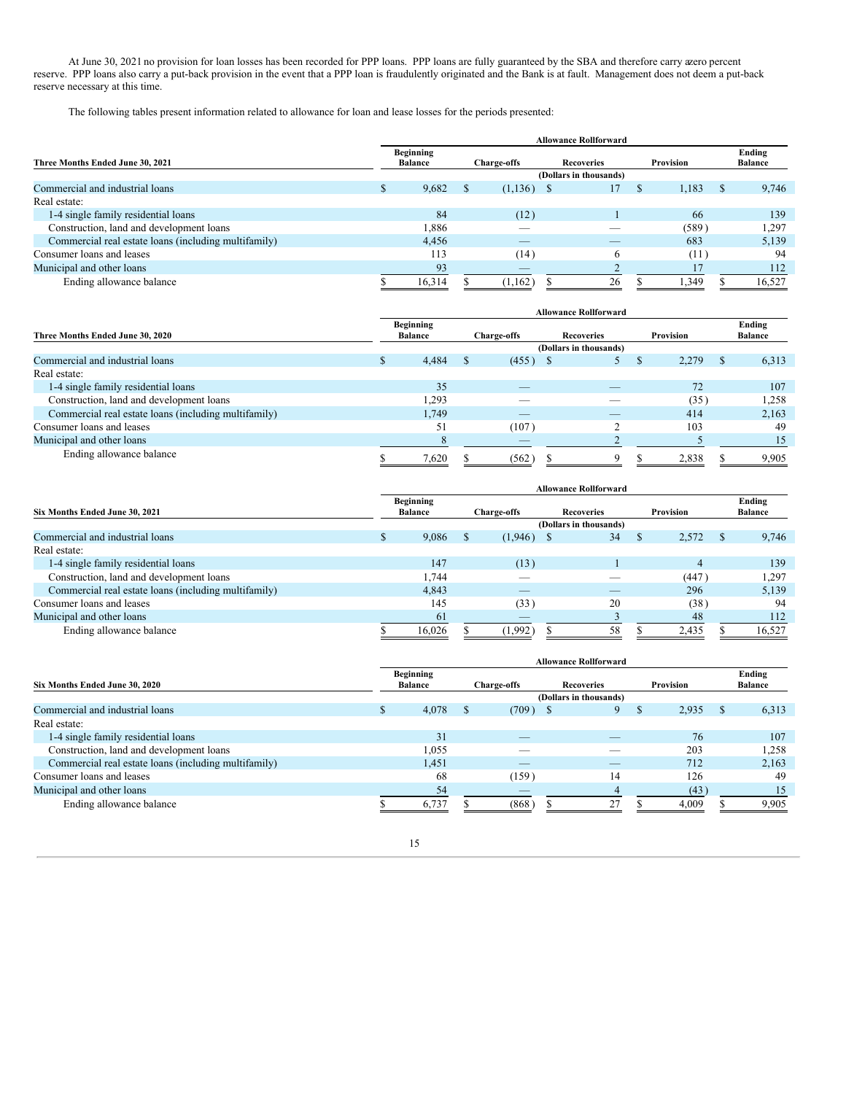At June 30, 2021 no provision for loan losses has been recorded for PPP loans. PPP loans are fully guaranteed by the SBA and therefore carry azero percent reserve. PPP loans also carry a put-back provision in the event that a PPP loan is fraudulently originated and the Bank is at fault. Management does not deem a put-back reserve necessary at this time.

The following tables present information related to allowance for loan and lease losses for the periods presented:

|                                                      |                |                    | <b>Allowance Rollforward</b> |                  |               |                |
|------------------------------------------------------|----------------|--------------------|------------------------------|------------------|---------------|----------------|
|                                                      | Beginning      |                    |                              |                  |               | Ending         |
| Three Months Ended June 30, 2021                     | <b>Balance</b> | <b>Charge-offs</b> | <b>Recoveries</b>            | <b>Provision</b> |               | <b>Balance</b> |
|                                                      |                |                    | (Dollars in thousands)       |                  |               |                |
| Commercial and industrial loans                      | 9,682          | $(1,136)$ \$       | 17                           | 1,183            | <sup>\$</sup> | 9,746          |
| Real estate:                                         |                |                    |                              |                  |               |                |
| 1-4 single family residential loans                  | 84             | (12)               |                              | 66               |               | 139            |
| Construction, land and development loans             | .886           |                    |                              | (589)            |               | 1,297          |
| Commercial real estate loans (including multifamily) | 4.456          |                    |                              | 683              |               | 5,139          |
| Consumer loans and leases                            | 113            | (14)               | 6                            | (11)             |               | 94             |
| Municipal and other loans                            | 93             | _                  |                              |                  |               | 112            |
| Ending allowance balance                             | 16,314         | (1, 162)           | 26                           | 1,349            |               | 16,527         |

|                                                      | <b>Allowance Rollforward</b> |                             |  |                    |                        |            |   |           |               |                          |  |  |  |
|------------------------------------------------------|------------------------------|-----------------------------|--|--------------------|------------------------|------------|---|-----------|---------------|--------------------------|--|--|--|
| Three Months Ended June 30, 2020                     |                              | Beginning<br><b>Balance</b> |  | <b>Charge-offs</b> | <b>Recoveries</b>      |            |   | Provision |               | Ending<br><b>Balance</b> |  |  |  |
|                                                      |                              |                             |  |                    | (Dollars in thousands) |            |   |           |               |                          |  |  |  |
| Commercial and industrial loans                      | \$                           | 4,484                       |  | (455)              |                        | J          | D | 2,279     | <sup>\$</sup> | 6,313                    |  |  |  |
| Real estate:                                         |                              |                             |  |                    |                        |            |   |           |               |                          |  |  |  |
| 1-4 single family residential loans                  |                              | 35                          |  |                    |                        |            |   | 72        |               | 107                      |  |  |  |
| Construction, land and development loans             |                              | .293                        |  |                    |                        |            |   | (35)      |               | 1,258                    |  |  |  |
| Commercial real estate loans (including multifamily) |                              | 1,749                       |  |                    |                        | _          |   | 414       |               | 2,163                    |  |  |  |
| Consumer loans and leases                            |                              | 51                          |  | (107)              |                        | $\sqrt{2}$ |   | 103       |               | 49                       |  |  |  |
| Municipal and other loans                            |                              |                             |  | _                  |                        |            |   |           |               |                          |  |  |  |
| Ending allowance balance                             |                              | 7.620                       |  | (562)              |                        | 9          |   | 2.838     |               | 9,905                    |  |  |  |

|                                                      | <b>Allowance Rollforward</b> |                             |  |                    |  |                        |              |           |    |                          |  |  |  |
|------------------------------------------------------|------------------------------|-----------------------------|--|--------------------|--|------------------------|--------------|-----------|----|--------------------------|--|--|--|
| Six Months Ended June 30, 2021                       |                              | Beginning<br><b>Balance</b> |  | <b>Charge-offs</b> |  | <b>Recoveries</b>      |              | Provision |    | Ending<br><b>Balance</b> |  |  |  |
|                                                      |                              |                             |  |                    |  | (Dollars in thousands) |              |           |    |                          |  |  |  |
| Commercial and industrial loans                      | \$.                          | 9,086                       |  | $(1,946)$ \$       |  | 34                     | <sup>S</sup> | 2,572     | -S | 9,746                    |  |  |  |
| Real estate:                                         |                              |                             |  |                    |  |                        |              |           |    |                          |  |  |  |
| 1-4 single family residential loans                  |                              | 147                         |  | (13)               |  |                        |              | 4         |    | 139                      |  |  |  |
| Construction, land and development loans             |                              | 1.744                       |  | __                 |  |                        |              | (447)     |    | 1,297                    |  |  |  |
| Commercial real estate loans (including multifamily) |                              | 4,843                       |  |                    |  |                        |              | 296       |    | 5,139                    |  |  |  |
| Consumer loans and leases                            |                              | 145                         |  | (33)               |  | 20                     |              | (38)      |    | 94                       |  |  |  |
| Municipal and other loans                            |                              | 61                          |  | _                  |  |                        |              | 48        |    | 112                      |  |  |  |
| Ending allowance balance                             |                              | 16,026                      |  | (1,992)            |  | 58                     |              | 2,435     |    | 16,527                   |  |  |  |

|                                                      | <b>Allowance Rollforward</b> |                                    |    |                    |      |                        |    |           |              |                          |  |  |  |
|------------------------------------------------------|------------------------------|------------------------------------|----|--------------------|------|------------------------|----|-----------|--------------|--------------------------|--|--|--|
| Six Months Ended June 30, 2020                       |                              | <b>Beginning</b><br><b>Balance</b> |    | <b>Charge-offs</b> |      | <b>Recoveries</b>      |    | Provision |              | Ending<br><b>Balance</b> |  |  |  |
|                                                      |                              |                                    |    |                    |      | (Dollars in thousands) |    |           |              |                          |  |  |  |
| Commercial and industrial loans                      |                              | 4,078                              | -8 | (709)              | - \$ | 9                      | .D | 2,935     | <sup>S</sup> | 6,313                    |  |  |  |
| Real estate:                                         |                              |                                    |    |                    |      |                        |    |           |              |                          |  |  |  |
| 1-4 single family residential loans                  |                              | 31                                 |    |                    |      |                        |    | 76        |              | 107                      |  |  |  |
| Construction, land and development loans             |                              | 1,055                              |    | _                  |      | __                     |    | 203       |              | 1,258                    |  |  |  |
| Commercial real estate loans (including multifamily) |                              | 1,451                              |    | _                  |      |                        |    | 712       |              | 2,163                    |  |  |  |
| Consumer loans and leases                            |                              | 68                                 |    | (159)              |      | 14                     |    | 126       |              | 49                       |  |  |  |
| Municipal and other loans                            |                              | 54                                 |    | _                  |      |                        |    | (43)      |              | 15                       |  |  |  |
| Ending allowance balance                             |                              | 6,737                              |    | (868)              |      | 27                     |    | 4,009     |              | 9,905                    |  |  |  |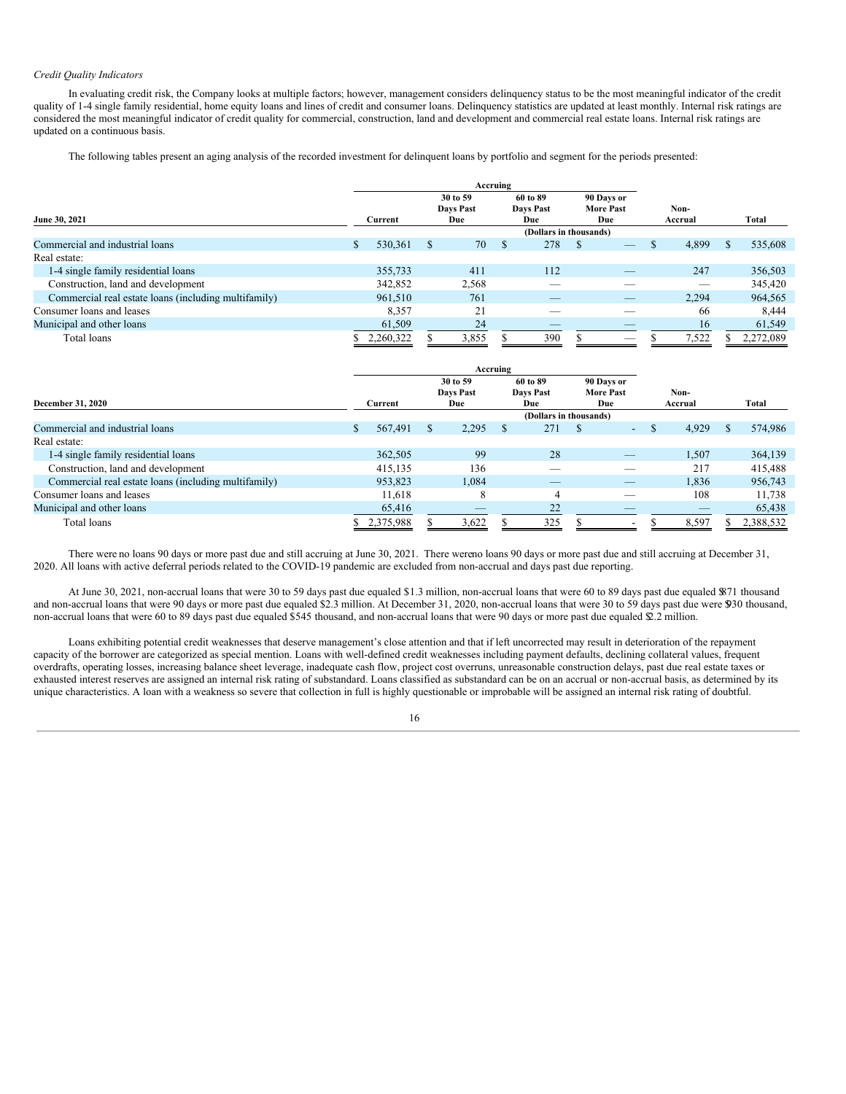# *Credit Quality Indicators*

In evaluating credit risk, the Company looks at multiple factors; however, management considers delinquency status to be the most meaningful indicator of the credit quality of 1-4 single family residential, home equity loans and lines of credit and consumer loans. Delinquency statistics are updated at least monthly. Internal risk ratings are considered the most meaningful indicator of credit quality for commercial, construction, land and development and commercial real estate loans. Internal risk ratings are updated on a continuous basis.

The following tables present an aging analysis of the recorded investment for delinquent loans by portfolio and segment for the periods presented:

| June 30, 2021                                        | Current     |   | 30 to 59<br>Days Past<br>Due |          | 60 to 89<br>Days Past<br>Due |     | 90 Days or<br><b>More Past</b><br>Due |     | Non-<br>Accrual |   | Total     |
|------------------------------------------------------|-------------|---|------------------------------|----------|------------------------------|-----|---------------------------------------|-----|-----------------|---|-----------|
|                                                      |             |   |                              |          | (Dollars in thousands)       |     |                                       |     |                 |   |           |
| Commercial and industrial loans                      | 530,361     | S | 70                           | <b>S</b> | 278                          | - S | $\overline{\phantom{m}}$              | \$. | 4,899           | S | 535,608   |
| Real estate:                                         |             |   |                              |          |                              |     |                                       |     |                 |   |           |
| 1-4 single family residential loans                  | 355,733     |   | 411                          |          | 112                          |     | $\overline{\phantom{a}}$              |     | 247             |   | 356,503   |
| Construction, land and development                   | 342,852     |   | 2,568                        |          | __                           |     |                                       |     | _               |   | 345,420   |
| Commercial real estate loans (including multifamily) | 961,510     |   | 761                          |          | _                            |     | $\overline{\phantom{a}}$              |     | 2,294           |   | 964,565   |
| Consumer loans and leases                            | 8,357       |   | 21                           |          |                              |     |                                       |     | 66              |   | 8,444     |
| Municipal and other loans                            | 61,509      |   | 24                           |          | _                            |     | $\overline{\phantom{a}}$              |     | 16              |   | 61,549    |
| Total loans                                          | \$2,260,322 |   | 3,855                        |          | 390                          |     |                                       |     | 1.522           |   | 2.272.089 |

|                                                      |           | Accruing                            |          |                                     |                                       |     |                                 |    |           |
|------------------------------------------------------|-----------|-------------------------------------|----------|-------------------------------------|---------------------------------------|-----|---------------------------------|----|-----------|
| <b>December 31, 2020</b>                             | Current   | 30 to 59<br><b>Davs Past</b><br>Due |          | 60 to 89<br><b>Davs Past</b><br>Due | 90 Days or<br><b>More Past</b><br>Due |     | Non-<br>Accrual                 |    | Total     |
|                                                      |           |                                     |          | (Dollars in thousands)              |                                       |     |                                 |    |           |
| Commercial and industrial loans                      | 567,491   | 2,295                               | <b>S</b> | 271                                 | $\overline{\phantom{a}}$              | \$. | 4.929                           | S. | 574,986   |
| Real estate:                                         |           |                                     |          |                                     |                                       |     |                                 |    |           |
| 1-4 single family residential loans                  | 362,505   | 99                                  |          | 28                                  | _                                     |     | 1.507                           |    | 364,139   |
| Construction, land and development                   | 415,135   | 136                                 |          |                                     |                                       |     | 217                             |    | 415,488   |
| Commercial real estate loans (including multifamily) | 953,823   | 1,084                               |          | _                                   | _                                     |     | 1,836                           |    | 956,743   |
| Consumer loans and leases                            | 11,618    | 8                                   |          | 4                                   | _                                     |     | 108                             |    | 11,738    |
| Municipal and other loans                            | 65,416    | _                                   |          | 22                                  | _                                     |     | $\hspace{0.1mm}-\hspace{0.1mm}$ |    | 65,438    |
| Total loans                                          | 2,375,988 | 3,622                               |          | 325                                 |                                       |     | 8,597                           |    | 2,388,532 |

There were no loans 90 days or more past due and still accruing at June 30, 2021. There wereno loans 90 days or more past due and still accruing at December 31, 2020. All loans with active deferral periods related to the COVID-19 pandemic are excluded from non-accrual and days past due reporting.

At June 30, 2021, non-accrual loans that were 30 to 59 days past due equaled \$1.3 million, non-accrual loans that were 60 to 89 days past due equaled \$871 thousand and non-accrual loans that were 90 days or more past due equaled \$2.3 million. At December 31, 2020, non-accrual loans that were 30 to 59 days past due were \$930 thousand, non-accrual loans that were 60 to 89 days past due equaled \$545 thousand, and non-accrual loans that were 90 days or more past due equaled \$2.2 million.

Loans exhibiting potential credit weaknesses that deserve management's close attention and that if left uncorrected may result in deterioration of the repayment capacity of the borrower are categorized as special mention. Loans with well-defined credit weaknesses including payment defaults, declining collateral values, frequent overdrafts, operating losses, increasing balance sheet leverage, inadequate cash flow, project cost overruns, unreasonable construction delays, past due real estate taxes or exhausted interest reserves are assigned an internal risk rating of substandard. Loans classified as substandard can be on an accrual or non-accrual basis, as determined by its unique characteristics. A loan with a weakness so severe that collection in full is highly questionable or improbable will be assigned an internal risk rating of doubtful.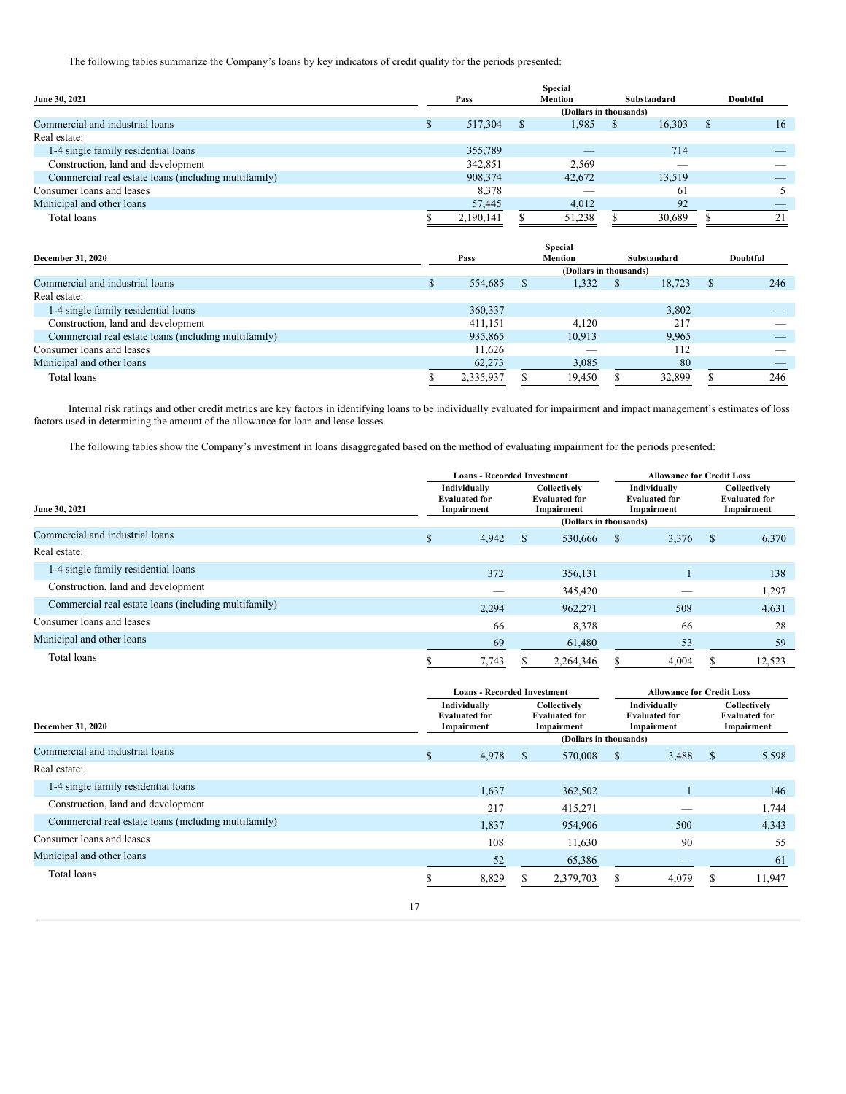The following tables summarize the Company's loans by key indicators of credit quality for the periods presented:

|                                                      |           | <b>Special</b>           |  |             |          |          |
|------------------------------------------------------|-----------|--------------------------|--|-------------|----------|----------|
| June 30, 2021                                        | Pass      | Mention                  |  | Substandard |          | Doubtful |
|                                                      |           | (Dollars in thousands)   |  |             |          |          |
| Commercial and industrial loans                      | 517,304   | 1,985                    |  | 16,303      | <b>S</b> | 16       |
| Real estate:                                         |           |                          |  |             |          |          |
| 1-4 single family residential loans                  | 355,789   | $\overline{\phantom{a}}$ |  | 714         |          |          |
| Construction, land and development                   | 342,851   | 2,569                    |  | $-$         |          |          |
| Commercial real estate loans (including multifamily) | 908,374   | 42,672                   |  | 13,519      |          |          |
| Consumer loans and leases                            | 8,378     | $\sim$                   |  | 61          |          |          |
| Municipal and other loans                            | 57,445    | 4,012                    |  | 92          |          |          |
| Total loans                                          | 2,190,141 | 51,238                   |  | 30.689      |          | 21       |

|                                                      |           | <b>Special</b>           |             |          |     |
|------------------------------------------------------|-----------|--------------------------|-------------|----------|-----|
| <b>December 31, 2020</b>                             | Pass      | <b>Mention</b>           | Substandard | Doubtful |     |
|                                                      |           | (Dollars in thousands)   |             |          |     |
| Commercial and industrial loans                      | 554,685   | 1.332                    | 18.723      | <b>S</b> | 246 |
| Real estate:                                         |           |                          |             |          |     |
| 1-4 single family residential loans                  | 360,337   |                          | 3,802       |          |     |
| Construction, land and development                   | 411,151   | 4,120                    | 217         |          |     |
| Commercial real estate loans (including multifamily) | 935,865   | 10.913                   | 9,965       |          |     |
| Consumer loans and leases                            | 11.626    | $\overline{\phantom{a}}$ | 112         |          |     |
| Municipal and other loans                            | 62,273    | 3,085                    | 80          |          | $-$ |
| Total loans                                          | 2,335,937 | 19,450                   | 32,899      |          | 246 |

Internal risk ratings and other credit metrics are key factors in identifying loans to be individually evaluated for impairment and impact management's estimates of loss factors used in determining the amount of the allowance for loan and lease losses.

The following tables show the Company's investment in loans disaggregated based on the method of evaluating impairment for the periods presented:

|                                                      |               | <b>Loans - Recorded Investment</b>                 |   |                                                    | <b>Allowance for Credit Loss</b>                   |       |              |                                                    |  |
|------------------------------------------------------|---------------|----------------------------------------------------|---|----------------------------------------------------|----------------------------------------------------|-------|--------------|----------------------------------------------------|--|
| June 30, 2021                                        |               | Individually<br><b>Evaluated for</b><br>Impairment |   | Collectively<br><b>Evaluated for</b><br>Impairment | Individually<br><b>Evaluated for</b><br>Impairment |       |              | Collectively<br><b>Evaluated for</b><br>Impairment |  |
|                                                      |               |                                                    |   | (Dollars in thousands)                             |                                                    |       |              |                                                    |  |
| Commercial and industrial loans                      | <sup>\$</sup> | 4,942                                              | S | 530,666                                            | <sup>\$</sup>                                      | 3,376 | <sup>S</sup> | 6,370                                              |  |
| Real estate:                                         |               |                                                    |   |                                                    |                                                    |       |              |                                                    |  |
| 1-4 single family residential loans                  |               | 372                                                |   | 356,131                                            |                                                    |       |              | 138                                                |  |
| Construction, land and development                   |               |                                                    |   | 345,420                                            |                                                    |       |              | 1,297                                              |  |
| Commercial real estate loans (including multifamily) |               | 2,294                                              |   | 962,271                                            |                                                    | 508   |              | 4,631                                              |  |
| Consumer loans and leases                            |               | 66                                                 |   | 8,378                                              |                                                    | -66   |              | 28                                                 |  |
| Municipal and other loans                            |               | 69                                                 |   | 61,480                                             |                                                    | 53    |              | 59                                                 |  |
| Total loans                                          |               | 7,743                                              |   | 2,264,346                                          |                                                    | 4,004 |              | 12,523                                             |  |

|                                                      | <b>Allowance for Credit Loss</b><br><b>Loans - Recorded Investment</b> |                                                    |    |                        |               |                                                    |    |                                                    |  |
|------------------------------------------------------|------------------------------------------------------------------------|----------------------------------------------------|----|------------------------|---------------|----------------------------------------------------|----|----------------------------------------------------|--|
| December 31, 2020                                    |                                                                        | Individually<br><b>Evaluated for</b><br>Impairment |    |                        |               | Individually<br><b>Evaluated for</b><br>Impairment |    | Collectively<br><b>Evaluated for</b><br>Impairment |  |
|                                                      |                                                                        |                                                    |    | (Dollars in thousands) |               |                                                    |    |                                                    |  |
| Commercial and industrial loans                      | \$                                                                     | 4,978                                              | \$ | 570,008                | <sup>\$</sup> | 3,488                                              | -S | 5,598                                              |  |
| Real estate:                                         |                                                                        |                                                    |    |                        |               |                                                    |    |                                                    |  |
| 1-4 single family residential loans                  |                                                                        | 1,637                                              |    | 362,502                |               |                                                    |    | 146                                                |  |
| Construction, land and development                   |                                                                        | 217                                                |    | 415,271                |               |                                                    |    | 1,744                                              |  |
| Commercial real estate loans (including multifamily) |                                                                        | 1,837                                              |    | 954,906                |               | 500                                                |    | 4,343                                              |  |
| Consumer loans and leases                            |                                                                        | 108                                                |    | 11,630                 |               | 90                                                 |    | 55                                                 |  |
| Municipal and other loans                            |                                                                        | 52                                                 |    | 65,386                 |               |                                                    |    | 61                                                 |  |
| Total loans                                          |                                                                        | 8,829                                              |    | 2,379,703              |               | 4,079                                              |    | 11,947                                             |  |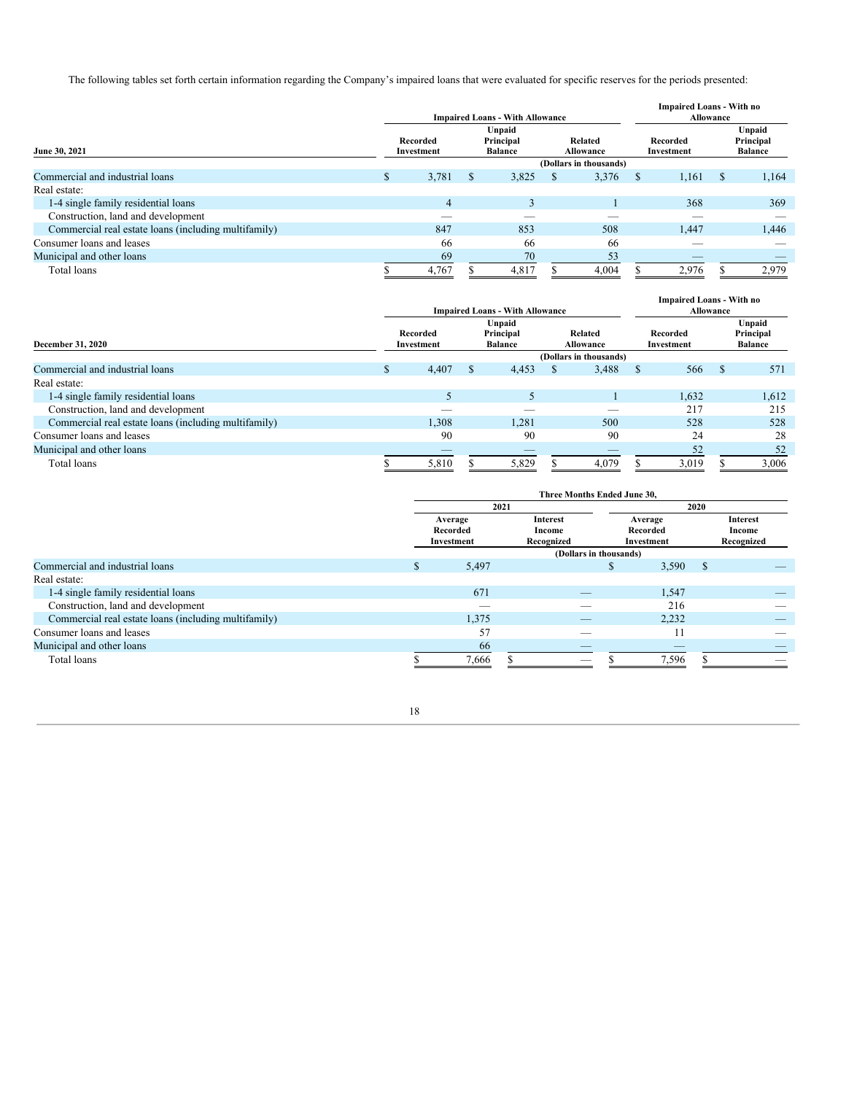The following tables set forth certain information regarding the Company's impaired loans that were evaluated for specific reserves for the periods presented:

|                                                      |                                                                                         |                          |   | <b>Impaired Loans - With Allowance</b> |                        |       |                        | <b>Impaired Loans - With no</b> | Allowance    |                                       |
|------------------------------------------------------|-----------------------------------------------------------------------------------------|--------------------------|---|----------------------------------------|------------------------|-------|------------------------|---------------------------------|--------------|---------------------------------------|
| June 30, 2021                                        | Unpaid<br>Principal<br>Related<br>Recorded<br><b>Balance</b><br>Investment<br>Allowance |                          |   |                                        |                        |       | Recorded<br>Investment |                                 |              | Unpaid<br>Principal<br><b>Balance</b> |
|                                                      |                                                                                         |                          |   |                                        | (Dollars in thousands) |       |                        |                                 |              |                                       |
| Commercial and industrial loans                      | \$.                                                                                     | 3,781                    | S | 3,825                                  | <b>S</b>               | 3,376 | <sup>\$</sup>          | 1,161                           | <sup>S</sup> | 1,164                                 |
| Real estate:                                         |                                                                                         |                          |   |                                        |                        |       |                        |                                 |              |                                       |
| 1-4 single family residential loans                  |                                                                                         | 4                        |   |                                        |                        |       |                        | 368                             |              | 369                                   |
| Construction, land and development                   |                                                                                         | $\overline{\phantom{a}}$ |   |                                        |                        |       |                        | __                              |              | -                                     |
| Commercial real estate loans (including multifamily) |                                                                                         | 847                      |   | 853                                    |                        | 508   |                        | 1,447                           |              | 1,446                                 |
| Consumer loans and leases                            |                                                                                         | 66                       |   | 66                                     |                        | -66   |                        |                                 |              |                                       |
| Municipal and other loans                            |                                                                                         | 69                       |   | 70                                     |                        | 53    |                        | _                               |              |                                       |
| Total loans                                          |                                                                                         | 4,767                    |   | 4,817                                  |                        | 4,004 |                        | 2,976                           |              | 2,979                                 |

|                                                      |                        |              | <b>Impaired Loans - With Allowance</b> |   |                        |              | <b>Impaired Loans - With no</b><br>Allowance |    |                                       |  |  |  |  |
|------------------------------------------------------|------------------------|--------------|----------------------------------------|---|------------------------|--------------|----------------------------------------------|----|---------------------------------------|--|--|--|--|
| December 31, 2020                                    | Recorded<br>Investment |              | Unpaid<br>Principal<br><b>Balance</b>  |   | Related<br>Allowance   |              | Recorded<br>Investment                       |    | Unpaid<br>Principal<br><b>Balance</b> |  |  |  |  |
|                                                      |                        |              |                                        |   | (Dollars in thousands) |              |                                              |    |                                       |  |  |  |  |
| Commercial and industrial loans                      | \$<br>4,407            | $\mathbf{r}$ | 4,453                                  | S | 3,488                  | <sup>S</sup> | 566                                          | -S | 571                                   |  |  |  |  |
| Real estate:                                         |                        |              |                                        |   |                        |              |                                              |    |                                       |  |  |  |  |
| 1-4 single family residential loans                  |                        |              |                                        |   |                        |              | 1,632                                        |    | 1,612                                 |  |  |  |  |
| Construction, land and development                   |                        |              |                                        |   |                        |              | 217                                          |    | 215                                   |  |  |  |  |
| Commercial real estate loans (including multifamily) | 1,308                  |              | 1.281                                  |   | 500                    |              | 528                                          |    | 528                                   |  |  |  |  |
| Consumer loans and leases                            | 90                     |              | 90                                     |   | 90                     |              | 24                                           |    | 28                                    |  |  |  |  |
| Municipal and other loans                            |                        |              |                                        |   | _                      |              | 52                                           |    | 52                                    |  |  |  |  |
| Total loans                                          | 5,810                  |              | 5,829                                  |   | 4,079                  |              | 3,019                                        |    | 3,006                                 |  |  |  |  |

|                                                      |     | Three Months Ended June 30, |                           |                        |            |               |                           |  |  |  |  |
|------------------------------------------------------|-----|-----------------------------|---------------------------|------------------------|------------|---------------|---------------------------|--|--|--|--|
|                                                      |     | 2021                        |                           | 2020                   |            |               |                           |  |  |  |  |
|                                                      |     | Average<br>Recorded         | <b>Interest</b><br>Income | Average<br>Recorded    |            |               | <b>Interest</b><br>Income |  |  |  |  |
|                                                      |     | Investment                  | Recognized                |                        | Investment |               | Recognized                |  |  |  |  |
|                                                      |     |                             |                           | (Dollars in thousands) |            |               |                           |  |  |  |  |
| Commercial and industrial loans                      | \$. | 5,497                       |                           | ъ                      | 3,590      | <sup>\$</sup> |                           |  |  |  |  |
| Real estate:                                         |     |                             |                           |                        |            |               |                           |  |  |  |  |
| 1-4 single family residential loans                  |     | 671                         | _                         |                        | 1,547      |               |                           |  |  |  |  |
| Construction, land and development                   |     | _                           |                           |                        | 216        |               |                           |  |  |  |  |
| Commercial real estate loans (including multifamily) |     | 1,375                       |                           |                        | 2,232      |               |                           |  |  |  |  |
| Consumer loans and leases                            |     | 57                          | _                         |                        | 11         |               |                           |  |  |  |  |
| Municipal and other loans                            |     | 66                          | _                         |                        | $-$        |               |                           |  |  |  |  |
| Total loans                                          |     | 7,666                       | _                         |                        | 7,596      |               | $\overline{\phantom{a}}$  |  |  |  |  |
|                                                      |     |                             |                           |                        |            |               |                           |  |  |  |  |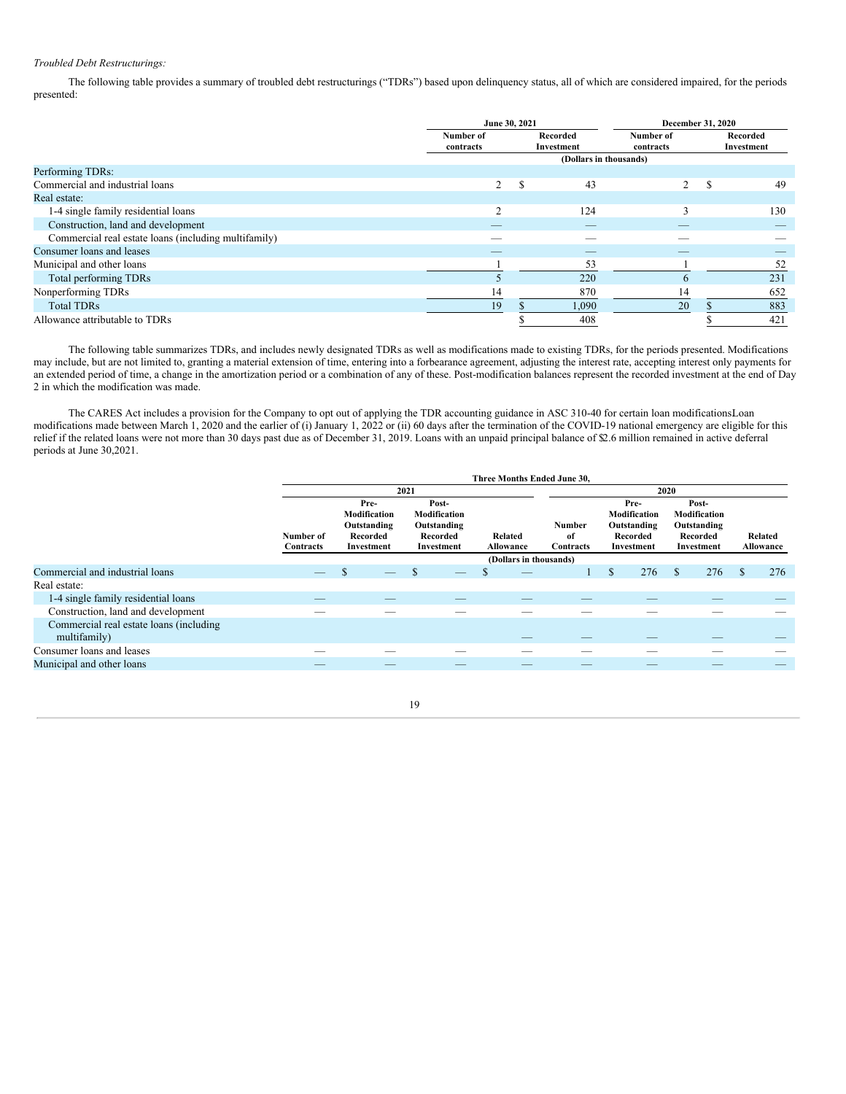# *Troubled Debt Restructurings:*

The following table provides a summary of troubled debt restructurings ("TDRs") based upon delinquency status, all of which are considered impaired, for the periods presented:

|                                                      | June 30, 2021            |                        |                        | December 31, 2020      |   |                        |
|------------------------------------------------------|--------------------------|------------------------|------------------------|------------------------|---|------------------------|
|                                                      | Number of<br>contracts   |                        | Recorded<br>Investment | Number of<br>contracts |   | Recorded<br>Investment |
|                                                      |                          | (Dollars in thousands) |                        |                        |   |                        |
| Performing TDRs:                                     |                          |                        |                        |                        |   |                        |
| Commercial and industrial loans                      | $\overline{2}$           | <sup>\$</sup>          | 43                     |                        | S | 49                     |
| Real estate:                                         |                          |                        |                        |                        |   |                        |
| 1-4 single family residential loans                  | $\mathcal{L}$            |                        | 124                    | 3                      |   | 130                    |
| Construction, land and development                   |                          |                        |                        |                        |   |                        |
| Commercial real estate loans (including multifamily) |                          |                        |                        |                        |   |                        |
| Consumer loans and leases                            | $\overline{\phantom{a}}$ |                        |                        | _                      |   |                        |
| Municipal and other loans                            |                          |                        | 53                     |                        |   | 52                     |
| Total performing TDRs                                |                          |                        | 220                    | 6                      |   | 231                    |
| Nonperforming TDRs                                   | 14                       |                        | 870                    | 14                     |   | 652                    |
| <b>Total TDRs</b>                                    | 19                       |                        | 1,090                  | 20                     |   | 883                    |
| Allowance attributable to TDRs                       |                          |                        | 408                    |                        |   | 421                    |

The following table summarizes TDRs, and includes newly designated TDRs as well as modifications made to existing TDRs, for the periods presented. Modifications may include, but are not limited to, granting a material extension of time, entering into a forbearance agreement, adjusting the interest rate, accepting interest only payments for an extended period of time, a change in the amortization period or a combination of any of these. Post-modification balances represent the recorded investment at the end of Day 2 in which the modification was made.

The CARES Act includes a provision for the Company to opt out of applying the TDR accounting guidance in ASC 310-40 for certain loan modificationsLoan modifications made between March 1, 2020 and the earlier of (i) January 1, 2022 or (ii) 60 days after the termination of the COVID-19 national emergency are eligible for this relief if the related loans were not more than 30 days past due as of December 31, 2019. Loans with an unpaid principal balance of \$2.6 million remained in active deferral periods at June 30,2021.

|                                                          |                                                                                                                                                           |               |                      | Three Months Ended June 30, |                                                               |                                                                |                      |                      |  |  |  |
|----------------------------------------------------------|-----------------------------------------------------------------------------------------------------------------------------------------------------------|---------------|----------------------|-----------------------------|---------------------------------------------------------------|----------------------------------------------------------------|----------------------|----------------------|--|--|--|
|                                                          |                                                                                                                                                           |               | 2021                 |                             |                                                               | 2020                                                           |                      |                      |  |  |  |
|                                                          | Pre-<br>Post-<br>Modification<br>Modification<br>Outstanding<br>Outstanding<br>Number of<br>Recorded<br>Recorded<br>Contracts<br>Investment<br>Investment |               | Related<br>Allowance | Number<br>of<br>Contracts   | Pre-<br>Modification<br>Outstanding<br>Recorded<br>Investment | Post-<br>Modification<br>Outstanding<br>Recorded<br>Investment | Related<br>Allowance |                      |  |  |  |
|                                                          |                                                                                                                                                           |               |                      | (Dollars in thousands)      |                                                               |                                                                |                      |                      |  |  |  |
| Commercial and industrial loans                          | $\overline{\phantom{m}}$                                                                                                                                  | <sup>\$</sup> |                      |                             |                                                               | 276<br>S.                                                      | 276<br><sup>\$</sup> | 276<br><sup>\$</sup> |  |  |  |
| Real estate:                                             |                                                                                                                                                           |               |                      |                             |                                                               |                                                                |                      |                      |  |  |  |
| 1-4 single family residential loans                      | $-$                                                                                                                                                       | __            |                      |                             |                                                               |                                                                |                      |                      |  |  |  |
| Construction, land and development                       |                                                                                                                                                           |               |                      |                             |                                                               |                                                                |                      |                      |  |  |  |
| Commercial real estate loans (including)<br>multifamily) |                                                                                                                                                           |               |                      | _                           | _                                                             |                                                                | _                    |                      |  |  |  |
| Consumer loans and leases                                |                                                                                                                                                           |               |                      |                             |                                                               |                                                                |                      |                      |  |  |  |
| Municipal and other loans                                | --                                                                                                                                                        |               |                      | _                           | _                                                             |                                                                |                      |                      |  |  |  |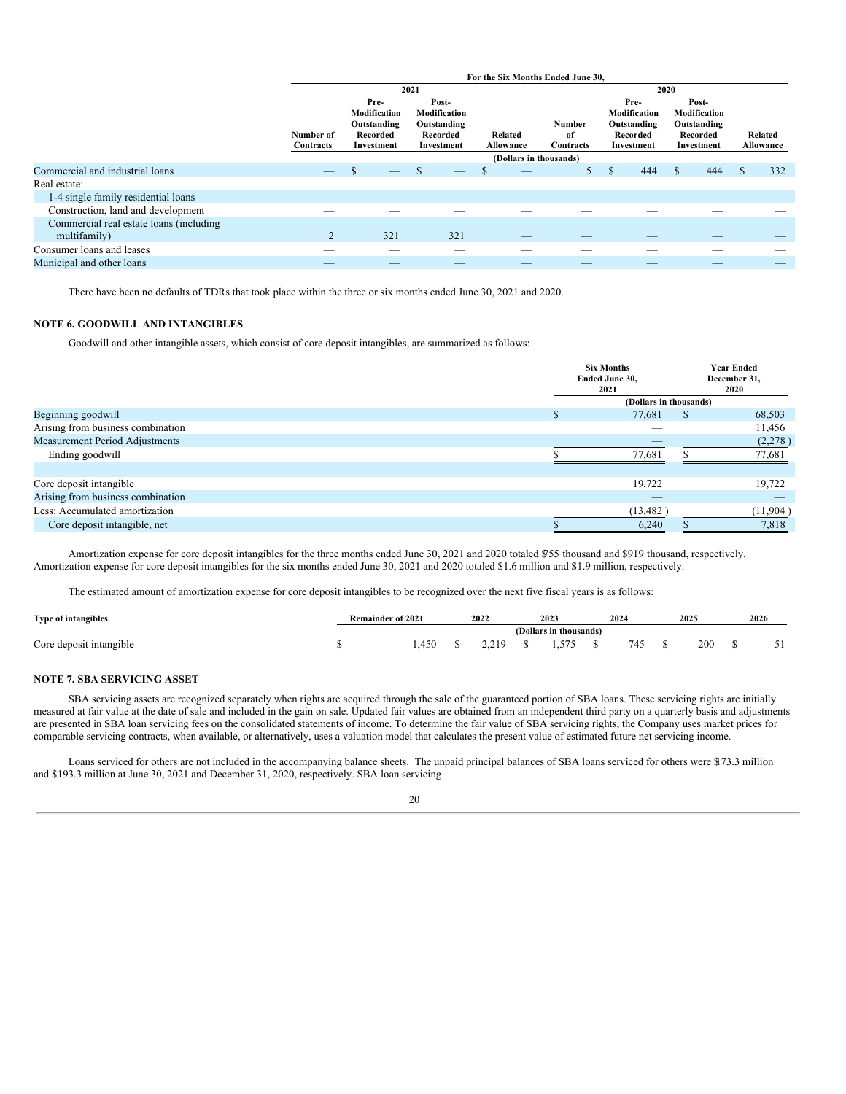|                | Pre-                     | Post-                                 |                                               |                             | Pre-                                                | Post-                                                                             |                                                                                      |
|----------------|--------------------------|---------------------------------------|-----------------------------------------------|-----------------------------|-----------------------------------------------------|-----------------------------------------------------------------------------------|--------------------------------------------------------------------------------------|
|                | Modification             | Modification                          |                                               |                             | Modification                                        |                                                                                   |                                                                                      |
|                |                          |                                       |                                               |                             |                                                     |                                                                                   |                                                                                      |
|                |                          |                                       |                                               |                             |                                                     |                                                                                   | Related<br>Allowance                                                                 |
|                |                          |                                       |                                               |                             |                                                     |                                                                                   |                                                                                      |
|                |                          |                                       |                                               |                             |                                                     |                                                                                   |                                                                                      |
|                | _                        | ъ                                     |                                               | 5                           | \$.                                                 |                                                                                   | 332                                                                                  |
|                |                          |                                       |                                               |                             |                                                     |                                                                                   |                                                                                      |
|                |                          |                                       |                                               |                             |                                                     |                                                                                   |                                                                                      |
|                |                          |                                       |                                               |                             |                                                     |                                                                                   |                                                                                      |
|                |                          |                                       |                                               |                             |                                                     |                                                                                   |                                                                                      |
| $\overline{2}$ | 321                      | 321                                   | $\overline{\phantom{a}}$                      |                             |                                                     |                                                                                   |                                                                                      |
|                |                          |                                       |                                               |                             |                                                     |                                                                                   |                                                                                      |
| _              | $\overline{\phantom{a}}$ | __                                    | _                                             | __                          |                                                     | __                                                                                |                                                                                      |
|                | Number of<br>Contracts   | Outstanding<br>Recorded<br>Investment | 2021<br>Outstanding<br>Recorded<br>Investment | Related<br><b>Allowance</b> | Number<br>of<br>Contracts<br>(Dollars in thousands) | For the Six Months Ended June 30,<br>Outstanding<br>Recorded<br>Investment<br>444 | 2020<br>Modification<br>Outstanding<br>Recorded<br>Investment<br>$\mathbf{s}$<br>444 |

There have been no defaults of TDRs that took place within the three or six months ended June 30, 2021 and 2020.

# **NOTE 6. GOODWILL AND INTANGIBLES**

Goodwill and other intangible assets, which consist of core deposit intangibles, are summarized as follows:

|                                   | <b>Six Months</b><br>Ended June 30,<br>2021 |                                                                                                | <b>Year Ended</b><br>2020 |  |  |
|-----------------------------------|---------------------------------------------|------------------------------------------------------------------------------------------------|---------------------------|--|--|
|                                   |                                             | December 31,<br>(Dollars in thousands)<br>68,503<br>S<br>11,456<br>(2,278)<br>77,681<br>19,722 |                           |  |  |
| Beginning goodwill                | 77.681                                      |                                                                                                |                           |  |  |
| Arising from business combination |                                             |                                                                                                |                           |  |  |
| Measurement Period Adjustments    | _                                           |                                                                                                |                           |  |  |
| Ending goodwill                   | 77,681                                      |                                                                                                |                           |  |  |
| Core deposit intangible           | 19,722                                      |                                                                                                |                           |  |  |
| Arising from business combination | _                                           |                                                                                                |                           |  |  |
| Less: Accumulated amortization    | (13, 482)                                   |                                                                                                | (11,904)                  |  |  |
| Core deposit intangible, net      | 6,240                                       |                                                                                                | 7,818                     |  |  |

Amortization expense for core deposit intangibles for the three months ended June 30, 2021 and 2020 totaled \$755 thousand and \$919 thousand, respectively. Amortization expense for core deposit intangibles for the six months ended June 30, 2021 and 2020 totaled \$1.6 million and \$1.9 million, respectively.

The estimated amount of amortization expense for core deposit intangibles to be recognized over the next five fiscal years is as follows:

| Type of intangibles     | <b>Remainder of 2021</b> |      | 2022  | 2023 |                        | 2024 | 2025 | 2026 |
|-------------------------|--------------------------|------|-------|------|------------------------|------|------|------|
|                         |                          |      |       |      | (Dollars in thousands) |      |      |      |
| Core deposit intangible |                          | .450 | 2.219 |      | . 575                  | 745  | 200  | ◡    |

# **NOTE 7. SBA SERVICING ASSET**

SBA servicing assets are recognized separately when rights are acquired through the sale of the guaranteed portion of SBA loans. These servicing rights are initially measured at fair value at the date of sale and included in the gain on sale. Updated fair values are obtained from an independent third party on a quarterly basis and adjustments are presented in SBA loan servicing fees on the consolidated statements of income. To determine the fair value of SBA servicing rights, the Company uses market prices for comparable servicing contracts, when available, or alternatively, uses a valuation model that calculates the present value of estimated future net servicing income.

Loans serviced for others are not included in the accompanying balance sheets. The unpaid principal balances of SBA loans serviced for others were \$173.3 million and \$193.3 million at June 30, 2021 and December 31, 2020, respectively. SBA loan servicing

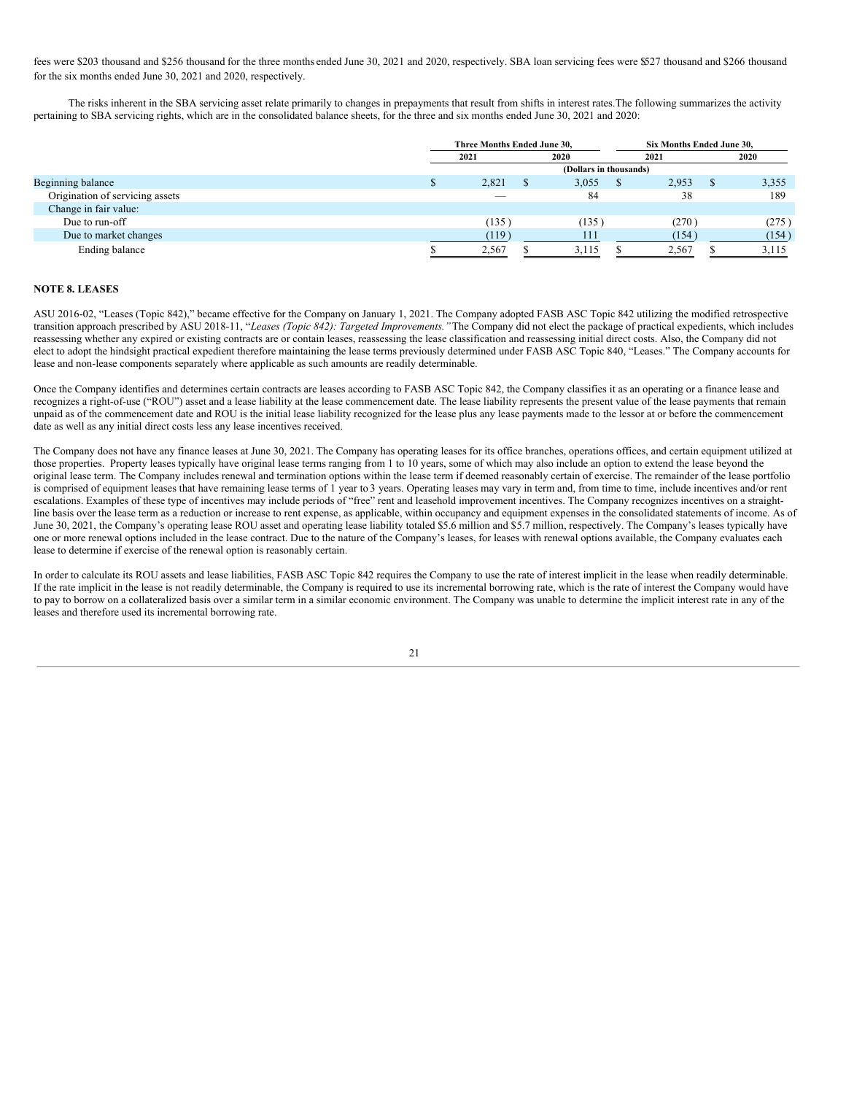fees were \$203 thousand and \$256 thousand for the three months ended June 30, 2021 and 2020, respectively. SBA loan servicing fees were \$527 thousand and \$266 thousand for the six months ended June 30, 2021 and 2020, respectively.

The risks inherent in the SBA servicing asset relate primarily to changes in prepayments that result from shifts in interest rates.The following summarizes the activity pertaining to SBA servicing rights, which are in the consolidated balance sheets, for the three and six months ended June 30, 2021 and 2020:

|                                 | Three Months Ended June 30, |  |                        | Six Months Ended June 30, |  |       |  |  |
|---------------------------------|-----------------------------|--|------------------------|---------------------------|--|-------|--|--|
|                                 | 2021                        |  | 2020                   | 2021                      |  |       |  |  |
|                                 |                             |  | (Dollars in thousands) |                           |  |       |  |  |
| Beginning balance               | 2.821                       |  | 3,055                  | 2,953                     |  | 3,355 |  |  |
| Origination of servicing assets |                             |  | 84                     | 38                        |  | 189   |  |  |
| Change in fair value:           |                             |  |                        |                           |  |       |  |  |
| Due to run-off                  | (135)                       |  | (135)                  | (270)                     |  | (275) |  |  |
| Due to market changes           | (119)                       |  | 111                    | (154)                     |  | (154) |  |  |
| Ending balance                  | 2,567                       |  | 3,115                  | 2,567                     |  | 3,115 |  |  |

# **NOTE 8. LEASES**

ASU 2016-02, "Leases (Topic 842)," became effective for the Company on January 1, 2021. The Company adopted FASB ASC Topic 842 utilizing the modified retrospective transition approach prescribed by ASU 2018-11, "*Leases (Topic 842): Targeted Improvements."*The Company did not elect the package of practical expedients, which includes reassessing whether any expired or existing contracts are or contain leases, reassessing the lease classification and reassessing initial direct costs. Also, the Company did not elect to adopt the hindsight practical expedient therefore maintaining the lease terms previously determined under FASB ASC Topic 840, "Leases." The Company accounts for lease and non-lease components separately where applicable as such amounts are readily determinable.

Once the Company identifies and determines certain contracts are leases according to FASB ASC Topic 842, the Company classifies it as an operating or a finance lease and recognizes a right-of-use ("ROU") asset and a lease liability at the lease commencement date. The lease liability represents the present value of the lease payments that remain unpaid as of the commencement date and ROU is the initial lease liability recognized for the lease plus any lease payments made to the lessor at or before the commencement date as well as any initial direct costs less any lease incentives received.

The Company does not have any finance leases at June 30, 2021. The Company has operating leases for its office branches, operations offices, and certain equipment utilized at those properties. Property leases typically have original lease terms ranging from 1 to 10 years, some of which may also include an option to extend the lease beyond the original lease term. The Company includes renewal and termination options within the lease term if deemed reasonably certain of exercise. The remainder of the lease portfolio is comprised of equipment leases that have remaining lease terms of 1 year to 3 years. Operating leases may vary in term and, from time to time, include incentives and/or rent escalations. Examples of these type of incentives may include periods of "free" rent and leasehold improvement incentives. The Company recognizes incentives on a straightline basis over the lease term as a reduction or increase to rent expense, as applicable, within occupancy and equipment expenses in the consolidated statements of income. As of June 30, 2021, the Company's operating lease ROU asset and operating lease liability totaled \$5.6 million and \$5.7 million, respectively. The Company's leases typically have one or more renewal options included in the lease contract. Due to the nature of the Company's leases, for leases with renewal options available, the Company evaluates each lease to determine if exercise of the renewal option is reasonably certain.

In order to calculate its ROU assets and lease liabilities, FASB ASC Topic 842 requires the Company to use the rate of interest implicit in the lease when readily determinable. If the rate implicit in the lease is not readily determinable, the Company is required to use its incremental borrowing rate, which is the rate of interest the Company would have to pay to borrow on a collateralized basis over a similar term in a similar economic environment. The Company was unable to determine the implicit interest rate in any of the leases and therefore used its incremental borrowing rate.

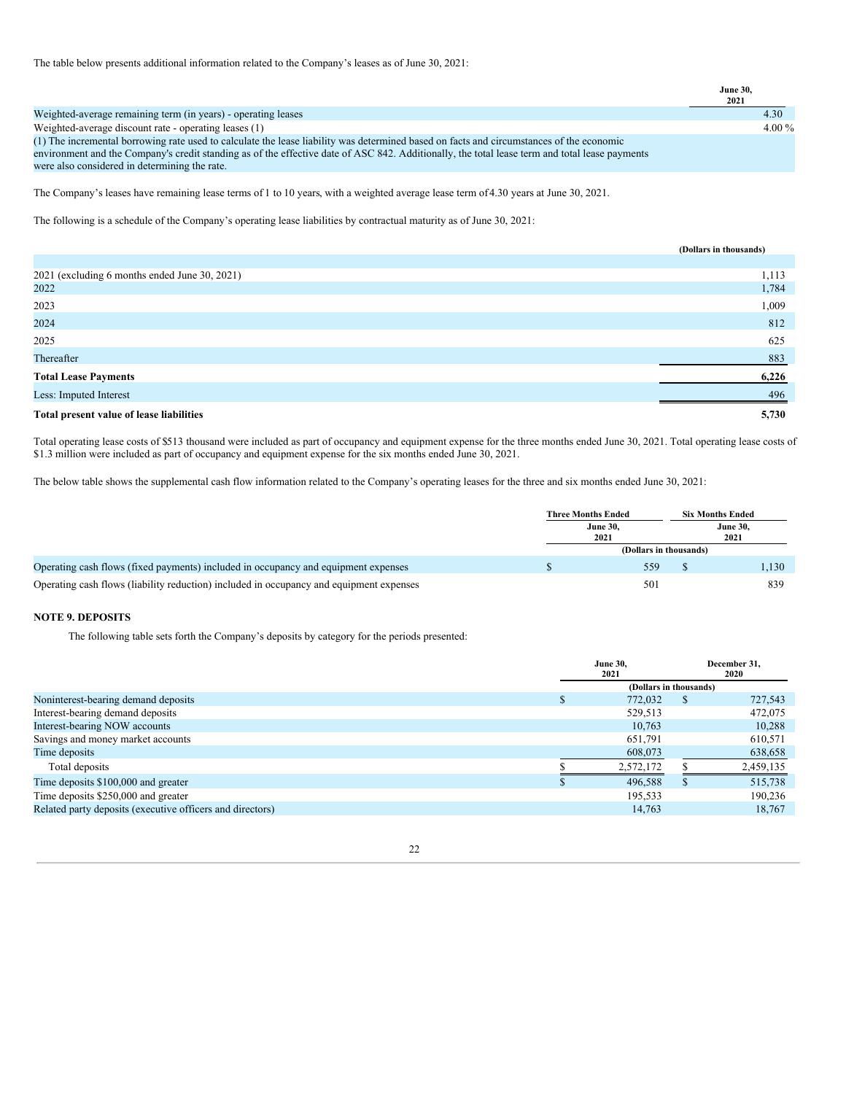|                                                                                                                                                | <b>June 30,</b><br>2021 |
|------------------------------------------------------------------------------------------------------------------------------------------------|-------------------------|
| Weighted-average remaining term (in years) - operating leases                                                                                  | 4.30                    |
| Weighted-average discount rate - operating leases (1)                                                                                          | 4.00 $%$                |
| (1) The incremental borrowing rate used to calculate the lease liability was determined based on facts and circumstances of the economic       |                         |
| environment and the Company's credit standing as of the effective date of ASC 842. Additionally, the total lease term and total lease payments |                         |
| were also considered in determining the rate.                                                                                                  |                         |

The Company's leases have remaining lease terms of 1 to 10 years, with a weighted average lease term of4.30 years at June 30, 2021.

The following is a schedule of the Company's operating lease liabilities by contractual maturity as of June 30, 2021:

|                                               | (Dollars in thousands) |
|-----------------------------------------------|------------------------|
|                                               |                        |
| 2021 (excluding 6 months ended June 30, 2021) | 1,113                  |
| 2022                                          | 1,784                  |
| 2023                                          | 1,009                  |
| 2024                                          | 812                    |
| 2025                                          | 625                    |
| Thereafter                                    | 883                    |
| <b>Total Lease Payments</b>                   | 6,226                  |
| Less: Imputed Interest                        | 496                    |
| Total present value of lease liabilities      | 5,730                  |

Total operating lease costs of \$513 thousand were included as part of occupancy and equipment expense for the three months ended June 30, 2021. Total operating lease costs of \$1.3 million were included as part of occupancy and equipment expense for the six months ended June 30, 2021.

The below table shows the supplemental cash flow information related to the Company's operating leases for the three and six months ended June 30, 2021:

|                                                                                         | <b>Three Months Ended</b> |                         | <b>Six Months Ended</b> |                         |  |
|-----------------------------------------------------------------------------------------|---------------------------|-------------------------|-------------------------|-------------------------|--|
|                                                                                         |                           | <b>June 30,</b><br>2021 |                         | <b>June 30,</b><br>2021 |  |
|                                                                                         |                           |                         |                         |                         |  |
| Operating cash flows (fixed payments) included in occupancy and equipment expenses      |                           | 559                     |                         | 1.130                   |  |
| Operating cash flows (liability reduction) included in occupancy and equipment expenses |                           | 501                     |                         | 839                     |  |

# **NOTE 9. DEPOSITS**

The following table sets forth the Company's deposits by category for the periods presented:

|                                                           | <b>June 30.</b><br>2021 |              | December 31,<br>2020 |
|-----------------------------------------------------------|-------------------------|--------------|----------------------|
|                                                           | (Dollars in thousands)  |              |                      |
| Noninterest-bearing demand deposits                       | 772,032                 | <sup>S</sup> | 727,543              |
| Interest-bearing demand deposits                          | 529,513                 |              | 472,075              |
| Interest-bearing NOW accounts                             | 10.763                  |              | 10.288               |
| Savings and money market accounts                         | 651,791                 |              | 610,571              |
| Time deposits                                             | 608,073                 |              | 638,658              |
| Total deposits                                            | 2,572,172               |              | 2,459,135            |
| Time deposits \$100,000 and greater                       | 496,588                 | S.           | 515,738              |
| Time deposits \$250,000 and greater                       | 195,533                 |              | 190.236              |
| Related party deposits (executive officers and directors) | 14,763                  |              | 18,767               |
|                                                           |                         |              |                      |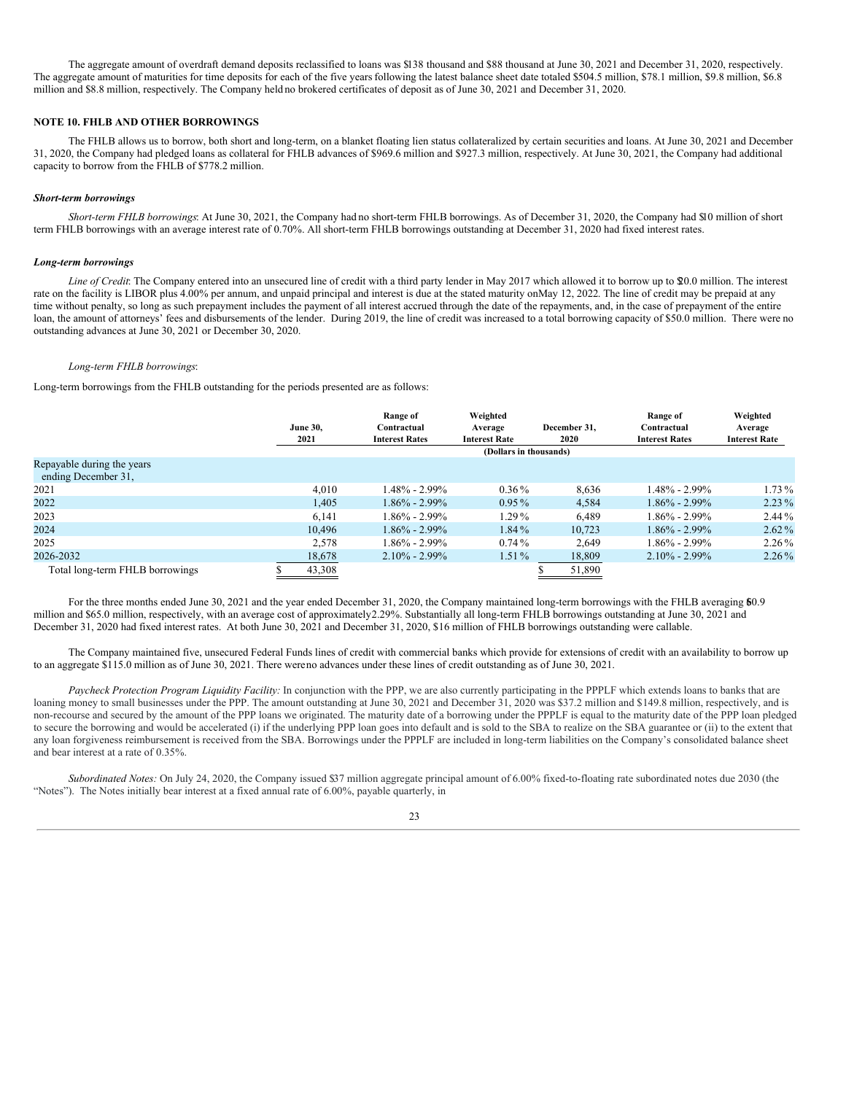The aggregate amount of overdraft demand deposits reclassified to loans was \$138 thousand and \$88 thousand at June 30, 2021 and December 31, 2020, respectively. The aggregate amount of maturities for time deposits for each of the five years following the latest balance sheet date totaled \$504.5 million, \$78.1 million, \$9.8 million, \$9.8 million, \$6.8 million and \$8.8 million, respectively. The Company held no brokered certificates of deposit as of June 30, 2021 and December 31, 2020.

# **NOTE 10. FHLB AND OTHER BORROWINGS**

The FHLB allows us to borrow, both short and long-term, on a blanket floating lien status collateralized by certain securities and loans. At June 30, 2021 and December 31, 2020, the Company had pledged loans as collateral for FHLB advances of \$969.6 million and \$927.3 million, respectively. At June 30, 2021, the Company had additional capacity to borrow from the FHLB of \$778.2 million.

# *Short-term borrowings*

*Short-term FHLB borrowings*: At June 30, 2021, the Company had no short-term FHLB borrowings. As of December 31, 2020, the Company had \$10 million of short term FHLB borrowings with an average interest rate of 0.70%. All short-term FHLB borrowings outstanding at December 31, 2020 had fixed interest rates.

#### *Long-term borrowings*

*Line of Credit*: The Company entered into an unsecured line of credit with a third party lender in May 2017 which allowed it to borrow up to \$20.0 million. The interest rate on the facility is LIBOR plus 4.00% per annum, and unpaid principal and interest is due at the stated maturity onMay 12, 2022. The line of credit may be prepaid at any time without penalty, so long as such prepayment includes the payment of all interest accrued through the date of the repayments, and, in the case of prepayment of the entire loan, the amount of attorneys' fees and disbursements of the lender. During 2019, the line of credit was increased to a total borrowing capacity of \$50.0 million. There were no outstanding advances at June 30, 2021 or December 30, 2020.

# *Long-term FHLB borrowings*:

Long-term borrowings from the FHLB outstanding for the periods presented are as follows:

|                                                   | <b>June 30.</b><br>2021 | Range of<br>Contractual<br><b>Interest Rates</b> | Weighted<br>Average<br><b>Interest Rate</b> | December 31.<br>2020 | Range of<br>Contractual<br><b>Interest Rates</b> | Weighted<br>Average<br><b>Interest Rate</b> |
|---------------------------------------------------|-------------------------|--------------------------------------------------|---------------------------------------------|----------------------|--------------------------------------------------|---------------------------------------------|
|                                                   |                         |                                                  | (Dollars in thousands)                      |                      |                                                  |                                             |
| Repayable during the years<br>ending December 31, |                         |                                                  |                                             |                      |                                                  |                                             |
| 2021                                              | 4.010                   | $1.48\% - 2.99\%$                                | $0.36\%$                                    | 8.636                | $1.48\% - 2.99\%$                                | 1.73 %                                      |
| 2022                                              | 1.405                   | 1.86% - 2.99%                                    | $0.95\%$                                    | 4.584                | $1.86\% - 2.99\%$                                | $2.23\%$                                    |
| 2023                                              | 6.141                   | $1.86\% - 2.99\%$                                | 1.29%                                       | 6.489                | $1.86\%$ - 2.99%                                 | $2.44\%$                                    |
| 2024                                              | 10.496                  | $1.86\% - 2.99\%$                                | $1.84\%$                                    | 10.723               | $1.86\% - 2.99\%$                                | $2.62\%$                                    |
| 2025                                              | 2,578                   | $1.86\% - 2.99\%$                                | $0.74\%$                                    | 2,649                | 1.86% - 2.99%                                    | $2.26\%$                                    |
| 2026-2032                                         | 18,678                  | $2.10\% - 2.99\%$                                | $1.51\%$                                    | 18,809               | $2.10\% - 2.99\%$                                | $2.26\%$                                    |
| Total long-term FHLB borrowings                   | 43,308                  |                                                  |                                             | 51,890               |                                                  |                                             |

For the three months ended June 30, 2021 and the year ended December 31, 2020, the Company maintained long-term borrowings with the FHLB averaging 60.9 million and \$65.0 million, respectively, with an average cost of approximately2.29%. Substantially all long-term FHLB borrowings outstanding at June 30, 2021 and December 31, 2020 had fixed interest rates. At both June 30, 2021 and December 31, 2020, \$16 million of FHLB borrowings outstanding were callable.

The Company maintained five, unsecured Federal Funds lines of credit with commercial banks which provide for extensions of credit with an availability to borrow up to an aggregate \$115.0 million as of June 30, 2021. There wereno advances under these lines of credit outstanding as of June 30, 2021.

*Paycheck Protection Program Liquidity Facility:* In conjunction with the PPP, we are also currently participating in the PPPLF which extends loans to banks that are loaning money to small businesses under the PPP. The amount outstanding at June 30, 2021 and December 31, 2020 was \$37.2 million and \$149.8 million, respectively, and is non-recourse and secured by the amount of the PPP loans we originated. The maturity date of a borrowing under the PPPLF is equal to the maturity date of the PPP loan pledged to secure the borrowing and would be accelerated (i) if the underlying PPP loan goes into default and is sold to the SBA to realize on the SBA guarantee or (ii) to the extent that any loan forgiveness reimbursement is received from the SBA. Borrowings under the PPPLF are included in long-term liabilities on the Company's consolidated balance sheet and bear interest at a rate of 0.35%.

*Subordinated Notes:* On July 24, 2020, the Company issued \$37 million aggregate principal amount of 6.00% fixed-to-floating rate subordinated notes due 2030 (the "Notes"). The Notes initially bear interest at a fixed annual rate of 6.00%, payable quarterly, in

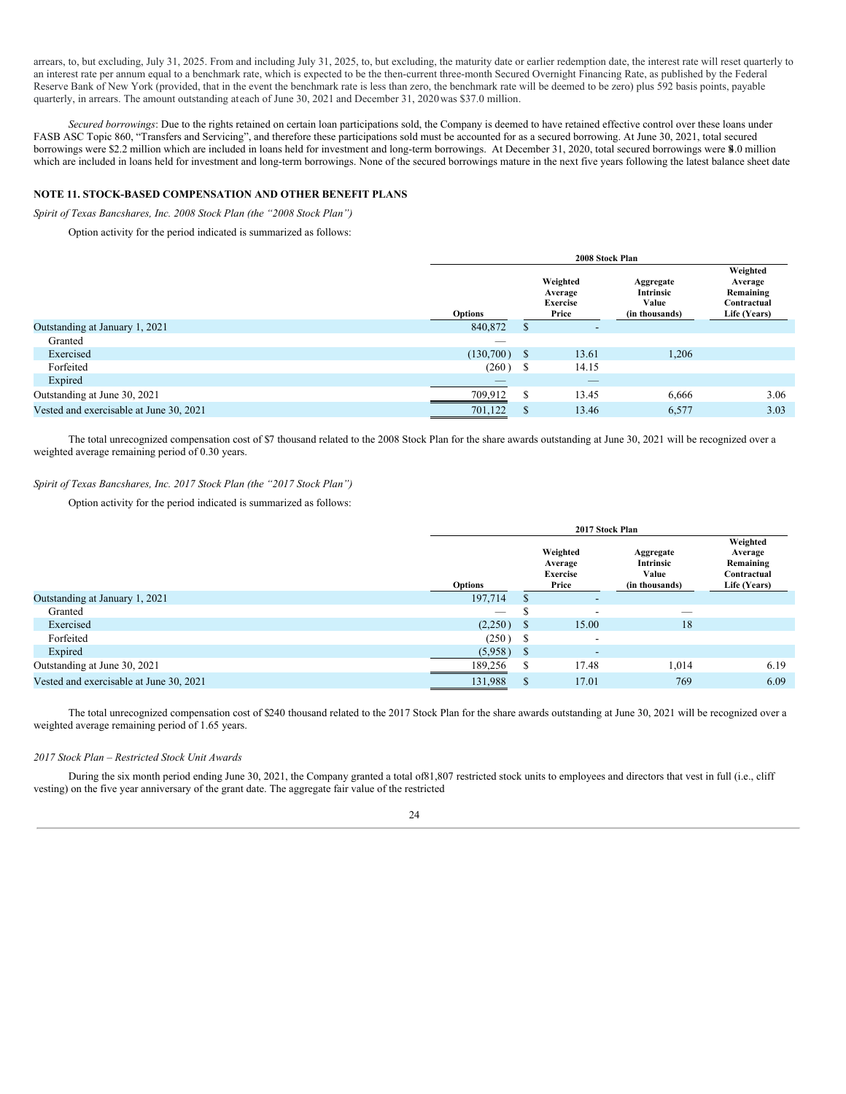arrears, to, but excluding, July 31, 2025. From and including July 31, 2025, to, but excluding, the maturity date or earlier redemption date, the interest rate will reset quarterly to an interest rate per annum equal to a benchmark rate, which is expected to be the then-current three-month Secured Overnight Financing Rate, as published by the Federal Reserve Bank of New York (provided, that in the event the benchmark rate is less than zero, the benchmark rate will be deemed to be zero) plus 592 basis points, payable quarterly, in arrears. The amount outstanding ateach of June 30, 2021 and December 31, 2020was \$37.0 million.

*Secured borrowings*: Due to the rights retained on certain loan participations sold, the Company is deemed to have retained effective control over these loans under FASB ASC Topic 860, "Transfers and Servicing", and therefore these participations sold must be accounted for as a secured borrowing. At June 30, 2021, total secured borrowings were \$2.2 million which are included in loans held for investment and long-term borrowings. At December 31, 2020, total secured borrowings were \$4.0 million which are included in loans held for investment and long-term borrowings. None of the secured borrowings mature in the next five years following the latest balance sheet date*.*

# **NOTE 11. STOCK-BASED COMPENSATION AND OTHER BENEFIT PLANS**

*Spirit of Texas Bancshares, Inc. 2008 Stock Plan (the "2008 Stock Plan")*

Option activity for the period indicated is summarized as follows:

|                                         | 2008 Stock Plan |          |                                                 |                                                   |                                                                 |
|-----------------------------------------|-----------------|----------|-------------------------------------------------|---------------------------------------------------|-----------------------------------------------------------------|
|                                         | <b>Options</b>  |          | Weighted<br>Average<br><b>Exercise</b><br>Price | Aggregate<br>Intrinsic<br>Value<br>(in thousands) | Weighted<br>Average<br>Remaining<br>Contractual<br>Life (Years) |
| Outstanding at January 1, 2021          | 840,872         | S        | $\overline{\phantom{a}}$                        |                                                   |                                                                 |
| Granted                                 |                 |          |                                                 |                                                   |                                                                 |
| Exercised                               | (130,700)       | - \$     | 13.61                                           | 1,206                                             |                                                                 |
| Forfeited                               | $(260)$ \$      |          | 14.15                                           |                                                   |                                                                 |
| Expired                                 | __              |          | $\overline{\phantom{a}}$                        |                                                   |                                                                 |
| Outstanding at June 30, 2021            | 709,912         | \$.      | 13.45                                           | 6,666                                             | 3.06                                                            |
| Vested and exercisable at June 30, 2021 | 701,122         | <b>S</b> | 13.46                                           | 6,577                                             | 3.03                                                            |

The total unrecognized compensation cost of \$7 thousand related to the 2008 Stock Plan for the share awards outstanding at June 30, 2021 will be recognized over a weighted average remaining period of 0.30 years.

# *Spirit of Texas Bancshares, Inc. 2017 Stock Plan (the "2017 Stock Plan")*

Option activity for the period indicated is summarized as follows:

|                                         |                | 2017 Stock Plan |                                                 |                                                   |                                                                 |  |
|-----------------------------------------|----------------|-----------------|-------------------------------------------------|---------------------------------------------------|-----------------------------------------------------------------|--|
|                                         | <b>Options</b> |                 | Weighted<br>Average<br><b>Exercise</b><br>Price | Aggregate<br>Intrinsic<br>Value<br>(in thousands) | Weighted<br>Average<br>Remaining<br>Contractual<br>Life (Years) |  |
| Outstanding at January 1, 2021          | 197,714        | <b>S</b>        |                                                 |                                                   |                                                                 |  |
| Granted                                 | _              |                 | $\overline{\phantom{a}}$                        | _                                                 |                                                                 |  |
| Exercised                               | (2,250)        | $\sqrt{s}$      | 15.00                                           | 18                                                |                                                                 |  |
| Forfeited                               | (250)          | - S             | $\overline{\phantom{a}}$                        |                                                   |                                                                 |  |
| Expired                                 | (5,958)        | -S              | $\overline{\phantom{a}}$                        |                                                   |                                                                 |  |
| Outstanding at June 30, 2021            | 189,256        | \$              | 17.48                                           | 1,014                                             | 6.19                                                            |  |
| Vested and exercisable at June 30, 2021 | 131,988        | S               | 17.01                                           | 769                                               | 6.09                                                            |  |

The total unrecognized compensation cost of \$240 thousand related to the 2017 Stock Plan for the share awards outstanding at June 30, 2021 will be recognized over a weighted average remaining period of 1.65 years.

# *2017 Stock Plan – Restricted Stock Unit Awards*

During the six month period ending June 30, 2021, the Company granted a total of81,807 restricted stock units to employees and directors that vest in full (i.e., cliff vesting) on the five year anniversary of the grant date. The aggregate fair value of the restricted

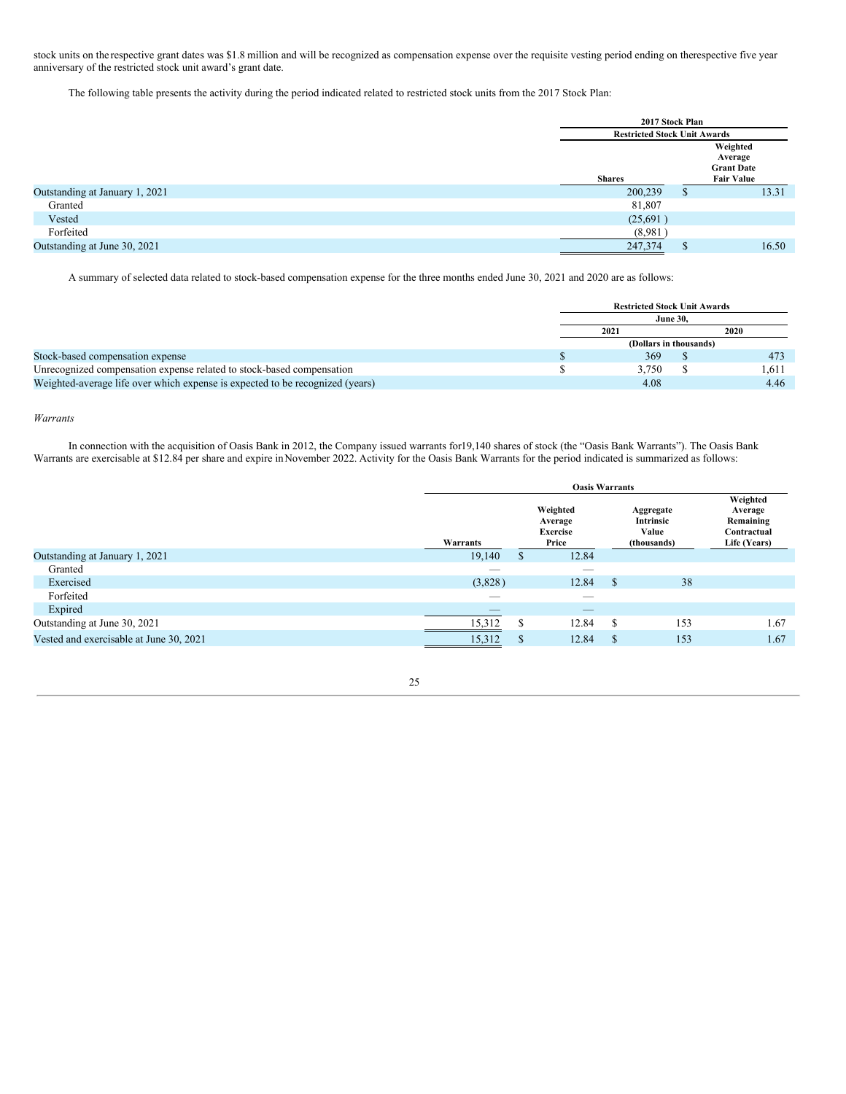stock units on the respective grant dates was \$1.8 million and will be recognized as compensation expense over the requisite vesting period ending on the respective five year anniversary of the restricted stock unit award's grant date.

The following table presents the activity during the period indicated related to restricted stock units from the 2017 Stock Plan:

|                                | 2017 Stock Plan                     |   |                                                               |  |
|--------------------------------|-------------------------------------|---|---------------------------------------------------------------|--|
|                                | <b>Restricted Stock Unit Awards</b> |   |                                                               |  |
|                                | <b>Shares</b>                       |   | Weighted<br>Average<br><b>Grant Date</b><br><b>Fair Value</b> |  |
| Outstanding at January 1, 2021 | 200,239                             | ъ | 13.31                                                         |  |
| Granted                        | 81,807                              |   |                                                               |  |
| Vested                         | (25,691)                            |   |                                                               |  |
| Forfeited                      | (8,981)                             |   |                                                               |  |
| Outstanding at June 30, 2021   | 247,374                             | ъ | 16.50                                                         |  |

A summary of selected data related to stock-based compensation expense for the three months ended June 30, 2021 and 2020 are as follows:

|                                                                               | <b>Restricted Stock Unit Awards</b> |      |       |  |  |
|-------------------------------------------------------------------------------|-------------------------------------|------|-------|--|--|
|                                                                               | <b>June 30.</b>                     |      |       |  |  |
|                                                                               | 2021                                | 2020 |       |  |  |
|                                                                               | (Dollars in thousands)              |      |       |  |  |
| Stock-based compensation expense                                              | 369                                 |      | 473   |  |  |
| Unrecognized compensation expense related to stock-based compensation         | 3.750                               |      | 1,611 |  |  |
| Weighted-average life over which expense is expected to be recognized (years) | 4.08                                |      | 4.46  |  |  |

# *Warrants*

In connection with the acquisition of Oasis Bank in 2012, the Company issued warrants for19,140 shares of stock (the "Oasis Bank Warrants"). The Oasis Bank Warrants are exercisable at \$12.84 per share and expire in November 2022. Activity for the Oasis Bank Warrants for the period indicated is summarized as follows:

|                                         | <b>Oasis Warrants</b> |    |                                                 |               |                                                |                                                                 |
|-----------------------------------------|-----------------------|----|-------------------------------------------------|---------------|------------------------------------------------|-----------------------------------------------------------------|
|                                         | Warrants              |    | Weighted<br>Average<br><b>Exercise</b><br>Price |               | Aggregate<br>Intrinsic<br>Value<br>(thousands) | Weighted<br>Average<br>Remaining<br>Contractual<br>Life (Years) |
| Outstanding at January 1, 2021          | 19,140                | \$ | 12.84                                           |               |                                                |                                                                 |
| Granted                                 |                       |    |                                                 |               |                                                |                                                                 |
| Exercised                               | (3,828)               |    | 12.84                                           | <sup>\$</sup> | 38                                             |                                                                 |
| Forfeited                               |                       |    |                                                 |               |                                                |                                                                 |
| Expired                                 | $-$                   |    | $\overline{\phantom{a}}$                        |               |                                                |                                                                 |
| Outstanding at June 30, 2021            | 15,312                | \$ | 12.84                                           | <sup>\$</sup> | 153                                            | 1.67                                                            |
| Vested and exercisable at June 30, 2021 | 15,312                | \$ | 12.84                                           | \$            | 153                                            | 1.67                                                            |

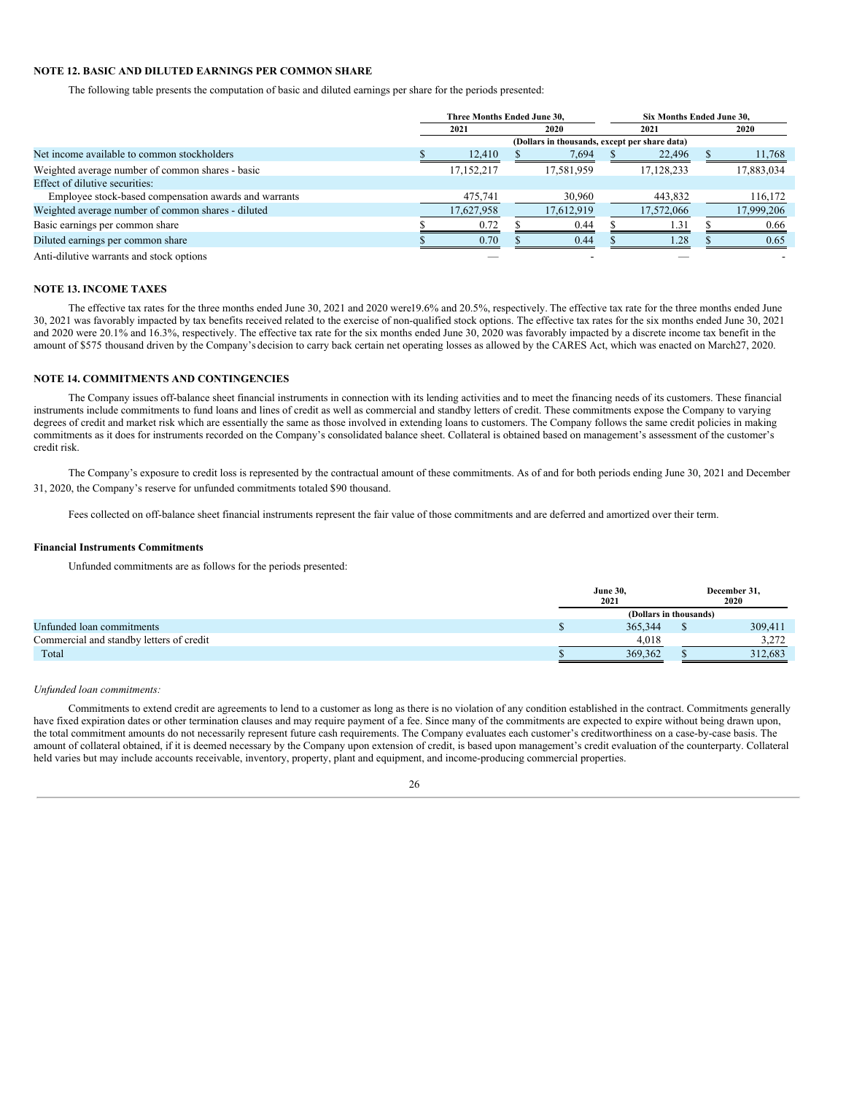# **NOTE 12. BASIC AND DILUTED EARNINGS PER COMMON SHARE**

The following table presents the computation of basic and diluted earnings per share for the periods presented:

|                                                       | Three Months Ended June 30. |  | Six Months Ended June 30,                     |  |              |  |            |
|-------------------------------------------------------|-----------------------------|--|-----------------------------------------------|--|--------------|--|------------|
|                                                       | 2021                        |  | 2020                                          |  | 2021         |  | 2020       |
|                                                       |                             |  | (Dollars in thousands, except per share data) |  |              |  |            |
| Net income available to common stockholders           | 12,410                      |  | 7,694                                         |  | 22,496       |  | 11,768     |
| Weighted average number of common shares - basic      | 17,152,217                  |  | 17,581,959                                    |  | 17, 128, 233 |  | 17,883,034 |
| Effect of dilutive securities:                        |                             |  |                                               |  |              |  |            |
| Employee stock-based compensation awards and warrants | 475,741                     |  | 30,960                                        |  | 443,832      |  | 116,172    |
| Weighted average number of common shares - diluted    | 17,627,958                  |  | 17,612,919                                    |  | 17,572,066   |  | 17,999,206 |
| Basic earnings per common share                       | 0.72                        |  | 0.44                                          |  | 1.31         |  | 0.66       |
| Diluted earnings per common share                     | 0.70                        |  | 0.44                                          |  | 1.28         |  | 0.65       |
| Anti-dilutive warrants and stock options              |                             |  |                                               |  |              |  |            |

# **NOTE 13. INCOME TAXES**

The effective tax rates for the three months ended June 30, 2021 and 2020 were19.6% and 20.5%, respectively. The effective tax rate for the three months ended June 30, 2021 was favorably impacted by tax benefits received related to the exercise of non-qualified stock options. The effective tax rates for the six months ended June 30, 2021 and 2020 were 20.1% and  $16.3\%$ , respectively. The effective tax rate for the six months ended June 30, 2020 was favorably impacted by a discrete income tax benefit in the amount of \$575 thousand driven by the Company's decision to carry back certain net operating losses as allowed by the CARES Act, which was enacted on March27, 2020.

# **NOTE 14. COMMITMENTS AND CONTINGENCIES**

The Company issues off-balance sheet financial instruments in connection with its lending activities and to meet the financing needs of its customers. These financial instruments include commitments to fund loans and lines of credit as well as commercial and standby letters of credit. These commitments expose the Company to varying degrees of credit and market risk which are essentially the same as those involved in extending loans to customers. The Company follows the same credit policies in making commitments as it does for instruments recorded on the Company's consolidated balance sheet. Collateral is obtained based on management's assessment of the customer's credit risk.

The Company's exposure to credit loss is represented by the contractual amount of these commitments. As of and for both periods ending June 30, 2021 and December 31, 2020, the Company's reserve for unfunded commitments totaled \$90 thousand.

Fees collected on off-balance sheet financial instruments represent the fair value of those commitments and are deferred and amortized over their term.

# **Financial Instruments Commitments**

Unfunded commitments are as follows for the periods presented:

|                                          | <b>June 30,</b> |                        | December 31, |  |  |
|------------------------------------------|-----------------|------------------------|--------------|--|--|
|                                          | 2021            |                        | 2020         |  |  |
|                                          |                 | (Dollars in thousands) |              |  |  |
| Unfunded loan commitments                | 365,344         |                        | 309.411      |  |  |
| Commercial and standby letters of credit |                 | 4.018                  | 3.272        |  |  |
| Total                                    | 369,362         |                        | 312.683      |  |  |

### *Unfunded loan commitments:*

Commitments to extend credit are agreements to lend to a customer as long as there is no violation of any condition established in the contract. Commitments generally have fixed expiration dates or other termination clauses and may require payment of a fee. Since many of the commitments are expected to expire without being drawn upon, the total commitment amounts do not necessarily represent future cash requirements. The Company evaluates each customer's creditworthiness on a case-by-case basis. The amount of collateral obtained, if it is deemed necessary by the Company upon extension of credit, is based upon management's credit evaluation of the counterparty. Collateral held varies but may include accounts receivable, inventory, property, plant and equipment, and income-producing commercial properties.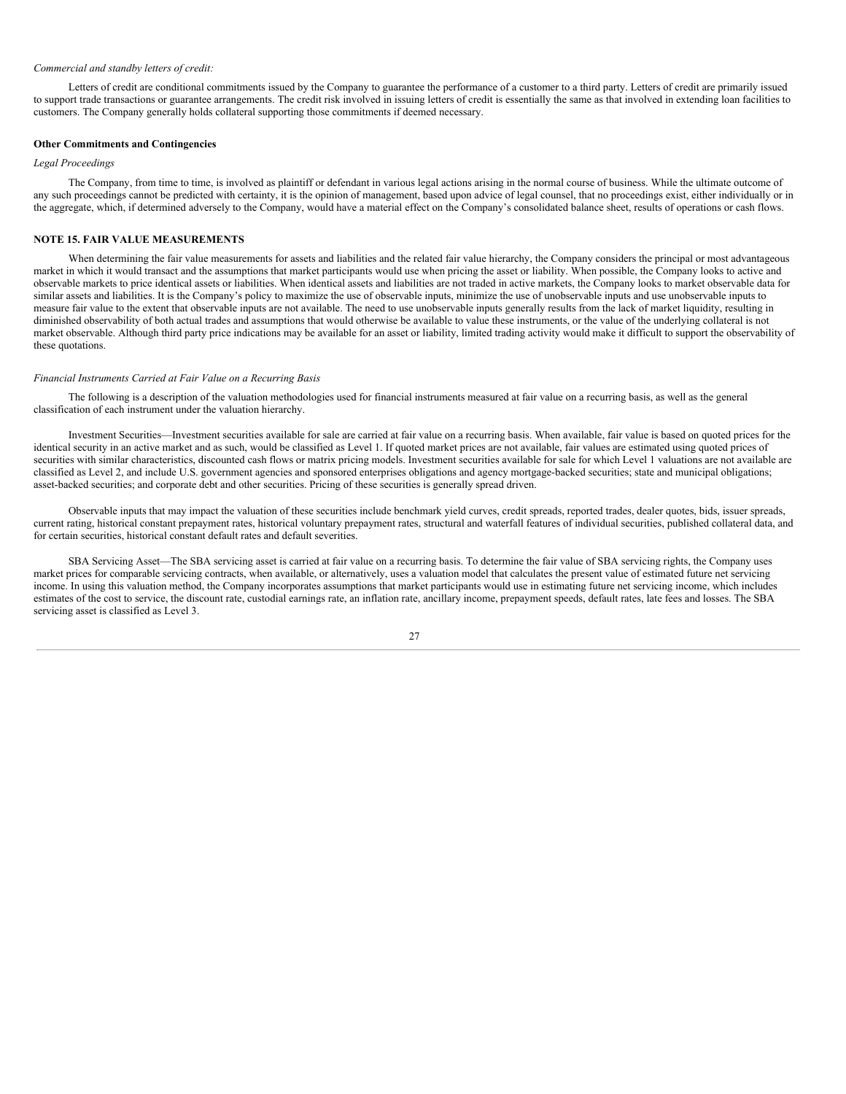#### *Commercial and standby letters of credit:*

Letters of credit are conditional commitments issued by the Company to guarantee the performance of a customer to a third party. Letters of credit are primarily issued to support trade transactions or guarantee arrangements. The credit risk involved in issuing letters of credit is essentially the same as that involved in extending loan facilities to customers. The Company generally holds collateral supporting those commitments if deemed necessary.

# **Other Commitments and Contingencies**

## *Legal Proceedings*

The Company, from time to time, is involved as plaintiff or defendant in various legal actions arising in the normal course of business. While the ultimate outcome of any such proceedings cannot be predicted with certainty, it is the opinion of management, based upon advice of legal counsel, that no proceedings exist, either individually or in the aggregate, which, if determined adversely to the Company, would have a material effect on the Company's consolidated balance sheet, results of operations or cash flows.

#### **NOTE 15. FAIR VALUE MEASUREMENTS**

When determining the fair value measurements for assets and liabilities and the related fair value hierarchy, the Company considers the principal or most advantageous market in which it would transact and the assumptions that market participants would use when pricing the asset or liability. When possible, the Company looks to active and observable markets to price identical assets or liabilities. When identical assets and liabilities are not traded in active markets, the Company looks to market observable data for similar assets and liabilities. It is the Company's policy to maximize the use of observable inputs, minimize the use of unobservable inputs and use unobservable inputs to measure fair value to the extent that observable inputs are not available. The need to use unobservable inputs generally results from the lack of market liquidity, resulting in diminished observability of both actual trades and assumptions that would otherwise be available to value these instruments, or the value of the underlying collateral is not market observable. Although third party price indications may be available for an asset or liability, limited trading activity would make it difficult to support the observability of these quotations.

# *Financial Instruments Carried at Fair Value on a Recurring Basis*

The following is a description of the valuation methodologies used for financial instruments measured at fair value on a recurring basis, as well as the general classification of each instrument under the valuation hierarchy.

Investment Securities—Investment securities available for sale are carried at fair value on a recurring basis. When available, fair value is based on quoted prices for the identical security in an active market and as such, would be classified as Level 1. If quoted market prices are not available, fair values are estimated using quoted prices of securities with similar characteristics, discounted cash flows or matrix pricing models. Investment securities available for sale for which Level 1 valuations are not available are classified as Level 2, and include U.S. government agencies and sponsored enterprises obligations and agency mortgage-backed securities; state and municipal obligations; asset-backed securities; and corporate debt and other securities. Pricing of these securities is generally spread driven.

Observable inputs that may impact the valuation of these securities include benchmark yield curves, credit spreads, reported trades, dealer quotes, bids, issuer spreads, current rating, historical constant prepayment rates, historical voluntary prepayment rates, structural and waterfall features of individual securities, published collateral data, and for certain securities, historical constant default rates and default severities.

SBA Servicing Asset—The SBA servicing asset is carried at fair value on a recurring basis. To determine the fair value of SBA servicing rights, the Company uses market prices for comparable servicing contracts, when available, or alternatively, uses a valuation model that calculates the present value of estimated future net servicing income. In using this valuation method, the Company incorporates assumptions that market participants would use in estimating future net servicing income, which includes estimates of the cost to service, the discount rate, custodial earnings rate, an inflation rate, ancillary income, prepayment speeds, default rates, late fees and losses. The SBA servicing asset is classified as Level 3.

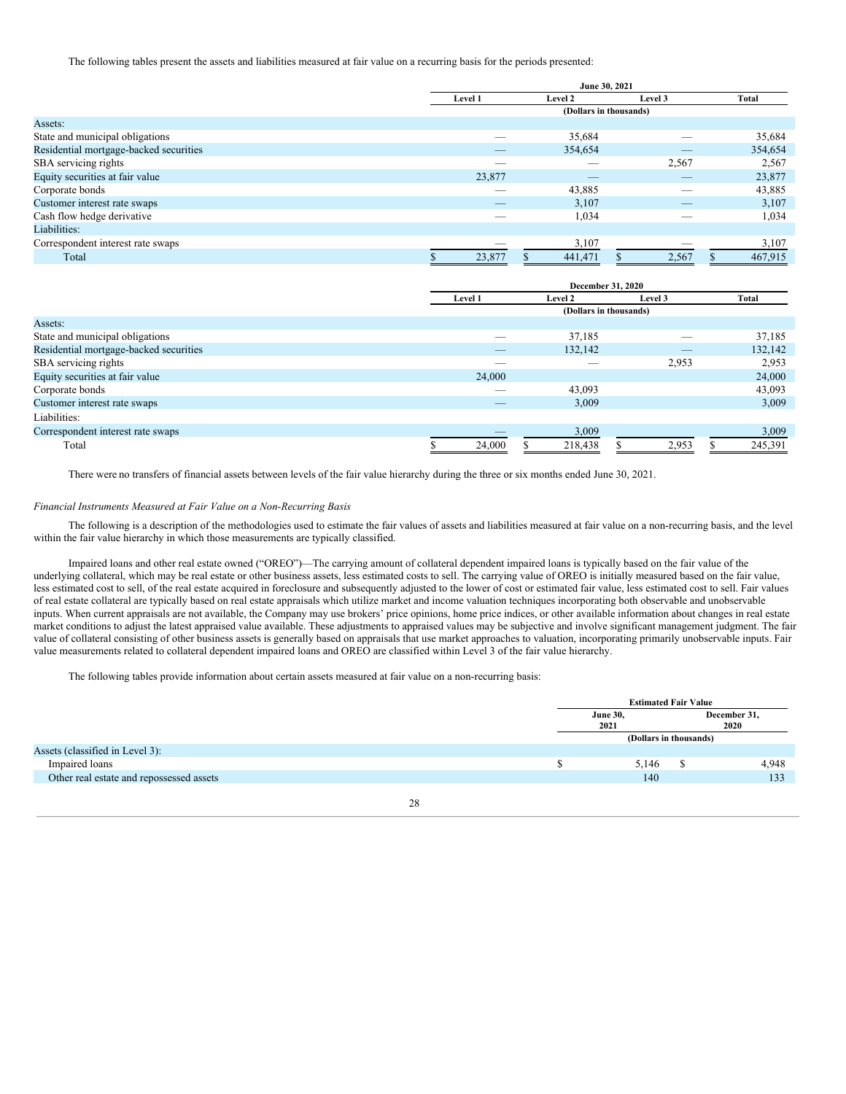The following tables present the assets and liabilities measured at fair value on a recurring basis for the periods presented:

|                                        | June 30, 2021 |         |                          |         |  |  |  |  |  |
|----------------------------------------|---------------|---------|--------------------------|---------|--|--|--|--|--|
|                                        | Level 1       | Level 2 | Level 3                  | Total   |  |  |  |  |  |
|                                        |               |         | (Dollars in thousands)   |         |  |  |  |  |  |
| Assets:                                |               |         |                          |         |  |  |  |  |  |
| State and municipal obligations        |               | 35,684  | _                        | 35,684  |  |  |  |  |  |
| Residential mortgage-backed securities | $-$           | 354,654 | $\overline{\phantom{a}}$ | 354,654 |  |  |  |  |  |
| SBA servicing rights                   |               |         | 2,567                    | 2,567   |  |  |  |  |  |
| Equity securities at fair value        | 23,877        |         |                          | 23,877  |  |  |  |  |  |
| Corporate bonds                        |               | 43,885  |                          | 43,885  |  |  |  |  |  |
| Customer interest rate swaps           | $-$           | 3,107   | $-$                      | 3,107   |  |  |  |  |  |
| Cash flow hedge derivative             |               | 1,034   |                          | 1,034   |  |  |  |  |  |
| Liabilities:                           |               |         |                          |         |  |  |  |  |  |
| Correspondent interest rate swaps      |               | 3,107   | $\overline{\phantom{a}}$ | 3,107   |  |  |  |  |  |
| Total                                  | 23,877        | 441,471 | 2,567                    | 467,915 |  |  |  |  |  |

|                                        | <b>December 31, 2020</b> |                        |         |         |  |  |  |  |  |
|----------------------------------------|--------------------------|------------------------|---------|---------|--|--|--|--|--|
|                                        | Level 1                  | Level 2                | Level 3 | Total   |  |  |  |  |  |
|                                        |                          | (Dollars in thousands) |         |         |  |  |  |  |  |
| Assets:                                |                          |                        |         |         |  |  |  |  |  |
| State and municipal obligations        |                          | 37,185                 |         | 37,185  |  |  |  |  |  |
| Residential mortgage-backed securities |                          | 132,142                | _       | 132,142 |  |  |  |  |  |
| SBA servicing rights                   | __                       |                        | 2,953   | 2,953   |  |  |  |  |  |
| Equity securities at fair value        | 24,000                   |                        |         | 24,000  |  |  |  |  |  |
| Corporate bonds                        |                          | 43,093                 |         | 43,093  |  |  |  |  |  |
| Customer interest rate swaps           |                          | 3,009                  |         | 3,009   |  |  |  |  |  |
| Liabilities:                           |                          |                        |         |         |  |  |  |  |  |
| Correspondent interest rate swaps      |                          | 3,009                  |         | 3,009   |  |  |  |  |  |
| Total                                  | 24,000                   | 218,438                | 2,953   | 245,391 |  |  |  |  |  |

There were no transfers of financial assets between levels of the fair value hierarchy during the three or six months ended June 30, 2021.

# *Financial Instruments Measured at Fair Value on a Non-Recurring Basis*

The following is a description of the methodologies used to estimate the fair values of assets and liabilities measured at fair value on a non-recurring basis, and the level within the fair value hierarchy in which those measurements are typically classified.

Impaired loans and other real estate owned ("OREO")—The carrying amount of collateral dependent impaired loans is typically based on the fair value of the underlying collateral, which may be real estate or other business assets, less estimated costs to sell. The carrying value of OREO is initially measured based on the fair value, less estimated cost to sell, of the real estate acquired in foreclosure and subsequently adjusted to the lower of cost or estimated fair value, less estimated cost to sell. Fair values of real estate collateral are typically based on real estate appraisals which utilize market and income valuation techniques incorporating both observable and unobservable inputs. When current appraisals are not available, the Company may use brokers' price opinions, home price indices, or other available information about changes in real estate market conditions to adjust the latest appraised value available. These adjustments to appraised values may be subjective and involve significant management judgment. The fair value of collateral consisting of other business assets is generally based on appraisals that use market approaches to valuation, incorporating primarily unobservable inputs. Fair value measurements related to collateral dependent impaired loans and OREO are classified within Level 3 of the fair value hierarchy.

The following tables provide information about certain assets measured at fair value on a non-recurring basis:

|                                          |    | <b>Estimated Fair Value</b>             |  |       |  |  |  |  |
|------------------------------------------|----|-----------------------------------------|--|-------|--|--|--|--|
|                                          |    | December 31,<br><b>June 30,</b><br>2021 |  |       |  |  |  |  |
|                                          |    | (Dollars in thousands)                  |  |       |  |  |  |  |
| Assets (classified in Level 3):          |    |                                         |  |       |  |  |  |  |
| Impaired loans                           |    | 5,146                                   |  | 4,948 |  |  |  |  |
| Other real estate and repossessed assets |    | 140                                     |  | 133   |  |  |  |  |
|                                          |    |                                         |  |       |  |  |  |  |
|                                          | 28 |                                         |  |       |  |  |  |  |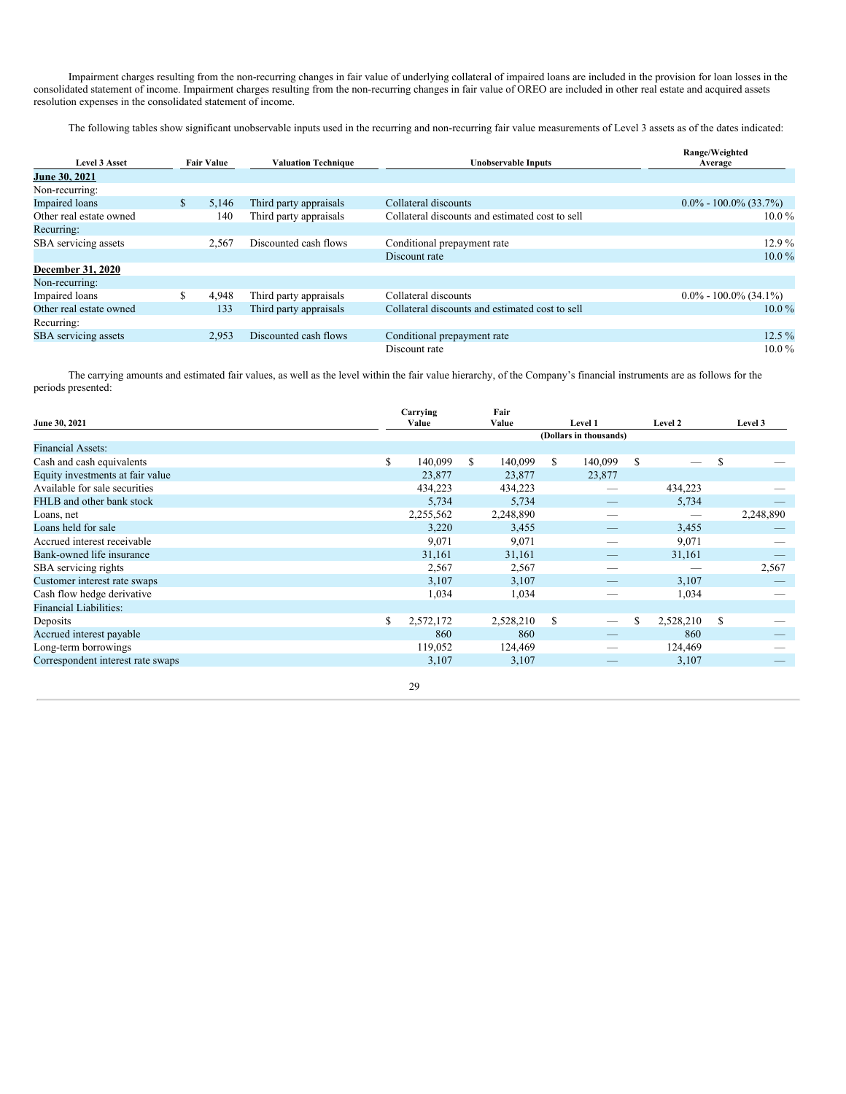Impairment charges resulting from the non-recurring changes in fair value of underlying collateral of impaired loans are included in the provision for loan losses in the consolidated statement of income. Impairment charges resulting from the non-recurring changes in fair value of OREO are included in other real estate and acquired assets resolution expenses in the consolidated statement of income.

The following tables show significant unobservable inputs used in the recurring and non-recurring fair value measurements of Level 3 assets as of the dates indicated:

| <b>Level 3 Asset</b><br><b>Fair Value</b> |    | <b>Valuation Technique</b> |                        | <b>Unobservable Inputs</b>                      | Range/Weighted<br>Average |
|-------------------------------------------|----|----------------------------|------------------------|-------------------------------------------------|---------------------------|
| <b>June 30, 2021</b>                      |    |                            |                        |                                                 |                           |
| Non-recurring:                            |    |                            |                        |                                                 |                           |
| <b>Impaired</b> loans                     | S. | 5,146                      | Third party appraisals | Collateral discounts                            | $0.0\% - 100.0\%$ (33.7%) |
| Other real estate owned                   |    | 140                        | Third party appraisals | Collateral discounts and estimated cost to sell | $10.0\%$                  |
| Recurring:                                |    |                            |                        |                                                 |                           |
| SBA servicing assets                      |    | 2,567                      | Discounted cash flows  | Conditional prepayment rate                     | $12.9\%$                  |
|                                           |    |                            |                        | Discount rate                                   | $10.0\%$                  |
| December 31, 2020                         |    |                            |                        |                                                 |                           |
| Non-recurring:                            |    |                            |                        |                                                 |                           |
| Impaired loans                            | S. | 4,948                      | Third party appraisals | Collateral discounts                            | $0.0\% - 100.0\%$ (34.1%) |
| Other real estate owned                   |    | 133                        | Third party appraisals | Collateral discounts and estimated cost to sell | $10.0\%$                  |
| Recurring:                                |    |                            |                        |                                                 |                           |
| SBA servicing assets                      |    | 2,953                      | Discounted cash flows  | Conditional prepayment rate                     | $12.5\%$                  |
|                                           |    |                            |                        | Discount rate                                   | $10.0\%$                  |

The carrying amounts and estimated fair values, as well as the level within the fair value hierarchy, of the Company's financial instruments are as follows for the periods presented:

|                                   |    | Carrying  | Fair          |   |                        |         |           |               |           |
|-----------------------------------|----|-----------|---------------|---|------------------------|---------|-----------|---------------|-----------|
| June 30, 2021                     |    | Value     | Value         |   | <b>Level 1</b>         | Level 2 |           |               | Level 3   |
|                                   |    |           |               |   | (Dollars in thousands) |         |           |               |           |
| <b>Financial Assets:</b>          |    |           |               |   |                        |         |           |               |           |
| Cash and cash equivalents         | \$ | 140,099   | \$<br>140,099 | S | 140,099                | S       |           | S             |           |
| Equity investments at fair value  |    | 23,877    | 23,877        |   | 23,877                 |         |           |               |           |
| Available for sale securities     |    | 434,223   | 434,223       |   |                        |         | 434,223   |               |           |
| FHLB and other bank stock         |    | 5,734     | 5,734         |   |                        |         | 5,734     |               |           |
| Loans, net                        |    | 2,255,562 | 2,248,890     |   | _                      |         |           |               | 2,248,890 |
| Loans held for sale               |    | 3,220     | 3,455         |   |                        |         | 3,455     |               |           |
| Accrued interest receivable       |    | 9,071     | 9,071         |   |                        |         | 9,071     |               |           |
| Bank-owned life insurance         |    | 31,161    | 31,161        |   |                        |         | 31,161    |               |           |
| SBA servicing rights              |    | 2,567     | 2,567         |   |                        |         |           |               | 2,567     |
| Customer interest rate swaps      |    | 3,107     | 3,107         |   |                        |         | 3,107     |               |           |
| Cash flow hedge derivative        |    | 1,034     | 1,034         |   |                        |         | 1,034     |               |           |
| <b>Financial Liabilities:</b>     |    |           |               |   |                        |         |           |               |           |
| Deposits                          | S. | 2,572,172 | 2,528,210     | S | $\hspace{0.05cm}$      | S       | 2,528,210 | <sup>\$</sup> |           |
| Accrued interest payable          |    | 860       | 860           |   |                        |         | 860       |               |           |
| Long-term borrowings              |    | 119,052   | 124,469       |   | -                      |         | 124,469   |               |           |
| Correspondent interest rate swaps |    | 3,107     | 3,107         |   |                        |         | 3,107     |               |           |
|                                   |    | 29        |               |   |                        |         |           |               |           |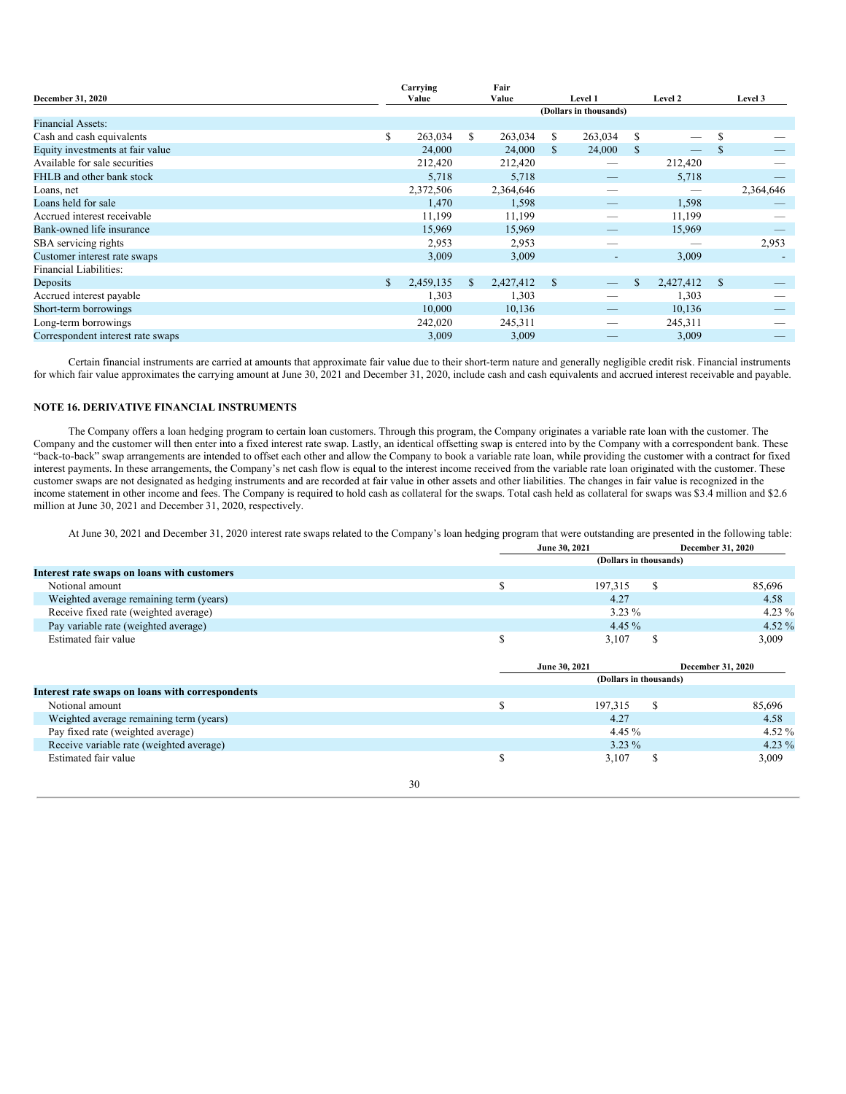|                                   | Carrying     |           |    | Fair      |     |                          |              |           |              |           |  |
|-----------------------------------|--------------|-----------|----|-----------|-----|--------------------------|--------------|-----------|--------------|-----------|--|
| December 31, 2020                 |              | Value     |    | Value     |     | Level 1                  |              | Level 2   |              | Level 3   |  |
|                                   |              |           |    |           |     | (Dollars in thousands)   |              |           |              |           |  |
| <b>Financial Assets:</b>          |              |           |    |           |     |                          |              |           |              |           |  |
| Cash and cash equivalents         | \$           | 263,034   | S  | 263,034   | S   | 263,034                  | S            |           | S            |           |  |
| Equity investments at fair value  |              | 24,000    |    | 24,000    | \$. | 24,000                   | $\mathbf{s}$ |           | \$           |           |  |
| Available for sale securities     |              | 212,420   |    | 212,420   |     | -                        |              | 212,420   |              |           |  |
| FHLB and other bank stock         |              | 5,718     |    | 5,718     |     |                          |              | 5,718     |              |           |  |
| Loans, net                        |              | 2,372,506 |    | 2,364,646 |     |                          |              | _         |              | 2,364,646 |  |
| Loans held for sale               |              | 1,470     |    | 1,598     |     |                          |              | 1,598     |              |           |  |
| Accrued interest receivable       |              | 11,199    |    | 11,199    |     |                          |              | 11,199    |              |           |  |
| Bank-owned life insurance         |              | 15,969    |    | 15,969    |     |                          |              | 15,969    |              |           |  |
| SBA servicing rights              |              | 2,953     |    | 2,953     |     |                          |              | _         |              | 2,953     |  |
| Customer interest rate swaps      |              | 3,009     |    | 3,009     |     | $\overline{\phantom{a}}$ |              | 3,009     |              |           |  |
| Financial Liabilities:            |              |           |    |           |     |                          |              |           |              |           |  |
| Deposits                          | $\mathbb{S}$ | 2,459,135 | S. | 2,427,412 | \$  |                          | $\mathbb{S}$ | 2,427,412 | $\mathbb{S}$ |           |  |
| Accrued interest payable          |              | 1,303     |    | 1,303     |     |                          |              | 1,303     |              |           |  |
| Short-term borrowings             |              | 10,000    |    | 10,136    |     |                          |              | 10,136    |              |           |  |
| Long-term borrowings              |              | 242,020   |    | 245,311   |     |                          |              | 245,311   |              |           |  |
| Correspondent interest rate swaps |              | 3,009     |    | 3,009     |     |                          |              | 3,009     |              |           |  |

Certain financial instruments are carried at amounts that approximate fair value due to their short-term nature and generally negligible credit risk. Financial instruments for which fair value approximates the carrying amount at June 30, 2021 and December 31, 2020, include cash and cash equivalents and accrued interest receivable and payable.

# **NOTE 16. DERIVATIVE FINANCIAL INSTRUMENTS**

The Company offers a loan hedging program to certain loan customers. Through this program, the Company originates a variable rate loan with the customer. The Company and the customer will then enter into a fixed interest rate swap. Lastly, an identical offsetting swap is entered into by the Company with a correspondent bank. These "back-to-back" swap arrangements are intended to offset each other and allow the Company to book a variable rate loan, while providing the customer with a contract for fixed interest payments. In these arrangements, the Company's net cash flow is equal to the interest income received from the variable rate loan originated with the customer. These customer swaps are not designated as hedging instruments and are recorded at fair value in other assets and other liabilities. The changes in fair value is recognized in the income statement in other income and fees. The Company is required to hold cash as collateral for the swaps. Total cash held as collateral for swaps was \$3.4 million and \$2.6 million at June 30, 2021 and December 31, 2020, respectively.

At June 30, 2021 and December 31, 2020 interest rate swaps related to the Company's loan hedging program that were outstanding are presented in the following table:

|                                                  |    |    | June 30, 2021          | December 31, 2020 |  |  |
|--------------------------------------------------|----|----|------------------------|-------------------|--|--|
|                                                  |    |    | (Dollars in thousands) |                   |  |  |
| Interest rate swaps on loans with customers      |    |    |                        |                   |  |  |
| Notional amount                                  |    | \$ | 197,315<br>S           | 85,696            |  |  |
| Weighted average remaining term (years)          |    |    | 4.27                   | 4.58              |  |  |
| Receive fixed rate (weighted average)            |    |    | $3.23\%$               | 4.23 $%$          |  |  |
| Pay variable rate (weighted average)             |    |    | 4.45 $%$               | 4.52 $%$          |  |  |
| Estimated fair value                             |    | S  | 3,107<br>S             | 3,009             |  |  |
|                                                  |    |    |                        |                   |  |  |
|                                                  |    |    | June 30, 2021          | December 31, 2020 |  |  |
|                                                  |    |    | (Dollars in thousands) |                   |  |  |
| Interest rate swaps on loans with correspondents |    |    |                        |                   |  |  |
| Notional amount                                  |    | S  | S<br>197,315           | 85,696            |  |  |
| Weighted average remaining term (years)          |    |    | 4.27                   | 4.58              |  |  |
| Pay fixed rate (weighted average)                |    |    | 4.45 $%$               | 4.52 %            |  |  |
| Receive variable rate (weighted average)         |    |    | $3.23\%$               | 4.23 $%$          |  |  |
| Estimated fair value                             |    | S  | 3,107<br>S             | 3,009             |  |  |
|                                                  |    |    |                        |                   |  |  |
|                                                  | 30 |    |                        |                   |  |  |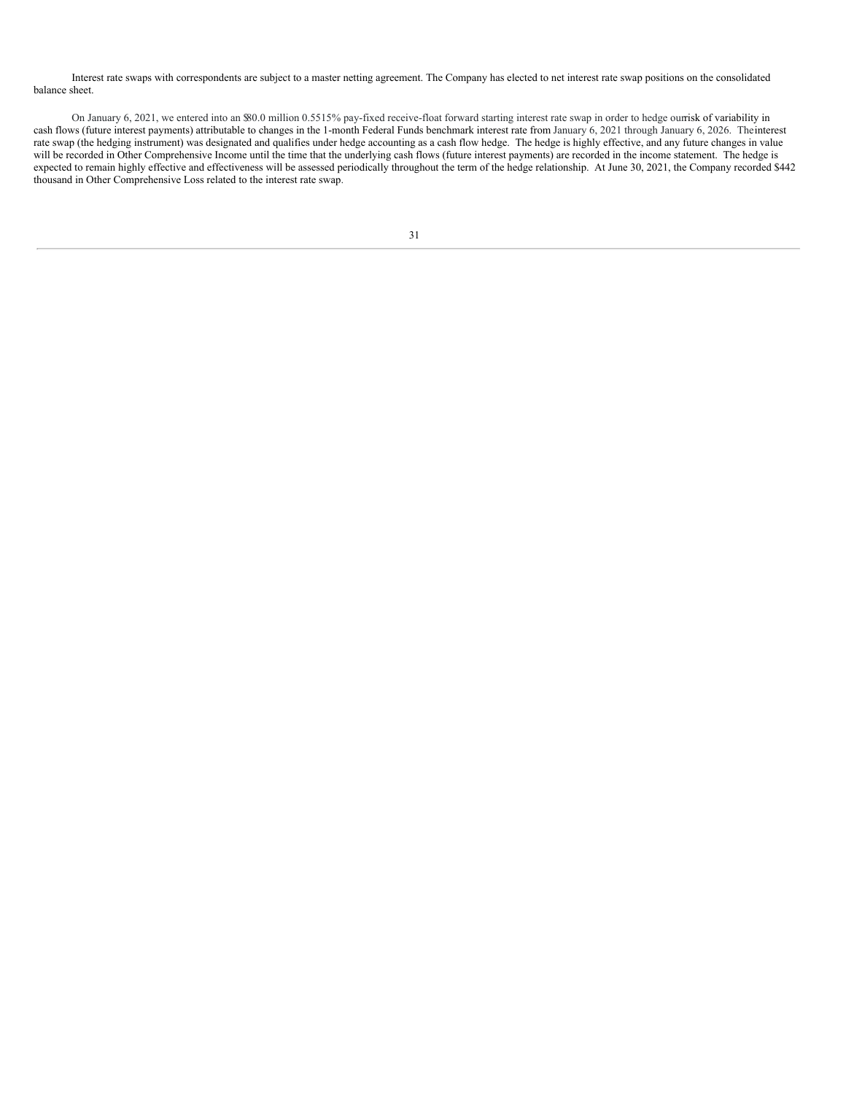Interest rate swaps with correspondents are subject to a master netting agreement. The Company has elected to net interest rate swap positions on the consolidated balance sheet.

On January 6, 2021, we entered into an \$80.0 million 0.5515% pay-fixed receive-float forward starting interest rate swap in order to hedge ourrisk of variability in cash flows (future interest payments) attributable to changes in the 1-month Federal Funds benchmark interest rate from January 6, 2021 through January 6, 2026. Theinterest rate swap (the hedging instrument) was designated and qualifies under hedge accounting as a cash flow hedge. The hedge is highly effective, and any future changes in value will be recorded in Other Comprehensive Income until the time that the underlying cash flows (future interest payments) are recorded in the income statement. The hedge is expected to remain highly effective and effectiveness will be assessed periodically throughout the term of the hedge relationship. At June 30, 2021, the Company recorded \$442 thousand in Other Comprehensive Loss related to the interest rate swap.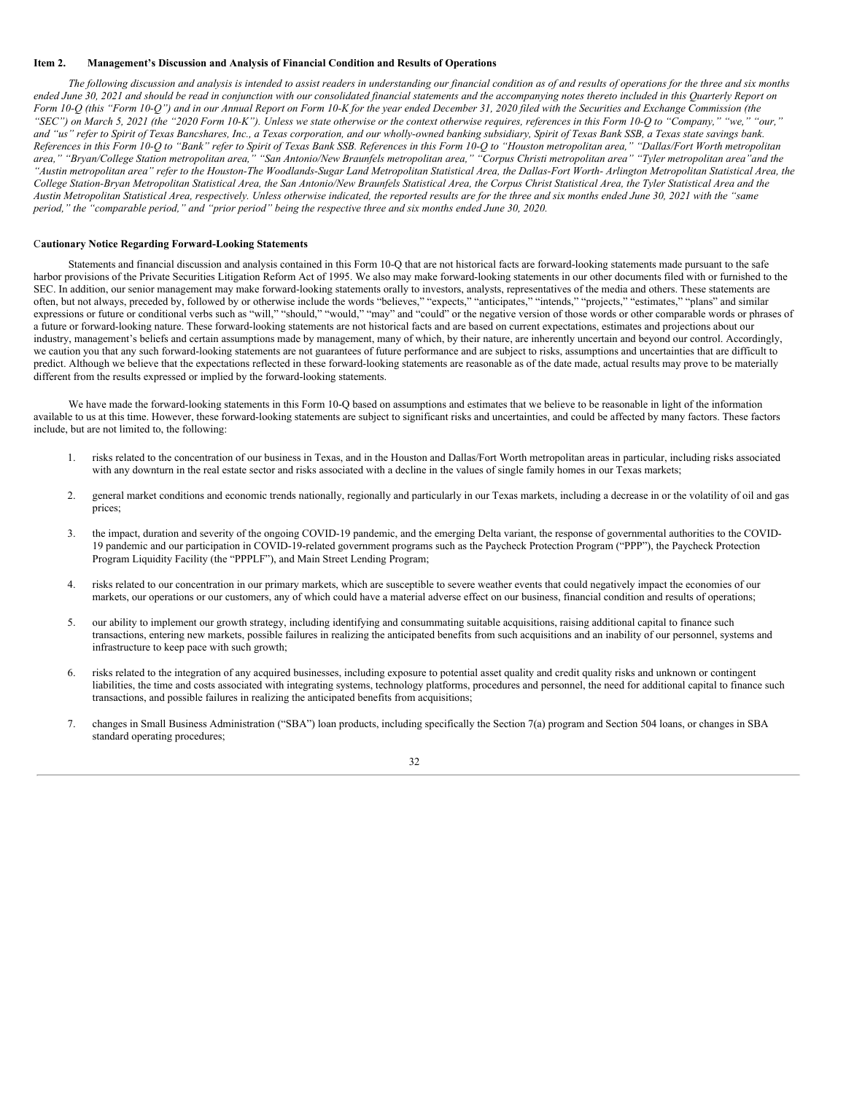# <span id="page-31-0"></span>**Item 2. Management's Discussion and Analysis of Financial Condition and Results of Operations**

The following discussion and analysis is intended to assist readers in understanding our financial condition as of and results of operations for the three and six months ended June 30, 2021 and should be read in conjunction with our consolidated financial statements and the accompanying notes thereto included in this Quarterly Report on Form 10-Q (this "Form 10-Q") and in our Annual Report on Form 10-K for the year ended December 31, 2020 filed with the Securities and Exchange Commission (the "SEC") on March 5, 2021 (the "2020 Form 10-K"). Unless we state otherwise or the context otherwise requires, references in this Form 10-O to "Company," "we," "our," and "us" refer to Spirit of Texas Bancshares, Inc., a Texas corporation, and our wholly-owned banking subsidiary, Spirit of Texas Bank SSB, a Texas state savings bank. References in this Form 10-Q to "Bank" refer to Spirit of Texas Bank SSB. References in this Form 10-Q to "Houston metropolitan area," "Dallas/Fort Worth metropolitan area," "Bryan/College Station metropolitan area," "San Antonio/New Braunfels metropolitan area," "Corpus Christi metropolitan area" "Tyler metropolitan area" and the "Austin metropolitan area" refer to the Houston-The Woodlands-Sugar Land Metropolitan Statistical Area, the Dallas-Fort Worth- Arlington Metropolitan Statistical Area, the College Station-Bryan Metropolitan Statistical Area, the San Antonio/New Braunfels Statistical Area, the Corpus Christ Statistical Area, the Tyler Statistical Area and the Austin Metropolitan Statistical Area, respectively. Unless otherwise indicated, the reported results are for the three and six months ended June 30, 2021 with the "same period," the "comparable period," and "prior period" being the respective three and six months ended June 30, 2020.

# C**autionary Notice Regarding Forward-Looking Statements**

Statements and financial discussion and analysis contained in this Form 10-Q that are not historical facts are forward-looking statements made pursuant to the safe harbor provisions of the Private Securities Litigation Reform Act of 1995. We also may make forward-looking statements in our other documents filed with or furnished to the SEC. In addition, our senior management may make forward-looking statements orally to investors, analysts, representatives of the media and others. These statements are often, but not always, preceded by, followed by or otherwise include the words "believes," "expects," "anticipates," "intends," "projects," "estimates," "plans" and similar expressions or future or conditional verbs such as "will," "should," "may" and "could" or the negative version of those words or other comparable words or phrases of a future or forward-looking nature. These forward-looking statements are not historical facts and are based on current expectations, estimates and projections about our industry, management's beliefs and certain assumptions made by management, many of which, by their nature, are inherently uncertain and beyond our control. Accordingly, we caution you that any such forward-looking statements are not guarantees of future performance and are subject to risks, assumptions and uncertainties that are difficult to predict. Although we believe that the expectations reflected in these forward-looking statements are reasonable as of the date made, actual results may prove to be materially different from the results expressed or implied by the forward-looking statements.

We have made the forward-looking statements in this Form 10-Q based on assumptions and estimates that we believe to be reasonable in light of the information available to us at this time. However, these forward-looking statements are subject to significant risks and uncertainties, and could be affected by many factors. These factors include, but are not limited to, the following:

- 1. risks related to the concentration of our business in Texas, and in the Houston and Dallas/Fort Worth metropolitan areas in particular, including risks associated with any downturn in the real estate sector and risks associated with a decline in the values of single family homes in our Texas markets;
- 2. general market conditions and economic trends nationally, regionally and particularly in our Texas markets, including a decrease in or the volatility of oil and gas prices;
- 3. the impact, duration and severity of the ongoing COVID-19 pandemic, and the emerging Delta variant, the response of governmental authorities to the COVID-19 pandemic and our participation in COVID-19-related government programs such as the Paycheck Protection Program ("PPP"), the Paycheck Protection Program Liquidity Facility (the "PPPLF"), and Main Street Lending Program;
- 4. risks related to our concentration in our primary markets, which are susceptible to severe weather events that could negatively impact the economies of our markets, our operations or our customers, any of which could have a material adverse effect on our business, financial condition and results of operations;
- 5. our ability to implement our growth strategy, including identifying and consummating suitable acquisitions, raising additional capital to finance such transactions, entering new markets, possible failures in realizing the anticipated benefits from such acquisitions and an inability of our personnel, systems and infrastructure to keep pace with such growth;
- 6. risks related to the integration of any acquired businesses, including exposure to potential asset quality and credit quality risks and unknown or contingent liabilities, the time and costs associated with integrating systems, technology platforms, procedures and personnel, the need for additional capital to finance such transactions, and possible failures in realizing the anticipated benefits from acquisitions;
- 7. changes in Small Business Administration ("SBA") loan products, including specifically the Section 7(a) program and Section 504 loans, or changes in SBA standard operating procedures;

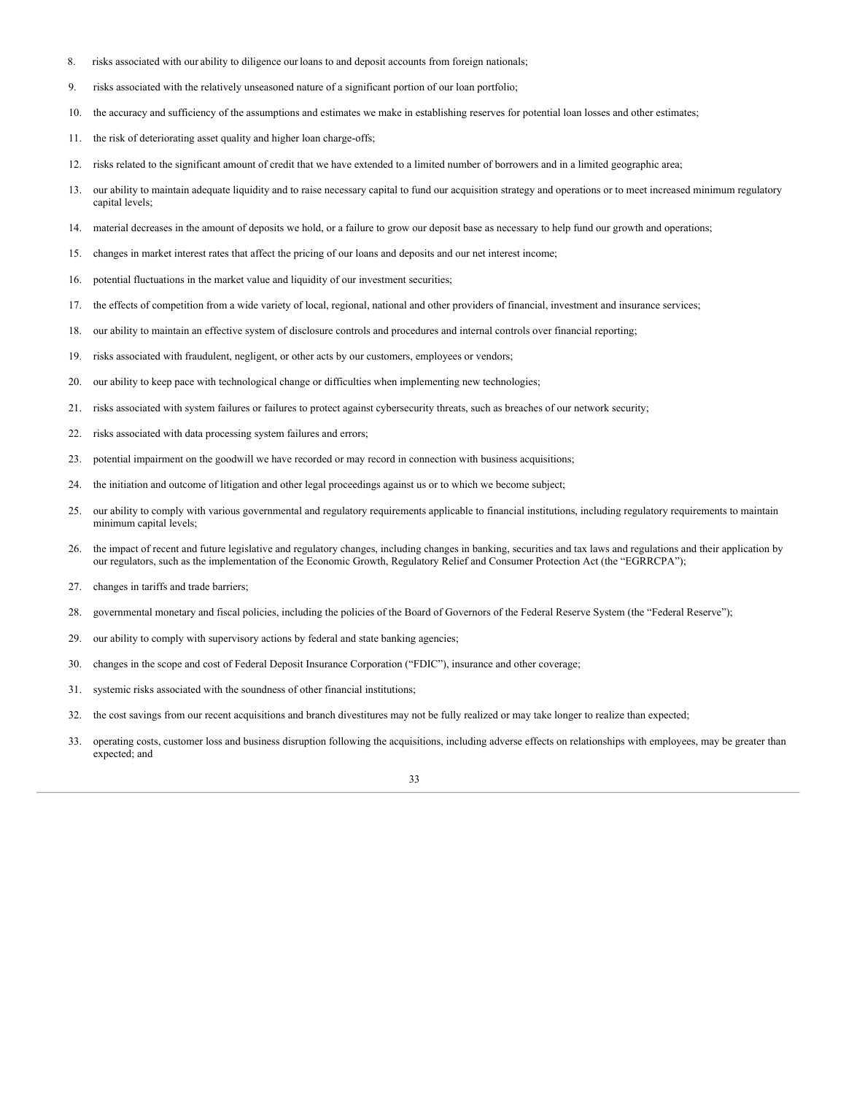- 8. risks associated with our ability to diligence ourloans to and deposit accounts from foreign nationals;
- 9. risks associated with the relatively unseasoned nature of a significant portion of our loan portfolio;
- 10. the accuracy and sufficiency of the assumptions and estimates we make in establishing reserves for potential loan losses and other estimates;
- 11. the risk of deteriorating asset quality and higher loan charge-offs;
- 12. risks related to the significant amount of credit that we have extended to a limited number of borrowers and in a limited geographic area;
- 13. our ability to maintain adequate liquidity and to raise necessary capital to fund our acquisition strategy and operations or to meet increased minimum regulatory capital levels;
- 14. material decreases in the amount of deposits we hold, or a failure to grow our deposit base as necessary to help fund our growth and operations;
- 15. changes in market interest rates that affect the pricing of our loans and deposits and our net interest income;
- 16. potential fluctuations in the market value and liquidity of our investment securities;
- 17. the effects of competition from a wide variety of local, regional, national and other providers of financial, investment and insurance services;
- 18. our ability to maintain an effective system of disclosure controls and procedures and internal controls over financial reporting;
- 19. risks associated with fraudulent, negligent, or other acts by our customers, employees or vendors;
- 20. our ability to keep pace with technological change or difficulties when implementing new technologies;
- 21. risks associated with system failures or failures to protect against cybersecurity threats, such as breaches of our network security;
- 22. risks associated with data processing system failures and errors;
- 23. potential impairment on the goodwill we have recorded or may record in connection with business acquisitions;
- 24. the initiation and outcome of litigation and other legal proceedings against us or to which we become subject;
- 25. our ability to comply with various governmental and regulatory requirements applicable to financial institutions, including regulatory requirements to maintain minimum capital levels;
- 26. the impact of recent and future legislative and regulatory changes, including changes in banking, securities and tax laws and regulations and their application by our regulators, such as the implementation of the Economic Growth, Regulatory Relief and Consumer Protection Act (the "EGRRCPA");
- 27. changes in tariffs and trade barriers;
- 28. governmental monetary and fiscal policies, including the policies of the Board of Governors of the Federal Reserve System (the "Federal Reserve");
- 29. our ability to comply with supervisory actions by federal and state banking agencies;
- 30. changes in the scope and cost of Federal Deposit Insurance Corporation ("FDIC"), insurance and other coverage;
- 31. systemic risks associated with the soundness of other financial institutions;
- 32. the cost savings from our recent acquisitions and branch divestitures may not be fully realized or may take longer to realize than expected;
- 33. operating costs, customer loss and business disruption following the acquisitions, including adverse effects on relationships with employees, may be greater than expected; and

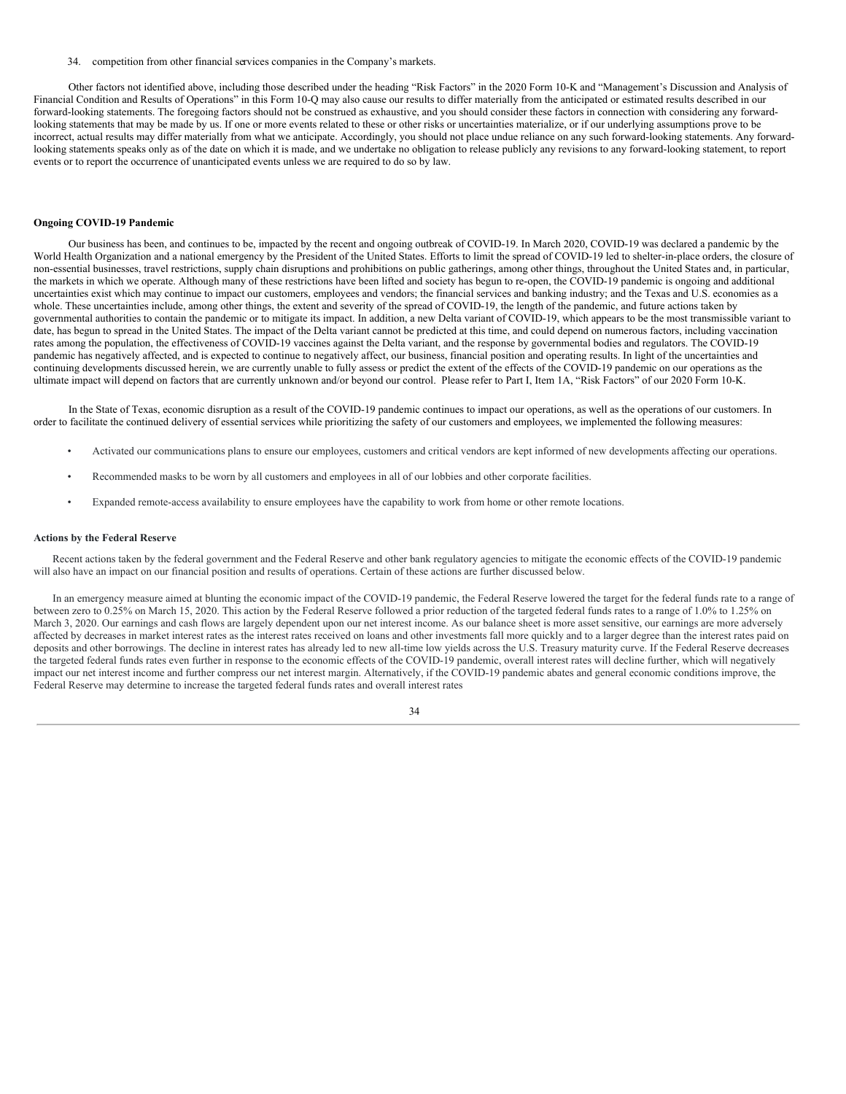# 34. competition from other financial services companies in the Company's markets.

Other factors not identified above, including those described under the heading "Risk Factors" in the 2020 Form 10-K and "Management's Discussion and Analysis of Financial Condition and Results of Operations" in this Form 10-Q may also cause our results to differ materially from the anticipated or estimated results described in our forward-looking statements. The foregoing factors should not be construed as exhaustive, and you should consider these factors in connection with considering any forwardlooking statements that may be made by us. If one or more events related to these or other risks or uncertainties materialize, or if our underlying assumptions prove to be incorrect, actual results may differ materially from what we anticipate. Accordingly, you should not place undue reliance on any such forward-looking statements. Any forwardlooking statements speaks only as of the date on which it is made, and we undertake no obligation to release publicly any revisions to any forward-looking statement, to report events or to report the occurrence of unanticipated events unless we are required to do so by law.

# **Ongoing COVID-19 Pandemic**

Our business has been, and continues to be, impacted by the recent and ongoing outbreak of COVID-19. In March 2020, COVID-19 was declared a pandemic by the World Health Organization and a national emergency by the President of the United States. Efforts to limit the spread of COVID-19 led to shelter-in-place orders, the closure of non-essential businesses, travel restrictions, supply chain disruptions and prohibitions on public gatherings, among other things, throughout the United States and, in particular, the markets in which we operate. Although many of these restrictions have been lifted and society has begun to re-open, the COVID-19 pandemic is ongoing and additional uncertainties exist which may continue to impact our customers, employees and vendors; the financial services and banking industry; and the Texas and U.S. economies as a whole. These uncertainties include, among other things, the extent and severity of the spread of COVID-19, the length of the pandemic, and future actions taken by governmental authorities to contain the pandemic or to mitigate its impact. In addition, a new Delta variant of COVID-19, which appears to be the most transmissible variant to date, has begun to spread in the United States. The impact of the Delta variant cannot be predicted at this time, and could depend on numerous factors, including vaccination rates among the population, the effectiveness of COVID-19 vaccines against the Delta variant, and the response by governmental bodies and regulators. The COVID-19 pandemic has negatively affected, and is expected to continue to negatively affect, our business, financial position and operating results. In light of the uncertainties and continuing developments discussed herein, we are currently unable to fully assess or predict the extent of the effects of the COVID-19 pandemic on our operations as the ultimate impact will depend on factors that are currently unknown and/or beyond our control. Please refer to Part I, Item 1A, "Risk Factors" of our 2020 Form 10-K.

In the State of Texas, economic disruption as a result of the COVID-19 pandemic continues to impact our operations, as well as the operations of our customers. In order to facilitate the continued delivery of essential services while prioritizing the safety of our customers and employees, we implemented the following measures:

- Activated our communications plans to ensure our employees, customers and critical vendors are kept informed of new developments affecting our operations.
- Recommended masks to be worn by all customers and employees in all of our lobbies and other corporate facilities.
- Expanded remote-access availability to ensure employees have the capability to work from home or other remote locations.

# **Actions by the Federal Reserve**

Recent actions taken by the federal government and the Federal Reserve and other bank regulatory agencies to mitigate the economic effects of the COVID-19 pandemic will also have an impact on our financial position and results of operations. Certain of these actions are further discussed below.

In an emergency measure aimed at blunting the economic impact of the COVID-19 pandemic, the Federal Reserve lowered the target for the federal funds rate to a range of between zero to 0.25% on March 15, 2020. This action by the Federal Reserve followed a prior reduction of the targeted federal funds rates to a range of 1.0% to 1.25% on March 3, 2020. Our earnings and cash flows are largely dependent upon our net interest income. As our balance sheet is more asset sensitive, our earnings are more adversely affected by decreases in market interest rates as the interest rates received on loans and other investments fall more quickly and to a larger degree than the interest rates paid on deposits and other borrowings. The decline in interest rates has already led to new all-time low yields across the U.S. Treasury maturity curve. If the Federal Reserve decreases the targeted federal funds rates even further in response to the economic effects of the COVID-19 pandemic, overall interest rates will decline further, which will negatively impact our net interest income and further compress our net interest margin. Alternatively, if the COVID-19 pandemic abates and general economic conditions improve, the Federal Reserve may determine to increase the targeted federal funds rates and overall interest rates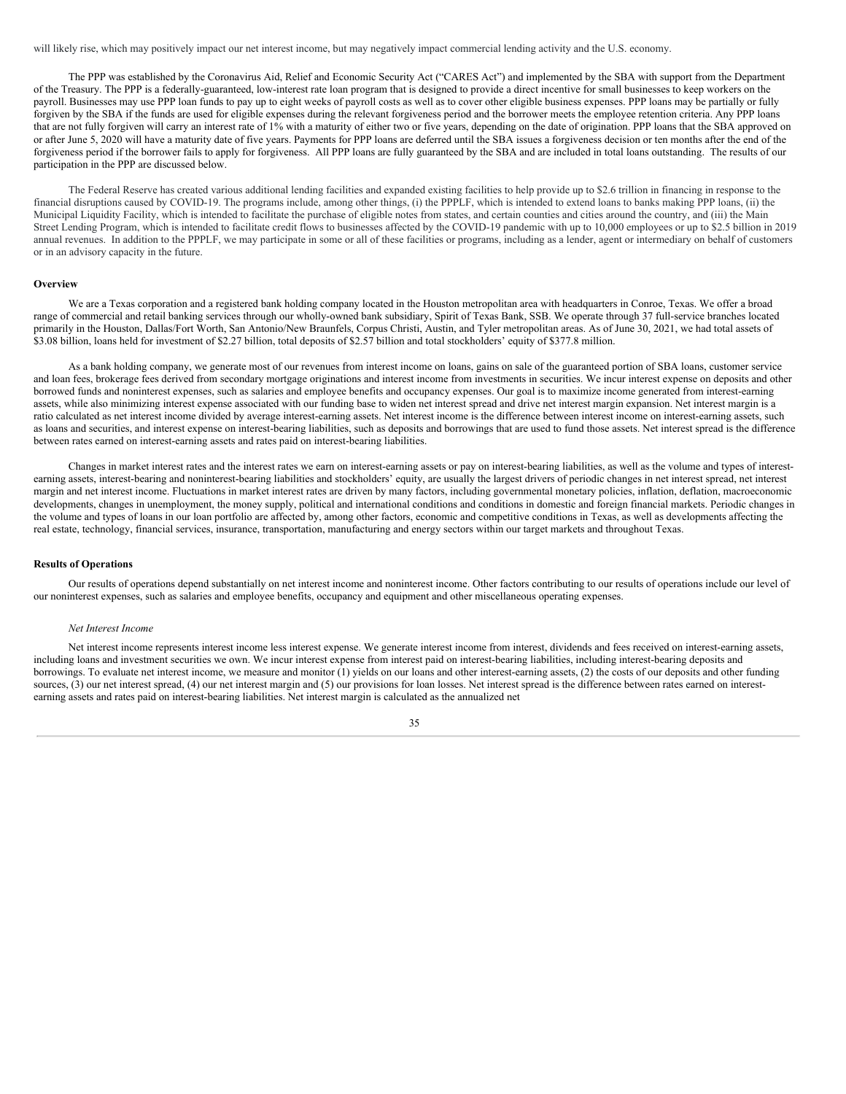will likely rise, which may positively impact our net interest income, but may negatively impact commercial lending activity and the U.S. economy.

The PPP was established by the Coronavirus Aid, Relief and Economic Security Act ("CARES Act") and implemented by the SBA with support from the Department of the Treasury. The PPP is a federally-guaranteed, low-interest rate loan program that is designed to provide a direct incentive for small businesses to keep workers on the payroll. Businesses may use PPP loan funds to pay up to eight weeks of payroll costs as well as to cover other eligible business expenses. PPP loans may be partially or fully forgiven by the SBA if the funds are used for eligible expenses during the relevant forgiveness period and the borrower meets the employee retention criteria. Any PPP loans that are not fully forgiven will carry an interest rate of 1% with a maturity of either two or five years, depending on the date of origination. PPP loans that the SBA approved on or after June 5, 2020 will have a maturity date of five years. Payments for PPP loans are deferred until the SBA issues a forgiveness decision or ten months after the end of the forgiveness period if the borrower fails to apply for forgiveness. All PPP loans are fully guaranteed by the SBA and are included in total loans outstanding. The results of our participation in the PPP are discussed below.

The Federal Reserve has created various additional lending facilities and expanded existing facilities to help provide up to \$2.6 trillion in financing in response to the financial disruptions caused by COVID-19. The programs include, among other things, (i) the PPPLF, which is intended to extend loans to banks making PPP loans, (ii) the Municipal Liquidity Facility, which is intended to facilitate the purchase of eligible notes from states, and certain counties and cities around the country, and (iii) the Main Street Lending Program, which is intended to facilitate credit flows to businesses affected by the COVID-19 pandemic with up to 10,000 employees or up to \$2.5 billion in 2019 annual revenues. In addition to the PPPLF, we may participate in some or all of these facilities or programs, including as a lender, agent or intermediary on behalf of customers or in an advisory capacity in the future.

#### **Overview**

We are a Texas corporation and a registered bank holding company located in the Houston metropolitan area with headquarters in Conroe, Texas. We offer a broad range of commercial and retail banking services through our wholly-owned bank subsidiary, Spirit of Texas Bank, SSB. We operate through 37 full-service branches located primarily in the Houston, Dallas/Fort Worth, San Antonio/New Braunfels, Corpus Christi, Austin, and Tyler metropolitan areas. As of June 30, 2021, we had total assets of \$3.08 billion, loans held for investment of \$2.27 billion, total deposits of \$2.57 billion and total stockholders' equity of \$377.8 million.

As a bank holding company, we generate most of our revenues from interest income on loans, gains on sale of the guaranteed portion of SBA loans, customer service and loan fees, brokerage fees derived from secondary mortgage originations and interest income from investments in securities. We incur interest expense on deposits and other borrowed funds and noninterest expenses, such as salaries and employee benefits and occupancy expenses. Our goal is to maximize income generated from interest-earning assets, while also minimizing interest expense associated with our funding base to widen net interest spread and drive net interest margin expansion. Net interest margin is a ratio calculated as net interest income divided by average interest-earning assets. Net interest income is the difference between interest income on interest-earning assets, such as loans and securities, and interest expense on interest-bearing liabilities, such as deposits and borrowings that are used to fund those assets. Net interest spread is the difference between rates earned on interest-earning assets and rates paid on interest-bearing liabilities.

Changes in market interest rates and the interest rates we earn on interest-earning assets or pay on interest-bearing liabilities, as well as the volume and types of interestearning assets, interest-bearing and noninterest-bearing liabilities and stockholders' equity, are usually the largest drivers of periodic changes in net interest spread, net interest margin and net interest income. Fluctuations in market interest rates are driven by many factors, including governmental monetary policies, inflation, deflation, macroeconomic developments, changes in unemployment, the money supply, political and international conditions and conditions in domestic and foreign financial markets. Periodic changes in the volume and types of loans in our loan portfolio are affected by, among other factors, economic and competitive conditions in Texas, as well as developments affecting the real estate, technology, financial services, insurance, transportation, manufacturing and energy sectors within our target markets and throughout Texas.

#### **Results of Operations**

Our results of operations depend substantially on net interest income and noninterest income. Other factors contributing to our results of operations include our level of our noninterest expenses, such as salaries and employee benefits, occupancy and equipment and other miscellaneous operating expenses.

# *Net Interest Income*

Net interest income represents interest income less interest expense. We generate interest income from interest, dividends and fees received on interest-earning assets, including loans and investment securities we own. We incur interest expense from interest paid on interest-bearing liabilities, including interest-bearing deposits and borrowings. To evaluate net interest income, we measure and monitor (1) yields on our loans and other interest-earning assets, (2) the costs of our deposits and other funding sources, (3) our net interest spread, (4) our net interest margin and (5) our provisions for loan losses. Net interest spread is the difference between rates earned on interestearning assets and rates paid on interest-bearing liabilities. Net interest margin is calculated as the annualized net

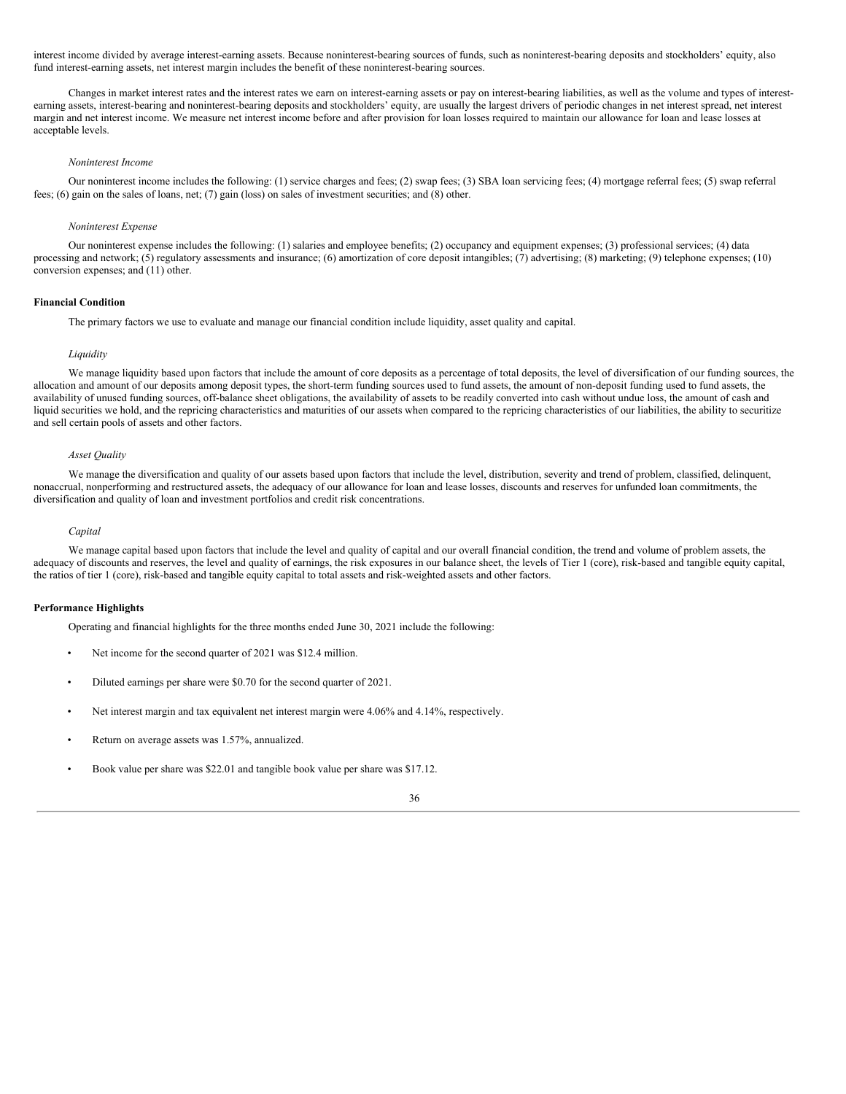interest income divided by average interest-earning assets. Because noninterest-bearing sources of funds, such as noninterest-bearing deposits and stockholders' equity, also fund interest-earning assets, net interest margin includes the benefit of these noninterest-bearing sources.

Changes in market interest rates and the interest rates we earn on interest-earning assets or pay on interest-bearing liabilities, as well as the volume and types of interestearning assets, interest-bearing and noninterest-bearing deposits and stockholders' equity, are usually the largest drivers of periodic changes in net interest spread, net interest margin and net interest income. We measure net interest income before and after provision for loan losses required to maintain our allowance for loan and lease losses at acceptable levels.

#### *Noninterest Income*

Our noninterest income includes the following: (1) service charges and fees; (2) swap fees; (3) SBA loan servicing fees; (4) mortgage referral fees; (5) swap referral fees; (6) gain on the sales of loans, net; (7) gain (loss) on sales of investment securities; and (8) other.

# *Noninterest Expense*

Our noninterest expense includes the following: (1) salaries and employee benefits; (2) occupancy and equipment expenses; (3) professional services; (4) data processing and network; (5) regulatory assessments and insurance; (6) amortization of core deposit intangibles; (7) advertising; (8) marketing; (9) telephone expenses; (10) conversion expenses; and (11) other.

# **Financial Condition**

The primary factors we use to evaluate and manage our financial condition include liquidity, asset quality and capital.

# *Liquidity*

We manage liquidity based upon factors that include the amount of core deposits as a percentage of total deposits, the level of diversification of our funding sources, the allocation and amount of our deposits among deposit types, the short-term funding sources used to fund assets, the amount of non-deposit funding used to fund assets, the availability of unused funding sources, off-balance sheet obligations, the availability of assets to be readily converted into cash without undue loss, the amount of cash and liquid securities we hold, and the repricing characteristics and maturities of our assets when compared to the repricing characteristics of our liabilities, the ability to securitize and sell certain pools of assets and other factors.

# *Asset Quality*

We manage the diversification and quality of our assets based upon factors that include the level, distribution, severity and trend of problem, classified, delinquent, nonaccrual, nonperforming and restructured assets, the adequacy of our allowance for loan and lease losses, discounts and reserves for unfunded loan commitments, the diversification and quality of loan and investment portfolios and credit risk concentrations.

#### *Capital*

We manage capital based upon factors that include the level and quality of capital and our overall financial condition, the trend and volume of problem assets, the adequacy of discounts and reserves, the level and quality of earnings, the risk exposures in our balance sheet, the levels of Tier 1 (core), risk-based and tangible equity capital, the ratios of tier 1 (core), risk-based and tangible equity capital to total assets and risk-weighted assets and other factors.

#### **Performance Highlights**

Operating and financial highlights for the three months ended June 30, 2021 include the following:

- Net income for the second quarter of 2021 was \$12.4 million.
- Diluted earnings per share were \$0.70 for the second quarter of 2021.
- Net interest margin and tax equivalent net interest margin were 4.06% and 4.14%, respectively.
- Return on average assets was 1.57%, annualized.
- Book value per share was \$22.01 and tangible book value per share was \$17.12.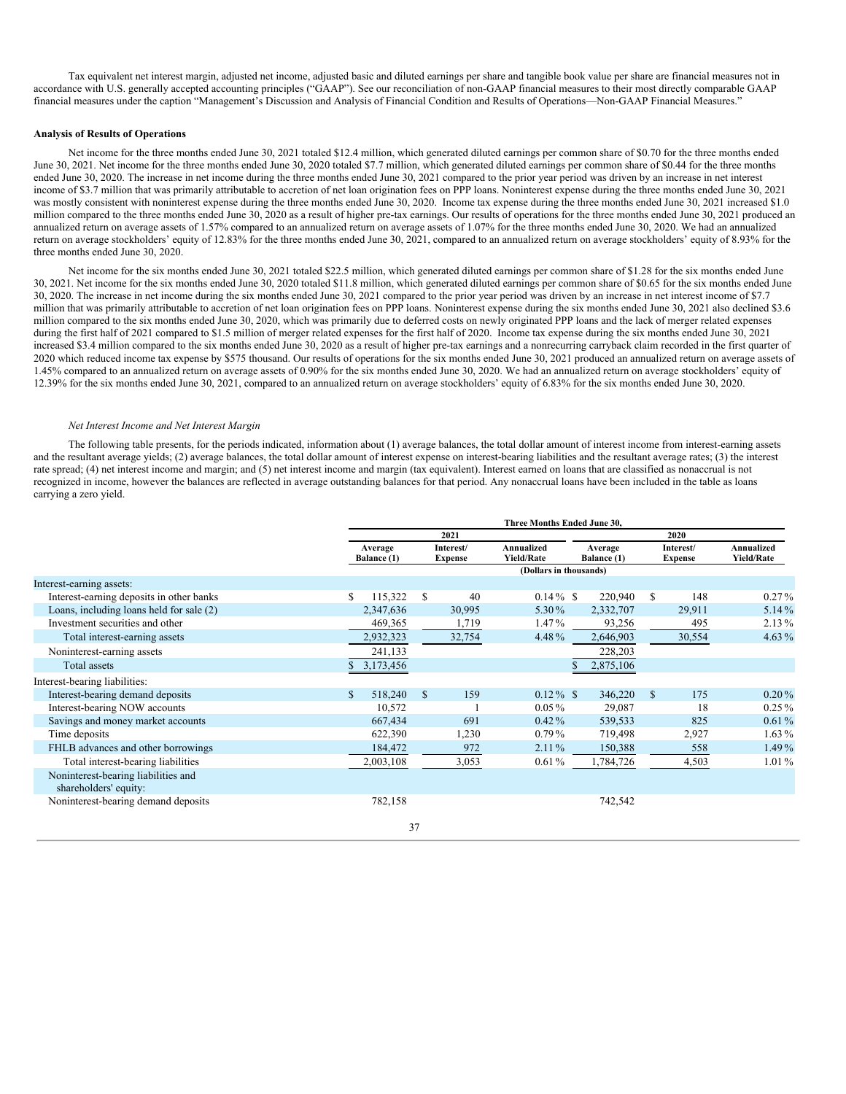Tax equivalent net interest margin, adjusted net income, adjusted basic and diluted earnings per share and tangible book value per share are financial measures not in accordance with U.S. generally accepted accounting principles ("GAAP"). See our reconciliation of non-GAAP financial measures to their most directly comparable GAAP financial measures under the caption "Management's Discussion and Analysis of Financial Condition and Results of Operations—Non-GAAP Financial Measures."

# **Analysis of Results of Operations**

Net income for the three months ended June 30, 2021 totaled \$12.4 million, which generated diluted earnings per common share of \$0.70 for the three months ended June 30, 2021. Net income for the three months ended June 30, 2020 totaled \$7.7 million, which generated diluted earnings per common share of \$0.44 for the three months ended June 30, 2020. The increase in net income during the three months ended June 30, 2021 compared to the prior year period was driven by an increase in net interest income of \$3.7 million that was primarily attributable to accretion of net loan origination fees on PPP loans. Noninterest expense during the three months ended June 30, 2021 was mostly consistent with noninterest expense during the three months ended June 30, 2020. Income tax expense during the three months ended June 30, 2021 increased \$1.0 million compared to the three months ended June 30, 2020 as a result of higher pre-tax earnings. Our results of operations for the three months ended June 30, 2021 produced an annualized return on average assets of 1.57% compared to an annualized return on average assets of 1.07% for the three months ended June 30, 2020. We had an annualized return on average stockholders' equity of 12.83% for the three months ended June 30, 2021, compared to an annualized return on average stockholders' equity of 8.93% for the three months ended June 30, 2020.

Net income for the six months ended June 30, 2021 totaled \$22.5 million, which generated diluted earnings per common share of \$1.28 for the six months ended June 30, 2021. Net income for the six months ended June 30, 2020 totaled \$11.8 million, which generated diluted earnings per common share of \$0.65 for the six months ended June 30, 2020. The increase in net income during the six months ended June 30, 2021 compared to the prior year period was driven by an increase in net interest income of \$7.7 million that was primarily attributable to accretion of net loan origination fees on PPP loans. Noninterest expense during the six months ended June 30, 2021 also declined \$3.6 million compared to the six months ended June 30, 2020, which was primarily due to deferred costs on newly originated PPP loans and the lack of merger related expenses during the first half of 2021 compared to \$1.5 million of merger related expenses for the first half of 2020. Income tax expense during the six months ended June 30, 2021 increased \$3.4 million compared to the six months ended June 30, 2020 as a result of higher pre-tax earnings and a nonrecurring carryback claim recorded in the first quarter of 2020 which reduced income tax expense by \$575 thousand. Our results of operations for the six months ended June 30, 2021 produced an annualized return on average assets of 1.45% compared to an annualized return on average assets of 0.90% for the six months ended June 30, 2020. We had an annualized return on average stockholders' equity of 12.39% for the six months ended June 30, 2021, compared to an annualized return on average stockholders' equity of 6.83% for the six months ended June 30, 2020.

#### *Net Interest Income and Net Interest Margin*

The following table presents, for the periods indicated, information about (1) average balances, the total dollar amount of interest income from interest-earning assets and the resultant average yields; (2) average balances, the total dollar amount of interest expense on interest-bearing liabilities and the resultant average rates; (3) the interest rate spread; (4) net interest income and margin; and (5) net interest income and margin (tax equivalent). Interest earned on loans that are classified as nonaccrual is not recognized in income, however the balances are reflected in average outstanding balances for that period. Any nonaccrual loans have been included in the table as loans carrying a zero yield.

|                                                              |     |                        |                             |        | Three Months Ended June 30,     |                        |                             |        |                                 |
|--------------------------------------------------------------|-----|------------------------|-----------------------------|--------|---------------------------------|------------------------|-----------------------------|--------|---------------------------------|
|                                                              |     |                        |                             | 2021   |                                 |                        |                             | 2020   |                                 |
|                                                              |     | Average<br>Balance (1) | Interest/<br><b>Expense</b> |        | Annualized<br><b>Yield/Rate</b> | Average<br>Balance (1) | Interest/<br><b>Expense</b> |        | Annualized<br><b>Yield/Rate</b> |
|                                                              |     |                        |                             |        | (Dollars in thousands)          |                        |                             |        |                                 |
| Interest-earning assets:                                     |     |                        |                             |        |                                 |                        |                             |        |                                 |
| Interest-earning deposits in other banks                     | \$  | 115,322                | S                           | 40     | $0.14\%$ \$                     | 220,940                | S                           | 148    | $0.27\%$                        |
| Loans, including loans held for sale (2)                     |     | 2,347,636              |                             | 30,995 | 5.30%                           | 2,332,707              |                             | 29,911 | $5.14\%$                        |
| Investment securities and other                              |     | 469,365                |                             | 1,719  | $1.47\%$                        | 93,256                 |                             | 495    | $2.13\%$                        |
| Total interest-earning assets                                |     | 2,932,323              |                             | 32,754 | 4.48%                           | 2,646,903              |                             | 30,554 | $4.63\%$                        |
| Noninterest-earning assets                                   |     | 241,133                |                             |        |                                 | 228,203                |                             |        |                                 |
| Total assets                                                 |     | 3,173,456              |                             |        |                                 | 2,875,106              |                             |        |                                 |
| Interest-bearing liabilities:                                |     |                        |                             |        |                                 |                        |                             |        |                                 |
| Interest-bearing demand deposits                             | \$. | 518,240                | <sup>S</sup>                | 159    | $0.12\%$ \$                     | 346,220                | S                           | 175    | $0.20\%$                        |
| Interest-bearing NOW accounts                                |     | 10,572                 |                             |        | $0.05\%$                        | 29,087                 |                             | 18     | $0.25\%$                        |
| Savings and money market accounts                            |     | 667,434                |                             | 691    | $0.42\%$                        | 539,533                |                             | 825    | $0.61\%$                        |
| Time deposits                                                |     | 622,390                |                             | 1,230  | $0.79\%$                        | 719,498                |                             | 2,927  | $1.63\%$                        |
| FHLB advances and other borrowings                           |     | 184,472                |                             | 972    | $2.11\%$                        | 150,388                |                             | 558    | $1.49\%$                        |
| Total interest-bearing liabilities                           |     | 2,003,108              |                             | 3,053  | $0.61\%$                        | 1,784,726              |                             | 4,503  | $1.01\%$                        |
| Noninterest-bearing liabilities and<br>shareholders' equity: |     |                        |                             |        |                                 |                        |                             |        |                                 |
| Noninterest-bearing demand deposits                          |     | 782,158                |                             |        |                                 | 742,542                |                             |        |                                 |

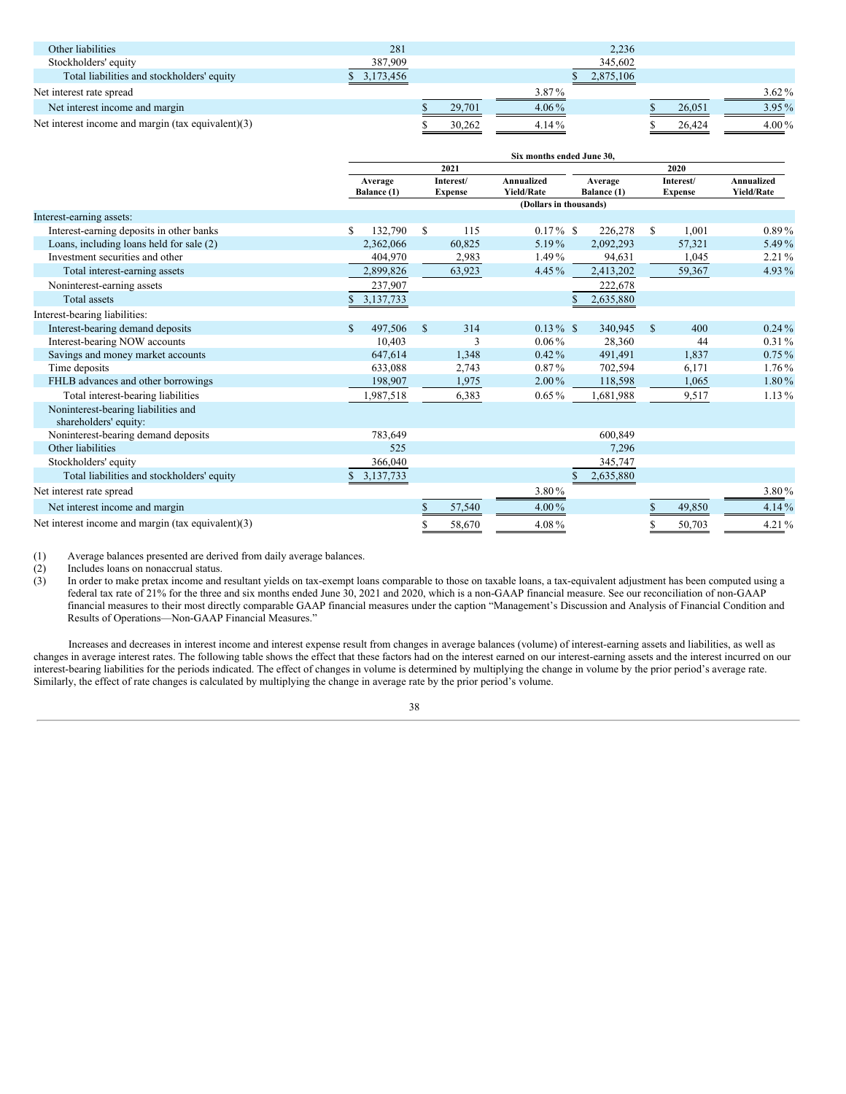| Other liabilities                                           | 281       |        | 2,236     |        |          |
|-------------------------------------------------------------|-----------|--------|-----------|--------|----------|
| Stockholders' equity                                        | 387,909   |        | 345,602   |        |          |
| Total liabilities and stockholders' equity                  | 3,173,456 |        | 2,875,106 |        |          |
| Net interest rate spread                                    |           |        | 3.87%     |        | $3.62\%$ |
| Net interest income and margin                              |           | 29.701 | $4.06\%$  | 26,051 | $3.95\%$ |
| Net interest income and margin $(\text{tax equivalent})(3)$ |           | 30,262 | $4.14\%$  | 26,424 | $4.00\%$ |

|                                                              |                        |              |                             | Six months ended June 30,       |                        |               |                             |                                 |
|--------------------------------------------------------------|------------------------|--------------|-----------------------------|---------------------------------|------------------------|---------------|-----------------------------|---------------------------------|
|                                                              |                        |              | 2021                        |                                 |                        |               |                             |                                 |
|                                                              | Average<br>Balance (1) |              | Interest/<br><b>Expense</b> | Annualized<br><b>Yield/Rate</b> | Average<br>Balance (1) |               | Interest/<br><b>Expense</b> | Annualized<br><b>Yield/Rate</b> |
|                                                              |                        |              |                             | (Dollars in thousands)          |                        |               |                             |                                 |
| Interest-earning assets:                                     |                        |              |                             |                                 |                        |               |                             |                                 |
| Interest-earning deposits in other banks                     | 132.790<br>\$          | S            | 115                         | $0.17\%$ \$                     | 226,278                | S             | 1.001                       | $0.89\%$                        |
| Loans, including loans held for sale (2)                     | 2.362.066              |              | 60.825                      | 5.19%                           | 2,092,293              |               | 57.321                      | 5.49%                           |
| Investment securities and other                              | 404,970                |              | 2,983                       | $1.49\%$                        | 94,631                 |               | 1,045                       | 2.21%                           |
| Total interest-earning assets                                | 2,899,826              |              | 63,923                      | 4.45%                           | 2,413,202              |               | 59,367                      | 4.93%                           |
| Noninterest-earning assets                                   | 237,907                |              |                             |                                 | 222,678                |               |                             |                                 |
| <b>Total assets</b>                                          | 3, 137, 733            |              |                             |                                 | 2,635,880              |               |                             |                                 |
| Interest-bearing liabilities:                                |                        |              |                             |                                 |                        |               |                             |                                 |
| Interest-bearing demand deposits                             | \$.<br>497,506         | $\mathbb{S}$ | 314                         | $0.13\%$ \$                     | 340,945                | $\mathcal{S}$ | 400                         | $0.24\%$                        |
| Interest-bearing NOW accounts                                | 10,403                 |              | 3                           | $0.06\%$                        | 28,360                 |               | 44                          | $0.31\%$                        |
| Savings and money market accounts                            | 647.614                |              | 1,348                       | $0.42\%$                        | 491.491                |               | 1,837                       | $0.75\%$                        |
| Time deposits                                                | 633,088                |              | 2,743                       | $0.87\%$                        | 702,594                |               | 6,171                       | $1.76\%$                        |
| FHLB advances and other borrowings                           | 198,907                |              | 1,975                       | $2.00\%$                        | 118,598                |               | 1,065                       | 1.80%                           |
| Total interest-bearing liabilities                           | 1,987,518              |              | 6,383                       | $0.65\%$                        | 1,681,988              |               | 9,517                       | $1.13\%$                        |
| Noninterest-bearing liabilities and<br>shareholders' equity: |                        |              |                             |                                 |                        |               |                             |                                 |
| Noninterest-bearing demand deposits                          | 783,649                |              |                             |                                 | 600,849                |               |                             |                                 |
| Other liabilities                                            | 525                    |              |                             |                                 | 7,296                  |               |                             |                                 |
| Stockholders' equity                                         | 366,040                |              |                             |                                 | 345,747                |               |                             |                                 |
| Total liabilities and stockholders' equity                   | 3,137,733              |              |                             |                                 | 2,635,880              |               |                             |                                 |
| Net interest rate spread                                     |                        |              |                             | 3.80%                           |                        |               |                             | 3.80%                           |
| Net interest income and margin                               |                        |              | 57,540                      | 4.00%                           |                        |               | 49,850                      | 4.14%                           |
| Net interest income and margin (tax equivalent)(3)           |                        |              | 58,670                      | 4.08%                           |                        |               | 50,703                      | 4.21%                           |

(1) Average balances presented are derived from daily average balances.

(2) Includes loans on nonaccrual status.<br>(3) In order to make pretax income and

In order to make pretax income and resultant yields on tax-exempt loans comparable to those on taxable loans, a tax-equivalent adjustment has been computed using a lax-equivalent adjustment has been computed using a federal tax rate of 21% for the three and six months ended June 30, 2021 and 2020, which is a non-GAAP financial measure. See our reconciliation of non-GAAP financial measures to their most directly comparable GAAP financial measures under the caption "Management's Discussion and Analysis of Financial Condition and Results of Operations—Non-GAAP Financial Measures."

Increases and decreases in interest income and interest expense result from changes in average balances (volume) of interest-earning assets and liabilities, as well as changes in average interest rates. The following table shows the effect that these factors had on the interest earned on our interest-earning assets and the interest incurred on our interest-bearing liabilities for the periods indicated. The effect of changes in volume is determined by multiplying the change in volume by the prior period's average rate. Similarly, the effect of rate changes is calculated by multiplying the change in average rate by the prior period's volume.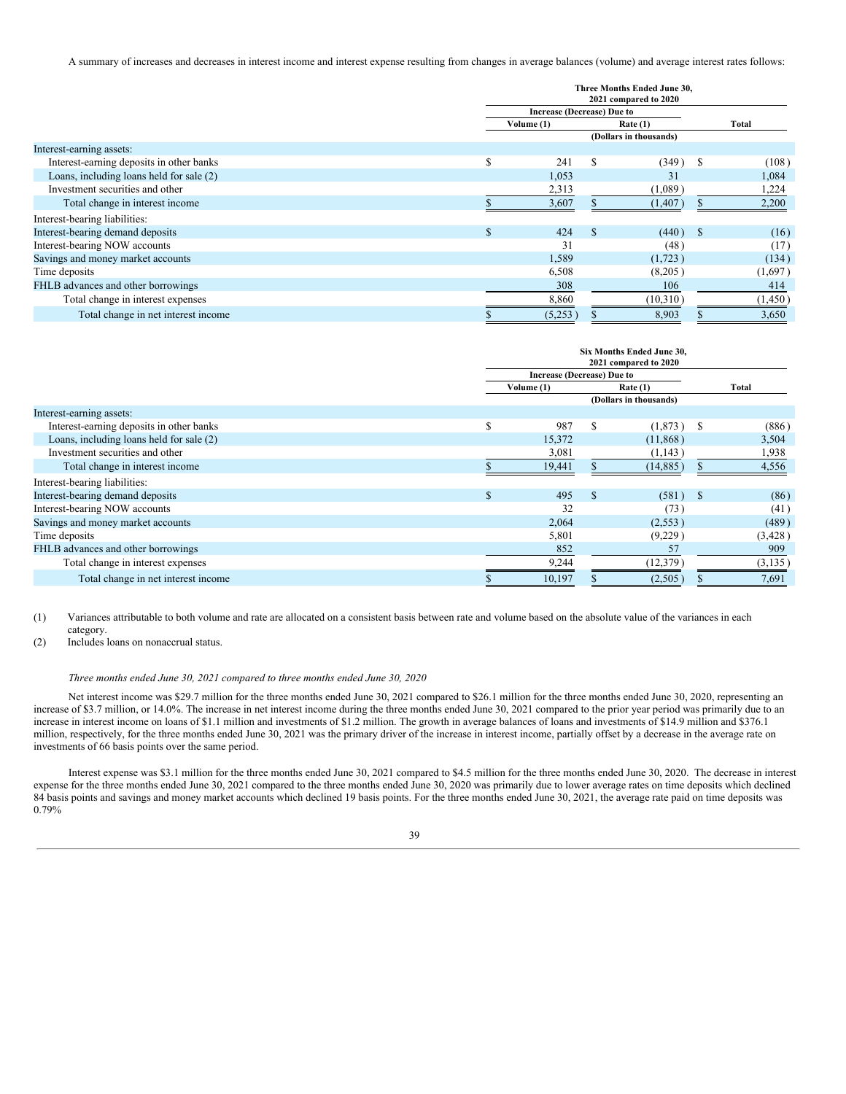A summary of increases and decreases in interest income and interest expense resulting from changes in average balances (volume) and average interest rates follows:

|                                          |               | Three Months Ended June 30,       |    |          |               |         |
|------------------------------------------|---------------|-----------------------------------|----|----------|---------------|---------|
|                                          |               | <b>Increase (Decrease) Due to</b> |    |          |               |         |
|                                          |               | Volume (1)                        |    | Rate(1)  |               | Total   |
|                                          |               |                                   |    |          |               |         |
| Interest-earning assets:                 |               |                                   |    |          |               |         |
| Interest-earning deposits in other banks | \$            | 241                               | S  | (349)    | <sup>\$</sup> | (108)   |
| Loans, including loans held for sale (2) |               | 1,053                             |    | 31       |               | 1,084   |
| Investment securities and other          |               | 2,313                             |    | (1,089)  |               | 1,224   |
| Total change in interest income          |               | 3,607                             |    | (1,407)  |               | 2,200   |
| Interest-bearing liabilities:            |               |                                   |    |          |               |         |
| Interest-bearing demand deposits         | $\mathcal{S}$ | 424                               | \$ | (440)    | -S            | (16)    |
| Interest-bearing NOW accounts            |               | 31                                |    | (48)     |               | (17)    |
| Savings and money market accounts        |               | 1,589                             |    | (1,723)  |               | (134)   |
| Time deposits                            |               | 6,508                             |    | (8,205)  |               | (1,697) |
| FHLB advances and other borrowings       |               | 308                               |    | 106      |               | 414     |
| Total change in interest expenses        |               | 8,860                             |    | (10,310) |               | (1,450) |
| Total change in net interest income      |               | (5,253)                           |    | 8,903    |               | 3,650   |

|                                          |             | Six Months Ended June 30, |                                   |                        |      |          |
|------------------------------------------|-------------|---------------------------|-----------------------------------|------------------------|------|----------|
|                                          |             |                           | <b>Increase (Decrease) Due to</b> |                        |      |          |
|                                          |             | Volume (1)                |                                   | Rate(1)                |      | Total    |
|                                          |             |                           |                                   | (Dollars in thousands) |      |          |
| Interest-earning assets:                 |             |                           |                                   |                        |      |          |
| Interest-earning deposits in other banks | $\mathbf S$ | 987                       | S                                 | (1,873)                | - \$ | (886)    |
| Loans, including loans held for sale (2) |             | 15,372                    |                                   | (11, 868)              |      | 3,504    |
| Investment securities and other          |             | 3,081                     |                                   | (1,143)                |      | 1,938    |
| Total change in interest income          |             | 19,441                    |                                   | (14,885)               |      | 4,556    |
| Interest-bearing liabilities:            |             |                           |                                   |                        |      |          |
| Interest-bearing demand deposits         | \$          | 495                       | <b>S</b>                          | (581)                  | - \$ | (86)     |
| Interest-bearing NOW accounts            |             | 32                        |                                   | (73)                   |      | (41)     |
| Savings and money market accounts        |             | 2,064                     |                                   | (2,553)                |      | (489)    |
| Time deposits                            |             | 5,801                     |                                   | (9,229)                |      | (3,428)  |
| FHLB advances and other borrowings       |             | 852                       |                                   | 57                     |      | 909      |
| Total change in interest expenses        |             | 9,244                     |                                   | (12, 379)              |      | (3, 135) |
| Total change in net interest income      |             | 10,197                    |                                   | (2,505)                |      | 7,691    |

(1) Variances attributable to both volume and rate are allocated on a consistent basis between rate and volume based on the absolute value of the variances in each category.

(2) Includes loans on nonaccrual status.

# *Three months ended June 30, 2021 compared to three months ended June 30, 2020*

Net interest income was \$29.7 million for the three months ended June 30, 2021 compared to \$26.1 million for the three months ended June 30, 2020, representing an increase of \$3.7 million, or 14.0%. The increase in net interest income during the three months ended June 30, 2021 compared to the prior year period was primarily due to an increase in interest income on loans of \$1.1 million and investments of \$1.2 million. The growth in average balances of loans and investments of \$14.9 million and \$376.1 million, respectively, for the three months ended June 30, 2021 was the primary driver of the increase in interest income, partially offset by a decrease in the average rate on investments of 66 basis points over the same period.

Interest expense was \$3.1 million for the three months ended June 30, 2021 compared to \$4.5 million for the three months ended June 30, 2020. The decrease in interest expense for the three months ended June 30, 2021 compared to the three months ended June 30, 2020 was primarily due to lower average rates on time deposits which declined 84 basis points and savings and money market accounts which declined 19 basis points. For the three months ended June 30, 2021, the average rate paid on time deposits was 0.79%

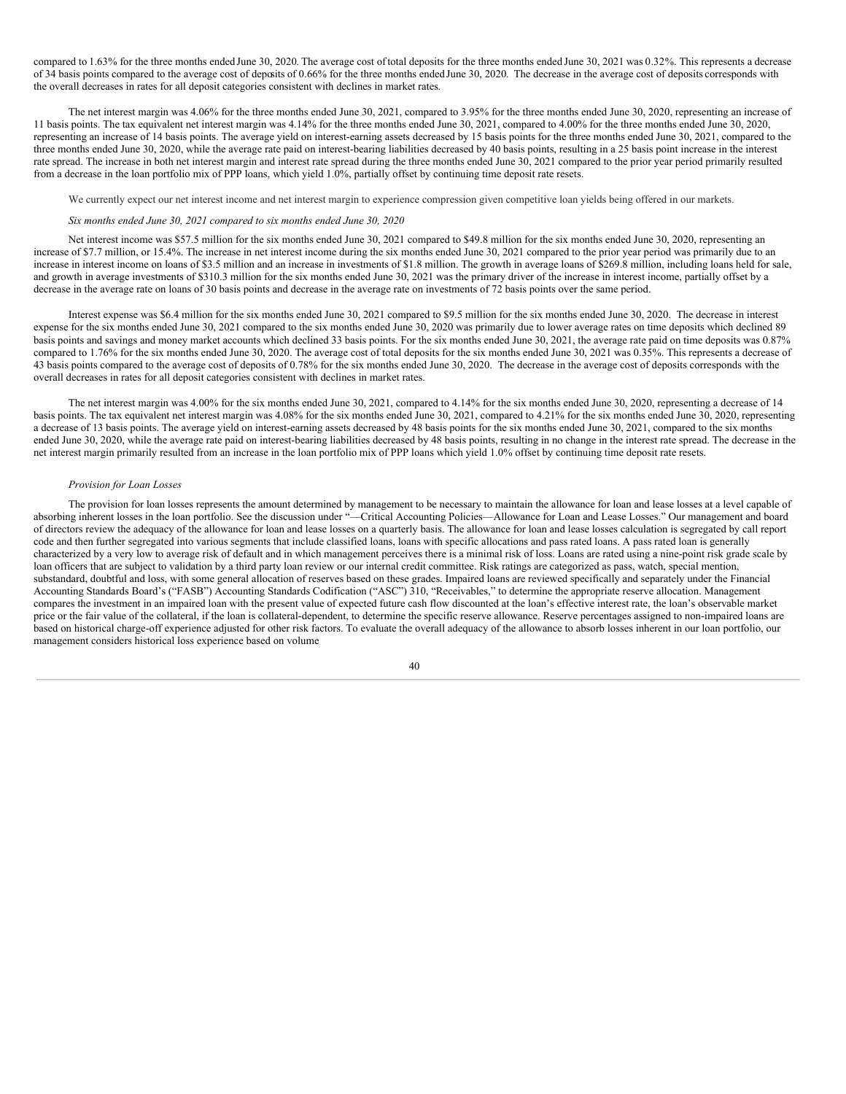compared to 1.63% for the three months ended June 30, 2020. The average cost of total deposits for the three months ended June 30, 2021 was 0.32%. This represents a decrease of 34 basis points compared to the average cost of deposits of 0.66% for the three months ended June 30, 2020. The decrease in the average cost of deposits corresponds with the overall decreases in rates for all deposit categories consistent with declines in market rates.

The net interest margin was 4.06% for the three months ended June 30, 2021, compared to 3.95% for the three months ended June 30, 2020, representing an increase of 11 basis points. The tax equivalent net interest margin was 4.14% for the three months ended June 30, 2021, compared to 4.00% for the three months ended June 30, 2020, representing an increase of 14 basis points. The average yield on interest-earning assets decreased by 15 basis points for the three months ended June 30, 2021, compared to the three months ended June 30, 2020, while the average rate paid on interest-bearing liabilities decreased by 40 basis points, resulting in a 25 basis point increase in the interest rate spread. The increase in both net interest margin and interest rate spread during the three months ended June 30, 2021 compared to the prior year period primarily resulted from a decrease in the loan portfolio mix of PPP loans, which yield 1.0%, partially offset by continuing time deposit rate resets.

We currently expect our net interest income and net interest margin to experience compression given competitive loan yields being offered in our markets.

# *Six months ended June 30, 2021 compared to six months ended June 30, 2020*

Net interest income was \$57.5 million for the six months ended June 30, 2021 compared to \$49.8 million for the six months ended June 30, 2020, representing an increase of \$7.7 million, or 15.4%. The increase in net interest income during the six months ended June 30, 2021 compared to the prior year period was primarily due to an increase in interest income on loans of \$3.5 million and an increase in investments of \$1.8 million. The growth in average loans of \$269.8 million, including loans held for sale, and growth in average investments of \$310.3 million for the six months ended June 30, 2021 was the primary driver of the increase in interest income, partially offset by a decrease in the average rate on loans of 30 basis points and decrease in the average rate on investments of 72 basis points over the same period.

Interest expense was \$6.4 million for the six months ended June 30, 2021 compared to \$9.5 million for the six months ended June 30, 2020. The decrease in interest expense for the six months ended June 30, 2021 compared to the six months ended June 30, 2020 was primarily due to lower average rates on time deposits which declined 89 basis points and savings and money market accounts which declined 33 basis points. For the six months ended June 30, 2021, the average rate paid on time deposits was 0.87% compared to 1.76% for the six months ended June 30, 2020. The average cost of total deposits for the six months ended June 30, 2021 was 0.35%. This represents a decrease of 43 basis points compared to the average cost of deposits of 0.78% for the six months ended June 30, 2020. The decrease in the average cost of deposits corresponds with the overall decreases in rates for all deposit categories consistent with declines in market rates.

The net interest margin was 4.00% for the six months ended June 30, 2021, compared to 4.14% for the six months ended June 30, 2020, representing a decrease of 14 basis points. The tax equivalent net interest margin was 4.08% for the six months ended June 30, 2021, compared to 4.21% for the six months ended June 30, 2020, representing a decrease of 13 basis points. The average yield on interest-earning assets decreased by 48 basis points for the six months ended June 30, 2021, compared to the six months ended June 30, 2020, while the average rate paid on interest-bearing liabilities decreased by 48 basis points, resulting in no change in the interest rate spread. The decrease in the net interest margin primarily resulted from an increase in the loan portfolio mix of PPP loans which yield 1.0% offset by continuing time deposit rate resets.

# *Provision for Loan Losses*

The provision for loan losses represents the amount determined by management to be necessary to maintain the allowance for loan and lease losses at a level capable of absorbing inherent losses in the loan portfolio. See the discussion under "—Critical Accounting Policies—Allowance for Loan and Lease Losses." Our management and board of directors review the adequacy of the allowance for loan and lease losses on a quarterly basis. The allowance for loan and lease losses calculation is segregated by call report code and then further segregated into various segments that include classified loans, loans with specific allocations and pass rated loans. A pass rated loan is generally characterized by a very low to average risk of default and in which management perceives there is a minimal risk of loss. Loans are rated using a nine-point risk grade scale by loan officers that are subject to validation by a third party loan review or our internal credit committee. Risk ratings are categorized as pass, watch, special mention, substandard, doubtful and loss, with some general allocation of reserves based on these grades. Impaired loans are reviewed specifically and separately under the Financial Accounting Standards Board's ("FASB") Accounting Standards Codification ("ASC") 310, "Receivables," to determine the appropriate reserve allocation. Management compares the investment in an impaired loan with the present value of expected future cash flow discounted at the loan's effective interest rate, the loan's observable market price or the fair value of the collateral, if the loan is collateral-dependent, to determine the specific reserve allowance. Reserve percentages assigned to non-impaired loans are based on historical charge-off experience adjusted for other risk factors. To evaluate the overall adequacy of the allowance to absorb losses inherent in our loan portfolio, our management considers historical loss experience based on volume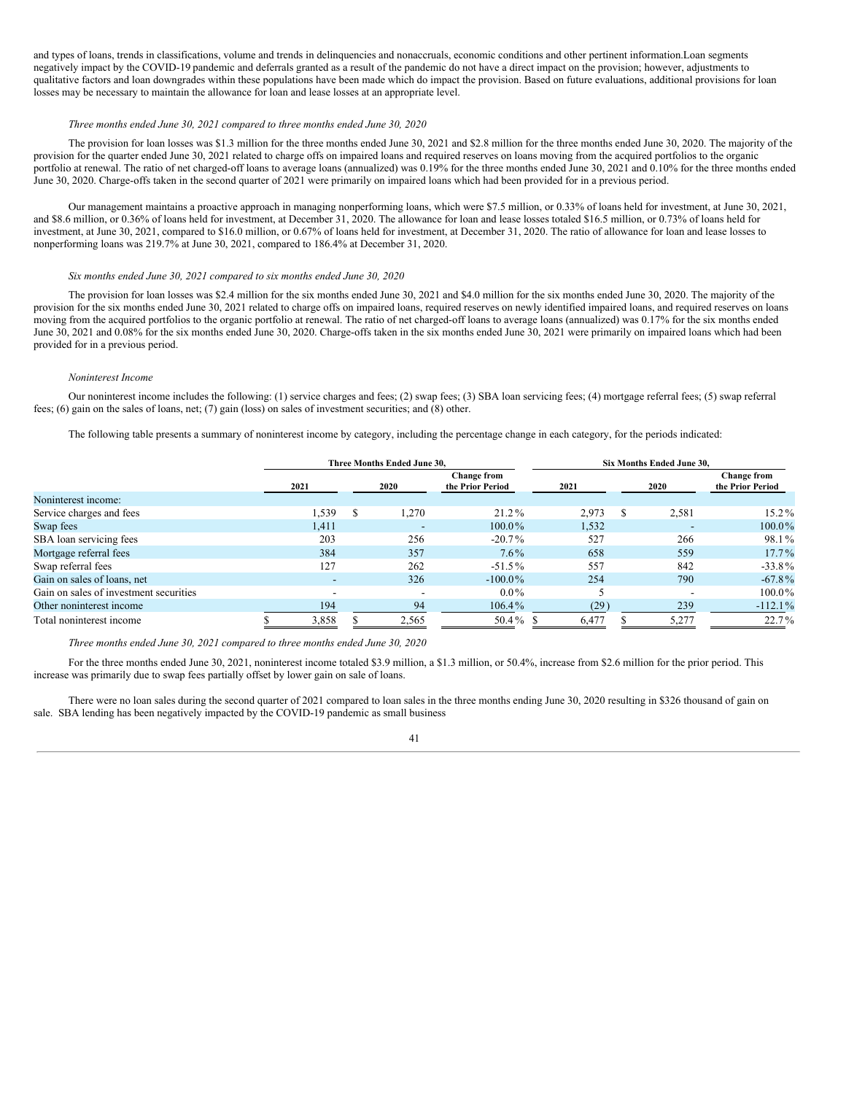and types of loans, trends in classifications, volume and trends in delinquencies and nonaccruals, economic conditions and other pertinent information.Loan segments negatively impact by the COVID-19 pandemic and deferrals granted as a result of the pandemic do not have a direct impact on the provision; however, adjustments to qualitative factors and loan downgrades within these populations have been made which do impact the provision. Based on future evaluations, additional provisions for loan losses may be necessary to maintain the allowance for loan and lease losses at an appropriate level.

# *Three months ended June 30, 2021 compared to three months ended June 30, 2020*

The provision for loan losses was \$1.3 million for the three months ended June 30, 2021 and \$2.8 million for the three months ended June 30, 2020. The majority of the provision for the quarter ended June 30, 2021 related to charge offs on impaired loans and required reserves on loans moving from the acquired portfolios to the organic portfolio at renewal. The ratio of net charged-off loans to average loans (annualized) was 0.19% for the three months ended June 30, 2021 and 0.10% for the three months ended June 30, 2020. Charge-offs taken in the second quarter of 2021 were primarily on impaired loans which had been provided for in a previous period.

Our management maintains a proactive approach in managing nonperforming loans, which were \$7.5 million, or 0.33% of loans held for investment, at June 30, 2021, and \$8.6 million, or 0.36% of loans held for investment, at December 31, 2020. The allowance for loan and lease losses totaled \$16.5 million, or 0.73% of loans held for investment, at June 30, 2021, compared to \$16.0 million, or 0.67% of loans held for investment, at December 31, 2020. The ratio of allowance for loan and lease losses to nonperforming loans was 219.7% at June 30, 2021, compared to 186.4% at December 31, 2020.

#### *Six months ended June 30, 2021 compared to six months ended June 30, 2020*

The provision for loan losses was \$2.4 million for the six months ended June 30, 2021 and \$4.0 million for the six months ended June 30, 2020. The majority of the provision for the six months ended June 30, 2021 related to charge offs on impaired loans, required reserves on newly identified impaired loans, and required reserves on loans moving from the acquired portfolios to the organic portfolio at renewal. The ratio of net charged-off loans to average loans (annualized) was 0.17% for the six months ended June 30, 2021 and 0.08% for the six months ended June 30, 2020. Charge-offs taken in the six months ended June 30, 2021 were primarily on impaired loans which had been provided for in a previous period.

#### *Noninterest Income*

Our noninterest income includes the following: (1) service charges and fees; (2) swap fees; (3) SBA loan servicing fees; (4) mortgage referral fees; (5) swap referral fees; (6) gain on the sales of loans, net; (7) gain (loss) on sales of investment securities; and (8) other.

The following table presents a summary of noninterest income by category, including the percentage change in each category, for the periods indicated:

|                                        |       |      | Three Months Ended June 30. |                                 | Six Months Ended June 30. |   |       |                                        |  |  |  |  |
|----------------------------------------|-------|------|-----------------------------|---------------------------------|---------------------------|---|-------|----------------------------------------|--|--|--|--|
|                                        | 2021  | 2020 |                             | Change from<br>the Prior Period | 2021                      |   | 2020  | <b>Change from</b><br>the Prior Period |  |  |  |  |
| Noninterest income:                    |       |      |                             |                                 |                           |   |       |                                        |  |  |  |  |
| Service charges and fees               | 1,539 | \$.  | 1,270                       | $21.2\%$                        | 2,973                     | S | 2,581 | $15.2\%$                               |  |  |  |  |
| Swap fees                              | 1,411 |      |                             | $100.0\%$                       | 1,532                     |   |       | $100.0\%$                              |  |  |  |  |
| SBA loan servicing fees                | 203   |      | 256                         | $-20.7\%$                       | 527                       |   | 266   | 98.1%                                  |  |  |  |  |
| Mortgage referral fees                 | 384   |      | 357                         | $7.6\%$                         | 658                       |   | 559   | $17.7\%$                               |  |  |  |  |
| Swap referral fees                     | 127   |      | 262                         | $-51.5%$                        | 557                       |   | 842   | $-33.8\%$                              |  |  |  |  |
| Gain on sales of loans, net            | -     |      | 326                         | $-100.0\%$                      | 254                       |   | 790   | $-67.8\%$                              |  |  |  |  |
| Gain on sales of investment securities |       |      |                             | $0.0\%$                         |                           |   |       | $100.0\%$                              |  |  |  |  |
| Other noninterest income               | 194   |      | 94                          | $106.4\%$                       | (29)                      |   | 239   | $-112.1%$                              |  |  |  |  |
| Total noninterest income               | 3,858 |      | 2,565                       | 50.4%                           | 6,477                     |   | 5,277 | $22.7\%$                               |  |  |  |  |

*Three months ended June 30, 2021 compared to three months ended June 30, 2020*

For the three months ended June 30, 2021, noninterest income totaled \$3.9 million, a \$1.3 million, or 50.4%, increase from \$2.6 million for the prior period. This increase was primarily due to swap fees partially offset by lower gain on sale of loans.

There were no loan sales during the second quarter of 2021 compared to loan sales in the three months ending June 30, 2020 resulting in \$326 thousand of gain on sale. SBA lending has been negatively impacted by the COVID-19 pandemic as small business

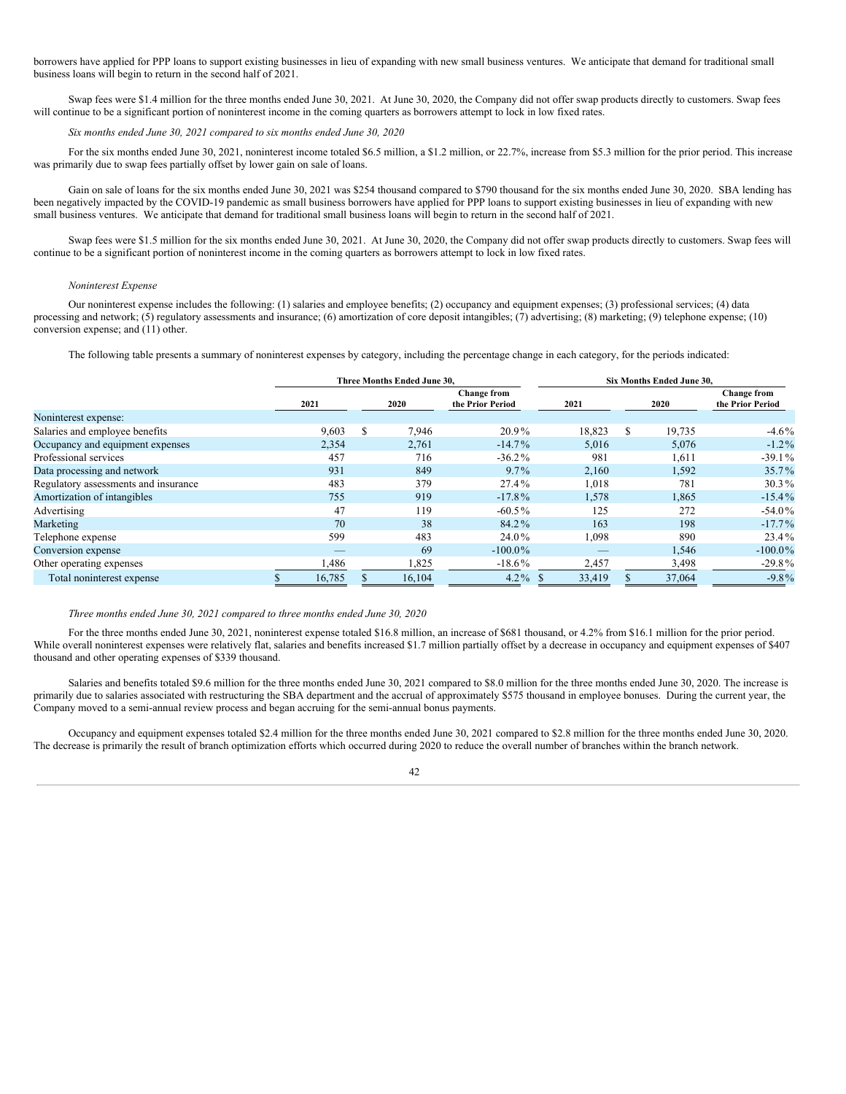borrowers have applied for PPP loans to support existing businesses in lieu of expanding with new small business ventures. We anticipate that demand for traditional small business loans will begin to return in the second half of 2021.

Swap fees were \$1.4 million for the three months ended June 30, 2021. At June 30, 2020, the Company did not offer swap products directly to customers. Swap fees will continue to be a significant portion of noninterest income in the coming quarters as borrowers attempt to lock in low fixed rates.

*Six months ended June 30, 2021 compared to six months ended June 30, 2020*

For the six months ended June 30, 2021, noninterest income totaled \$6.5 million, a \$1.2 million, or 22.7%, increase from \$5.3 million for the prior period. This increase was primarily due to swap fees partially offset by lower gain on sale of loans.

Gain on sale of loans for the six months ended June 30, 2021 was \$254 thousand compared to \$790 thousand for the six months ended June 30, 2020. SBA lending has been negatively impacted by the COVID-19 pandemic as small business borrowers have applied for PPP loans to support existing businesses in lieu of expanding with new small business ventures. We anticipate that demand for traditional small business loans will begin to return in the second half of 2021.

Swap fees were \$1.5 million for the six months ended June 30, 2021. At June 30, 2020, the Company did not offer swap products directly to customers. Swap fees will continue to be a significant portion of noninterest income in the coming quarters as borrowers attempt to lock in low fixed rates.

# *Noninterest Expense*

Our noninterest expense includes the following: (1) salaries and employee benefits; (2) occupancy and equipment expenses; (3) professional services; (4) data processing and network; (5) regulatory assessments and insurance; (6) amortization of core deposit intangibles; (7) advertising; (8) marketing; (9) telephone expense; (10) conversion expense; and (11) other.

The following table presents a summary of noninterest expenses by category, including the percentage change in each category, for the periods indicated:

|                                      | Three Months Ended June 30. |    |        |                                        | <b>Six Months Ended June 30.</b> |  |             |                                        |  |  |  |
|--------------------------------------|-----------------------------|----|--------|----------------------------------------|----------------------------------|--|-------------|----------------------------------------|--|--|--|
|                                      | 2021                        |    | 2020   | <b>Change from</b><br>the Prior Period | 2021                             |  | 2020        | <b>Change from</b><br>the Prior Period |  |  |  |
| Noninterest expense:                 |                             |    |        |                                        |                                  |  |             |                                        |  |  |  |
| Salaries and employee benefits       | 9,603                       | \$ | 7,946  | 20.9%                                  | 18,823                           |  | 19,735<br>S | $-4.6\%$                               |  |  |  |
| Occupancy and equipment expenses     | 2,354                       |    | 2,761  | $-14.7\%$                              | 5,016                            |  | 5,076       | $-1.2\%$                               |  |  |  |
| Professional services                | 457                         |    | 716    | $-36.2\%$                              | 981                              |  | 1,611       | $-39.1%$                               |  |  |  |
| Data processing and network          | 931                         |    | 849    | $9.7\%$                                | 2,160                            |  | 1,592       | 35.7%                                  |  |  |  |
| Regulatory assessments and insurance | 483                         |    | 379    | $27.4\%$                               | 1,018                            |  | 781         | $30.3\%$                               |  |  |  |
| Amortization of intangibles          | 755                         |    | 919    | $-17.8\%$                              | 1,578                            |  | 1,865       | $-15.4\%$                              |  |  |  |
| Advertising                          | 47                          |    | 119    | $-60.5\%$                              | 125                              |  | 272         | $-54.0%$                               |  |  |  |
| Marketing                            | 70                          |    | 38     | 84.2%                                  | 163                              |  | 198         | $-17.7\%$                              |  |  |  |
| Telephone expense                    | 599                         |    | 483    | 24.0%                                  | 1,098                            |  | 890         | 23.4%                                  |  |  |  |
| Conversion expense                   |                             |    | 69     | $-100.0\%$                             | _                                |  | 1,546       | $-100.0\%$                             |  |  |  |
| Other operating expenses             | 1,486                       |    | 1,825  | $-18.6\%$                              | 2,457                            |  | 3,498       | $-29.8%$                               |  |  |  |
| Total noninterest expense            | 16,785                      |    | 16,104 | $4.2\%$                                | 33,419                           |  | 37,064      | $-9.8\%$                               |  |  |  |

# *Three months ended June 30, 2021 compared to three months ended June 30, 2020*

For the three months ended June 30, 2021, noninterest expense totaled \$16.8 million, an increase of \$681 thousand, or 4.2% from \$16.1 million for the prior period. While overall noninterest expenses were relatively flat, salaries and benefits increased \$1.7 million partially offset by a decrease in occupancy and equipment expenses of \$407 thousand and other operating expenses of \$339 thousand.

Salaries and benefits totaled \$9.6 million for the three months ended June 30, 2021 compared to \$8.0 million for the three months ended June 30, 2020. The increase is primarily due to salaries associated with restructuring the SBA department and the accrual of approximately \$575 thousand in employee bonuses. During the current year, the Company moved to a semi-annual review process and began accruing for the semi-annual bonus payments.

Occupancy and equipment expenses totaled \$2.4 million for the three months ended June 30, 2021 compared to \$2.8 million for the three months ended June 30, 2020. The decrease is primarily the result of branch optimization efforts which occurred during 2020 to reduce the overall number of branches within the branch network.

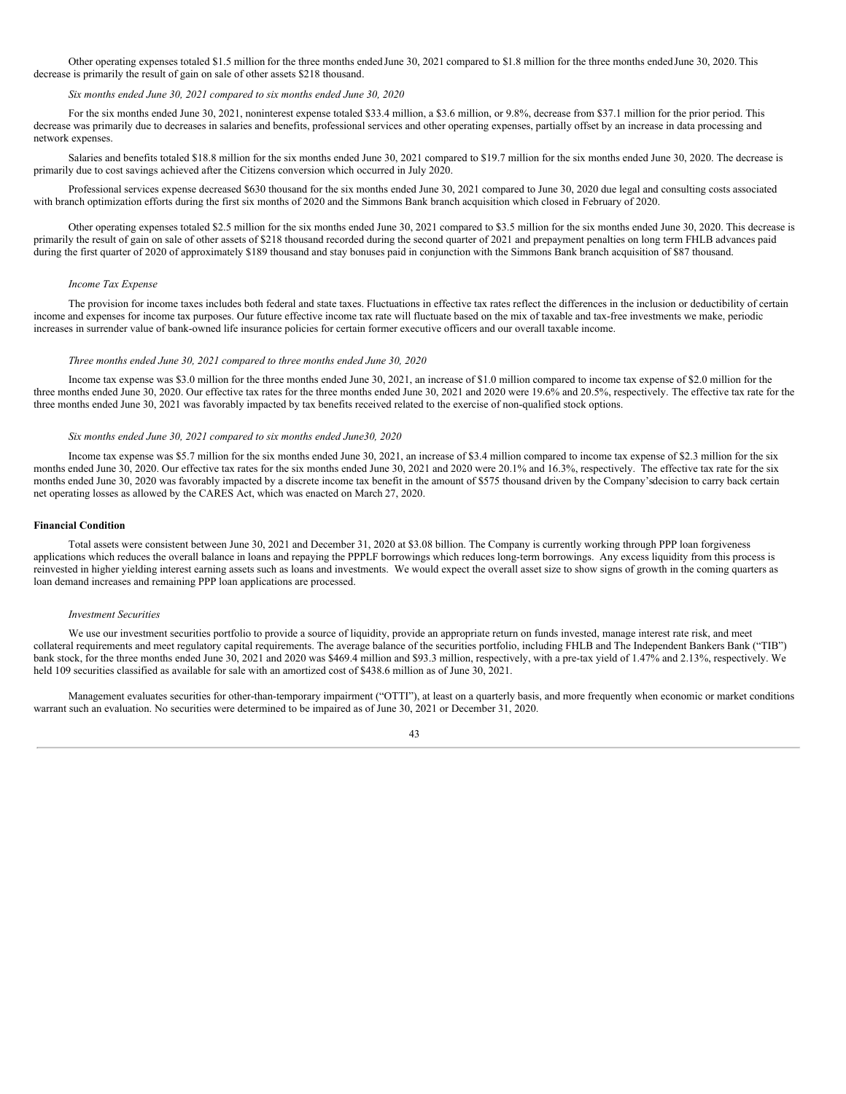Other operating expenses totaled \$1.5 million for the three months ended June 30, 2021 compared to \$1.8 million for the three months endedJune 30, 2020. This decrease is primarily the result of gain on sale of other assets \$218 thousand.

# *Six months ended June 30, 2021 compared to six months ended June 30, 2020*

For the six months ended June 30, 2021, noninterest expense totaled \$33.4 million, a \$3.6 million, or 9.8%, decrease from \$37.1 million for the prior period. This decrease was primarily due to decreases in salaries and benefits, professional services and other operating expenses, partially offset by an increase in data processing and network expenses.

Salaries and benefits totaled \$18.8 million for the six months ended June 30, 2021 compared to \$19.7 million for the six months ended June 30, 2020. The decrease is primarily due to cost savings achieved after the Citizens conversion which occurred in July 2020.

Professional services expense decreased \$630 thousand for the six months ended June 30, 2021 compared to June 30, 2020 due legal and consulting costs associated with branch optimization efforts during the first six months of 2020 and the Simmons Bank branch acquisition which closed in February of 2020.

Other operating expenses totaled \$2.5 million for the six months ended June 30, 2021 compared to \$3.5 million for the six months ended June 30, 2020. This decrease is primarily the result of gain on sale of other assets of \$218 thousand recorded during the second quarter of 2021 and prepayment penalties on long term FHLB advances paid during the first quarter of 2020 of approximately \$189 thousand and stay bonuses paid in conjunction with the Simmons Bank branch acquisition of \$87 thousand.

#### *Income Tax Expense*

The provision for income taxes includes both federal and state taxes. Fluctuations in effective tax rates reflect the differences in the inclusion or deductibility of certain income and expenses for income tax purposes. Our future effective income tax rate will fluctuate based on the mix of taxable and tax-free investments we make, periodic increases in surrender value of bank-owned life insurance policies for certain former executive officers and our overall taxable income.

# *Three months ended June 30, 2021 compared to three months ended June 30, 2020*

Income tax expense was \$3.0 million for the three months ended June 30, 2021, an increase of \$1.0 million compared to income tax expense of \$2.0 million for the three months ended June 30, 2020. Our effective tax rates for the three months ended June 30, 2021 and 2020 were 19.6% and 20.5%, respectively. The effective tax rate for the three months ended June 30, 2021 was favorably impacted by tax benefits received related to the exercise of non-qualified stock options.

#### *Six months ended June 30, 2021 compared to six months ended June30, 2020*

Income tax expense was \$5.7 million for the six months ended June 30, 2021, an increase of \$3.4 million compared to income tax expense of \$2.3 million for the six months ended June 30, 2020. Our effective tax rates for the six months ended June 30, 2021 and 2020 were 20.1% and 16.3%, respectively. The effective tax rate for the six months ended June 30, 2020 was favorably impacted by a discrete income tax benefit in the amount of \$575 thousand driven by the Company'sdecision to carry back certain net operating losses as allowed by the CARES Act, which was enacted on March 27, 2020.

# **Financial Condition**

Total assets were consistent between June 30, 2021 and December 31, 2020 at \$3.08 billion. The Company is currently working through PPP loan forgiveness applications which reduces the overall balance in loans and repaying the PPPLF borrowings which reduces long-term borrowings. Any excess liquidity from this process is reinvested in higher yielding interest earning assets such as loans and investments. We would expect the overall asset size to show signs of growth in the coming quarters as loan demand increases and remaining PPP loan applications are processed.

# *Investment Securities*

We use our investment securities portfolio to provide a source of liquidity, provide an appropriate return on funds invested, manage interest rate risk, and meet collateral requirements and meet regulatory capital requirements. The average balance of the securities portfolio, including FHLB and The Independent Bankers Bank ("TIB") bank stock, for the three months ended June 30, 2021 and 2020 was \$469.4 million and \$93.3 million, respectively, with a pre-tax yield of 1.47% and 2.13%, respectively. We held 109 securities classified as available for sale with an amortized cost of \$438.6 million as of June 30, 2021.

Management evaluates securities for other-than-temporary impairment ("OTTI"), at least on a quarterly basis, and more frequently when economic or market conditions warrant such an evaluation. No securities were determined to be impaired as of June 30, 2021 or December 31, 2020.

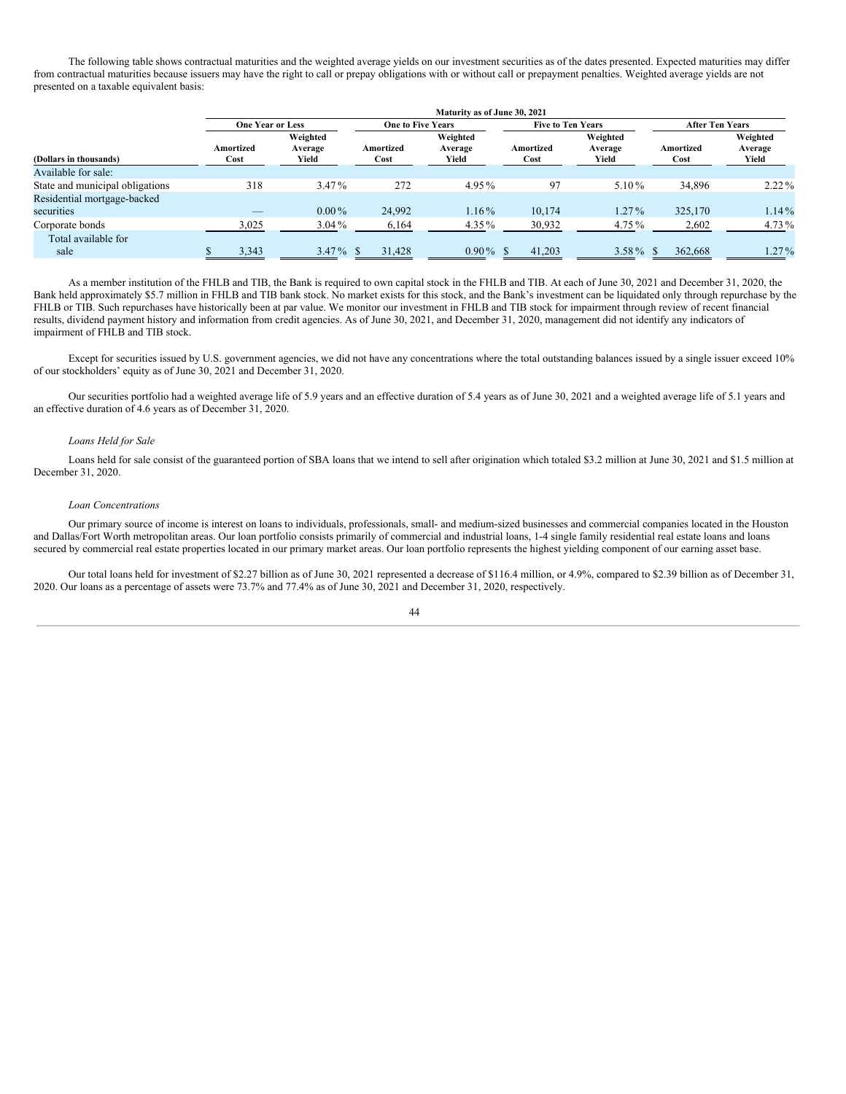The following table shows contractual maturities and the weighted average yields on our investment securities as of the dates presented. Expected maturities may differ from contractual maturities because issuers may have the right to call or prepay obligations with or without call or prepayment penalties. Weighted average yields are not presented on a taxable equivalent basis:

|                                 |                         |                              |                          | Maturity as of June 30, 2021 |                          |                              |                        |                              |
|---------------------------------|-------------------------|------------------------------|--------------------------|------------------------------|--------------------------|------------------------------|------------------------|------------------------------|
|                                 | <b>One Year or Less</b> |                              | <b>One to Five Years</b> |                              | <b>Five to Ten Years</b> |                              | <b>After Ten Years</b> |                              |
| (Dollars in thousands)          | Amortized<br>Cost       | Weighted<br>Average<br>Yield | Amortized<br>Cost        | Weighted<br>Average<br>Yield | Amortized<br>Cost        | Weighted<br>Average<br>Yield | Amortized<br>Cost      | Weighted<br>Average<br>Yield |
| Available for sale:             |                         |                              |                          |                              |                          |                              |                        |                              |
| State and municipal obligations | 318                     | $3.47\%$                     | 272                      | 4.95%                        | 97                       | 5.10%                        | 34,896                 | $2.22\%$                     |
| Residential mortgage-backed     |                         |                              |                          |                              |                          |                              |                        |                              |
| securities                      | $-$                     | $0.00\%$                     | 24.992                   | $1.16\%$                     | 10.174                   | $1.27\%$                     | 325,170                | $1.14\%$                     |
| Corporate bonds                 | 3,025                   | $3.04\%$                     | 6,164                    | $4.35\%$                     | 30,932                   | 4.75%                        | 2,602                  | $4.73\%$                     |
| Total available for<br>sale     | 3,343                   | $3.47\%$ \$                  | 31.428                   | $0.90\%$ \$                  | 41,203                   | $3.58\%$                     | 362,668                | $1.27\%$                     |

As a member institution of the FHLB and TIB, the Bank is required to own capital stock in the FHLB and TIB. At each of June 30, 2021 and December 31, 2020, the Bank held approximately \$5.7 million in FHLB and TIB bank stock. No market exists for this stock, and the Bank's investment can be liquidated only through repurchase by the FHLB or TIB. Such repurchases have historically been at par value. We monitor our investment in FHLB and TIB stock for impairment through review of recent financial results, dividend payment history and information from credit agencies. As of June 30, 2021, and December 31, 2020, management did not identify any indicators of impairment of FHLB and TIB stock.

Except for securities issued by U.S. government agencies, we did not have any concentrations where the total outstanding balances issued by a single issuer exceed 10% of our stockholders' equity as of June 30, 2021 and December 31, 2020.

Our securities portfolio had a weighted average life of 5.9 years and an effective duration of 5.4 years as of June 30, 2021 and a weighted average life of 5.1 years and an effective duration of 4.6 years as of December 31, 2020.

# *Loans Held for Sale*

Loans held for sale consist of the guaranteed portion of SBA loans that we intend to sell after origination which totaled \$3.2 million at June 30, 2021 and \$1.5 million at December 31, 2020.

# *Loan Concentrations*

Our primary source of income is interest on loans to individuals, professionals, small- and medium-sized businesses and commercial companies located in the Houston and Dallas/Fort Worth metropolitan areas. Our loan portfolio consists primarily of commercial and industrial loans, 1-4 single family residential real estate loans and loans secured by commercial real estate properties located in our primary market areas. Our loan portfolio represents the highest yielding component of our earning asset base.

Our total loans held for investment of \$2.27 billion as of June 30, 2021 represented a decrease of \$116.4 million, or 4.9%, compared to \$2.39 billion as of December 31, 2020. Our loans as a percentage of assets were 73.7% and 77.4% as of June 30, 2021 and December 31, 2020, respectively.

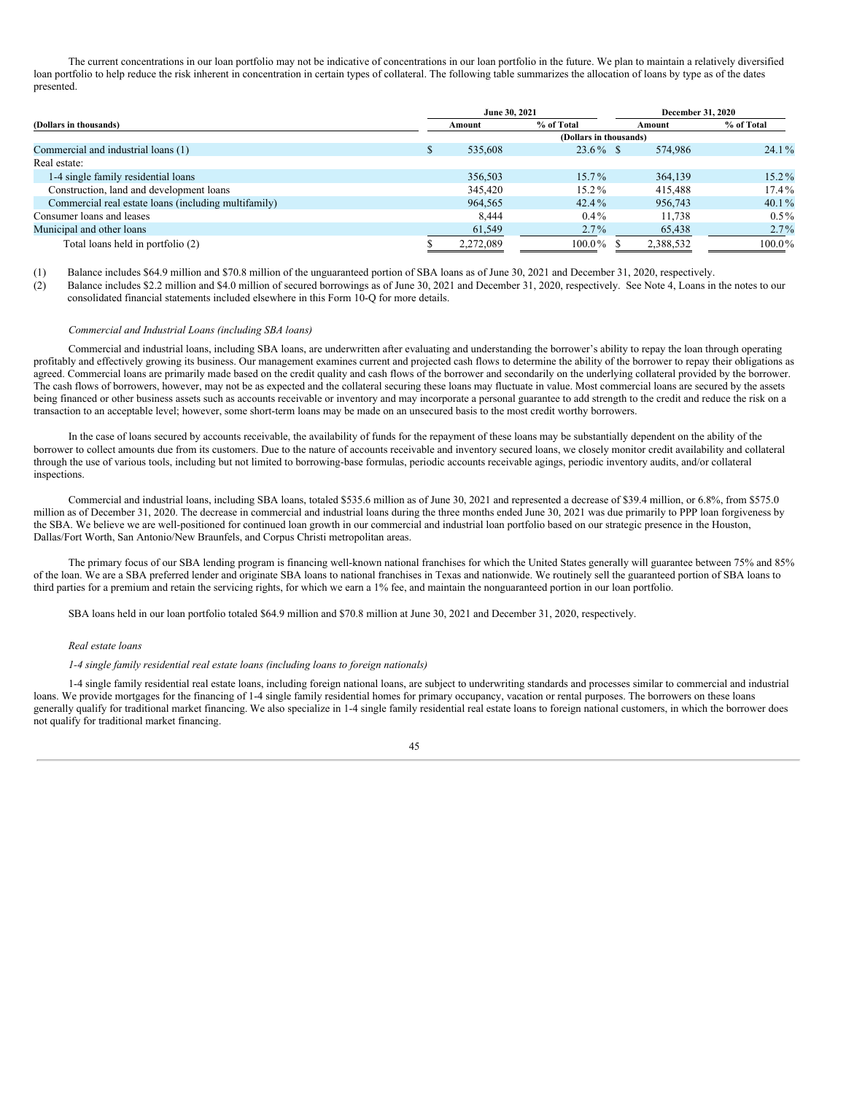The current concentrations in our loan portfolio may not be indicative of concentrations in our loan portfolio in the future. We plan to maintain a relatively diversified loan portfolio to help reduce the risk inherent in concentration in certain types of collateral. The following table summarizes the allocation of loans by type as of the dates presented.

|                                                      |     | June 30, 2021 |                        | December 31, 2020 |           |            |  |  |
|------------------------------------------------------|-----|---------------|------------------------|-------------------|-----------|------------|--|--|
| (Dollars in thousands)                               |     | Amount        | % of Total             | Amount            |           | % of Total |  |  |
|                                                      |     |               | (Dollars in thousands) |                   |           |            |  |  |
| Commercial and industrial loans (1)                  | - D | 535,608       | $23.6\%$ \$            |                   | 574.986   | $24.1\%$   |  |  |
| Real estate:                                         |     |               |                        |                   |           |            |  |  |
| 1-4 single family residential loans                  |     | 356,503       | $15.7\%$               |                   | 364,139   | $15.2\%$   |  |  |
| Construction, land and development loans             |     | 345,420       | $15.2\%$               |                   | 415,488   | $17.4\%$   |  |  |
| Commercial real estate loans (including multifamily) |     | 964,565       | $42.4\%$               |                   | 956,743   | $40.1\%$   |  |  |
| Consumer loans and leases                            |     | 8.444         | $0.4\%$                |                   | 11.738    | $0.5\%$    |  |  |
| Municipal and other loans                            |     | 61,549        | $2.7\%$                |                   | 65,438    | $2.7\%$    |  |  |
| Total loans held in portfolio (2)                    |     | 2,272,089     | $100.0\%$              |                   | 2.388.532 | $100.0\%$  |  |  |

(1) Balance includes \$64.9 million and \$70.8 million of the unguaranteed portion of SBA loans as of June 30, 2021 and December 31, 2020, respectively.

(2) Balance includes \$2.2 million and \$4.0 million of secured borrowings as of June 30, 2021 and December 31, 2020, respectively. See Note 4, Loans in the notes to our consolidated financial statements included elsewhere in this Form 10-Q for more details.

#### *Commercial and Industrial Loans (including SBA loans)*

Commercial and industrial loans, including SBA loans, are underwritten after evaluating and understanding the borrower's ability to repay the loan through operating profitably and effectively growing its business. Our management examines current and projected cash flows to determine the ability of the borrower to repay their obligations as agreed. Commercial loans are primarily made based on the credit quality and cash flows of the borrower and secondarily on the underlying collateral provided by the borrower. The cash flows of borrowers, however, may not be as expected and the collateral securing these loans may fluctuate in value. Most commercial loans are secured by the assets being financed or other business assets such as accounts receivable or inventory and may incorporate a personal guarantee to add strength to the credit and reduce the risk on a transaction to an acceptable level; however, some short-term loans may be made on an unsecured basis to the most credit worthy borrowers.

In the case of loans secured by accounts receivable, the availability of funds for the repayment of these loans may be substantially dependent on the ability of the borrower to collect amounts due from its customers. Due to the nature of accounts receivable and inventory secured loans, we closely monitor credit availability and collateral through the use of various tools, including but not limited to borrowing-base formulas, periodic accounts receivable agings, periodic inventory audits, and/or collateral inspections.

Commercial and industrial loans, including SBA loans, totaled \$535.6 million as of June 30, 2021 and represented a decrease of \$39.4 million, or 6.8%, from \$575.0 million as of December 31, 2020. The decrease in commercial and industrial loans during the three months ended June 30, 2021 was due primarily to PPP loan forgiveness by the SBA. We believe we are well-positioned for continued loan growth in our commercial and industrial loan portfolio based on our strategic presence in the Houston, Dallas/Fort Worth, San Antonio/New Braunfels, and Corpus Christi metropolitan areas.

The primary focus of our SBA lending program is financing well-known national franchises for which the United States generally will guarantee between 75% and 85% of the loan. We are a SBA preferred lender and originate SBA loans to national franchises in Texas and nationwide. We routinely sell the guaranteed portion of SBA loans to third parties for a premium and retain the servicing rights, for which we earn a 1% fee, and maintain the nonguaranteed portion in our loan portfolio.

SBA loans held in our loan portfolio totaled \$64.9 million and \$70.8 million at June 30, 2021 and December 31, 2020, respectively.

# *Real estate loans*

# *1-4 single family residential real estate loans (including loans to foreign nationals)*

1-4 single family residential real estate loans, including foreign national loans, are subject to underwriting standards and processes similar to commercial and industrial loans. We provide mortgages for the financing of 1-4 single family residential homes for primary occupancy, vacation or rental purposes. The borrowers on these loans generally qualify for traditional market financing. We also specialize in 1-4 single family residential real estate loans to foreign national customers, in which the borrower does not qualify for traditional market financing.

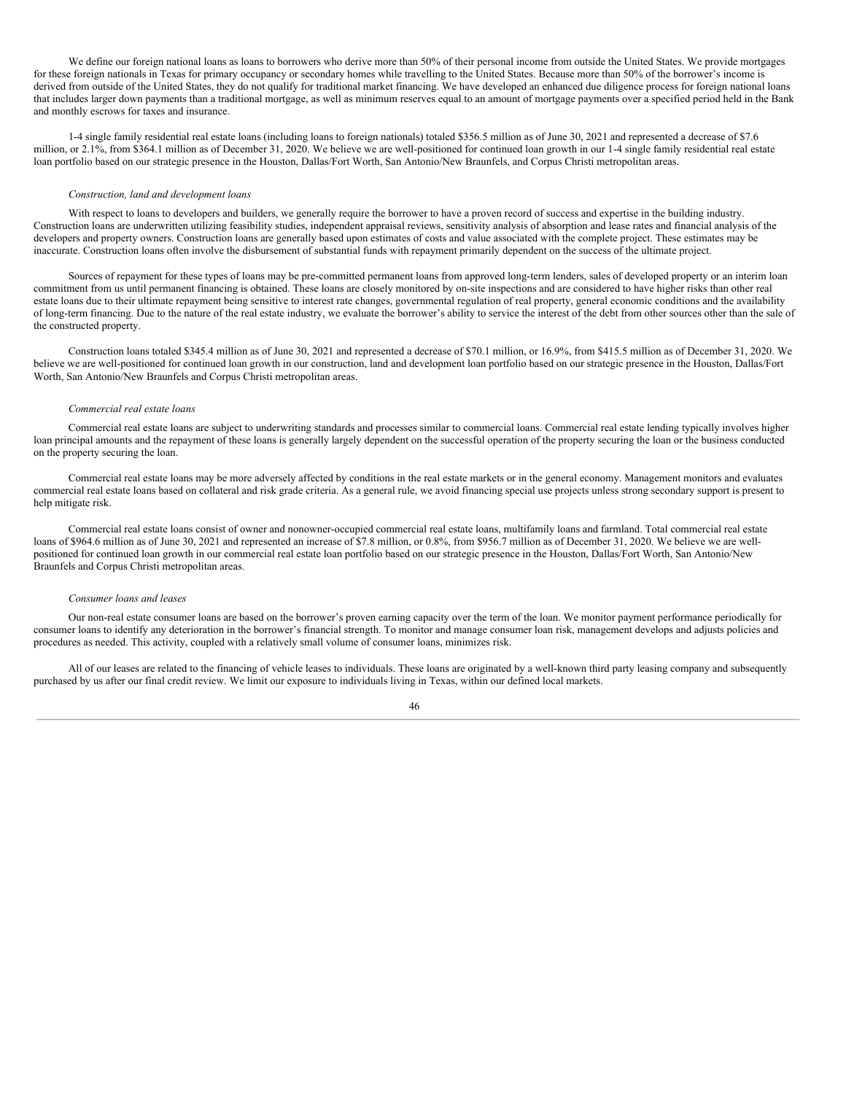We define our foreign national loans as loans to borrowers who derive more than 50% of their personal income from outside the United States. We provide mortgages for these foreign nationals in Texas for primary occupancy or secondary homes while travelling to the United States. Because more than 50% of the borrower's income is derived from outside of the United States, they do not qualify for traditional market financing. We have developed an enhanced due diligence process for foreign national loans that includes larger down payments than a traditional mortgage, as well as minimum reserves equal to an amount of mortgage payments over a specified period held in the Bank and monthly escrows for taxes and insurance.

1-4 single family residential real estate loans (including loans to foreign nationals) totaled \$356.5 million as of June 30, 2021 and represented a decrease of \$7.6 million, or 2.1%, from \$364.1 million as of December 31, 2020. We believe we are well-positioned for continued loan growth in our 1-4 single family residential real estate loan portfolio based on our strategic presence in the Houston, Dallas/Fort Worth, San Antonio/New Braunfels, and Corpus Christi metropolitan areas.

#### *Construction, land and development loans*

With respect to loans to developers and builders, we generally require the borrower to have a proven record of success and expertise in the building industry. Construction loans are underwritten utilizing feasibility studies, independent appraisal reviews, sensitivity analysis of absorption and lease rates and financial analysis of the developers and property owners. Construction loans are generally based upon estimates of costs and value associated with the complete project. These estimates may be inaccurate. Construction loans often involve the disbursement of substantial funds with repayment primarily dependent on the success of the ultimate project.

Sources of repayment for these types of loans may be pre-committed permanent loans from approved long-term lenders, sales of developed property or an interim loan commitment from us until permanent financing is obtained. These loans are closely monitored by on-site inspections and are considered to have higher risks than other real estate loans due to their ultimate repayment being sensitive to interest rate changes, governmental regulation of real property, general economic conditions and the availability of long-term financing. Due to the nature of the real estate industry, we evaluate the borrower's ability to service the interest of the debt from other sources other than the sale of the constructed property.

Construction loans totaled \$345.4 million as of June 30, 2021 and represented a decrease of \$70.1 million, or 16.9%, from \$415.5 million as of December 31, 2020. We believe we are well-positioned for continued loan growth in our construction, land and development loan portfolio based on our strategic presence in the Houston, Dallas/Fort Worth, San Antonio/New Braunfels and Corpus Christi metropolitan areas.

# *Commercial real estate loans*

Commercial real estate loans are subject to underwriting standards and processes similar to commercial loans. Commercial real estate lending typically involves higher loan principal amounts and the repayment of these loans is generally largely dependent on the successful operation of the property securing the loan or the business conducted on the property securing the loan.

Commercial real estate loans may be more adversely affected by conditions in the real estate markets or in the general economy. Management monitors and evaluates commercial real estate loans based on collateral and risk grade criteria. As a general rule, we avoid financing special use projects unless strong secondary support is present to help mitigate risk.

Commercial real estate loans consist of owner and nonowner-occupied commercial real estate loans, multifamily loans and farmland. Total commercial real estate loans of \$964.6 million as of June 30, 2021 and represented an increase of \$7.8 million, or 0.8%, from \$956.7 million as of December 31, 2020. We believe we are wellpositioned for continued loan growth in our commercial real estate loan portfolio based on our strategic presence in the Houston, Dallas/Fort Worth, San Antonio/New Braunfels and Corpus Christi metropolitan areas.

# *Consumer loans and leases*

Our non-real estate consumer loans are based on the borrower's proven earning capacity over the term of the loan. We monitor payment performance periodically for consumer loans to identify any deterioration in the borrower's financial strength. To monitor and manage consumer loan risk, management develops and adjusts policies and procedures as needed. This activity, coupled with a relatively small volume of consumer loans, minimizes risk.

All of our leases are related to the financing of vehicle leases to individuals. These loans are originated by a well-known third party leasing company and subsequently purchased by us after our final credit review. We limit our exposure to individuals living in Texas, within our defined local markets.

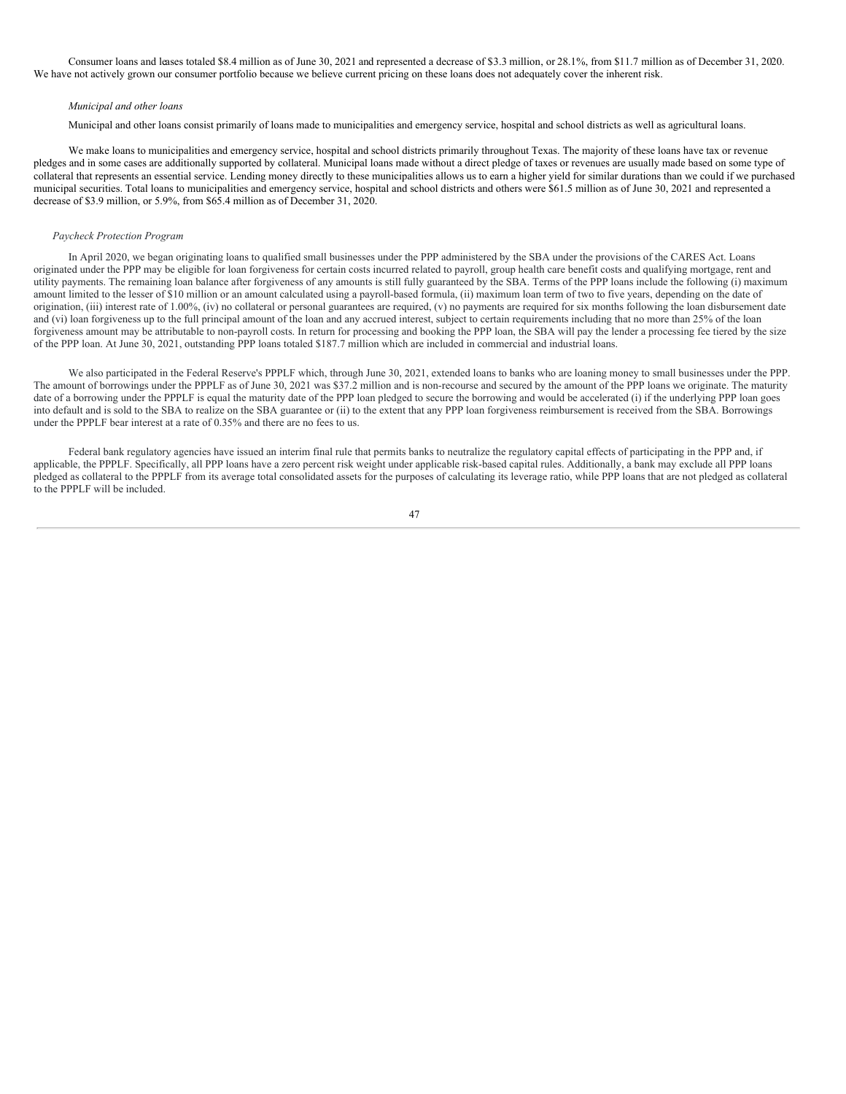Consumer loans and leases totaled \$8.4 million as of June 30, 2021 and represented a decrease of \$3.3 million, or 28.1%, from \$11.7 million as of December 31, 2020. We have not actively grown our consumer portfolio because we believe current pricing on these loans does not adequately cover the inherent risk.

# *Municipal and other loans*

Municipal and other loans consist primarily of loans made to municipalities and emergency service, hospital and school districts as well as agricultural loans.

We make loans to municipalities and emergency service, hospital and school districts primarily throughout Texas. The majority of these loans have tax or revenue pledges and in some cases are additionally supported by collateral. Municipal loans made without a direct pledge of taxes or revenues are usually made based on some type of collateral that represents an essential service. Lending money directly to these municipalities allows us to earn a higher yield for similar durations than we could if we purchased municipal securities. Total loans to municipalities and emergency service, hospital and school districts and others were \$61.5 million as of June 30, 2021 and represented a decrease of \$3.9 million, or 5.9%, from \$65.4 million as of December 31, 2020.

# *Paycheck Protection Program*

In April 2020, we began originating loans to qualified small businesses under the PPP administered by the SBA under the provisions of the CARES Act. Loans originated under the PPP may be eligible for loan forgiveness for certain costs incurred related to payroll, group health care benefit costs and qualifying mortgage, rent and utility payments. The remaining loan balance after forgiveness of any amounts is still fully guaranteed by the SBA. Terms of the PPP loans include the following (i) maximum amount limited to the lesser of \$10 million or an amount calculated using a payroll-based formula, (ii) maximum loan term of two to five years, depending on the date of origination, (iii) interest rate of 1.00%, (iv) no collateral or personal guarantees are required, (v) no payments are required for six months following the loan disbursement date and (vi) loan forgiveness up to the full principal amount of the loan and any accrued interest, subject to certain requirements including that no more than 25% of the loan forgiveness amount may be attributable to non-payroll costs. In return for processing and booking the PPP loan, the SBA will pay the lender a processing fee tiered by the size of the PPP loan. At June 30, 2021, outstanding PPP loans totaled \$187.7 million which are included in commercial and industrial loans.

We also participated in the Federal Reserve's PPPLF which, through June 30, 2021, extended loans to banks who are loaning money to small businesses under the PPP. The amount of borrowings under the PPPLF as of June 30, 2021 was \$37.2 million and is non-recourse and secured by the amount of the PPP loans we originate. The maturity date of a borrowing under the PPPLF is equal the maturity date of the PPP loan pledged to secure the borrowing and would be accelerated (i) if the underlying PPP loan goes into default and is sold to the SBA to realize on the SBA guarantee or (ii) to the extent that any PPP loan forgiveness reimbursement is received from the SBA. Borrowings under the PPPLF bear interest at a rate of 0.35% and there are no fees to us.

Federal bank regulatory agencies have issued an interim final rule that permits banks to neutralize the regulatory capital effects of participating in the PPP and, if applicable, the PPPLF. Specifically, all PPP loans have a zero percent risk weight under applicable risk-based capital rules. Additionally, a bank may exclude all PPP loans pledged as collateral to the PPPLF from its average total consolidated assets for the purposes of calculating its leverage ratio, while PPP loans that are not pledged as collateral to the PPPLF will be included.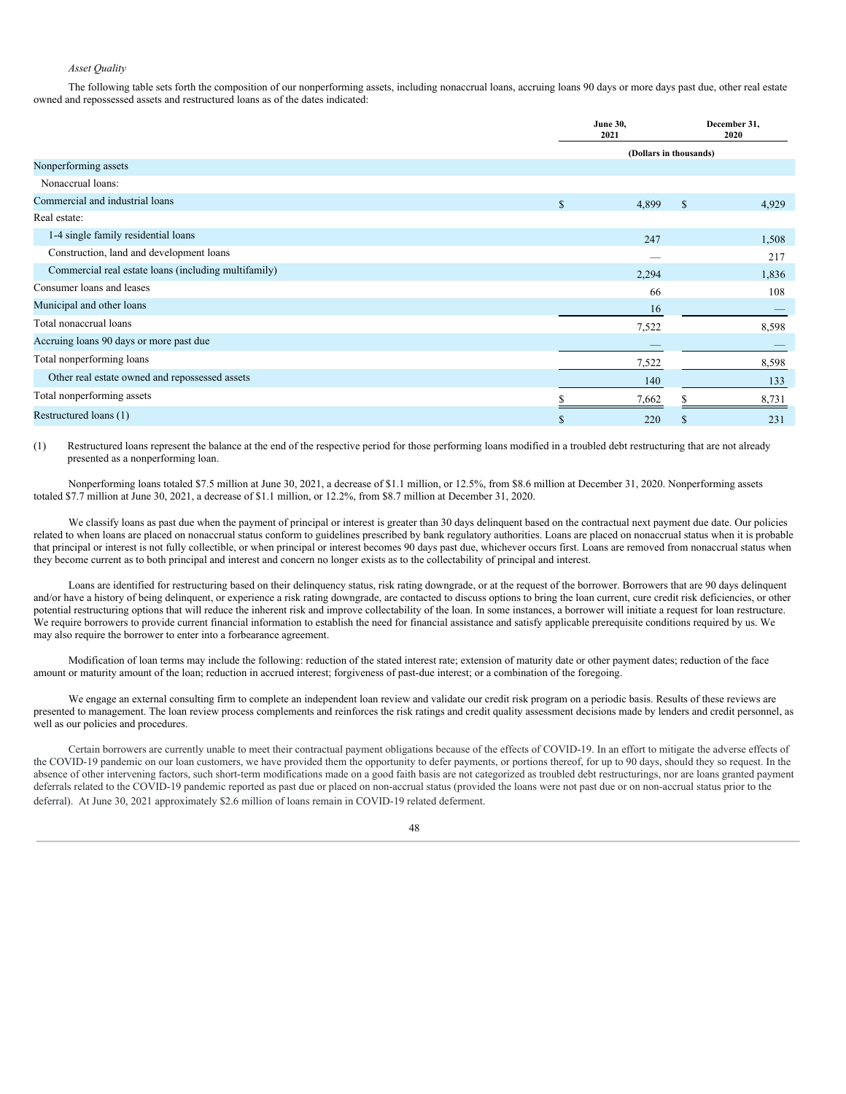# *Asset Quality*

The following table sets forth the composition of our nonperforming assets, including nonaccrual loans, accruing loans 90 days or more days past due, other real estate owned and repossessed assets and restructured loans as of the dates indicated:

|                                                                                                                                                                                                                |              | <b>June 30,</b><br>2021 | December 31,<br>2020 |       |  |
|----------------------------------------------------------------------------------------------------------------------------------------------------------------------------------------------------------------|--------------|-------------------------|----------------------|-------|--|
| Nonaccrual loans:<br>1-4 single family residential loans<br>Construction, land and development loans<br>Commercial real estate loans (including multifamily)<br>Other real estate owned and repossessed assets |              | (Dollars in thousands)  |                      |       |  |
| Nonperforming assets                                                                                                                                                                                           |              |                         |                      |       |  |
|                                                                                                                                                                                                                |              |                         |                      |       |  |
| Commercial and industrial loans                                                                                                                                                                                | $\mathbb{S}$ | 4,899                   | $\mathbb{S}$         | 4,929 |  |
| Real estate:                                                                                                                                                                                                   |              |                         |                      |       |  |
|                                                                                                                                                                                                                |              | 247                     |                      | 1,508 |  |
|                                                                                                                                                                                                                |              |                         |                      | 217   |  |
|                                                                                                                                                                                                                |              | 2,294                   |                      | 1,836 |  |
| Consumer loans and leases                                                                                                                                                                                      |              | 66                      |                      | 108   |  |
| Municipal and other loans                                                                                                                                                                                      |              | 16                      |                      |       |  |
| Total nonaccrual loans                                                                                                                                                                                         |              | 7,522                   |                      | 8,598 |  |
| Accruing loans 90 days or more past due                                                                                                                                                                        |              |                         |                      |       |  |
| Total nonperforming loans                                                                                                                                                                                      |              | 7,522                   |                      | 8,598 |  |
|                                                                                                                                                                                                                |              | 140                     |                      | 133   |  |
| Total nonperforming assets                                                                                                                                                                                     |              | 7,662                   |                      | 8,731 |  |
| Restructured loans (1)                                                                                                                                                                                         | \$           | 220                     | \$                   | 231   |  |

(1) Restructured loans represent the balance at the end of the respective period for those performing loans modified in a troubled debt restructuring that are not already presented as a nonperforming loan.

Nonperforming loans totaled \$7.5 million at June 30, 2021, a decrease of \$1.1 million, or 12.5%, from \$8.6 million at December 31, 2020. Nonperforming assets totaled \$7.7 million at June 30, 2021, a decrease of \$1.1 million, or 12.2%, from \$8.7 million at December 31, 2020.

We classify loans as past due when the payment of principal or interest is greater than 30 days delinquent based on the contractual next payment due date. Our policies related to when loans are placed on nonaccrual status conform to guidelines prescribed by bank regulatory authorities. Loans are placed on nonaccrual status when it is probable that principal or interest is not fully collectible, or when principal or interest becomes 90 days past due, whichever occurs first. Loans are removed from nonaccrual status when they become current as to both principal and interest and concern no longer exists as to the collectability of principal and interest.

Loans are identified for restructuring based on their delinquency status, risk rating downgrade, or at the request of the borrower. Borrowers that are 90 days delinquent and/or have a history of being delinquent, or experience a risk rating downgrade, are contacted to discuss options to bring the loan current, cure credit risk deficiencies, or other potential restructuring options that will reduce the inherent risk and improve collectability of the loan. In some instances, a borrower will initiate a request for loan restructure. We require borrowers to provide current financial information to establish the need for financial assistance and satisfy applicable prerequisite conditions required by us. We may also require the borrower to enter into a forbearance agreement.

Modification of loan terms may include the following: reduction of the stated interest rate; extension of maturity date or other payment dates; reduction of the face amount or maturity amount of the loan; reduction in accrued interest; forgiveness of past-due interest; or a combination of the foregoing.

We engage an external consulting firm to complete an independent loan review and validate our credit risk program on a periodic basis. Results of these reviews are presented to management. The loan review process complements and reinforces the risk ratings and credit quality assessment decisions made by lenders and credit personnel, as well as our policies and procedures.

Certain borrowers are currently unable to meet their contractual payment obligations because of the effects of COVID-19. In an effort to mitigate the adverse effects of the COVID-19 pandemic on our loan customers, we have provided them the opportunity to defer payments, or portions thereof, for up to 90 days, should they so request. In the absence of other intervening factors, such short-term modifications made on a good faith basis are not categorized as troubled debt restructurings, nor are loans granted payment deferrals related to the COVID-19 pandemic reported as past due or placed on non-accrual status (provided the loans were not past due or on non-accrual status prior to the deferral). At June 30, 2021 approximately \$2.6 million of loans remain in COVID-19 related deferment.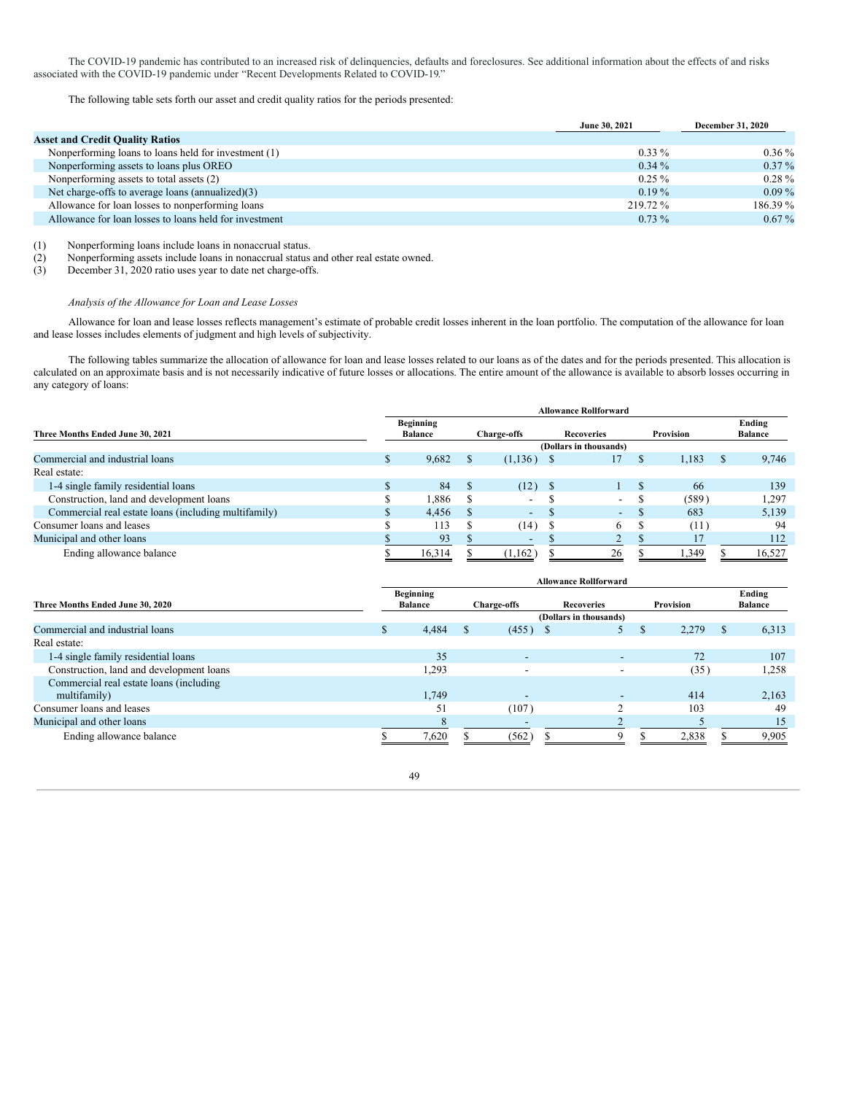The COVID-19 pandemic has contributed to an increased risk of delinquencies, defaults and foreclosures. See additional information about the effects of and risks associated with the COVID-19 pandemic under "Recent Developments Related to COVID-19."

The following table sets forth our asset and credit quality ratios for the periods presented:

|                                                        | June 30, 2021 | <b>December 31, 2020</b> |
|--------------------------------------------------------|---------------|--------------------------|
| <b>Asset and Credit Quality Ratios</b>                 |               |                          |
| Nonperforming loans to loans held for investment (1)   | $0.33\%$      | $0.36\%$                 |
| Nonperforming assets to loans plus OREO                | $0.34\%$      | $0.37\%$                 |
| Nonperforming assets to total assets (2)               | $0.25 \%$     | $0.28 \%$                |
| Net charge-offs to average loans (annualized)(3)       | $0.19\%$      | $0.09\%$                 |
| Allowance for loan losses to nonperforming loans       | 219.72 %      | 186.39 %                 |
| Allowance for loan losses to loans held for investment | $0.73\%$      | $0.67\%$                 |

(1) Nonperforming loans include loans in nonaccrual status.

(2) Nonperforming assets include loans in nonaccrual status and other real estate owned.<br>
(3) December 31, 2020 ratio uses year to date net charge-offs.

December 31, 2020 ratio uses year to date net charge-offs.

# *Analysis of the Allowance for Loan and Lease Losses*

Allowance for loan and lease losses reflects management's estimate of probable credit losses inherent in the loan portfolio. The computation of the allowance for loan and lease losses includes elements of judgment and high levels of subjectivity.

The following tables summarize the allocation of allowance for loan and lease losses related to our loans as of the dates and for the periods presented. This allocation is calculated on an approximate basis and is not necessarily indicative of future losses or allocations. The entire amount of the allowance is available to absorb losses occurring in any category of loans:

|                                                      | <b>Allowance Rollforward</b> |                                    |  |                          |      |                        |           |       |   |                          |  |  |
|------------------------------------------------------|------------------------------|------------------------------------|--|--------------------------|------|------------------------|-----------|-------|---|--------------------------|--|--|
| Three Months Ended June 30, 2021                     |                              | <b>Beginning</b><br><b>Balance</b> |  | <b>Charge-offs</b>       |      | <b>Recoveries</b>      | Provision |       |   | Ending<br><b>Balance</b> |  |  |
|                                                      |                              |                                    |  |                          |      | (Dollars in thousands) |           |       |   |                          |  |  |
| Commercial and industrial loans                      |                              | 9.682                              |  | (1,136)                  | Ъ    | 17                     | Э         | 1.183 | S | 9,746                    |  |  |
| Real estate:                                         |                              |                                    |  |                          |      |                        |           |       |   |                          |  |  |
| 1-4 single family residential loans                  |                              | 84                                 |  | (12)                     | - \$ |                        |           | 66    |   | 139                      |  |  |
| Construction, land and development loans             |                              | .886                               |  | $\overline{\phantom{a}}$ |      | $\sim$                 |           | (589) |   | 1,297                    |  |  |
| Commercial real estate loans (including multifamily) |                              | 4.456                              |  | $\overline{\phantom{a}}$ |      | $\sim$                 |           | 683   |   | 5,139                    |  |  |
| Consumer loans and leases                            |                              | 113                                |  | (14)                     | . ъ  | 6                      |           | (11)  |   | 94                       |  |  |
| Municipal and other loans                            |                              | 93                                 |  | $\overline{\phantom{a}}$ |      | ∠                      |           |       |   | 112                      |  |  |
| Ending allowance balance                             |                              | 16,314                             |  | (1,162)                  |      | 26                     |           | 1,349 |   | 16,527                   |  |  |

|                                          | <b>Allowance Rollforward</b> |                  |    |                          |                        |                          |          |           |              |                |
|------------------------------------------|------------------------------|------------------|----|--------------------------|------------------------|--------------------------|----------|-----------|--------------|----------------|
|                                          |                              | <b>Beginning</b> |    |                          |                        |                          |          |           |              | Ending         |
| Three Months Ended June 30, 2020         |                              | <b>Balance</b>   |    | Charge-offs              | <b>Recoveries</b>      |                          |          | Provision |              | <b>Balance</b> |
|                                          |                              |                  |    |                          | (Dollars in thousands) |                          |          |           |              |                |
| Commercial and industrial loans          | S                            | 4,484            | -S | (455)                    | - \$                   | $5-$                     | <b>J</b> | 2,279     | <sup>S</sup> | 6,313          |
| Real estate:                             |                              |                  |    |                          |                        |                          |          |           |              |                |
| 1-4 single family residential loans      |                              | 35               |    | $\overline{\phantom{a}}$ |                        |                          |          | 72        |              | 107            |
| Construction, land and development loans |                              | 1,293            |    | $\overline{\phantom{a}}$ |                        |                          |          | (35)      |              | 1,258          |
| Commercial real estate loans (including  |                              |                  |    |                          |                        |                          |          |           |              |                |
| multifamily)                             |                              | 1.749            |    | $\overline{\phantom{0}}$ |                        | $\overline{\phantom{a}}$ |          | 414       |              | 2,163          |
| Consumer loans and leases                |                              | 51               |    | (107)                    |                        | $\sim$                   |          | 103       |              | 49             |
| Municipal and other loans                |                              | 8                |    |                          |                        |                          |          |           |              | 15             |
| Ending allowance balance                 |                              | 7.620            |    | (562)                    |                        | $\Omega$                 |          | 2,838     |              | 9,905          |

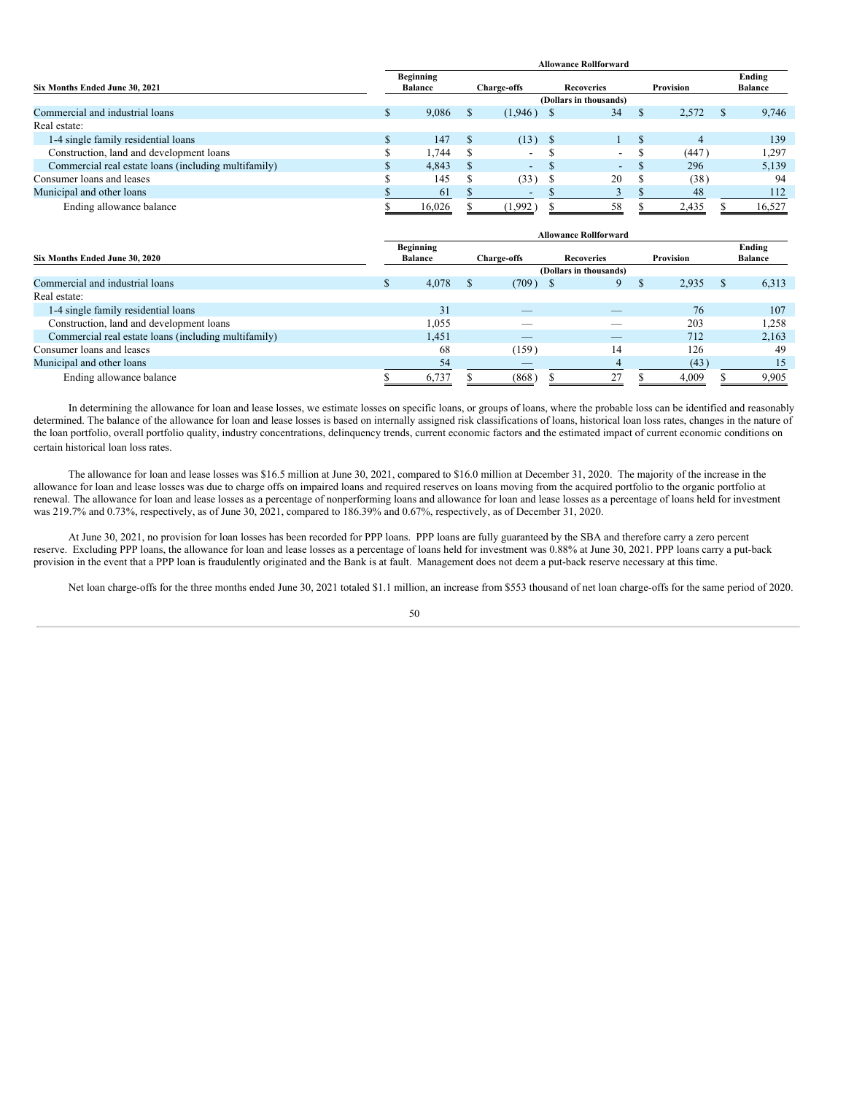|                                                      | <b>Allowance Rollforward</b> |                                    |                    |                          |                   |                          |           |                |  |                          |  |
|------------------------------------------------------|------------------------------|------------------------------------|--------------------|--------------------------|-------------------|--------------------------|-----------|----------------|--|--------------------------|--|
| Six Months Ended June 30, 2021                       |                              | <b>Beginning</b><br><b>Balance</b> | <b>Charge-offs</b> |                          | <b>Recoveries</b> |                          | Provision |                |  | Ending<br><b>Balance</b> |  |
|                                                      |                              |                                    |                    |                          |                   | (Dollars in thousands)   |           |                |  |                          |  |
| Commercial and industrial loans                      |                              | 9.086                              |                    | (1,946)                  | Ъ.                | 34                       |           | 2,572          |  | 9,746                    |  |
| Real estate:                                         |                              |                                    |                    |                          |                   |                          |           |                |  |                          |  |
| 1-4 single family residential loans                  |                              | 147                                | S                  | (13)                     | - \$              |                          |           | $\overline{4}$ |  | 139                      |  |
| Construction, land and development loans             |                              | 744.،                              |                    | $\overline{\phantom{0}}$ |                   | $\overline{\phantom{a}}$ |           | (447)          |  | 1,297                    |  |
| Commercial real estate loans (including multifamily) |                              | 4.843                              |                    | $\overline{\phantom{0}}$ |                   | $\sim$                   |           | 296            |  | 5,139                    |  |
| Consumer loans and leases                            |                              | 145                                | D                  | (33)                     | ъ                 | 20                       |           | (38)           |  | 94                       |  |
| Municipal and other loans                            |                              | 61                                 |                    | $\overline{\phantom{a}}$ |                   |                          |           | 48             |  | 112                      |  |
| Ending allowance balance                             |                              | 16,026                             |                    | (1,992)                  |                   | 58                       |           | 2,435          |  | 16,527                   |  |

|                                                      | <b>Allowance Rollforward</b> |                    |                          |                          |                       |   |                          |  |  |
|------------------------------------------------------|------------------------------|--------------------|--------------------------|--------------------------|-----------------------|---|--------------------------|--|--|
| Six Months Ended June 30, 2020                       | Beginning<br><b>Balance</b>  | <b>Charge-offs</b> |                          | <b>Recoveries</b>        | Provision             |   | Ending<br><b>Balance</b> |  |  |
|                                                      |                              |                    |                          | (Dollars in thousands)   |                       |   |                          |  |  |
| Commercial and industrial loans                      | 4,078                        |                    | (709)                    | 9                        | 2,935<br>$\mathbf{D}$ | S | 6,313                    |  |  |
| Real estate:                                         |                              |                    |                          |                          |                       |   |                          |  |  |
| 1-4 single family residential loans                  | 31                           |                    | _                        |                          | 76                    |   | 107                      |  |  |
| Construction, land and development loans             | 1,055                        |                    |                          |                          | 203                   |   | 1,258                    |  |  |
| Commercial real estate loans (including multifamily) | 1.451                        |                    | __                       | $\overline{\phantom{a}}$ | 712                   |   | 2,163                    |  |  |
| Consumer loans and leases                            | 68                           |                    | (159)                    | 14                       | 126                   |   | 49                       |  |  |
| Municipal and other loans                            | 54                           |                    | $\overline{\phantom{a}}$ | 4                        | (43)                  |   | 15                       |  |  |
| Ending allowance balance                             | 6,737                        |                    | (868)                    | 27                       | 4.009                 |   | 9,905                    |  |  |

In determining the allowance for loan and lease losses, we estimate losses on specific loans, or groups of loans, where the probable loss can be identified and reasonably determined. The balance of the allowance for loan and lease losses is based on internally assigned risk classifications of loans, historical loan loss rates, changes in the nature of the loan portfolio, overall portfolio quality, industry concentrations, delinquency trends, current economic factors and the estimated impact of current economic conditions on certain historical loan loss rates.

The allowance for loan and lease losses was \$16.5 million at June 30, 2021, compared to \$16.0 million at December 31, 2020. The majority of the increase in the allowance for loan and lease losses was due to charge offs on impaired loans and required reserves on loans moving from the acquired portfolio to the organic portfolio at renewal. The allowance for loan and lease losses as a percentage of nonperforming loans and allowance for loan and lease losses as a percentage of loans held for investment was 219.7% and 0.73%, respectively, as of June 30, 2021, compared to 186.39% and 0.67%, respectively, as of December 31, 2020.

At June 30, 2021, no provision for loan losses has been recorded for PPP loans. PPP loans are fully guaranteed by the SBA and therefore carry a zero percent reserve. Excluding PPP loans, the allowance for loan and lease losses as a percentage of loans held for investment was 0.88% at June 30, 2021. PPP loans carry a put-back provision in the event that a PPP loan is fraudulently originated and the Bank is at fault. Management does not deem a put-back reserve necessary at this time.

Net loan charge-offs for the three months ended June 30, 2021 totaled \$1.1 million, an increase from \$553 thousand of net loan charge-offs for the same period of 2020.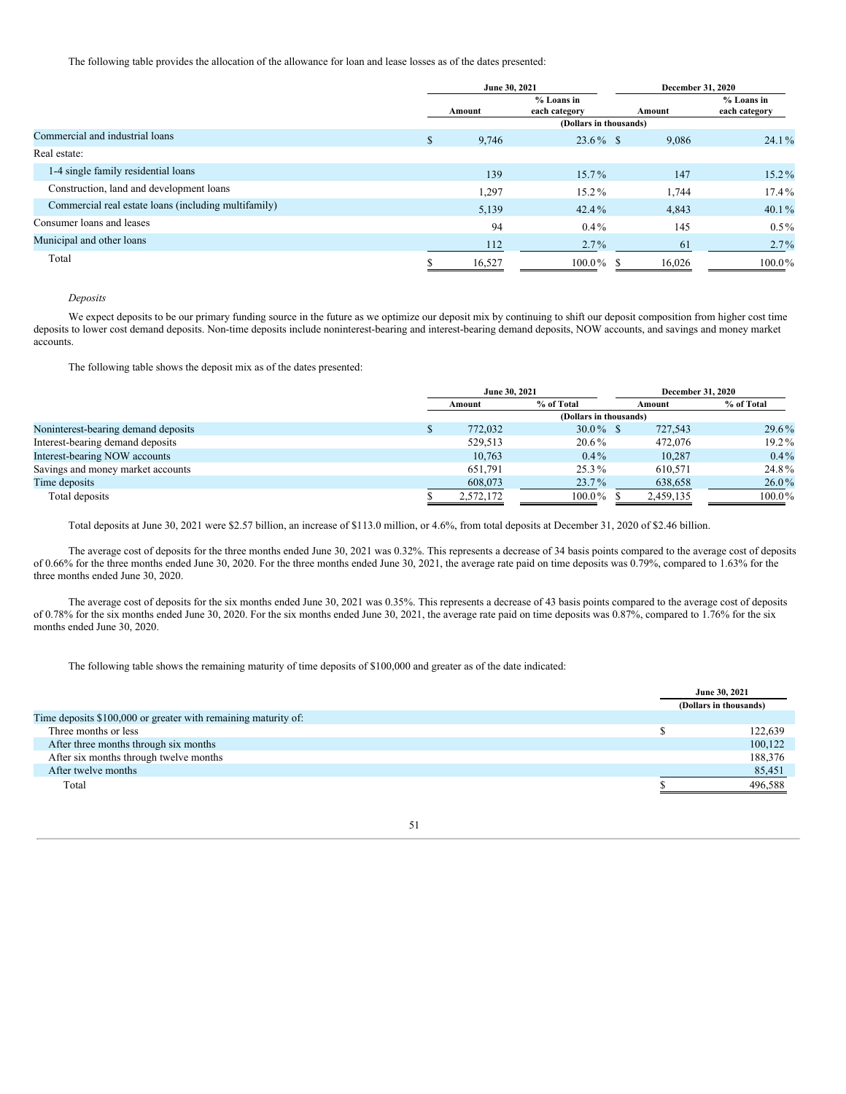The following table provides the allocation of the allowance for loan and lease losses as of the dates presented:

|                                                      |               | June 30, 2021 |                             |        | December 31, 2020             |
|------------------------------------------------------|---------------|---------------|-----------------------------|--------|-------------------------------|
|                                                      |               | Amount        | % Loans in<br>each category | Amount | $%$ Loans in<br>each category |
|                                                      |               |               | (Dollars in thousands)      |        |                               |
| Commercial and industrial loans                      | <sup>\$</sup> | 9,746         | $23.6\%$ \$                 | 9,086  | $24.1\%$                      |
| Real estate:                                         |               |               |                             |        |                               |
| 1-4 single family residential loans                  |               | 139           | $15.7\%$                    | 147    | $15.2\%$                      |
| Construction, land and development loans             |               | 1,297         | $15.2\%$                    | 1,744  | $17.4\%$                      |
| Commercial real estate loans (including multifamily) |               | 5,139         | $42.4\%$                    | 4,843  | $40.1\%$                      |
| Consumer loans and leases                            |               | 94            | $0.4\%$                     | 145    | $0.5\%$                       |
| Municipal and other loans                            |               | 112           | $2.7\%$                     | 61     | $2.7\%$                       |
| Total                                                | S             | 16,527        | $100.0\%$ \$                | 16.026 | $100.0\%$                     |

*Deposits*

We expect deposits to be our primary funding source in the future as we optimize our deposit mix by continuing to shift our deposit composition from higher cost time deposits to lower cost demand deposits. Non-time deposits include noninterest-bearing and interest-bearing demand deposits, NOW accounts, and savings and money market accounts.

The following table shows the deposit mix as of the dates presented:

|                                     | June 30, 2021 |                        | <b>December 31, 2020</b> |            |  |  |  |
|-------------------------------------|---------------|------------------------|--------------------------|------------|--|--|--|
|                                     | Amount        | % of Total             | Amount                   | % of Total |  |  |  |
|                                     |               | (Dollars in thousands) |                          |            |  |  |  |
| Noninterest-bearing demand deposits | 772,032       | $30.0\%$ \$            | 727.543                  | 29.6%      |  |  |  |
| Interest-bearing demand deposits    | 529,513       | 20.6%                  | 472,076                  | $19.2\%$   |  |  |  |
| Interest-bearing NOW accounts       | 10.763        | $0.4\%$                | 10.287                   | $0.4\%$    |  |  |  |
| Savings and money market accounts   | 651.791       | 25.3%                  | 610.571                  | 24.8%      |  |  |  |
| Time deposits                       | 608,073       | 23.7%                  | 638,658                  | $26.0\%$   |  |  |  |
| Total deposits                      | 2,572,172     | $100.0\%$              | 2,459,135                | 100.0%     |  |  |  |

Total deposits at June 30, 2021 were \$2.57 billion, an increase of \$113.0 million, or 4.6%, from total deposits at December 31, 2020 of \$2.46 billion.

The average cost of deposits for the three months ended June 30, 2021 was 0.32%. This represents a decrease of 34 basis points compared to the average cost of deposits of 0.66% for the three months ended June 30, 2020. For the three months ended June 30, 2021, the average rate paid on time deposits was 0.79%, compared to 1.63% for the three months ended June 30, 2020.

The average cost of deposits for the six months ended June 30, 2021 was 0.35%. This represents a decrease of 43 basis points compared to the average cost of deposits of 0.78% for the six months ended June 30, 2020. For the six months ended June 30, 2021, the average rate paid on time deposits was 0.87%, compared to 1.76% for the six months ended June 30, 2020.

The following table shows the remaining maturity of time deposits of \$100,000 and greater as of the date indicated:

|                                                                | June 30, 2021<br>(Dollars in thousands) |
|----------------------------------------------------------------|-----------------------------------------|
| Time deposits \$100,000 or greater with remaining maturity of: |                                         |
| Three months or less                                           | 122,639                                 |
| After three months through six months                          | 100,122                                 |
| After six months through twelve months                         | 188,376                                 |
| After twelve months                                            | 85,451                                  |
| Total                                                          | 496,588                                 |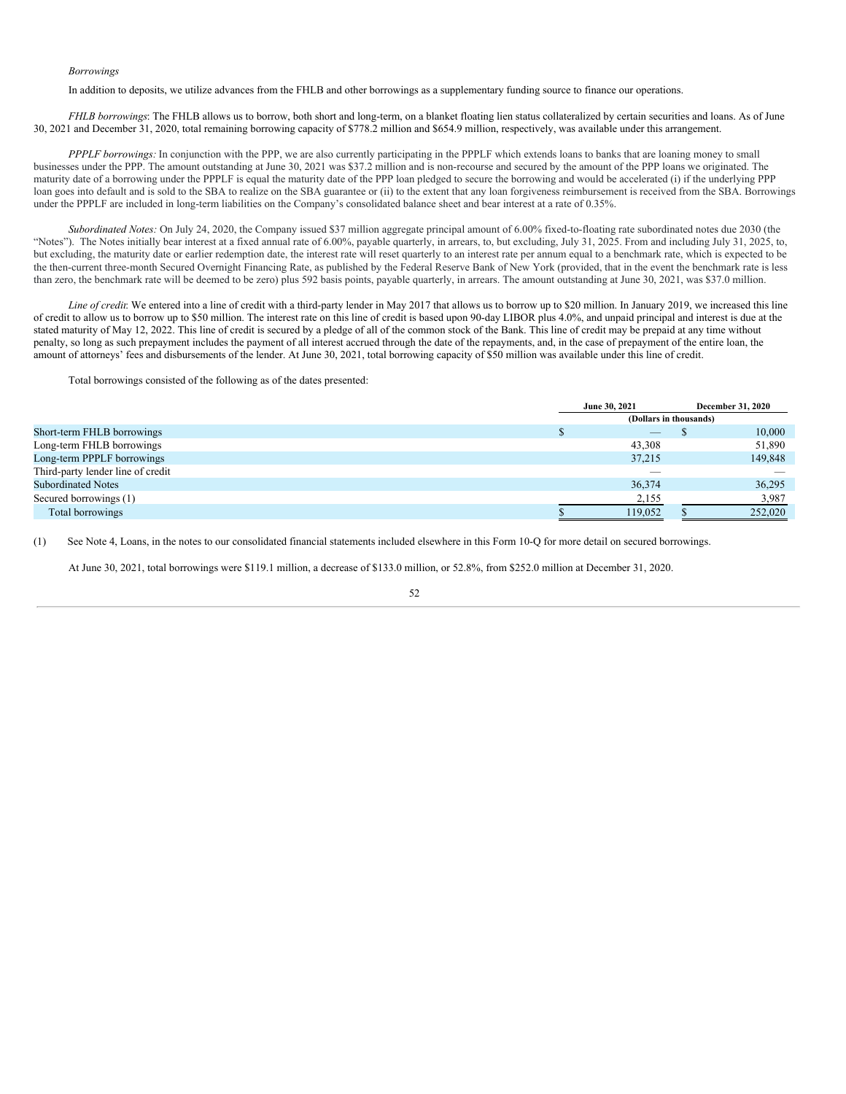# *Borrowings*

In addition to deposits, we utilize advances from the FHLB and other borrowings as a supplementary funding source to finance our operations.

*FHLB borrowings*: The FHLB allows us to borrow, both short and long-term, on a blanket floating lien status collateralized by certain securities and loans. As of June 30, 2021 and December 31, 2020, total remaining borrowing capacity of \$778.2 million and \$654.9 million, respectively, was available under this arrangement.

*PPPLF borrowings:* In conjunction with the PPP, we are also currently participating in the PPPLF which extends loans to banks that are loaning money to small businesses under the PPP. The amount outstanding at June 30, 2021 was \$37.2 million and is non-recourse and secured by the amount of the PPP loans we originated. The maturity date of a borrowing under the PPPLF is equal the maturity date of the PPP loan pledged to secure the borrowing and would be accelerated (i) if the underlying PPP loan goes into default and is sold to the SBA to realize on the SBA guarantee or (ii) to the extent that any loan forgiveness reimbursement is received from the SBA. Borrowings under the PPPLF are included in long-term liabilities on the Company's consolidated balance sheet and bear interest at a rate of 0.35%.

*Subordinated Notes:* On July 24, 2020, the Company issued \$37 million aggregate principal amount of 6.00% fixed-to-floating rate subordinated notes due 2030 (the "Notes"). The Notes initially bear interest at a fixed annual rate of 6.00%, payable quarterly, in arrears, to, but excluding, July 31, 2025. From and including July 31, 2025, to, but excluding, the maturity date or earlier redemption date, the interest rate will reset quarterly to an interest rate per annum equal to a benchmark rate, which is expected to be the then-current three-month Secured Overnight Financing Rate, as published by the Federal Reserve Bank of New York (provided, that in the event the benchmark rate is less than zero, the benchmark rate will be deemed to be zero) plus 592 basis points, payable quarterly, in arrears. The amount outstanding at June 30, 2021, was \$37.0 million.

*Line of credit*: We entered into a line of credit with a third-party lender in May 2017 that allows us to borrow up to \$20 million. In January 2019, we increased this line of credit to allow us to borrow up to \$50 million. The interest rate on this line of credit is based upon 90-day LIBOR plus 4.0%, and unpaid principal and interest is due at the stated maturity of May 12, 2022. This line of credit is secured by a pledge of all of the common stock of the Bank. This line of credit may be prepaid at any time without penalty, so long as such prepayment includes the payment of all interest accrued through the date of the repayments, and, in the case of prepayment of the entire loan, the amount of attorneys' fees and disbursements of the lender. At June 30, 2021, total borrowing capacity of \$50 million was available under this line of credit.

Total borrowings consisted of the following as of the dates presented:

|                                   | June 30, 2021          |                          |  | December 31, 2020 |  |
|-----------------------------------|------------------------|--------------------------|--|-------------------|--|
|                                   | (Dollars in thousands) |                          |  |                   |  |
| Short-term FHLB borrowings        |                        | $\overline{\phantom{a}}$ |  | 10,000            |  |
| Long-term FHLB borrowings         |                        | 43,308                   |  | 51,890            |  |
| Long-term PPPLF borrowings        |                        | 37.215                   |  | 149,848           |  |
| Third-party lender line of credit |                        |                          |  |                   |  |
| <b>Subordinated Notes</b>         |                        | 36,374                   |  | 36,295            |  |
| Secured borrowings (1)            |                        | 2,155                    |  | 3,987             |  |
| Total borrowings                  |                        | 119,052                  |  | 252,020           |  |

(1) See Note 4, Loans, in the notes to our consolidated financial statements included elsewhere in this Form 10-Q for more detail on secured borrowings.

At June 30, 2021, total borrowings were \$119.1 million, a decrease of \$133.0 million, or 52.8%, from \$252.0 million at December 31, 2020.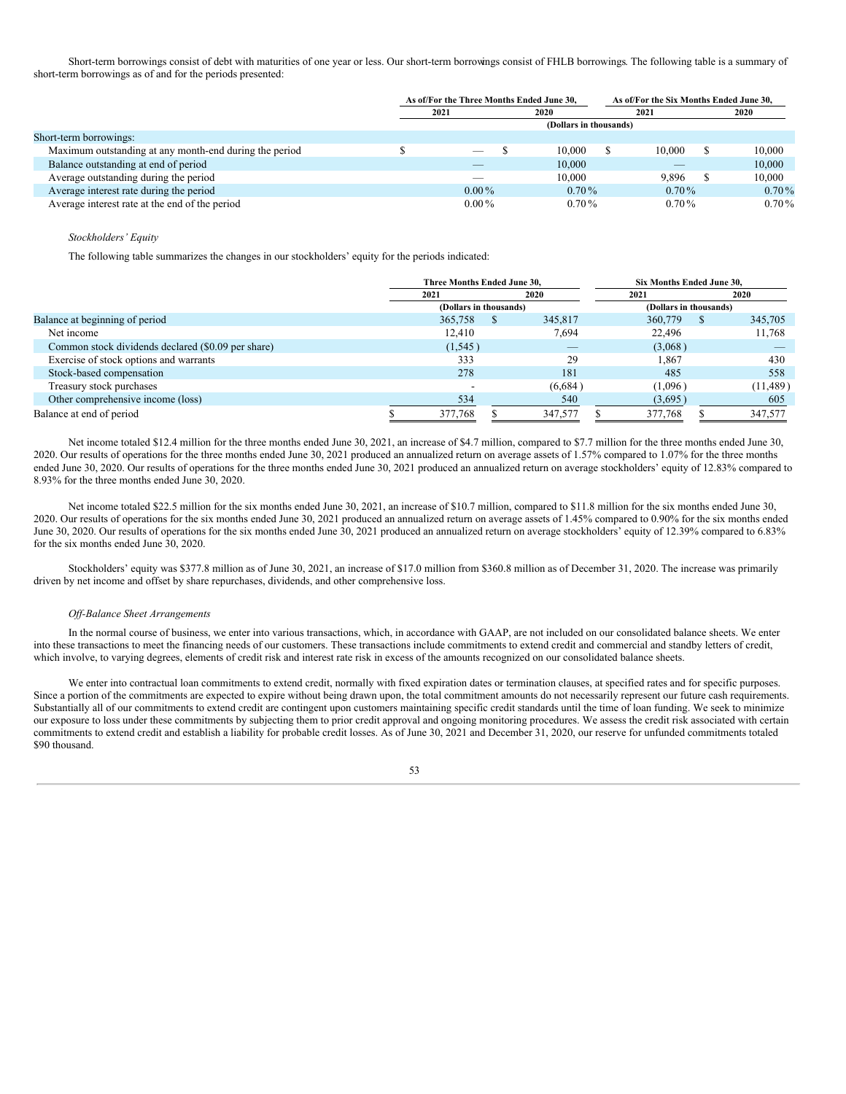Short-term borrowings consist of debt with maturities of one year or less. Our short-term borrowings consist of FHLB borrowings. The following table is a summary of short-term borrowings as of and for the periods presented:

|                                                        | As of/For the Three Months Ended June 30. |          |  | As of/For the Six Months Ended June 30, |  |          |  |          |
|--------------------------------------------------------|-------------------------------------------|----------|--|-----------------------------------------|--|----------|--|----------|
|                                                        |                                           | 2021     |  | 2020                                    |  | 2021     |  | 2020     |
|                                                        |                                           |          |  | (Dollars in thousands)                  |  |          |  |          |
| Short-term borrowings:                                 |                                           |          |  |                                         |  |          |  |          |
| Maximum outstanding at any month-end during the period |                                           |          |  | 10.000                                  |  | 10.000   |  | 10,000   |
| Balance outstanding at end of period                   |                                           |          |  | 10,000                                  |  |          |  | 10,000   |
| Average outstanding during the period                  |                                           |          |  | 10.000                                  |  | 9.896    |  | 10.000   |
| Average interest rate during the period                |                                           | $0.00\%$ |  | $0.70\%$                                |  | $0.70\%$ |  | $0.70\%$ |
| Average interest rate at the end of the period         |                                           | $0.00\%$ |  | $0.70\%$                                |  | $0.70\%$ |  | $0.70\%$ |

# *Stockholders' Equity*

The following table summarizes the changes in our stockholders' equity for the periods indicated:

|                                                    | Three Months Ended June 30, |   |                          |      | Six Months Ended June 30, |      |             |  |
|----------------------------------------------------|-----------------------------|---|--------------------------|------|---------------------------|------|-------------|--|
|                                                    | 2021                        |   | 2020                     | 2021 |                           |      | <b>2020</b> |  |
|                                                    | (Dollars in thousands)      |   |                          |      | (Dollars in thousands)    |      |             |  |
| Balance at beginning of period                     | 365,758                     | Ж | 345,817                  |      | 360,779                   | - \$ | 345,705     |  |
| Net income                                         | 12.410                      |   | 7,694                    |      | 22,496                    |      | 11,768      |  |
| Common stock dividends declared (\$0.09 per share) | (1, 545)                    |   | $\overline{\phantom{a}}$ |      | (3,068)                   |      |             |  |
| Exercise of stock options and warrants             | 333                         |   | 29                       |      | 1,867                     |      | 430         |  |
| Stock-based compensation                           | 278                         |   | 181                      |      | 485                       |      | 558         |  |
| Treasury stock purchases                           | -                           |   | (6,684)                  |      | (1,096)                   |      | (11, 489)   |  |
| Other comprehensive income (loss)                  | 534                         |   | 540                      |      | (3,695)                   |      | 605         |  |
| Balance at end of period                           | 377,768                     |   | 347,577                  |      | 377,768                   |      | 347,577     |  |

Net income totaled \$12.4 million for the three months ended June 30, 2021, an increase of \$4.7 million, compared to \$7.7 million for the three months ended June 30, 2020. Our results of operations for the three months ended June 30, 2021 produced an annualized return on average assets of 1.57% compared to 1.07% for the three months ended June 30, 2020. Our results of operations for the three months ended June 30, 2021 produced an annualized return on average stockholders' equity of 12.83% compared to 8.93% for the three months ended June 30, 2020.

Net income totaled \$22.5 million for the six months ended June 30, 2021, an increase of \$10.7 million, compared to \$11.8 million for the six months ended June 30, 2020. Our results of operations for the six months ended June 30, 2021 produced an annualized return on average assets of 1.45% compared to 0.90% for the six months ended June 30, 2020. Our results of operations for the six months ended June 30, 2021 produced an annualized return on average stockholders' equity of 12.39% compared to 6.83% for the six months ended June 30, 2020.

Stockholders' equity was \$377.8 million as of June 30, 2021, an increase of \$17.0 million from \$360.8 million as of December 31, 2020. The increase was primarily driven by net income and offset by share repurchases, dividends, and other comprehensive loss.

# *Of -Balance Sheet Arrangements*

In the normal course of business, we enter into various transactions, which, in accordance with GAAP, are not included on our consolidated balance sheets. We enter into these transactions to meet the financing needs of our customers. These transactions include commitments to extend credit and commercial and standby letters of credit, which involve, to varying degrees, elements of credit risk and interest rate risk in excess of the amounts recognized on our consolidated balance sheets.

We enter into contractual loan commitments to extend credit, normally with fixed expiration dates or termination clauses, at specified rates and for specific purposes. Since a portion of the commitments are expected to expire without being drawn upon, the total commitment amounts do not necessarily represent our future cash requirements. Substantially all of our commitments to extend credit are contingent upon customers maintaining specific credit standards until the time of loan funding. We seek to minimize our exposure to loss under these commitments by subjecting them to prior credit approval and ongoing monitoring procedures. We assess the credit risk associated with certain commitments to extend credit and establish a liability for probable credit losses. As of June 30, 2021 and December 31, 2020, our reserve for unfunded commitments totaled \$90 thousand.

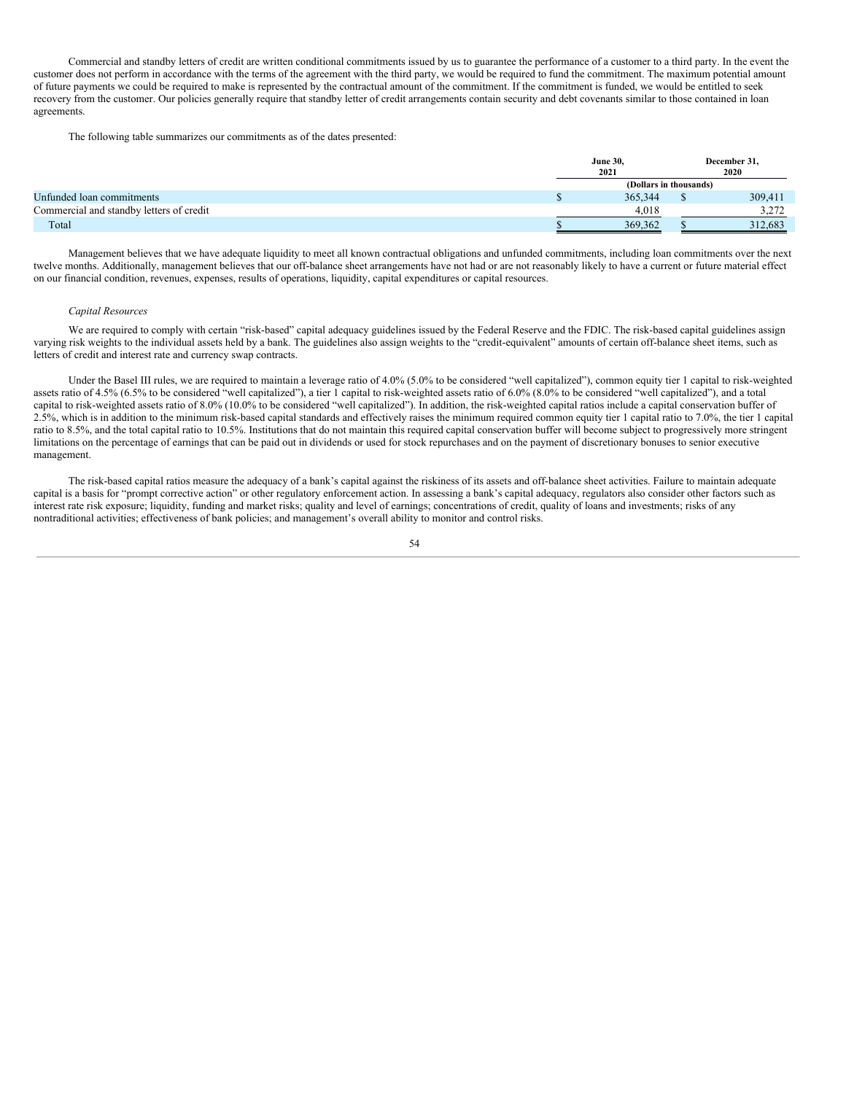Commercial and standby letters of credit are written conditional commitments issued by us to guarantee the performance of a customer to a third party. In the event the customer does not perform in accordance with the terms of the agreement with the third party, we would be required to fund the commitment. The maximum potential amount of future payments we could be required to make is represented by the contractual amount of the commitment. If the commitment is funded, we would be entitled to seek recovery from the customer. Our policies generally require that standby letter of credit arrangements contain security and debt covenants similar to those contained in loan agreements.

The following table summarizes our commitments as of the dates presented:

|                                          |  | <b>June 30,</b><br>2021 |  | December 31,<br>2020 |
|------------------------------------------|--|-------------------------|--|----------------------|
|                                          |  | (Dollars in thousands)  |  |                      |
| Unfunded loan commitments                |  | 365,344                 |  | 309,411              |
| Commercial and standby letters of credit |  | 4.018                   |  | 3,272                |
| Total                                    |  | 369.362                 |  | 312,683              |

Management believes that we have adequate liquidity to meet all known contractual obligations and unfunded commitments, including loan commitments over the next twelve months. Additionally, management believes that our off-balance sheet arrangements have not had or are not reasonably likely to have a current or future material effect on our financial condition, revenues, expenses, results of operations, liquidity, capital expenditures or capital resources.

# *Capital Resources*

We are required to comply with certain "risk-based" capital adequacy guidelines issued by the Federal Reserve and the FDIC. The risk-based capital guidelines assign varying risk weights to the individual assets held by a bank. The guidelines also assign weights to the "credit-equivalent" amounts of certain off-balance sheet items, such as letters of credit and interest rate and currency swap contracts.

Under the Basel III rules, we are required to maintain a leverage ratio of 4.0% (5.0% to be considered "well capitalized"), common equity tier 1 capital to risk-weighted assets ratio of 4.5% (6.5% to be considered "well capitalized"), a tier 1 capital to risk-weighted assets ratio of 6.0% (8.0% to be considered "well capitalized"), and a total capital to risk-weighted assets ratio of 8.0% (10.0% to be considered "well capitalized"). In addition, the risk-weighted capital ratios include a capital conservation buffer of 2.5%, which is in addition to the minimum risk-based capital standards and effectively raises the minimum required common equity tier 1 capital ratio to 7.0%, the tier 1 capital ratio to 8.5%, and the total capital ratio to 10.5%. Institutions that do not maintain this required capital conservation buffer will become subject to progressively more stringent limitations on the percentage of earnings that can be paid out in dividends or used for stock repurchases and on the payment of discretionary bonuses to senior executive management.

The risk-based capital ratios measure the adequacy of a bank's capital against the riskiness of its assets and off-balance sheet activities. Failure to maintain adequate capital is a basis for "prompt corrective action" or other regulatory enforcement action. In assessing a bank's capital adequacy, regulators also consider other factors such as interest rate risk exposure; liquidity, funding and market risks; quality and level of earnings; concentrations of credit, quality of loans and investments; risks of any nontraditional activities; effectiveness of bank policies; and management's overall ability to monitor and control risks.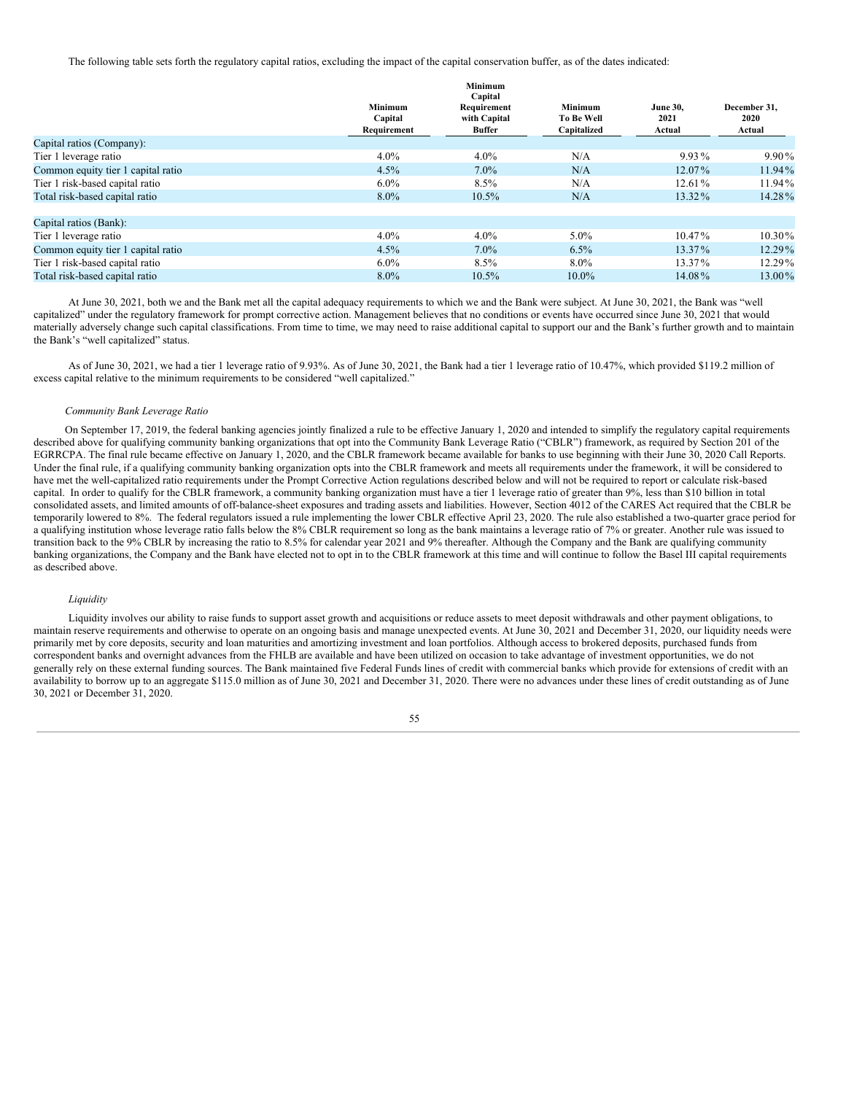The following table sets forth the regulatory capital ratios, excluding the impact of the capital conservation buffer, as of the dates indicated:

|                                    |                    | Minimum<br>Capital          |                              |                         |                      |
|------------------------------------|--------------------|-----------------------------|------------------------------|-------------------------|----------------------|
|                                    | Minimum<br>Capital | Requirement<br>with Capital | Minimum<br><b>To Be Well</b> | <b>June 30,</b><br>2021 | December 31,<br>2020 |
|                                    | Requirement        | <b>Buffer</b>               | Capitalized                  | Actual                  | Actual               |
| Capital ratios (Company):          |                    |                             |                              |                         |                      |
| Tier 1 leverage ratio              | $4.0\%$            | $4.0\%$                     | N/A                          | $9.93\%$                | $9.90\%$             |
| Common equity tier 1 capital ratio | 4.5%               | $7.0\%$                     | N/A                          | 12.07%                  | 11.94%               |
| Tier 1 risk-based capital ratio    | $6.0\%$            | 8.5%                        | N/A                          | $12.61\%$               | 11.94%               |
| Total risk-based capital ratio     | $8.0\%$            | $10.5\%$                    | N/A                          | 13.32%                  | 14.28%               |
| Capital ratios (Bank):             |                    |                             |                              |                         |                      |
| Tier 1 leverage ratio              | $4.0\%$            | $4.0\%$                     | $5.0\%$                      | $10.47\%$               | $10.30\%$            |
| Common equity tier 1 capital ratio | $4.5\%$            | $7.0\%$                     | $6.5\%$                      | 13.37%                  | 12.29%               |
| Tier 1 risk-based capital ratio    | $6.0\%$            | 8.5%                        | $8.0\%$                      | 13.37%                  | 12.29%               |
| Total risk-based capital ratio     | $8.0\%$            | $10.5\%$                    | $10.0\%$                     | 14.08%                  | 13.00%               |

At June 30, 2021, both we and the Bank met all the capital adequacy requirements to which we and the Bank were subject. At June 30, 2021, the Bank was "well capitalized" under the regulatory framework for prompt corrective action. Management believes that no conditions or events have occurred since June 30, 2021 that would materially adversely change such capital classifications. From time to time, we may need to raise additional capital to support our and the Bank's further growth and to maintain the Bank's "well capitalized" status.

As of June 30, 2021, we had a tier 1 leverage ratio of 9.93%. As of June 30, 2021, the Bank had a tier 1 leverage ratio of 10.47%, which provided \$119.2 million of excess capital relative to the minimum requirements to be considered "well capitalized."

# *Community Bank Leverage Ratio*

On September 17, 2019, the federal banking agencies jointly finalized a rule to be effective January 1, 2020 and intended to simplify the regulatory capital requirements described above for qualifying community banking organizations that opt into the Community Bank Leverage Ratio ("CBLR") framework, as required by Section 201 of the EGRRCPA. The final rule became effective on January 1, 2020, and the CBLR framework became available for banks to use beginning with their June 30, 2020 Call Reports. Under the final rule, if a qualifying community banking organization opts into the CBLR framework and meets all requirements under the framework, it will be considered to have met the well-capitalized ratio requirements under the Prompt Corrective Action regulations described below and will not be required to report or calculate risk-based capital. In order to qualify for the CBLR framework, a community banking organization must have a tier 1 leverage ratio of greater than 9%, less than \$10 billion in total consolidated assets, and limited amounts of off-balance-sheet exposures and trading assets and liabilities. However, Section 4012 of the CARES Act required that the CBLR be temporarily lowered to 8%. The federal regulators issued a rule implementing the lower CBLR effective April 23, 2020. The rule also established a two-quarter grace period for a qualifying institution whose leverage ratio falls below the 8% CBLR requirement so long as the bank maintains a leverage ratio of 7% or greater. Another rule was issued to transition back to the 9% CBLR by increasing the ratio to 8.5% for calendar year 2021 and 9% thereafter. Although the Company and the Bank are qualifying community banking organizations, the Company and the Bank have elected not to opt in to the CBLR framework at this time and will continue to follow the Basel III capital requirements as described above.

# *Liquidity*

Liquidity involves our ability to raise funds to support asset growth and acquisitions or reduce assets to meet deposit withdrawals and other payment obligations, to maintain reserve requirements and otherwise to operate on an ongoing basis and manage unexpected events. At June 30, 2021 and December 31, 2020, our liquidity needs were primarily met by core deposits, security and loan maturities and amortizing investment and loan portfolios. Although access to brokered deposits, purchased funds from correspondent banks and overnight advances from the FHLB are available and have been utilized on occasion to take advantage of investment opportunities, we do not generally rely on these external funding sources. The Bank maintained five Federal Funds lines of credit with commercial banks which provide for extensions of credit with an availability to borrow up to an aggregate \$115.0 million as of June 30, 2021 and December 31, 2020. There were no advances under these lines of credit outstanding as of June 30, 2021 or December 31, 2020.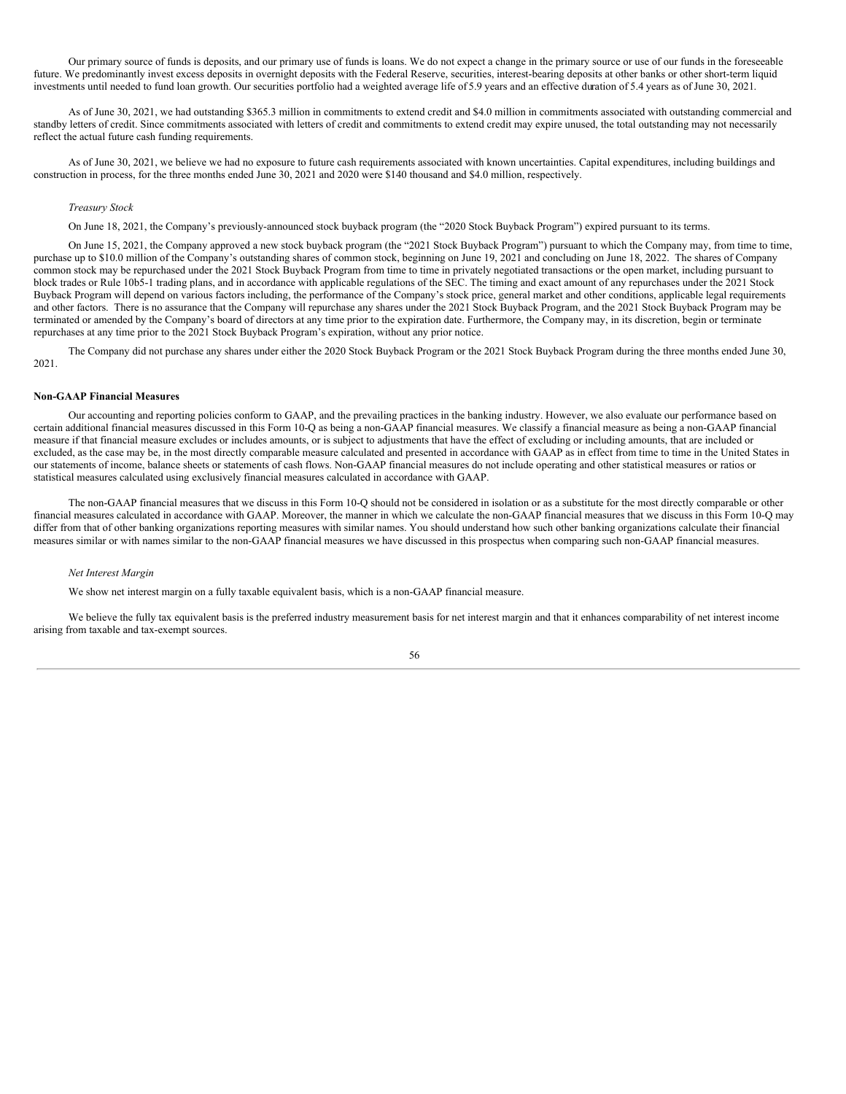Our primary source of funds is deposits, and our primary use of funds is loans. We do not expect a change in the primary source or use of our funds in the foreseeable future. We predominantly invest excess deposits in overnight deposits with the Federal Reserve, securities, interest-bearing deposits at other banks or other short-term liquid investments until needed to fund loan growth. Our securities portfolio had a weighted average life of 5.9 years and an effective duration of 5.4 years as of June 30, 2021.

As of June 30, 2021, we had outstanding \$365.3 million in commitments to extend credit and \$4.0 million in commitments associated with outstanding commercial and standby letters of credit. Since commitments associated with letters of credit and commitments to extend credit may expire unused, the total outstanding may not necessarily reflect the actual future cash funding requirements.

As of June 30, 2021, we believe we had no exposure to future cash requirements associated with known uncertainties. Capital expenditures, including buildings and construction in process, for the three months ended June 30, 2021 and 2020 were \$140 thousand and \$4.0 million, respectively.

#### *Treasury Stock*

On June 18, 2021, the Company's previously-announced stock buyback program (the "2020 Stock Buyback Program") expired pursuant to its terms.

On June 15, 2021, the Company approved a new stock buyback program (the "2021 Stock Buyback Program") pursuant to which the Company may, from time to time, purchase up to \$10.0 million of the Company's outstanding shares of common stock, beginning on June 19, 2021 and concluding on June 18, 2022. The shares of Company common stock may be repurchased under the 2021 Stock Buyback Program from time to time in privately negotiated transactions or the open market, including pursuant to block trades or Rule 10b5-1 trading plans, and in accordance with applicable regulations of the SEC. The timing and exact amount of any repurchases under the 2021 Stock Buyback Program will depend on various factors including, the performance of the Company's stock price, general market and other conditions, applicable legal requirements and other factors. There is no assurance that the Company will repurchase any shares under the 2021 Stock Buyback Program, and the 2021 Stock Buyback Program may be terminated or amended by the Company's board of directors at any time prior to the expiration date. Furthermore, the Company may, in its discretion, begin or terminate repurchases at any time prior to the 2021 Stock Buyback Program's expiration, without any prior notice.

The Company did not purchase any shares under either the 2020 Stock Buyback Program or the 2021 Stock Buyback Program during the three months ended June 30, 2021.

#### **Non-GAAP Financial Measures**

Our accounting and reporting policies conform to GAAP, and the prevailing practices in the banking industry. However, we also evaluate our performance based on certain additional financial measures discussed in this Form 10-Q as being a non-GAAP financial measures. We classify a financial measure as being a non-GAAP financial measure if that financial measure excludes or includes amounts, or is subject to adjustments that have the effect of excluding or including amounts, that are included or excluded, as the case may be, in the most directly comparable measure calculated and presented in accordance with GAAP as in effect from time to time in the United States in our statements of income, balance sheets or statements of cash flows. Non-GAAP financial measures do not include operating and other statistical measures or ratios or statistical measures calculated using exclusively financial measures calculated in accordance with GAAP.

The non-GAAP financial measures that we discuss in this Form 10-Q should not be considered in isolation or as a substitute for the most directly comparable or other financial measures calculated in accordance with GAAP. Moreover, the manner in which we calculate the non-GAAP financial measures that we discuss in this Form 10-Q may differ from that of other banking organizations reporting measures with similar names. You should understand how such other banking organizations calculate their financial measures similar or with names similar to the non-GAAP financial measures we have discussed in this prospectus when comparing such non-GAAP financial measures.

#### *Net Interest Margin*

We show net interest margin on a fully taxable equivalent basis, which is a non-GAAP financial measure.

We believe the fully tax equivalent basis is the preferred industry measurement basis for net interest margin and that it enhances comparability of net interest income arising from taxable and tax-exempt sources.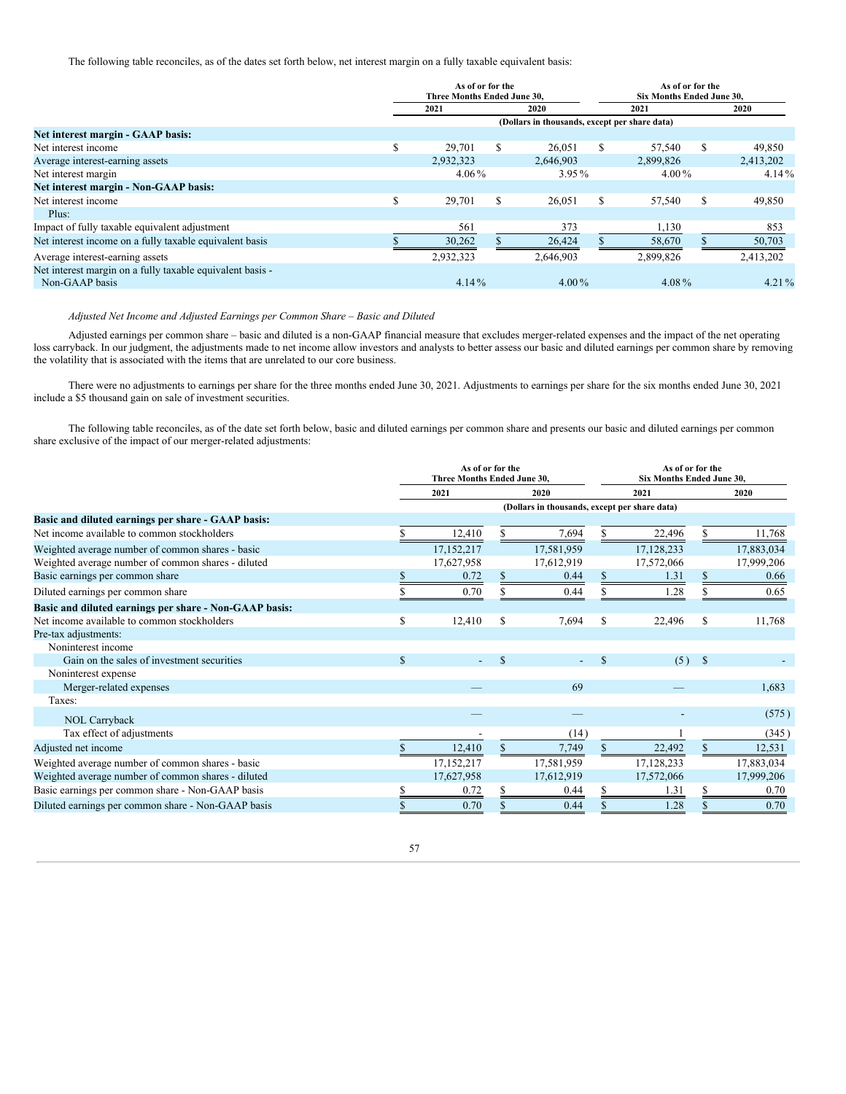The following table reconciles, as of the dates set forth below, net interest margin on a fully taxable equivalent basis:

|                                                                             | As of or for the<br>Three Months Ended June 30. |                      |   | As of or for the<br><b>Six Months Ended June 30.</b> |    |           |          |           |
|-----------------------------------------------------------------------------|-------------------------------------------------|----------------------|---|------------------------------------------------------|----|-----------|----------|-----------|
|                                                                             | 2021                                            |                      |   | 2020                                                 |    | 2021      |          | 2020      |
|                                                                             |                                                 |                      |   | (Dollars in thousands, except per share data)        |    |           |          |           |
| Net interest margin - GAAP basis:                                           |                                                 |                      |   |                                                      |    |           |          |           |
| Net interest income<br>ъ                                                    |                                                 | 29,701               | S | 26,051                                               | S. | 57,540    | \$       | 49,850    |
| Average interest-earning assets                                             | 2.932.323                                       |                      |   | 2.646.903                                            |    | 2.899.826 |          | 2,413,202 |
| Net interest margin                                                         |                                                 | $3.95\%$<br>$4.06\%$ |   | $4.00\%$                                             |    |           | $4.14\%$ |           |
| Net interest margin - Non-GAAP basis:                                       |                                                 |                      |   |                                                      |    |           |          |           |
| S<br>Net interest income                                                    |                                                 | 29,701               | S | 26,051                                               | S  | 57,540    | \$       | 49,850    |
| Plus:                                                                       |                                                 |                      |   |                                                      |    |           |          |           |
| Impact of fully taxable equivalent adjustment                               |                                                 | 561                  |   | 373                                                  |    | 1,130     |          | 853       |
| Net interest income on a fully taxable equivalent basis                     |                                                 | 30,262               |   | 26,424                                               |    | 58,670    |          | 50,703    |
| Average interest-earning assets                                             | 2,932,323                                       |                      |   | 2,646,903                                            |    | 2,899,826 |          | 2,413,202 |
| Net interest margin on a fully taxable equivalent basis -<br>Non-GAAP basis |                                                 | $4.14\%$             |   | $4.00\%$                                             |    | $4.08\%$  |          | $4.21\%$  |

# *Adjusted Net Income and Adjusted Earnings per Common Share – Basic and Diluted*

Adjusted earnings per common share – basic and diluted is a non-GAAP financial measure that excludes merger-related expenses and the impact of the net operating loss carryback. In our judgment, the adjustments made to net income allow investors and analysts to better assess our basic and diluted earnings per common share by removing the volatility that is associated with the items that are unrelated to our core business.

There were no adjustments to earnings per share for the three months ended June 30, 2021. Adjustments to earnings per share for the six months ended June 30, 2021 include a \$5 thousand gain on sale of investment securities.

The following table reconciles, as of the date set forth below, basic and diluted earnings per common share and presents our basic and diluted earnings per common share exclusive of the impact of our merger-related adjustments:

|                                                        |              | As of or for the<br>Three Months Ended June 30, |               |                                               | As of or for the<br>Six Months Ended June 30, |            |              |            |  |
|--------------------------------------------------------|--------------|-------------------------------------------------|---------------|-----------------------------------------------|-----------------------------------------------|------------|--------------|------------|--|
|                                                        |              | 2021                                            |               | 2020                                          |                                               | 2021       |              | 2020       |  |
|                                                        |              |                                                 |               | (Dollars in thousands, except per share data) |                                               |            |              |            |  |
| Basic and diluted earnings per share - GAAP basis:     |              |                                                 |               |                                               |                                               |            |              |            |  |
| Net income available to common stockholders            |              | 12,410                                          |               | 7,694                                         |                                               | 22,496     |              | 11,768     |  |
| Weighted average number of common shares - basic       |              | 17,152,217                                      |               | 17,581,959                                    |                                               | 17,128,233 |              | 17,883,034 |  |
| Weighted average number of common shares - diluted     |              | 17,627,958                                      |               | 17,612,919                                    |                                               | 17,572,066 |              | 17,999,206 |  |
| Basic earnings per common share                        |              | 0.72                                            | S             | 0.44                                          | \$                                            | 1.31       | \$           | 0.66       |  |
| Diluted earnings per common share                      |              | 0.70                                            |               | 0.44                                          |                                               | 1.28       |              | 0.65       |  |
| Basic and diluted earnings per share - Non-GAAP basis: |              |                                                 |               |                                               |                                               |            |              |            |  |
| Net income available to common stockholders            | \$           | 12,410                                          | \$            | 7,694                                         | \$                                            | 22,496     | S            | 11,768     |  |
| Pre-tax adjustments:                                   |              |                                                 |               |                                               |                                               |            |              |            |  |
| Noninterest income                                     |              |                                                 |               |                                               |                                               |            |              |            |  |
| Gain on the sales of investment securities             | $\mathbb{S}$ |                                                 | <sup>\$</sup> |                                               | \$                                            | (5)        | $\mathbf{s}$ |            |  |
| Noninterest expense                                    |              |                                                 |               |                                               |                                               |            |              |            |  |
| Merger-related expenses                                |              |                                                 |               | 69                                            |                                               |            |              | 1,683      |  |
| Taxes:                                                 |              |                                                 |               |                                               |                                               |            |              |            |  |
| <b>NOL Carryback</b>                                   |              |                                                 |               |                                               |                                               |            |              | (575)      |  |
| Tax effect of adjustments                              |              |                                                 |               | (14)                                          |                                               |            |              | (345)      |  |
| Adjusted net income                                    |              | 12,410                                          |               | 7,749                                         |                                               | 22,492     |              | 12,531     |  |
| Weighted average number of common shares - basic       |              | 17,152,217                                      |               | 17,581,959                                    |                                               | 17,128,233 |              | 17,883,034 |  |
| Weighted average number of common shares - diluted     |              | 17,627,958                                      |               | 17,612,919                                    |                                               | 17,572,066 |              | 17,999,206 |  |
| Basic earnings per common share - Non-GAAP basis       |              | 0.72                                            |               | 0.44                                          |                                               | 1.31       |              | 0.70       |  |
| Diluted earnings per common share - Non-GAAP basis     |              | 0.70                                            |               | 0.44                                          |                                               | 1.28       |              | 0.70       |  |

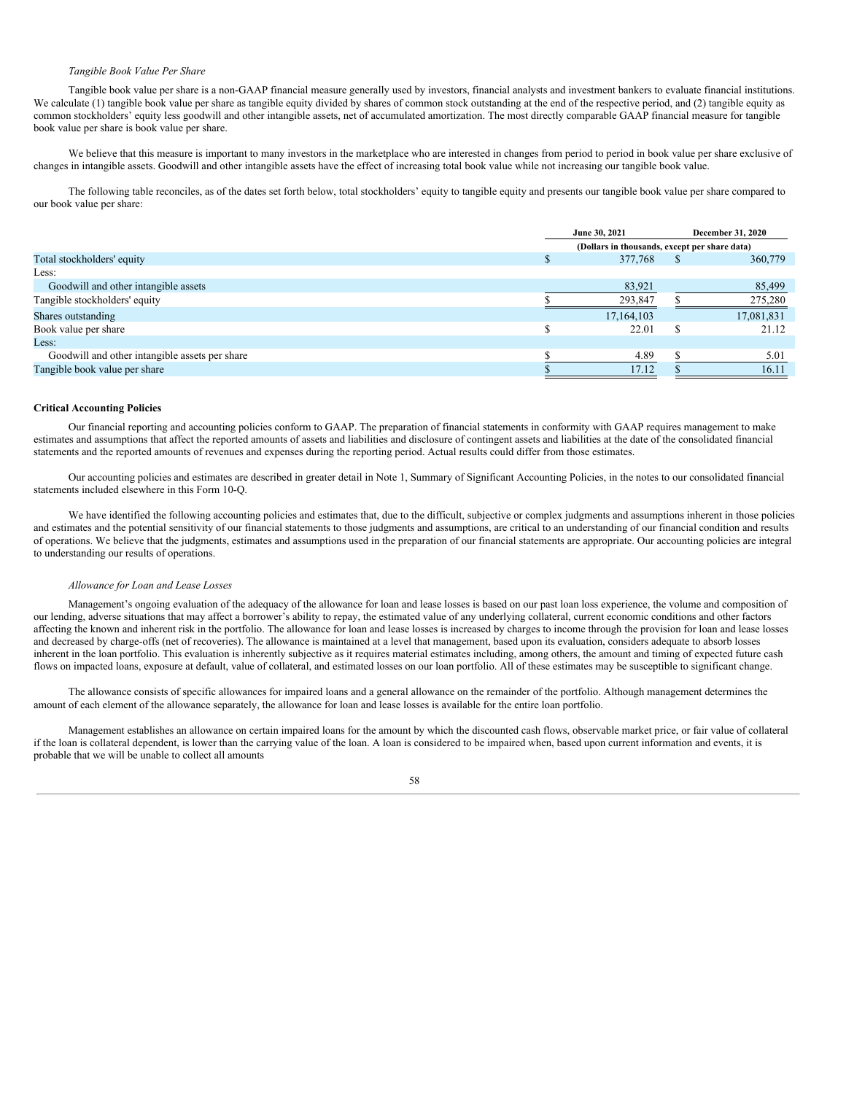# *Tangible Book Value Per Share*

Tangible book value per share is a non-GAAP financial measure generally used by investors, financial analysts and investment bankers to evaluate financial institutions. We calculate (1) tangible book value per share as tangible equity divided by shares of common stock outstanding at the end of the respective period, and (2) tangible equity as common stockholders' equity less goodwill and other intangible assets, net of accumulated amortization. The most directly comparable GAAP financial measure for tangible book value per share is book value per share.

We believe that this measure is important to many investors in the marketplace who are interested in changes from period to period in book value per share exclusive of changes in intangible assets. Goodwill and other intangible assets have the effect of increasing total book value while not increasing our tangible book value.

The following table reconciles, as of the dates set forth below, total stockholders' equity to tangible equity and presents our tangible book value per share compared to our book value per share:

|                                                | June 30, 2021                                 | <b>December 31, 2020</b> |            |  |  |
|------------------------------------------------|-----------------------------------------------|--------------------------|------------|--|--|
|                                                | (Dollars in thousands, except per share data) |                          |            |  |  |
| Total stockholders' equity                     | 377,768                                       |                          | 360,779    |  |  |
| Less:                                          |                                               |                          |            |  |  |
| Goodwill and other intangible assets           | 83,921                                        |                          | 85,499     |  |  |
| Tangible stockholders' equity                  | 293.847                                       |                          | 275,280    |  |  |
| Shares outstanding                             | 17,164,103                                    |                          | 17,081,831 |  |  |
| Book value per share                           | 22.01                                         |                          | 21.12      |  |  |
| Less:                                          |                                               |                          |            |  |  |
| Goodwill and other intangible assets per share | 4.89                                          |                          | 5.01       |  |  |
| Tangible book value per share                  | 17.12                                         |                          | 16.11      |  |  |

# **Critical Accounting Policies**

Our financial reporting and accounting policies conform to GAAP. The preparation of financial statements in conformity with GAAP requires management to make estimates and assumptions that affect the reported amounts of assets and liabilities and disclosure of contingent assets and liabilities at the date of the consolidated financial statements and the reported amounts of revenues and expenses during the reporting period. Actual results could differ from those estimates.

Our accounting policies and estimates are described in greater detail in Note 1, Summary of Significant Accounting Policies, in the notes to our consolidated financial statements included elsewhere in this Form 10-Q.

We have identified the following accounting policies and estimates that, due to the difficult, subjective or complex judgments and assumptions inherent in those policies and estimates and the potential sensitivity of our financial statements to those judgments and assumptions, are critical to an understanding of our financial condition and results of operations. We believe that the judgments, estimates and assumptions used in the preparation of our financial statements are appropriate. Our accounting policies are integral to understanding our results of operations.

# *Allowance for Loan and Lease Losses*

Management's ongoing evaluation of the adequacy of the allowance for loan and lease losses is based on our past loan loss experience, the volume and composition of our lending, adverse situations that may affect a borrower's ability to repay, the estimated value of any underlying collateral, current economic conditions and other factors affecting the known and inherent risk in the portfolio. The allowance for loan and lease losses is increased by charges to income through the provision for loan and lease losses and decreased by charge-offs (net of recoveries). The allowance is maintained at a level that management, based upon its evaluation, considers adequate to absorb losses inherent in the loan portfolio. This evaluation is inherently subjective as it requires material estimates including, among others, the amount and timing of expected future cash flows on impacted loans, exposure at default, value of collateral, and estimated losses on our loan portfolio. All of these estimates may be susceptible to significant change.

The allowance consists of specific allowances for impaired loans and a general allowance on the remainder of the portfolio. Although management determines the amount of each element of the allowance separately, the allowance for loan and lease losses is available for the entire loan portfolio.

Management establishes an allowance on certain impaired loans for the amount by which the discounted cash flows, observable market price, or fair value of collateral if the loan is collateral dependent, is lower than the carrying value of the loan. A loan is considered to be impaired when, based upon current information and events, it is probable that we will be unable to collect all amounts

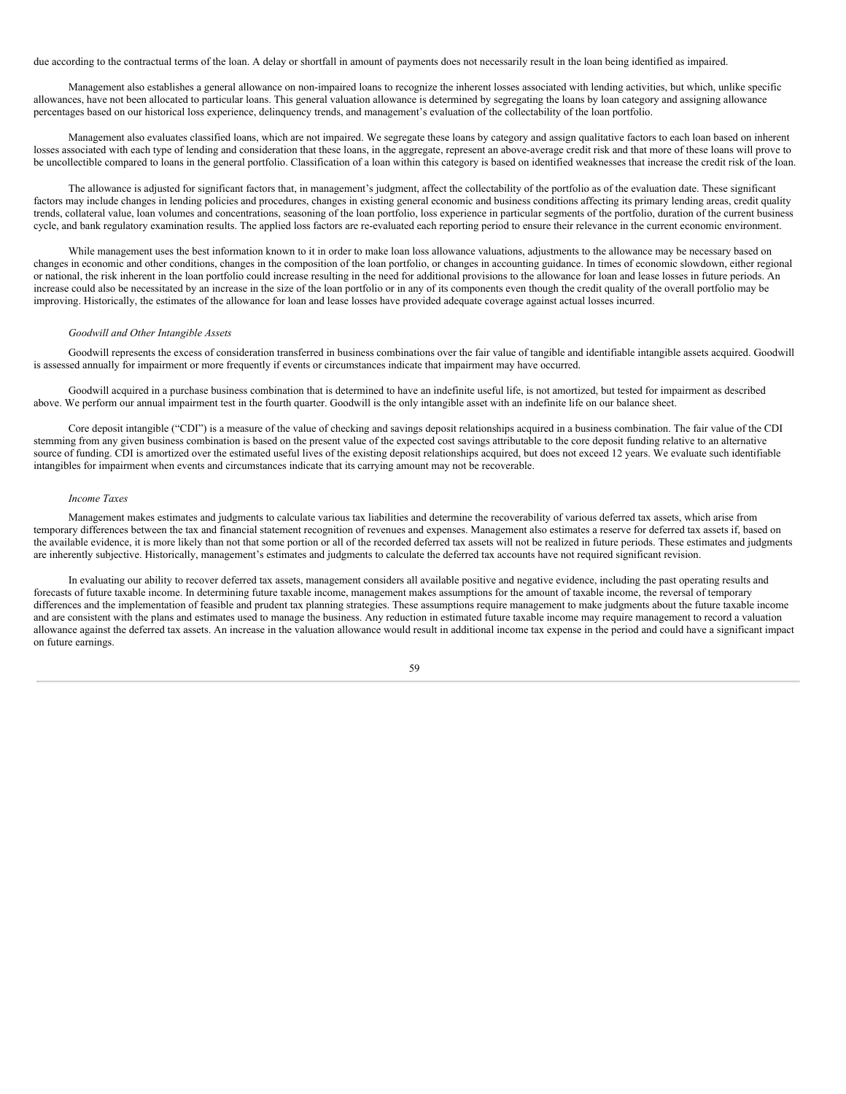due according to the contractual terms of the loan. A delay or shortfall in amount of payments does not necessarily result in the loan being identified as impaired.

Management also establishes a general allowance on non-impaired loans to recognize the inherent losses associated with lending activities, but which, unlike specific allowances, have not been allocated to particular loans. This general valuation allowance is determined by segregating the loans by loan category and assigning allowance percentages based on our historical loss experience, delinquency trends, and management's evaluation of the collectability of the loan portfolio.

Management also evaluates classified loans, which are not impaired. We segregate these loans by category and assign qualitative factors to each loan based on inherent losses associated with each type of lending and consideration that these loans, in the aggregate, represent an above-average credit risk and that more of these loans will prove to be uncollectible compared to loans in the general portfolio. Classification of a loan within this category is based on identified weaknesses that increase the credit risk of the loan.

The allowance is adjusted for significant factors that, in management's judgment, affect the collectability of the portfolio as of the evaluation date. These significant factors may include changes in lending policies and procedures, changes in existing general economic and business conditions affecting its primary lending areas, credit quality trends, collateral value, loan volumes and concentrations, seasoning of the loan portfolio, loss experience in particular segments of the portfolio, duration of the current business cycle, and bank regulatory examination results. The applied loss factors are re-evaluated each reporting period to ensure their relevance in the current economic environment.

While management uses the best information known to it in order to make loan loss allowance valuations, adjustments to the allowance may be necessary based on changes in economic and other conditions, changes in the composition of the loan portfolio, or changes in accounting guidance. In times of economic slowdown, either regional or national, the risk inherent in the loan portfolio could increase resulting in the need for additional provisions to the allowance for loan and lease losses in future periods. An increase could also be necessitated by an increase in the size of the loan portfolio or in any of its components even though the credit quality of the overall portfolio may be improving. Historically, the estimates of the allowance for loan and lease losses have provided adequate coverage against actual losses incurred.

# *Goodwill and Other Intangible Assets*

Goodwill represents the excess of consideration transferred in business combinations over the fair value of tangible and identifiable intangible assets acquired. Goodwill is assessed annually for impairment or more frequently if events or circumstances indicate that impairment may have occurred.

Goodwill acquired in a purchase business combination that is determined to have an indefinite useful life, is not amortized, but tested for impairment as described above. We perform our annual impairment test in the fourth quarter. Goodwill is the only intangible asset with an indefinite life on our balance sheet.

Core deposit intangible ("CDI") is a measure of the value of checking and savings deposit relationships acquired in a business combination. The fair value of the CDI stemming from any given business combination is based on the present value of the expected cost savings attributable to the core deposit funding relative to an alternative source of funding. CDI is amortized over the estimated useful lives of the existing deposit relationships acquired, but does not exceed 12 years. We evaluate such identifiable intangibles for impairment when events and circumstances indicate that its carrying amount may not be recoverable.

# *Income Taxes*

Management makes estimates and judgments to calculate various tax liabilities and determine the recoverability of various deferred tax assets, which arise from temporary differences between the tax and financial statement recognition of revenues and expenses. Management also estimates a reserve for deferred tax assets if, based on the available evidence, it is more likely than not that some portion or all of the recorded deferred tax assets will not be realized in future periods. These estimates and judgments are inherently subjective. Historically, management's estimates and judgments to calculate the deferred tax accounts have not required significant revision.

In evaluating our ability to recover deferred tax assets, management considers all available positive and negative evidence, including the past operating results and forecasts of future taxable income. In determining future taxable income, management makes assumptions for the amount of taxable income, the reversal of temporary differences and the implementation of feasible and prudent tax planning strategies. These assumptions require management to make judgments about the future taxable income and are consistent with the plans and estimates used to manage the business. Any reduction in estimated future taxable income may require management to record a valuation allowance against the deferred tax assets. An increase in the valuation allowance would result in additional income tax expense in the period and could have a significant impact on future earnings.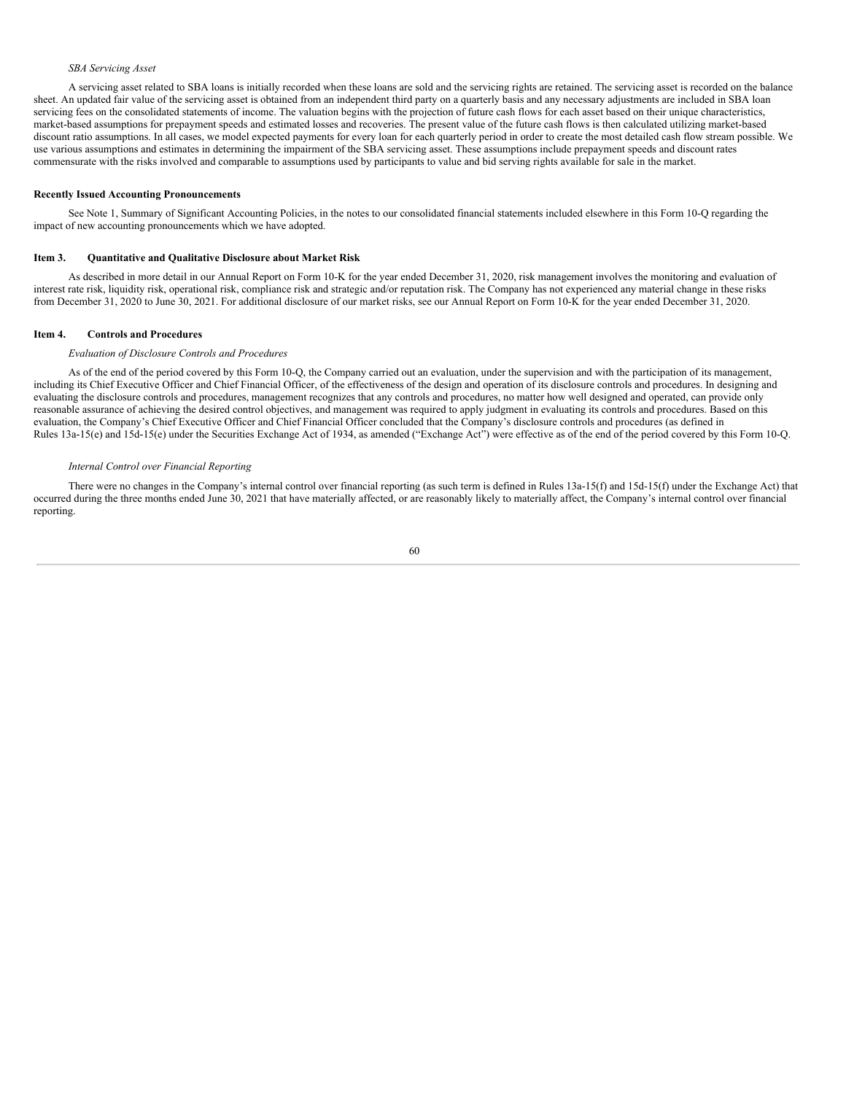# *SBA Servicing Asset*

A servicing asset related to SBA loans is initially recorded when these loans are sold and the servicing rights are retained. The servicing asset is recorded on the balance sheet. An updated fair value of the servicing asset is obtained from an independent third party on a quarterly basis and any necessary adjustments are included in SBA loan servicing fees on the consolidated statements of income. The valuation begins with the projection of future cash flows for each asset based on their unique characteristics, market-based assumptions for prepayment speeds and estimated losses and recoveries. The present value of the future cash flows is then calculated utilizing market-based discount ratio assumptions. In all cases, we model expected payments for every loan for each quarterly period in order to create the most detailed cash flow stream possible. We use various assumptions and estimates in determining the impairment of the SBA servicing asset. These assumptions include prepayment speeds and discount rates commensurate with the risks involved and comparable to assumptions used by participants to value and bid serving rights available for sale in the market.

#### **Recently Issued Accounting Pronouncements**

See Note 1, Summary of Significant Accounting Policies, in the notes to our consolidated financial statements included elsewhere in this Form 10-Q regarding the impact of new accounting pronouncements which we have adopted.

# <span id="page-59-0"></span>**Item 3. Quantitative and Qualitative Disclosure about Market Risk**

As described in more detail in our Annual Report on Form 10-K for the year ended December 31, 2020, risk management involves the monitoring and evaluation of interest rate risk, liquidity risk, operational risk, compliance risk and strategic and/or reputation risk. The Company has not experienced any material change in these risks from December 31, 2020 to June 30, 2021. For additional disclosure of our market risks, see our Annual Report on Form 10-K for the year ended December 31, 2020.

# <span id="page-59-1"></span>**Item 4. Controls and Procedures**

#### *Evaluation of Disclosure Controls and Procedures*

As of the end of the period covered by this Form 10-Q, the Company carried out an evaluation, under the supervision and with the participation of its management, including its Chief Executive Officer and Chief Financial Officer, of the effectiveness of the design and operation of its disclosure controls and procedures. In designing and evaluating the disclosure controls and procedures, management recognizes that any controls and procedures, no matter how well designed and operated, can provide only reasonable assurance of achieving the desired control objectives, and management was required to apply judgment in evaluating its controls and procedures. Based on this evaluation, the Company's Chief Executive Officer and Chief Financial Officer concluded that the Company's disclosure controls and procedures (as defined in Rules 13a-15(e) and 15d-15(e) under the Securities Exchange Act of 1934, as amended ("Exchange Act") were effective as of the end of the period covered by this Form 10-Q.

#### *Internal Control over Financial Reporting*

There were no changes in the Company's internal control over financial reporting (as such term is defined in Rules 13a-15(f) and 15d-15(f) under the Exchange Act) that occurred during the three months ended June 30, 2021 that have materially affected, or are reasonably likely to materially affect, the Company's internal control over financial reporting.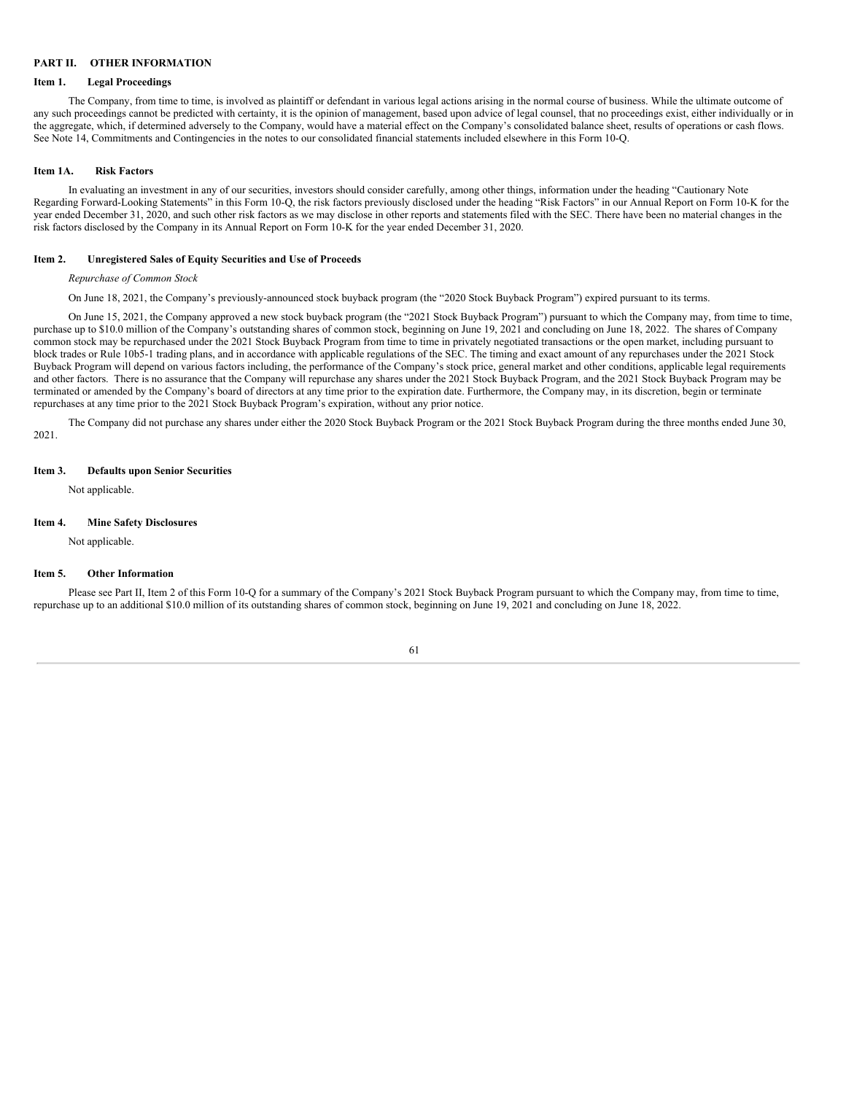# <span id="page-60-0"></span>**PART II. OTHER INFORMATION**

# <span id="page-60-1"></span>**Item 1. Legal Proceedings**

The Company, from time to time, is involved as plaintiff or defendant in various legal actions arising in the normal course of business. While the ultimate outcome of any such proceedings cannot be predicted with certainty, it is the opinion of management, based upon advice of legal counsel, that no proceedings exist, either individually or in the aggregate, which, if determined adversely to the Company, would have a material effect on the Company's consolidated balance sheet, results of operations or cash flows. See Note 14, Commitments and Contingencies in the notes to our consolidated financial statements included elsewhere in this Form 10-Q.

#### <span id="page-60-2"></span>**Item 1A. Risk Factors**

In evaluating an investment in any of our securities, investors should consider carefully, among other things, information under the heading "Cautionary Note Regarding Forward-Looking Statements" in this Form 10-Q, the risk factors previously disclosed under the heading "Risk Factors" in our Annual Report on Form 10-K for the year ended December 31, 2020, and such other risk factors as we may disclose in other reports and statements filed with the SEC. There have been no material changes in the risk factors disclosed by the Company in its Annual Report on Form 10-K for the year ended December 31, 2020.

# <span id="page-60-3"></span>**Item 2. Unregistered Sales of Equity Securities and Use of Proceeds**

# *Repurchase of Common Stock*

On June 18, 2021, the Company's previously-announced stock buyback program (the "2020 Stock Buyback Program") expired pursuant to its terms.

On June 15, 2021, the Company approved a new stock buyback program (the "2021 Stock Buyback Program") pursuant to which the Company may, from time to time, purchase up to \$10.0 million of the Company's outstanding shares of common stock, beginning on June 19, 2021 and concluding on June 18, 2022. The shares of Company common stock may be repurchased under the 2021 Stock Buyback Program from time to time in privately negotiated transactions or the open market, including pursuant to block trades or Rule 10b5-1 trading plans, and in accordance with applicable regulations of the SEC. The timing and exact amount of any repurchases under the 2021 Stock Buyback Program will depend on various factors including, the performance of the Company's stock price, general market and other conditions, applicable legal requirements and other factors. There is no assurance that the Company will repurchase any shares under the 2021 Stock Buyback Program, and the 2021 Stock Buyback Program may be terminated or amended by the Company's board of directors at any time prior to the expiration date. Furthermore, the Company may, in its discretion, begin or terminate repurchases at any time prior to the 2021 Stock Buyback Program's expiration, without any prior notice.

The Company did not purchase any shares under either the 2020 Stock Buyback Program or the 2021 Stock Buyback Program during the three months ended June 30, 2021.

# <span id="page-60-4"></span>**Item 3. Defaults upon Senior Securities**

Not applicable.

# <span id="page-60-5"></span>**Item 4. Mine Safety Disclosures**

Not applicable.

# <span id="page-60-6"></span>**Item 5. Other Information**

Please see Part II, Item 2 of this Form 10-Q for a summary of the Company's 2021 Stock Buyback Program pursuant to which the Company may, from time to time, repurchase up to an additional \$10.0 million of its outstanding shares of common stock, beginning on June 19, 2021 and concluding on June 18, 2022.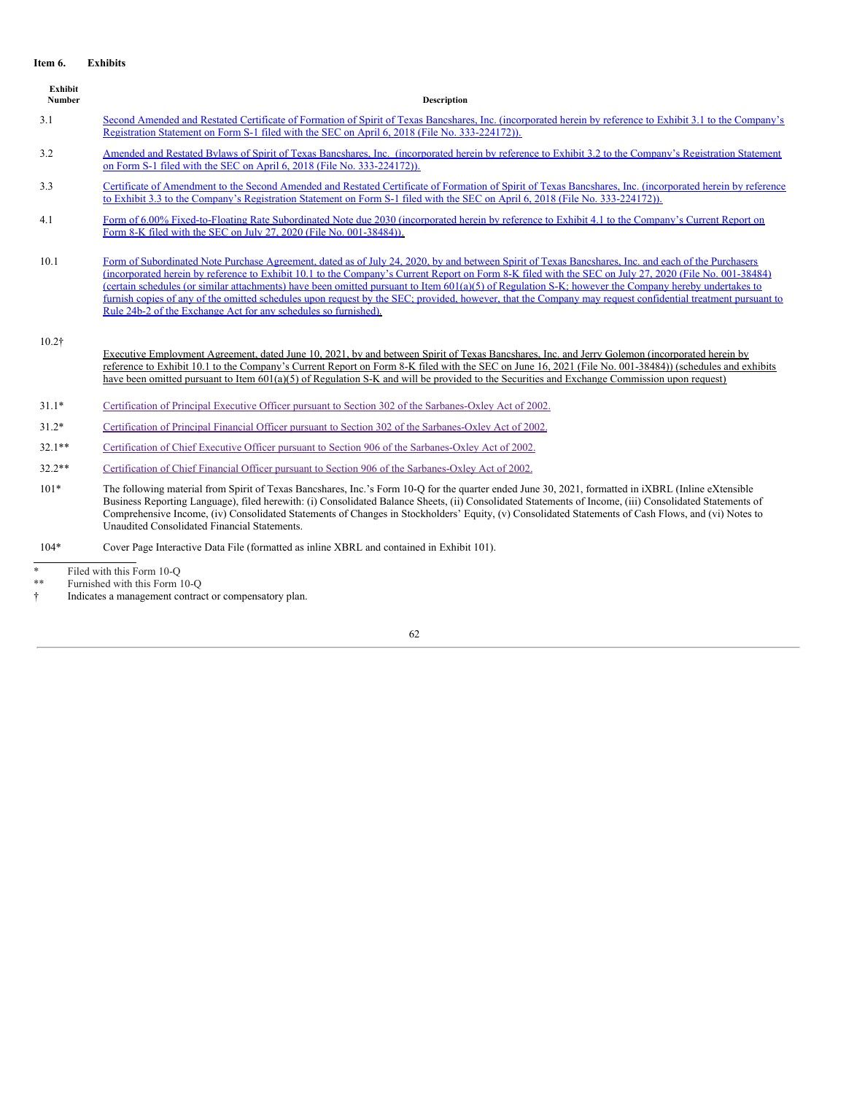# <span id="page-61-0"></span>**Item 6. Exhibits**

| <b>Exhibit</b><br>Number | Description                                                                                                                                                                                                                                                                                                                                                                                                                                                                                                                                                                                                                                                                                              |
|--------------------------|----------------------------------------------------------------------------------------------------------------------------------------------------------------------------------------------------------------------------------------------------------------------------------------------------------------------------------------------------------------------------------------------------------------------------------------------------------------------------------------------------------------------------------------------------------------------------------------------------------------------------------------------------------------------------------------------------------|
| 3.1                      | Second Amended and Restated Certificate of Formation of Spirit of Texas Bancshares, Inc. (incorporated herein by reference to Exhibit 3.1 to the Company's<br>Registration Statement on Form S-1 filed with the SEC on April 6, 2018 (File No. 333-224172)).                                                                                                                                                                                                                                                                                                                                                                                                                                             |
| 3.2                      | Amended and Restated Bylaws of Spirit of Texas Bancshares, Inc. (incorporated herein by reference to Exhibit 3.2 to the Company's Registration Statement<br>on Form S-1 filed with the SEC on April 6, 2018 (File No. 333-224172)).                                                                                                                                                                                                                                                                                                                                                                                                                                                                      |
| 3.3                      | Certificate of Amendment to the Second Amended and Restated Certificate of Formation of Spirit of Texas Bancshares. Inc. (incorporated herein by reference<br>to Exhibit 3.3 to the Company's Registration Statement on Form S-1 filed with the SEC on April 6, 2018 (File No. 333-224172)).                                                                                                                                                                                                                                                                                                                                                                                                             |
| 4.1                      | Form of 6.00% Fixed-to-Floating Rate Subordinated Note due 2030 (incorporated herein by reference to Exhibit 4.1 to the Company's Current Report on<br>Form 8-K filed with the SEC on July 27, 2020 (File No. 001-38484)).                                                                                                                                                                                                                                                                                                                                                                                                                                                                               |
| 10.1                     | Form of Subordinated Note Purchase Agreement, dated as of July 24, 2020, by and between Spirit of Texas Bancshares, Inc. and each of the Purchasers<br>(incorporated herein by reference to Exhibit 10.1 to the Company's Current Report on Form 8-K filed with the SEC on July 27, 2020 (File No. 001-38484)<br>(certain schedules (or similar attachments) have been omitted pursuant to Item $601(a)(5)$ of Regulation S-K; however the Company hereby undertakes to<br>furnish copies of any of the omitted schedules upon request by the SEC; provided, however, that the Company may request confidential treatment pursuant to<br>Rule 24b-2 of the Exchange Act for any schedules so furnished). |
| 10.2 <sup>†</sup>        | Executive Employment Agreement, dated June 10, 2021, by and between Spirit of Texas Bancshares, Inc. and Jerry Golemon (incorporated herein by<br>reference to Exhibit 10.1 to the Company's Current Report on Form 8-K filed with the SEC on June 16, 2021 (File No. 001-38484)) (schedules and exhibits<br>have been omitted pursuant to Item 601(a)(5) of Regulation S-K and will be provided to the Securities and Exchange Commission upon request)                                                                                                                                                                                                                                                 |
| $31.1*$                  | Certification of Principal Executive Officer pursuant to Section 302 of the Sarbanes-Oxley Act of 2002.                                                                                                                                                                                                                                                                                                                                                                                                                                                                                                                                                                                                  |
| $31.2*$                  | Certification of Principal Financial Officer pursuant to Section 302 of the Sarbanes-Oxley Act of 2002.                                                                                                                                                                                                                                                                                                                                                                                                                                                                                                                                                                                                  |
| $32.1**$                 | Certification of Chief Executive Officer pursuant to Section 906 of the Sarbanes-Oxley Act of 2002.                                                                                                                                                                                                                                                                                                                                                                                                                                                                                                                                                                                                      |
| $32.2**$                 | Certification of Chief Financial Officer pursuant to Section 906 of the Sarbanes-Oxley Act of 2002.                                                                                                                                                                                                                                                                                                                                                                                                                                                                                                                                                                                                      |
| $101*$                   | The following material from Spirit of Texas Bancshares, Inc.'s Form 10-O for the quarter ended June 30, 2021, formatted in <i>iXBRL</i> (Inline eXtensible                                                                                                                                                                                                                                                                                                                                                                                                                                                                                                                                               |

Business Reporting Language), filed herewith: (i) Consolidated Balance Sheets, (ii) Consolidated Statements of Income, (iii) Consolidated Statements of Comprehensive Income, (iv) Consolidated Statements of Changes in Stockholders' Equity, (v) Consolidated Statements of Cash Flows, and (vi) Notes to Unaudited Consolidated Financial Statements.

104\* Cover Page Interactive Data File (formatted as inline XBRL and contained in Exhibit 101).

\* Filed with this Form  $10-Q$ <br>\*\* Eurniched with this Form 1

\*\* Furnished with this Form 10-Q

† Indicates a management contract or compensatory plan.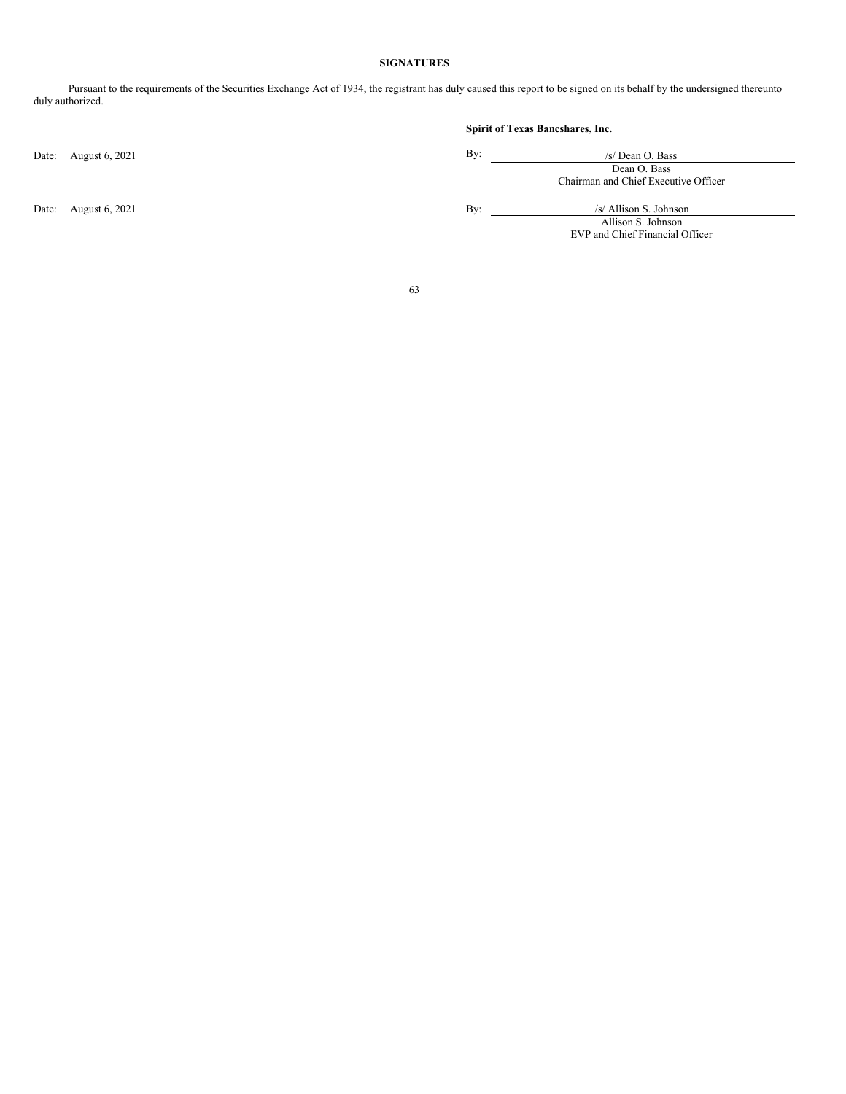# **SIGNATURES**

Pursuant to the requirements of the Securities Exchange Act of 1934, the registrant has duly caused this report to be signed on its behalf by the undersigned thereunto duly authorized.

# **Spirit of Texas Bancshares, Inc.**

Date: August 6, 2021 By: /s/ Dean O. Bass Dean O. Bass Chairman and Chief Executive Officer

Date: August 6, 2021 **By:** *S* Allison S. Johnson By: */s/* Allison S. Johnson

Allison S. Johnson EVP and Chief Financial Officer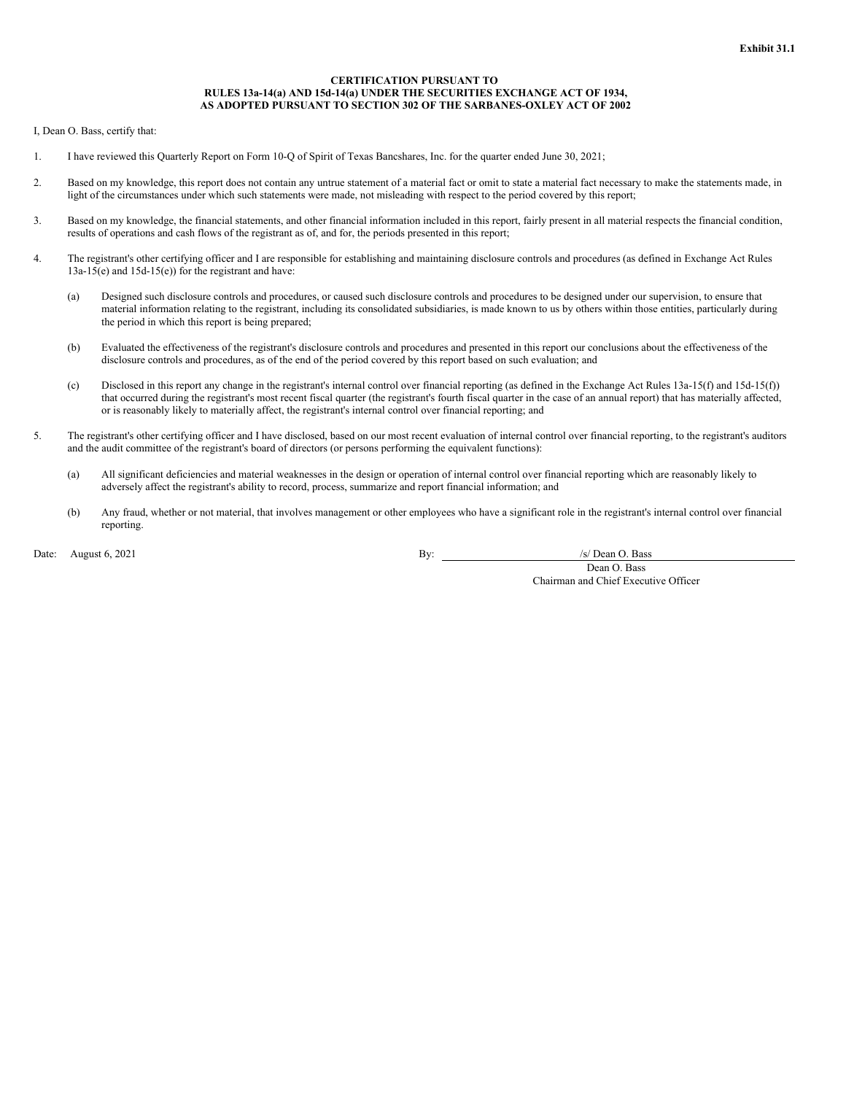# **CERTIFICATION PURSUANT TO RULES 13a-14(a) AND 15d-14(a) UNDER THE SECURITIES EXCHANGE ACT OF 1934, AS ADOPTED PURSUANT TO SECTION 302 OF THE SARBANES-OXLEY ACT OF 2002**

<span id="page-63-0"></span>I, Dean O. Bass, certify that:

- 1. I have reviewed this Quarterly Report on Form 10-Q of Spirit of Texas Bancshares, Inc. for the quarter ended June 30, 2021;
- 2. Based on my knowledge, this report does not contain any untrue statement of a material fact or omit to state a material fact necessary to make the statements made, in light of the circumstances under which such statements were made, not misleading with respect to the period covered by this report;
- 3. Based on my knowledge, the financial statements, and other financial information included in this report, fairly present in all material respects the financial condition, results of operations and cash flows of the registrant as of, and for, the periods presented in this report;
- 4. The registrant's other certifying officer and I are responsible for establishing and maintaining disclosure controls and procedures (as defined in Exchange Act Rules 13a-15(e) and 15d-15(e)) for the registrant and have:
	- (a) Designed such disclosure controls and procedures, or caused such disclosure controls and procedures to be designed under our supervision, to ensure that material information relating to the registrant, including its consolidated subsidiaries, is made known to us by others within those entities, particularly during the period in which this report is being prepared;
	- (b) Evaluated the effectiveness of the registrant's disclosure controls and procedures and presented in this report our conclusions about the effectiveness of the disclosure controls and procedures, as of the end of the period covered by this report based on such evaluation; and
	- (c) Disclosed in this report any change in the registrant's internal control over financial reporting (as defined in the Exchange Act Rules 13a-15(f) and 15d-15(f)) that occurred during the registrant's most recent fiscal quarter (the registrant's fourth fiscal quarter in the case of an annual report) that has materially affected, or is reasonably likely to materially affect, the registrant's internal control over financial reporting; and
- 5. The registrant's other certifying officer and I have disclosed, based on our most recent evaluation of internal control over financial reporting, to the registrant's auditors and the audit committee of the registrant's board of directors (or persons performing the equivalent functions):
	- (a) All significant deficiencies and material weaknesses in the design or operation of internal control over financial reporting which are reasonably likely to adversely affect the registrant's ability to record, process, summarize and report financial information; and
	- (b) Any fraud, whether or not material, that involves management or other employees who have a significant role in the registrant's internal control over financial reporting.

Date: August 6, 2021 **By:** /s/ Dean O. Bass

Dean O. Bass Chairman and Chief Executive Officer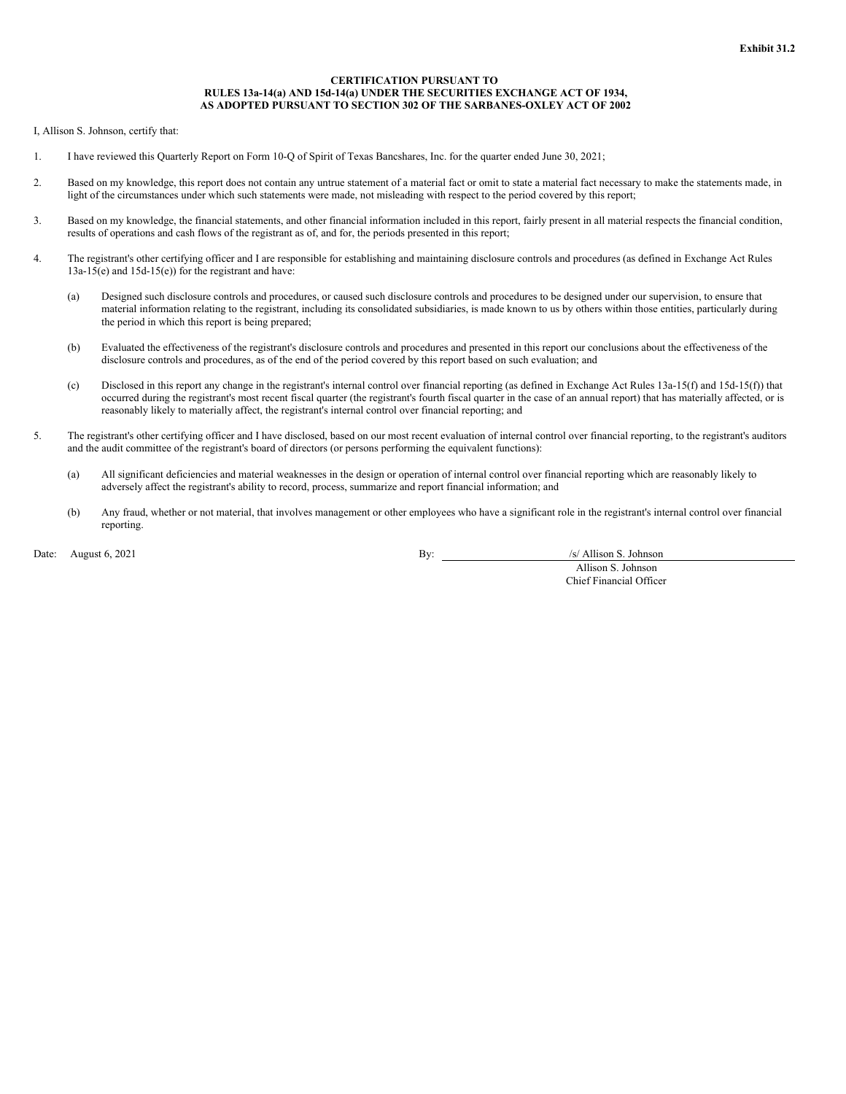# **CERTIFICATION PURSUANT TO RULES 13a-14(a) AND 15d-14(a) UNDER THE SECURITIES EXCHANGE ACT OF 1934, AS ADOPTED PURSUANT TO SECTION 302 OF THE SARBANES-OXLEY ACT OF 2002**

<span id="page-64-0"></span>I, Allison S. Johnson, certify that:

- 1. I have reviewed this Quarterly Report on Form 10-Q of Spirit of Texas Bancshares, Inc. for the quarter ended June 30, 2021;
- 2. Based on my knowledge, this report does not contain any untrue statement of a material fact or omit to state a material fact necessary to make the statements made, in light of the circumstances under which such statements were made, not misleading with respect to the period covered by this report;
- 3. Based on my knowledge, the financial statements, and other financial information included in this report, fairly present in all material respects the financial condition, results of operations and cash flows of the registrant as of, and for, the periods presented in this report;
- 4. The registrant's other certifying officer and I are responsible for establishing and maintaining disclosure controls and procedures (as defined in Exchange Act Rules 13a-15(e) and 15d-15(e)) for the registrant and have:
	- (a) Designed such disclosure controls and procedures, or caused such disclosure controls and procedures to be designed under our supervision, to ensure that material information relating to the registrant, including its consolidated subsidiaries, is made known to us by others within those entities, particularly during the period in which this report is being prepared;
	- (b) Evaluated the effectiveness of the registrant's disclosure controls and procedures and presented in this report our conclusions about the effectiveness of the disclosure controls and procedures, as of the end of the period covered by this report based on such evaluation; and
	- (c) Disclosed in this report any change in the registrant's internal control over financial reporting (as defined in Exchange Act Rules 13a-15(f) and 15d-15(f)) that occurred during the registrant's most recent fiscal quarter (the registrant's fourth fiscal quarter in the case of an annual report) that has materially affected, or is reasonably likely to materially affect, the registrant's internal control over financial reporting; and
- 5. The registrant's other certifying officer and I have disclosed, based on our most recent evaluation of internal control over financial reporting, to the registrant's auditors and the audit committee of the registrant's board of directors (or persons performing the equivalent functions):
	- (a) All significant deficiencies and material weaknesses in the design or operation of internal control over financial reporting which are reasonably likely to adversely affect the registrant's ability to record, process, summarize and report financial information; and
	- (b) Any fraud, whether or not material, that involves management or other employees who have a significant role in the registrant's internal control over financial reporting.

Date: August 6, 2021 **By:** /s/ Allison S. Johnson **By:** /s/ Allison S. Johnson **By:** /s/ Allison S. Johnson

Allison S. Johnson Chief Financial Officer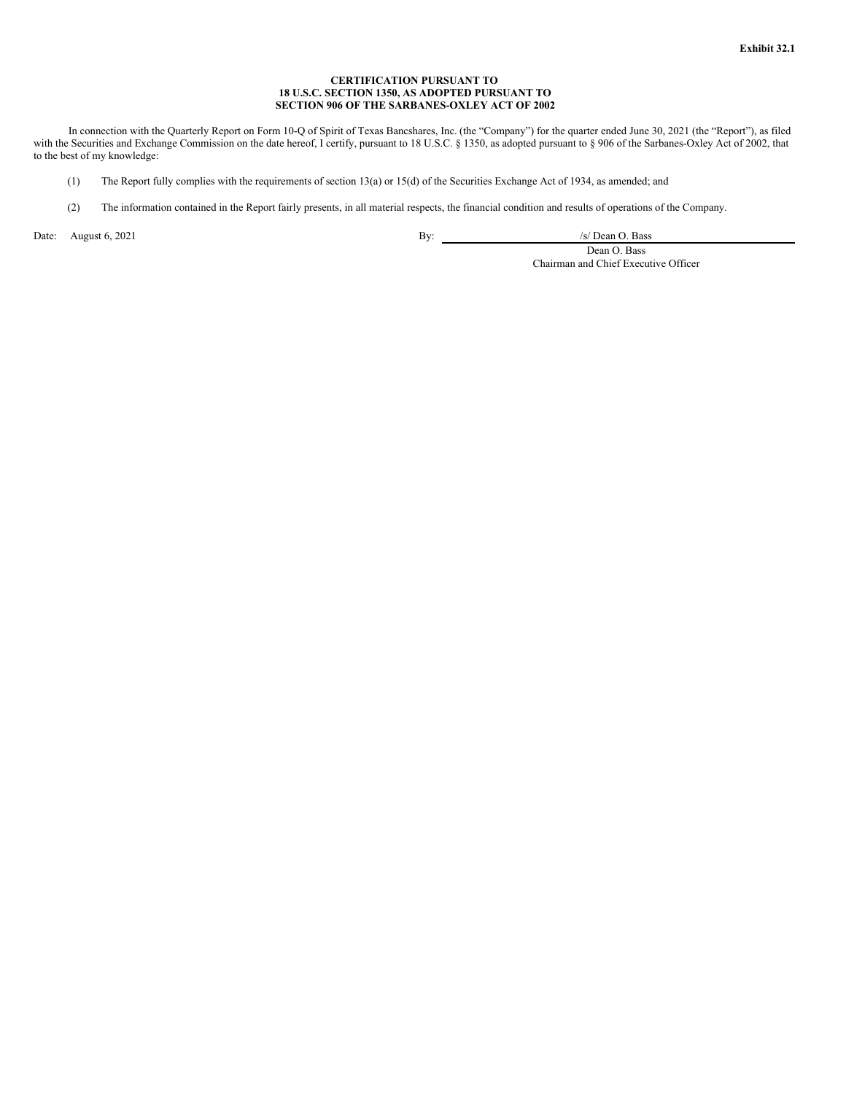# **CERTIFICATION PURSUANT TO 18 U.S.C. SECTION 1350, AS ADOPTED PURSUANT TO SECTION 906 OF THE SARBANES-OXLEY ACT OF 2002**

<span id="page-65-0"></span>In connection with the Quarterly Report on Form 10-Q of Spirit of Texas Bancshares, Inc. (the "Company") for the quarter ended June 30, 2021 (the "Report"), as filed with the Securities and Exchange Commission on the date hereof, I certify, pursuant to 18 U.S.C. § 1350, as adopted pursuant to § 906 of the Sarbanes-Oxley Act of 2002, that to the best of my knowledge:

- (1) The Report fully complies with the requirements of section 13(a) or 15(d) of the Securities Exchange Act of 1934, as amended; and
- (2) The information contained in the Report fairly presents, in all material respects, the financial condition and results of operations of the Company.

Date: August 6, 2021 **By:** /s/ Dean O. Bass

Dean O. Bass Chairman and Chief Executive Officer